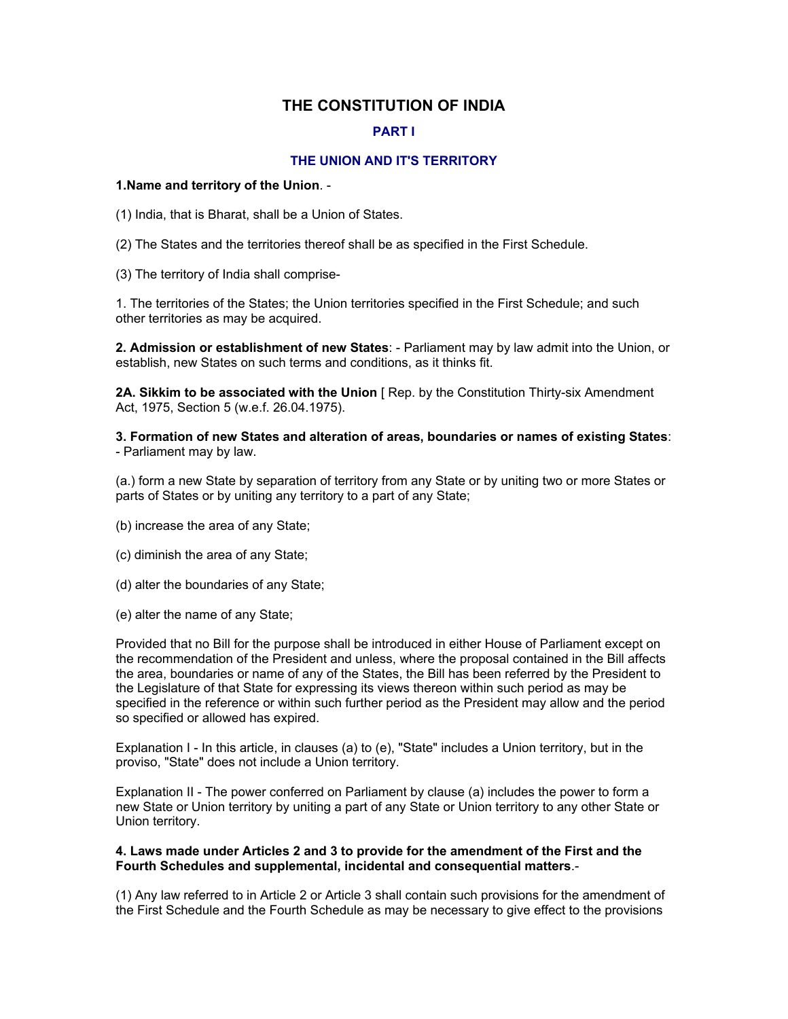# **THE CONSTITUTION OF INDIA**

# **PART I**

# **THE UNION AND IT'S TERRITORY**

## **1.Name and territory of the Union**. -

(1) India, that is Bharat, shall be a Union of States.

- (2) The States and the territories thereof shall be as specified in the First Schedule.
- (3) The territory of India shall comprise-

1. The territories of the States; the Union territories specified in the First Schedule; and such other territories as may be acquired.

**2. Admission or establishment of new States**: - Parliament may by law admit into the Union, or establish, new States on such terms and conditions, as it thinks fit.

**2A. Sikkim to be associated with the Union** [ Rep. by the Constitution Thirty-six Amendment Act, 1975, Section 5 (w.e.f. 26.04.1975).

**3. Formation of new States and alteration of areas, boundaries or names of existing States**: - Parliament may by law.

(a.) form a new State by separation of territory from any State or by uniting two or more States or parts of States or by uniting any territory to a part of any State;

- (b) increase the area of any State;
- (c) diminish the area of any State;
- (d) alter the boundaries of any State;
- (e) alter the name of any State;

Provided that no Bill for the purpose shall be introduced in either House of Parliament except on the recommendation of the President and unless, where the proposal contained in the Bill affects the area, boundaries or name of any of the States, the Bill has been referred by the President to the Legislature of that State for expressing its views thereon within such period as may be specified in the reference or within such further period as the President may allow and the period so specified or allowed has expired.

Explanation I - In this article, in clauses (a) to (e), "State" includes a Union territory, but in the proviso, "State" does not include a Union territory.

Explanation II - The power conferred on Parliament by clause (a) includes the power to form a new State or Union territory by uniting a part of any State or Union territory to any other State or Union territory.

## **4. Laws made under Articles 2 and 3 to provide for the amendment of the First and the Fourth Schedules and supplemental, incidental and consequential matters**.-

(1) Any law referred to in Article 2 or Article 3 shall contain such provisions for the amendment of the First Schedule and the Fourth Schedule as may be necessary to give effect to the provisions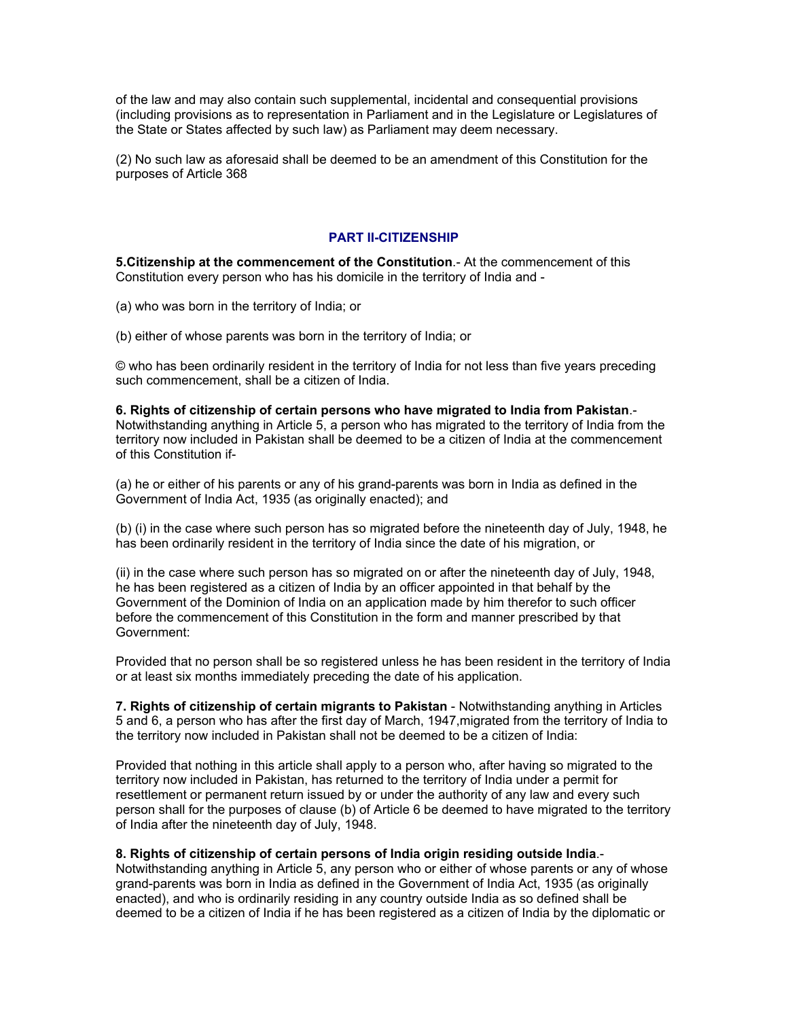of the law and may also contain such supplemental, incidental and consequential provisions (including provisions as to representation in Parliament and in the Legislature or Legislatures of the State or States affected by such law) as Parliament may deem necessary.

(2) No such law as aforesaid shall be deemed to be an amendment of this Constitution for the purposes of Article 368

## **PART II-CITIZENSHIP**

**5.Citizenship at the commencement of the Constitution**.- At the commencement of this Constitution every person who has his domicile in the territory of India and -

(a) who was born in the territory of India; or

(b) either of whose parents was born in the territory of India; or

© who has been ordinarily resident in the territory of India for not less than five years preceding such commencement, shall be a citizen of India.

**6. Rights of citizenship of certain persons who have migrated to India from Pakistan**.- Notwithstanding anything in Article 5, a person who has migrated to the territory of India from the territory now included in Pakistan shall be deemed to be a citizen of India at the commencement of this Constitution if-

(a) he or either of his parents or any of his grand-parents was born in India as defined in the Government of India Act, 1935 (as originally enacted); and

(b) (i) in the case where such person has so migrated before the nineteenth day of July, 1948, he has been ordinarily resident in the territory of India since the date of his migration, or

(ii) in the case where such person has so migrated on or after the nineteenth day of July, 1948, he has been registered as a citizen of India by an officer appointed in that behalf by the Government of the Dominion of India on an application made by him therefor to such officer before the commencement of this Constitution in the form and manner prescribed by that Government:

Provided that no person shall be so registered unless he has been resident in the territory of India or at least six months immediately preceding the date of his application.

**7. Rights of citizenship of certain migrants to Pakistan** - Notwithstanding anything in Articles 5 and 6, a person who has after the first day of March, 1947,migrated from the territory of India to the territory now included in Pakistan shall not be deemed to be a citizen of India:

Provided that nothing in this article shall apply to a person who, after having so migrated to the territory now included in Pakistan, has returned to the territory of India under a permit for resettlement or permanent return issued by or under the authority of any law and every such person shall for the purposes of clause (b) of Article 6 be deemed to have migrated to the territory of India after the nineteenth day of July, 1948.

#### **8. Rights of citizenship of certain persons of India origin residing outside India**.-

Notwithstanding anything in Article 5, any person who or either of whose parents or any of whose grand-parents was born in India as defined in the Government of India Act, 1935 (as originally enacted), and who is ordinarily residing in any country outside India as so defined shall be deemed to be a citizen of India if he has been registered as a citizen of India by the diplomatic or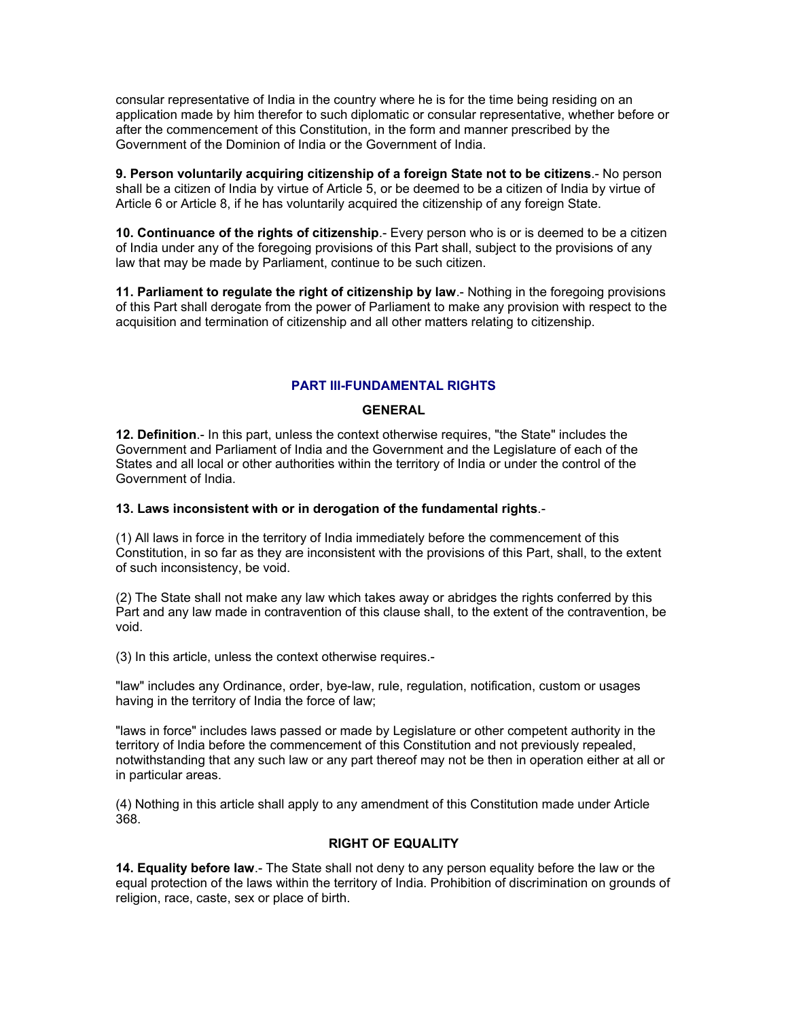consular representative of India in the country where he is for the time being residing on an application made by him therefor to such diplomatic or consular representative, whether before or after the commencement of this Constitution, in the form and manner prescribed by the Government of the Dominion of India or the Government of India.

**9. Person voluntarily acquiring citizenship of a foreign State not to be citizens**.- No person shall be a citizen of India by virtue of Article 5, or be deemed to be a citizen of India by virtue of Article 6 or Article 8, if he has voluntarily acquired the citizenship of any foreign State.

**10. Continuance of the rights of citizenship**.- Every person who is or is deemed to be a citizen of India under any of the foregoing provisions of this Part shall, subject to the provisions of any law that may be made by Parliament, continue to be such citizen.

**11. Parliament to regulate the right of citizenship by law**.- Nothing in the foregoing provisions of this Part shall derogate from the power of Parliament to make any provision with respect to the acquisition and termination of citizenship and all other matters relating to citizenship.

# **PART III-FUNDAMENTAL RIGHTS**

### **GENERAL**

**12. Definition**.- In this part, unless the context otherwise requires, "the State" includes the Government and Parliament of India and the Government and the Legislature of each of the States and all local or other authorities within the territory of India or under the control of the Government of India.

#### **13. Laws inconsistent with or in derogation of the fundamental rights**.-

(1) All laws in force in the territory of India immediately before the commencement of this Constitution, in so far as they are inconsistent with the provisions of this Part, shall, to the extent of such inconsistency, be void.

(2) The State shall not make any law which takes away or abridges the rights conferred by this Part and any law made in contravention of this clause shall, to the extent of the contravention, be void.

(3) In this article, unless the context otherwise requires.-

"law" includes any Ordinance, order, bye-law, rule, regulation, notification, custom or usages having in the territory of India the force of law;

"laws in force" includes laws passed or made by Legislature or other competent authority in the territory of India before the commencement of this Constitution and not previously repealed, notwithstanding that any such law or any part thereof may not be then in operation either at all or in particular areas.

(4) Nothing in this article shall apply to any amendment of this Constitution made under Article 368.

# **RIGHT OF EQUALITY**

**14. Equality before law**.- The State shall not deny to any person equality before the law or the equal protection of the laws within the territory of India. Prohibition of discrimination on grounds of religion, race, caste, sex or place of birth.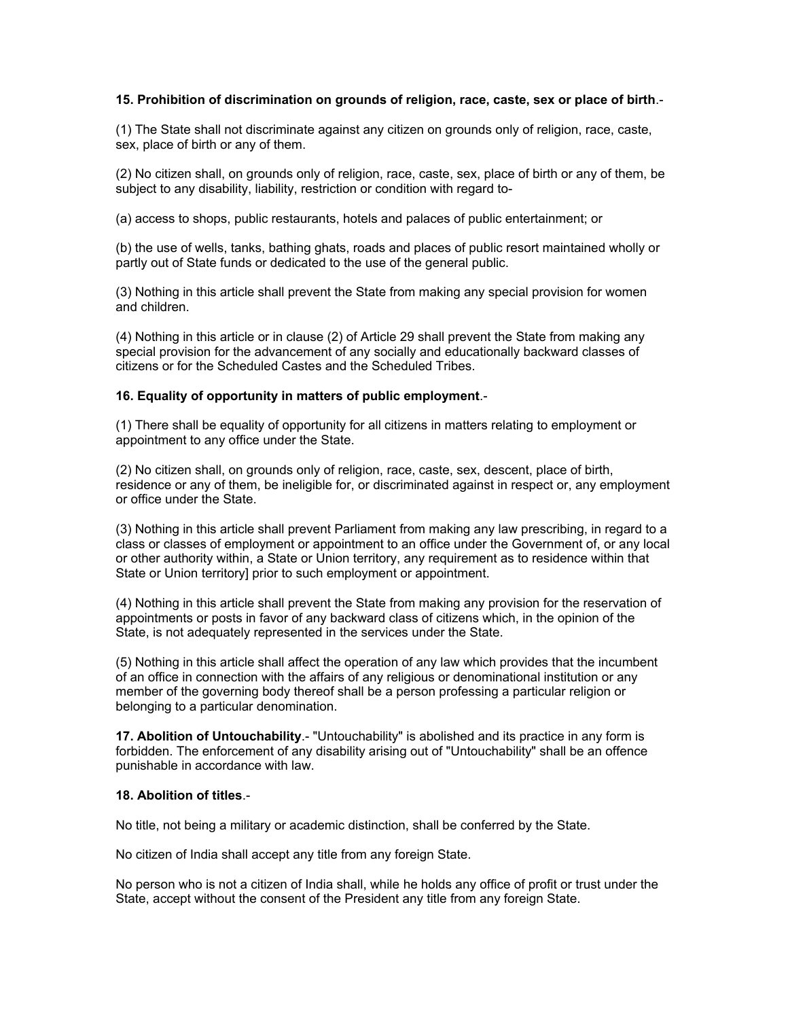# **15. Prohibition of discrimination on grounds of religion, race, caste, sex or place of birth**.-

(1) The State shall not discriminate against any citizen on grounds only of religion, race, caste, sex, place of birth or any of them.

(2) No citizen shall, on grounds only of religion, race, caste, sex, place of birth or any of them, be subject to any disability, liability, restriction or condition with regard to-

(a) access to shops, public restaurants, hotels and palaces of public entertainment; or

(b) the use of wells, tanks, bathing ghats, roads and places of public resort maintained wholly or partly out of State funds or dedicated to the use of the general public.

(3) Nothing in this article shall prevent the State from making any special provision for women and children.

(4) Nothing in this article or in clause (2) of Article 29 shall prevent the State from making any special provision for the advancement of any socially and educationally backward classes of citizens or for the Scheduled Castes and the Scheduled Tribes.

## **16. Equality of opportunity in matters of public employment**.-

(1) There shall be equality of opportunity for all citizens in matters relating to employment or appointment to any office under the State.

(2) No citizen shall, on grounds only of religion, race, caste, sex, descent, place of birth, residence or any of them, be ineligible for, or discriminated against in respect or, any employment or office under the State.

(3) Nothing in this article shall prevent Parliament from making any law prescribing, in regard to a class or classes of employment or appointment to an office under the Government of, or any local or other authority within, a State or Union territory, any requirement as to residence within that State or Union territory] prior to such employment or appointment.

(4) Nothing in this article shall prevent the State from making any provision for the reservation of appointments or posts in favor of any backward class of citizens which, in the opinion of the State, is not adequately represented in the services under the State.

(5) Nothing in this article shall affect the operation of any law which provides that the incumbent of an office in connection with the affairs of any religious or denominational institution or any member of the governing body thereof shall be a person professing a particular religion or belonging to a particular denomination.

**17. Abolition of Untouchability**.- "Untouchability" is abolished and its practice in any form is forbidden. The enforcement of any disability arising out of "Untouchability" shall be an offence punishable in accordance with law.

## **18. Abolition of titles**.-

No title, not being a military or academic distinction, shall be conferred by the State.

No citizen of India shall accept any title from any foreign State.

No person who is not a citizen of India shall, while he holds any office of profit or trust under the State, accept without the consent of the President any title from any foreign State.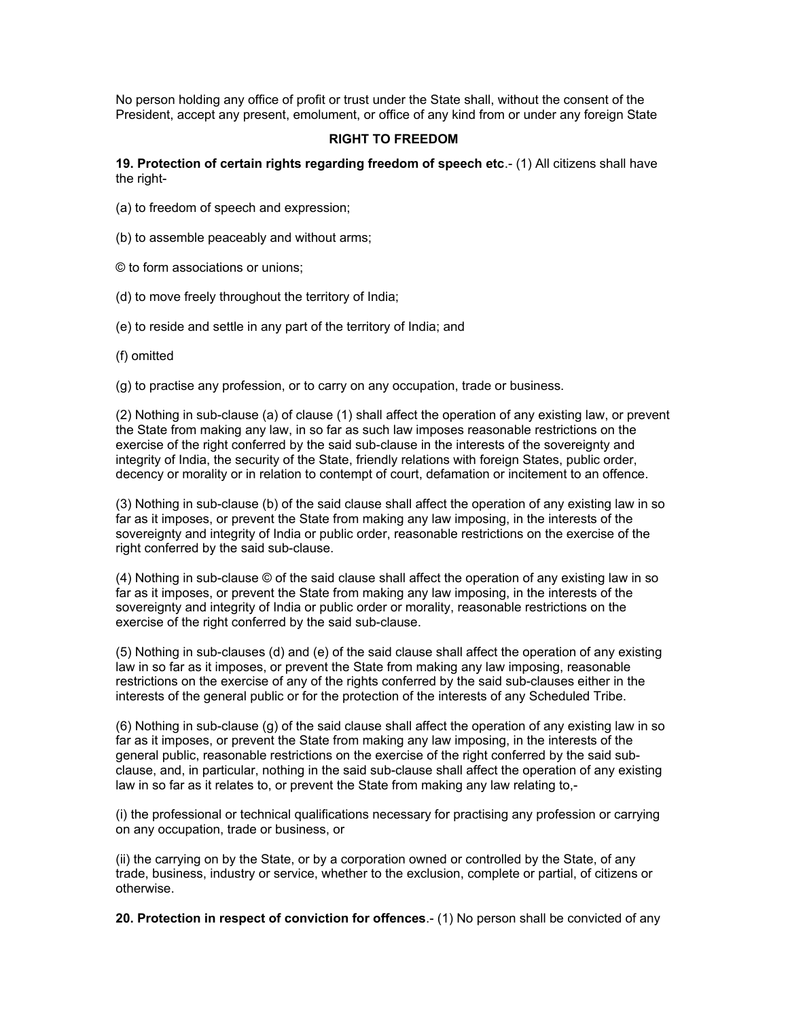No person holding any office of profit or trust under the State shall, without the consent of the President, accept any present, emolument, or office of any kind from or under any foreign State

# **RIGHT TO FREEDOM**

**19. Protection of certain rights regarding freedom of speech etc**.- (1) All citizens shall have the right-

- (a) to freedom of speech and expression;
- (b) to assemble peaceably and without arms;
- © to form associations or unions;
- (d) to move freely throughout the territory of India;
- (e) to reside and settle in any part of the territory of India; and
- (f) omitted

(g) to practise any profession, or to carry on any occupation, trade or business.

(2) Nothing in sub-clause (a) of clause (1) shall affect the operation of any existing law, or prevent the State from making any law, in so far as such law imposes reasonable restrictions on the exercise of the right conferred by the said sub-clause in the interests of the sovereignty and integrity of India, the security of the State, friendly relations with foreign States, public order, decency or morality or in relation to contempt of court, defamation or incitement to an offence.

(3) Nothing in sub-clause (b) of the said clause shall affect the operation of any existing law in so far as it imposes, or prevent the State from making any law imposing, in the interests of the sovereignty and integrity of India or public order, reasonable restrictions on the exercise of the right conferred by the said sub-clause.

(4) Nothing in sub-clause © of the said clause shall affect the operation of any existing law in so far as it imposes, or prevent the State from making any law imposing, in the interests of the sovereignty and integrity of India or public order or morality, reasonable restrictions on the exercise of the right conferred by the said sub-clause.

(5) Nothing in sub-clauses (d) and (e) of the said clause shall affect the operation of any existing law in so far as it imposes, or prevent the State from making any law imposing, reasonable restrictions on the exercise of any of the rights conferred by the said sub-clauses either in the interests of the general public or for the protection of the interests of any Scheduled Tribe.

(6) Nothing in sub-clause (g) of the said clause shall affect the operation of any existing law in so far as it imposes, or prevent the State from making any law imposing, in the interests of the general public, reasonable restrictions on the exercise of the right conferred by the said subclause, and, in particular, nothing in the said sub-clause shall affect the operation of any existing law in so far as it relates to, or prevent the State from making any law relating to,-

(i) the professional or technical qualifications necessary for practising any profession or carrying on any occupation, trade or business, or

(ii) the carrying on by the State, or by a corporation owned or controlled by the State, of any trade, business, industry or service, whether to the exclusion, complete or partial, of citizens or otherwise.

**20. Protection in respect of conviction for offences**.- (1) No person shall be convicted of any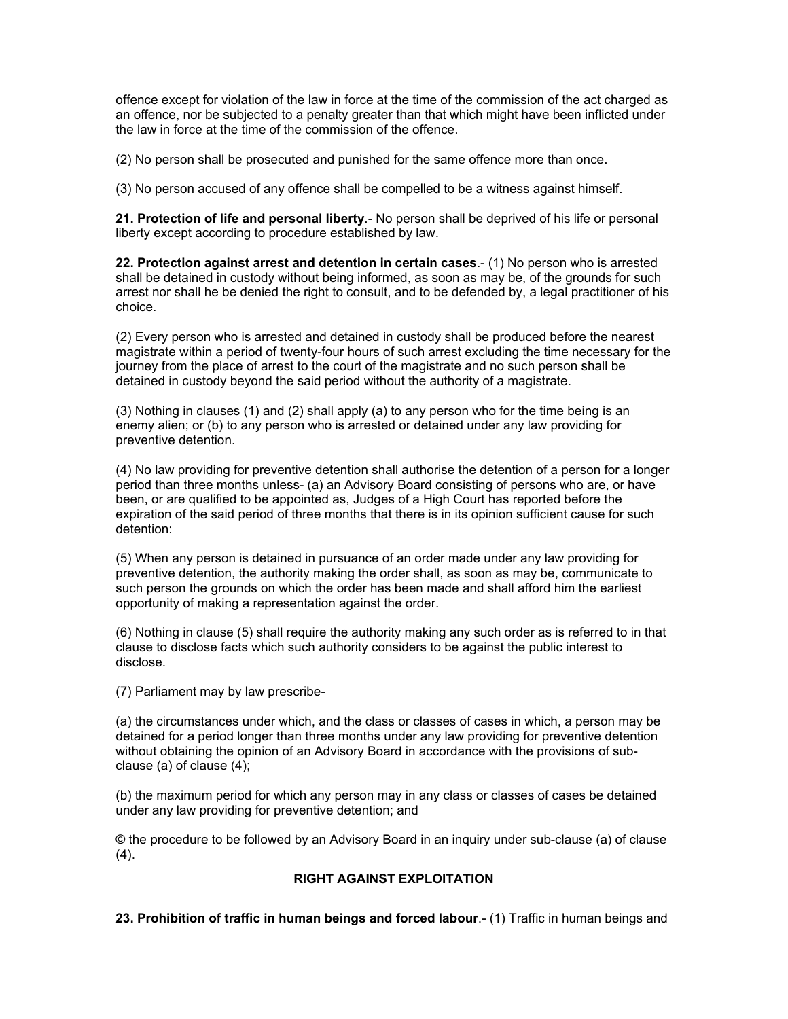offence except for violation of the law in force at the time of the commission of the act charged as an offence, nor be subjected to a penalty greater than that which might have been inflicted under the law in force at the time of the commission of the offence.

(2) No person shall be prosecuted and punished for the same offence more than once.

(3) No person accused of any offence shall be compelled to be a witness against himself.

**21. Protection of life and personal liberty**.- No person shall be deprived of his life or personal liberty except according to procedure established by law.

**22. Protection against arrest and detention in certain cases**.- (1) No person who is arrested shall be detained in custody without being informed, as soon as may be, of the grounds for such arrest nor shall he be denied the right to consult, and to be defended by, a legal practitioner of his choice.

(2) Every person who is arrested and detained in custody shall be produced before the nearest magistrate within a period of twenty-four hours of such arrest excluding the time necessary for the journey from the place of arrest to the court of the magistrate and no such person shall be detained in custody beyond the said period without the authority of a magistrate.

(3) Nothing in clauses (1) and (2) shall apply (a) to any person who for the time being is an enemy alien; or (b) to any person who is arrested or detained under any law providing for preventive detention.

(4) No law providing for preventive detention shall authorise the detention of a person for a longer period than three months unless- (a) an Advisory Board consisting of persons who are, or have been, or are qualified to be appointed as, Judges of a High Court has reported before the expiration of the said period of three months that there is in its opinion sufficient cause for such detention:

(5) When any person is detained in pursuance of an order made under any law providing for preventive detention, the authority making the order shall, as soon as may be, communicate to such person the grounds on which the order has been made and shall afford him the earliest opportunity of making a representation against the order.

(6) Nothing in clause (5) shall require the authority making any such order as is referred to in that clause to disclose facts which such authority considers to be against the public interest to disclose.

(7) Parliament may by law prescribe-

(a) the circumstances under which, and the class or classes of cases in which, a person may be detained for a period longer than three months under any law providing for preventive detention without obtaining the opinion of an Advisory Board in accordance with the provisions of subclause (a) of clause (4);

(b) the maximum period for which any person may in any class or classes of cases be detained under any law providing for preventive detention; and

© the procedure to be followed by an Advisory Board in an inquiry under sub-clause (a) of clause (4).

# **RIGHT AGAINST EXPLOITATION**

**23. Prohibition of traffic in human beings and forced labour**.- (1) Traffic in human beings and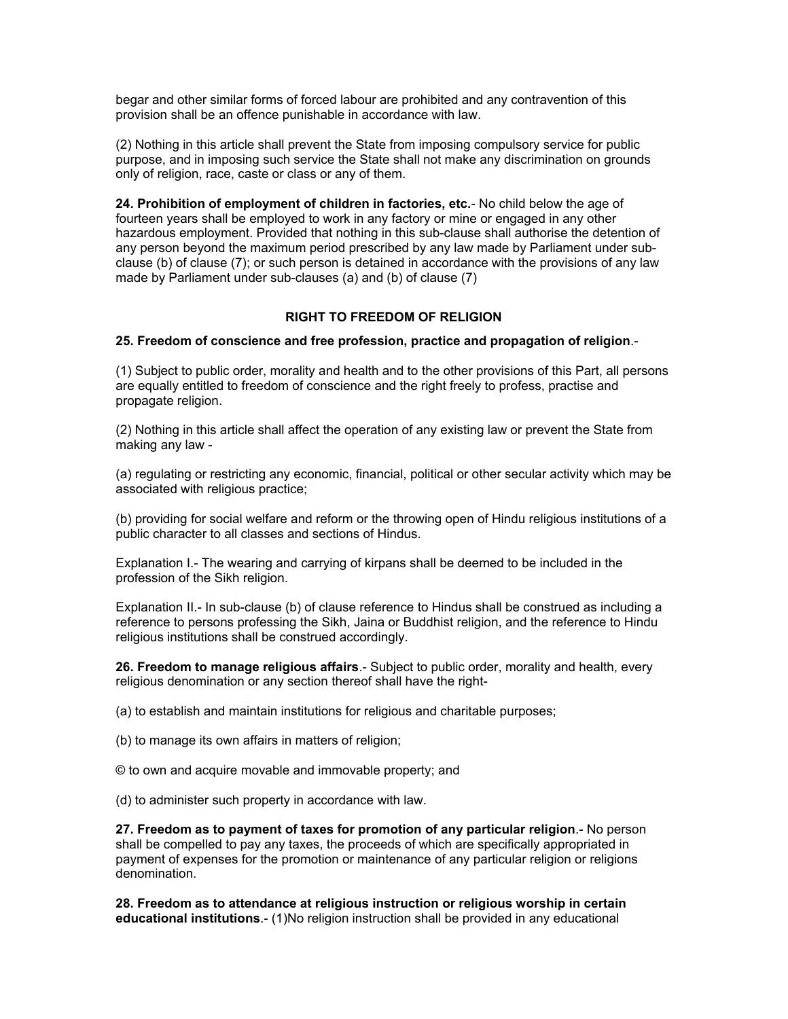begar and other similar forms of forced labour are prohibited and any contravention of this provision shall be an offence punishable in accordance with law.

(2) Nothing in this article shall prevent the State from imposing compulsory service for public purpose, and in imposing such service the State shall not make any discrimination on grounds only of religion, race, caste or class or any of them.

**24. Prohibition of employment of children in factories, etc.**- No child below the age of fourteen years shall be employed to work in any factory or mine or engaged in any other hazardous employment. Provided that nothing in this sub-clause shall authorise the detention of any person beyond the maximum period prescribed by any law made by Parliament under subclause (b) of clause (7); or such person is detained in accordance with the provisions of any law made by Parliament under sub-clauses (a) and (b) of clause (7)

# **RIGHT TO FREEDOM OF RELIGION**

## **25. Freedom of conscience and free profession, practice and propagation of religion**.-

(1) Subject to public order, morality and health and to the other provisions of this Part, all persons are equally entitled to freedom of conscience and the right freely to profess, practise and propagate religion.

(2) Nothing in this article shall affect the operation of any existing law or prevent the State from making any law -

(a) regulating or restricting any economic, financial, political or other secular activity which may be associated with religious practice;

(b) providing for social welfare and reform or the throwing open of Hindu religious institutions of a public character to all classes and sections of Hindus.

Explanation I.- The wearing and carrying of kirpans shall be deemed to be included in the profession of the Sikh religion.

Explanation II.- In sub-clause (b) of clause reference to Hindus shall be construed as including a reference to persons professing the Sikh, Jaina or Buddhist religion, and the reference to Hindu religious institutions shall be construed accordingly.

**26. Freedom to manage religious affairs**.- Subject to public order, morality and health, every religious denomination or any section thereof shall have the right-

(a) to establish and maintain institutions for religious and charitable purposes;

- (b) to manage its own affairs in matters of religion;
- © to own and acquire movable and immovable property; and
- (d) to administer such property in accordance with law.

**27. Freedom as to payment of taxes for promotion of any particular religion**.- No person shall be compelled to pay any taxes, the proceeds of which are specifically appropriated in payment of expenses for the promotion or maintenance of any particular religion or religions denomination.

**28. Freedom as to attendance at religious instruction or religious worship in certain educational institutions**.- (1)No religion instruction shall be provided in any educational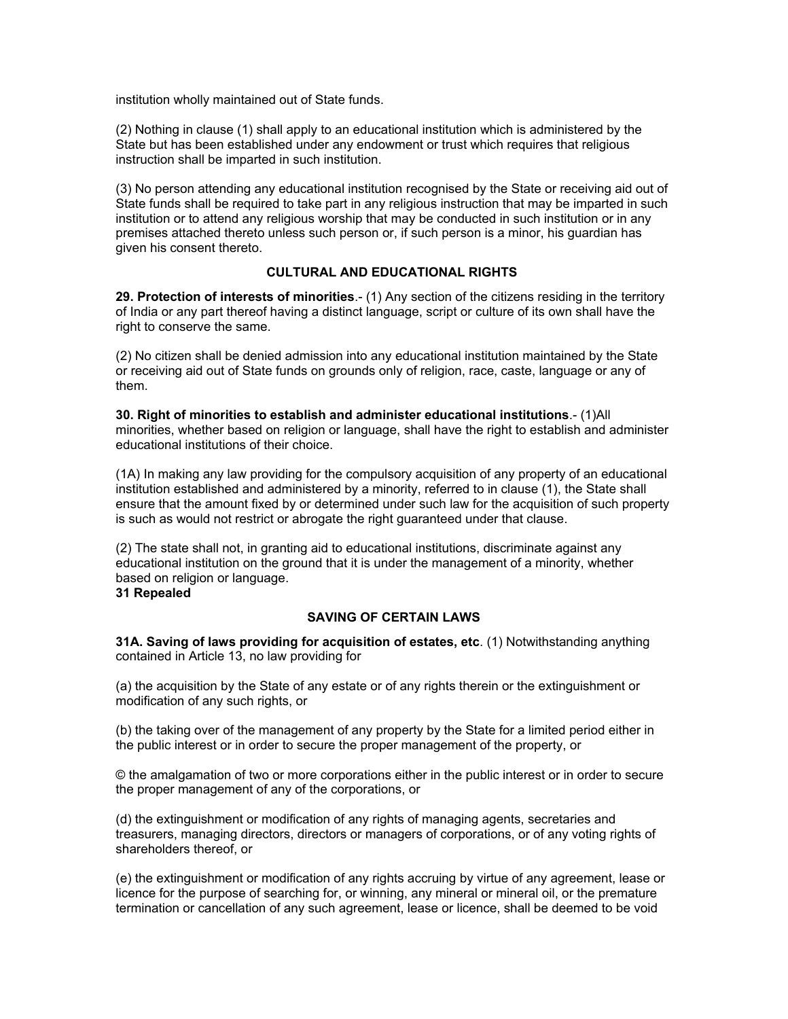institution wholly maintained out of State funds.

(2) Nothing in clause (1) shall apply to an educational institution which is administered by the State but has been established under any endowment or trust which requires that religious instruction shall be imparted in such institution.

(3) No person attending any educational institution recognised by the State or receiving aid out of State funds shall be required to take part in any religious instruction that may be imparted in such institution or to attend any religious worship that may be conducted in such institution or in any premises attached thereto unless such person or, if such person is a minor, his guardian has given his consent thereto.

# **CULTURAL AND EDUCATIONAL RIGHTS**

**29. Protection of interests of minorities**.- (1) Any section of the citizens residing in the territory of India or any part thereof having a distinct language, script or culture of its own shall have the right to conserve the same.

(2) No citizen shall be denied admission into any educational institution maintained by the State or receiving aid out of State funds on grounds only of religion, race, caste, language or any of them.

**30. Right of minorities to establish and administer educational institutions**.- (1)All minorities, whether based on religion or language, shall have the right to establish and administer educational institutions of their choice.

(1A) In making any law providing for the compulsory acquisition of any property of an educational institution established and administered by a minority, referred to in clause (1), the State shall ensure that the amount fixed by or determined under such law for the acquisition of such property is such as would not restrict or abrogate the right guaranteed under that clause.

(2) The state shall not, in granting aid to educational institutions, discriminate against any educational institution on the ground that it is under the management of a minority, whether based on religion or language. **31 Repealed**

# **SAVING OF CERTAIN LAWS**

**31A. Saving of laws providing for acquisition of estates, etc**. (1) Notwithstanding anything contained in Article 13, no law providing for

(a) the acquisition by the State of any estate or of any rights therein or the extinguishment or modification of any such rights, or

(b) the taking over of the management of any property by the State for a limited period either in the public interest or in order to secure the proper management of the property, or

© the amalgamation of two or more corporations either in the public interest or in order to secure the proper management of any of the corporations, or

(d) the extinguishment or modification of any rights of managing agents, secretaries and treasurers, managing directors, directors or managers of corporations, or of any voting rights of shareholders thereof, or

(e) the extinguishment or modification of any rights accruing by virtue of any agreement, lease or licence for the purpose of searching for, or winning, any mineral or mineral oil, or the premature termination or cancellation of any such agreement, lease or licence, shall be deemed to be void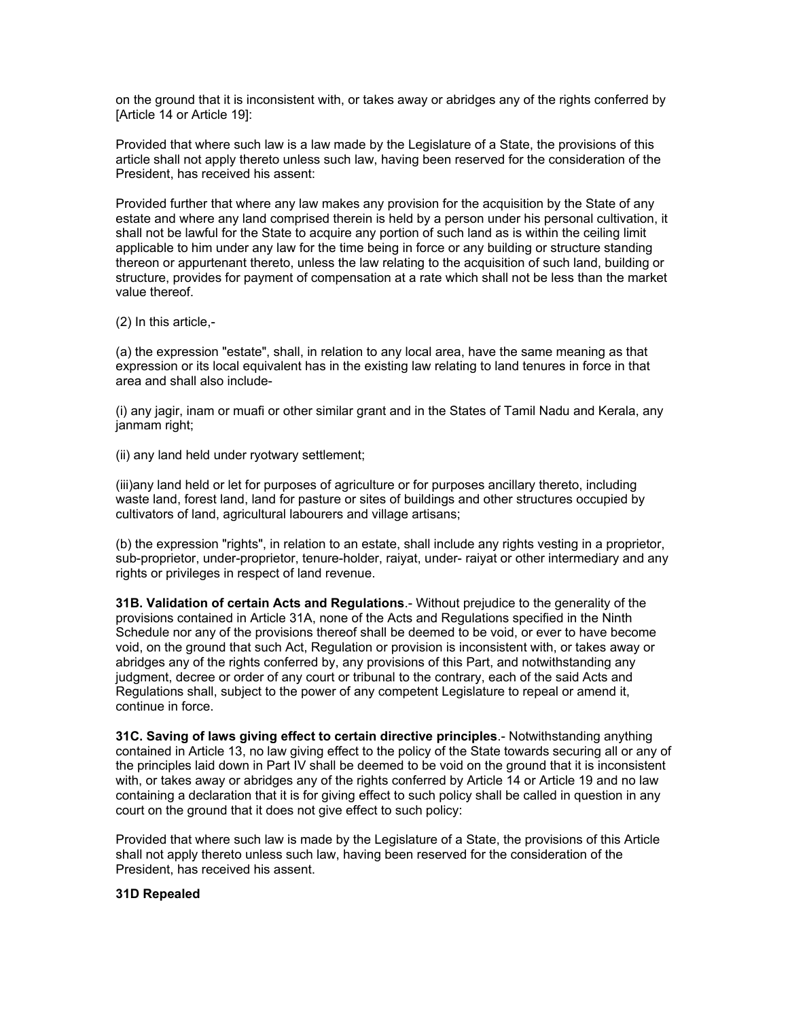on the ground that it is inconsistent with, or takes away or abridges any of the rights conferred by [Article 14 or Article 19]:

Provided that where such law is a law made by the Legislature of a State, the provisions of this article shall not apply thereto unless such law, having been reserved for the consideration of the President, has received his assent:

Provided further that where any law makes any provision for the acquisition by the State of any estate and where any land comprised therein is held by a person under his personal cultivation, it shall not be lawful for the State to acquire any portion of such land as is within the ceiling limit applicable to him under any law for the time being in force or any building or structure standing thereon or appurtenant thereto, unless the law relating to the acquisition of such land, building or structure, provides for payment of compensation at a rate which shall not be less than the market value thereof.

(2) In this article,-

(a) the expression "estate", shall, in relation to any local area, have the same meaning as that expression or its local equivalent has in the existing law relating to land tenures in force in that area and shall also include-

(i) any jagir, inam or muafi or other similar grant and in the States of Tamil Nadu and Kerala, any janmam right;

(ii) any land held under ryotwary settlement;

(iii)any land held or let for purposes of agriculture or for purposes ancillary thereto, including waste land, forest land, land for pasture or sites of buildings and other structures occupied by cultivators of land, agricultural labourers and village artisans;

(b) the expression "rights", in relation to an estate, shall include any rights vesting in a proprietor, sub-proprietor, under-proprietor, tenure-holder, raiyat, under- raiyat or other intermediary and any rights or privileges in respect of land revenue.

**31B. Validation of certain Acts and Regulations**.- Without prejudice to the generality of the provisions contained in Article 31A, none of the Acts and Regulations specified in the Ninth Schedule nor any of the provisions thereof shall be deemed to be void, or ever to have become void, on the ground that such Act, Regulation or provision is inconsistent with, or takes away or abridges any of the rights conferred by, any provisions of this Part, and notwithstanding any judgment, decree or order of any court or tribunal to the contrary, each of the said Acts and Regulations shall, subject to the power of any competent Legislature to repeal or amend it, continue in force.

**31C. Saving of laws giving effect to certain directive principles**.- Notwithstanding anything contained in Article 13, no law giving effect to the policy of the State towards securing all or any of the principles laid down in Part IV shall be deemed to be void on the ground that it is inconsistent with, or takes away or abridges any of the rights conferred by Article 14 or Article 19 and no law containing a declaration that it is for giving effect to such policy shall be called in question in any court on the ground that it does not give effect to such policy:

Provided that where such law is made by the Legislature of a State, the provisions of this Article shall not apply thereto unless such law, having been reserved for the consideration of the President, has received his assent.

#### **31D Repealed**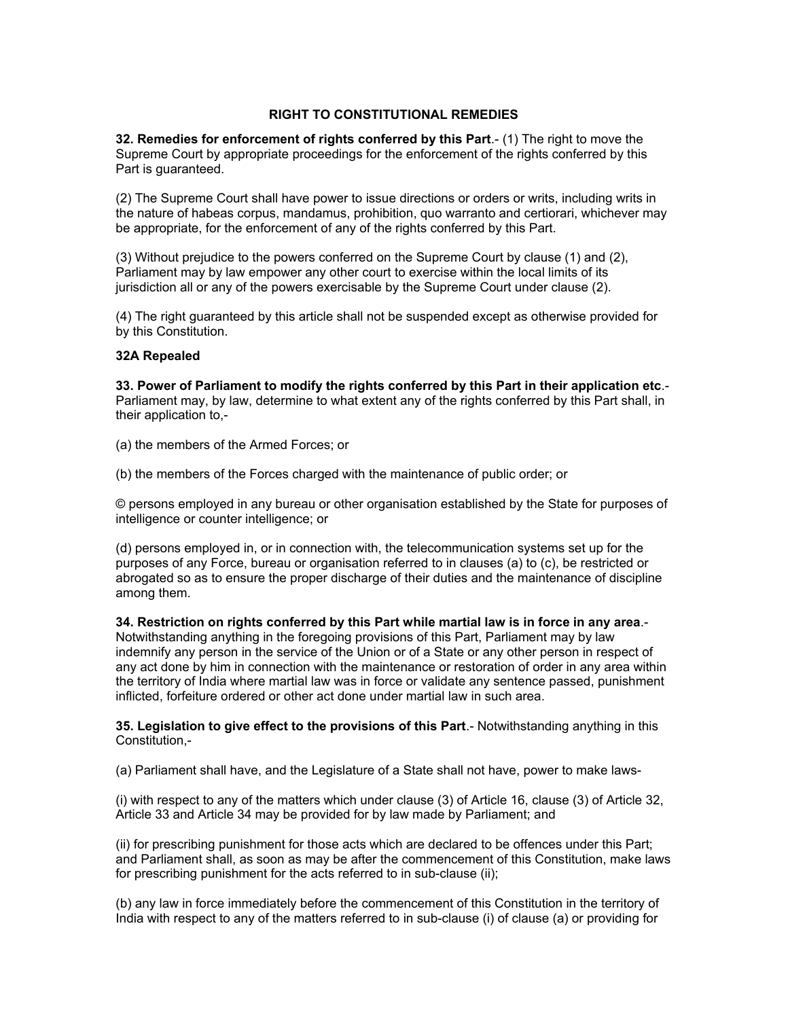# **RIGHT TO CONSTITUTIONAL REMEDIES**

**32. Remedies for enforcement of rights conferred by this Part**.- (1) The right to move the Supreme Court by appropriate proceedings for the enforcement of the rights conferred by this Part is guaranteed.

(2) The Supreme Court shall have power to issue directions or orders or writs, including writs in the nature of habeas corpus, mandamus, prohibition, quo warranto and certiorari, whichever may be appropriate, for the enforcement of any of the rights conferred by this Part.

(3) Without prejudice to the powers conferred on the Supreme Court by clause (1) and (2), Parliament may by law empower any other court to exercise within the local limits of its jurisdiction all or any of the powers exercisable by the Supreme Court under clause (2).

(4) The right guaranteed by this article shall not be suspended except as otherwise provided for by this Constitution.

## **32A Repealed**

**33. Power of Parliament to modify the rights conferred by this Part in their application etc**.- Parliament may, by law, determine to what extent any of the rights conferred by this Part shall, in their application to,-

(a) the members of the Armed Forces; or

(b) the members of the Forces charged with the maintenance of public order; or

© persons employed in any bureau or other organisation established by the State for purposes of intelligence or counter intelligence; or

(d) persons employed in, or in connection with, the telecommunication systems set up for the purposes of any Force, bureau or organisation referred to in clauses (a) to (c), be restricted or abrogated so as to ensure the proper discharge of their duties and the maintenance of discipline among them.

**34. Restriction on rights conferred by this Part while martial law is in force in any area**.- Notwithstanding anything in the foregoing provisions of this Part, Parliament may by law indemnify any person in the service of the Union or of a State or any other person in respect of any act done by him in connection with the maintenance or restoration of order in any area within the territory of India where martial law was in force or validate any sentence passed, punishment inflicted, forfeiture ordered or other act done under martial law in such area.

**35. Legislation to give effect to the provisions of this Part**.- Notwithstanding anything in this Constitution,-

(a) Parliament shall have, and the Legislature of a State shall not have, power to make laws-

(i) with respect to any of the matters which under clause (3) of Article 16, clause (3) of Article 32, Article 33 and Article 34 may be provided for by law made by Parliament; and

(ii) for prescribing punishment for those acts which are declared to be offences under this Part; and Parliament shall, as soon as may be after the commencement of this Constitution, make laws for prescribing punishment for the acts referred to in sub-clause (ii);

(b) any law in force immediately before the commencement of this Constitution in the territory of India with respect to any of the matters referred to in sub-clause (i) of clause (a) or providing for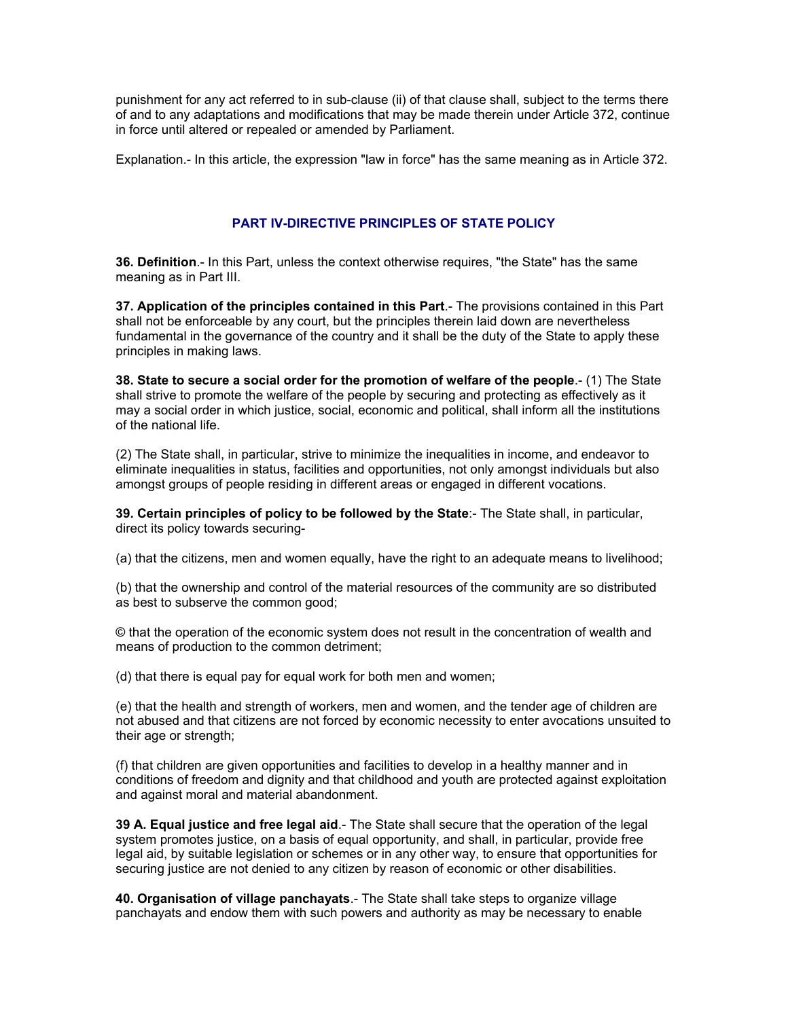punishment for any act referred to in sub-clause (ii) of that clause shall, subject to the terms there of and to any adaptations and modifications that may be made therein under Article 372, continue in force until altered or repealed or amended by Parliament.

Explanation.- In this article, the expression "law in force" has the same meaning as in Article 372.

# **PART IV-DIRECTIVE PRINCIPLES OF STATE POLICY**

**36. Definition**.- In this Part, unless the context otherwise requires, "the State" has the same meaning as in Part III.

**37. Application of the principles contained in this Part**.- The provisions contained in this Part shall not be enforceable by any court, but the principles therein laid down are nevertheless fundamental in the governance of the country and it shall be the duty of the State to apply these principles in making laws.

**38. State to secure a social order for the promotion of welfare of the people**.- (1) The State shall strive to promote the welfare of the people by securing and protecting as effectively as it may a social order in which justice, social, economic and political, shall inform all the institutions of the national life.

(2) The State shall, in particular, strive to minimize the inequalities in income, and endeavor to eliminate inequalities in status, facilities and opportunities, not only amongst individuals but also amongst groups of people residing in different areas or engaged in different vocations.

**39. Certain principles of policy to be followed by the State**:- The State shall, in particular, direct its policy towards securing-

(a) that the citizens, men and women equally, have the right to an adequate means to livelihood;

(b) that the ownership and control of the material resources of the community are so distributed as best to subserve the common good;

© that the operation of the economic system does not result in the concentration of wealth and means of production to the common detriment;

(d) that there is equal pay for equal work for both men and women;

(e) that the health and strength of workers, men and women, and the tender age of children are not abused and that citizens are not forced by economic necessity to enter avocations unsuited to their age or strength;

(f) that children are given opportunities and facilities to develop in a healthy manner and in conditions of freedom and dignity and that childhood and youth are protected against exploitation and against moral and material abandonment.

**39 A. Equal justice and free legal aid**.- The State shall secure that the operation of the legal system promotes justice, on a basis of equal opportunity, and shall, in particular, provide free legal aid, by suitable legislation or schemes or in any other way, to ensure that opportunities for securing justice are not denied to any citizen by reason of economic or other disabilities.

**40. Organisation of village panchayats**.- The State shall take steps to organize village panchayats and endow them with such powers and authority as may be necessary to enable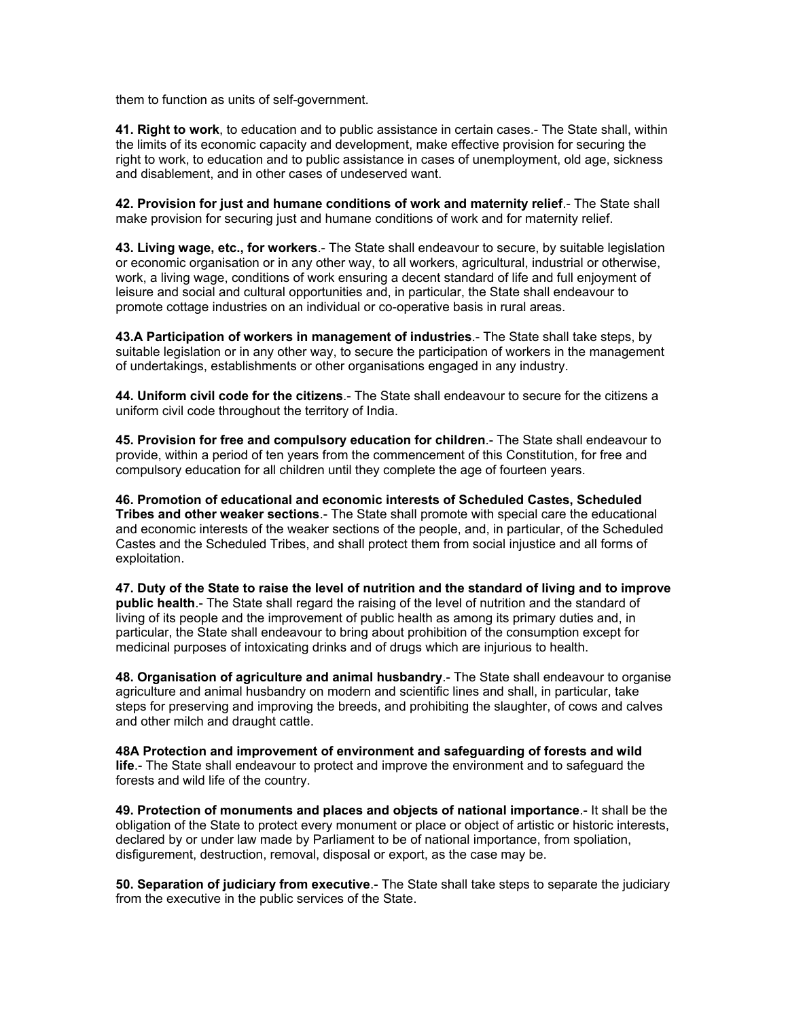them to function as units of self-government.

**41. Right to work**, to education and to public assistance in certain cases.- The State shall, within the limits of its economic capacity and development, make effective provision for securing the right to work, to education and to public assistance in cases of unemployment, old age, sickness and disablement, and in other cases of undeserved want.

**42. Provision for just and humane conditions of work and maternity relief**.- The State shall make provision for securing just and humane conditions of work and for maternity relief.

**43. Living wage, etc., for workers**.- The State shall endeavour to secure, by suitable legislation or economic organisation or in any other way, to all workers, agricultural, industrial or otherwise, work, a living wage, conditions of work ensuring a decent standard of life and full enjoyment of leisure and social and cultural opportunities and, in particular, the State shall endeavour to promote cottage industries on an individual or co-operative basis in rural areas.

**43.A Participation of workers in management of industries**.- The State shall take steps, by suitable legislation or in any other way, to secure the participation of workers in the management of undertakings, establishments or other organisations engaged in any industry.

**44. Uniform civil code for the citizens**.- The State shall endeavour to secure for the citizens a uniform civil code throughout the territory of India.

**45. Provision for free and compulsory education for children**.- The State shall endeavour to provide, within a period of ten years from the commencement of this Constitution, for free and compulsory education for all children until they complete the age of fourteen years.

**46. Promotion of educational and economic interests of Scheduled Castes, Scheduled Tribes and other weaker sections**.- The State shall promote with special care the educational and economic interests of the weaker sections of the people, and, in particular, of the Scheduled Castes and the Scheduled Tribes, and shall protect them from social injustice and all forms of exploitation.

**47. Duty of the State to raise the level of nutrition and the standard of living and to improve public health**.- The State shall regard the raising of the level of nutrition and the standard of living of its people and the improvement of public health as among its primary duties and, in particular, the State shall endeavour to bring about prohibition of the consumption except for medicinal purposes of intoxicating drinks and of drugs which are injurious to health.

**48. Organisation of agriculture and animal husbandry**.- The State shall endeavour to organise agriculture and animal husbandry on modern and scientific lines and shall, in particular, take steps for preserving and improving the breeds, and prohibiting the slaughter, of cows and calves and other milch and draught cattle.

**48A Protection and improvement of environment and safeguarding of forests and wild life**.- The State shall endeavour to protect and improve the environment and to safeguard the forests and wild life of the country.

**49. Protection of monuments and places and objects of national importance**.- It shall be the obligation of the State to protect every monument or place or object of artistic or historic interests, declared by or under law made by Parliament to be of national importance, from spoliation, disfigurement, destruction, removal, disposal or export, as the case may be.

**50. Separation of judiciary from executive.**- The State shall take steps to separate the judiciary from the executive in the public services of the State.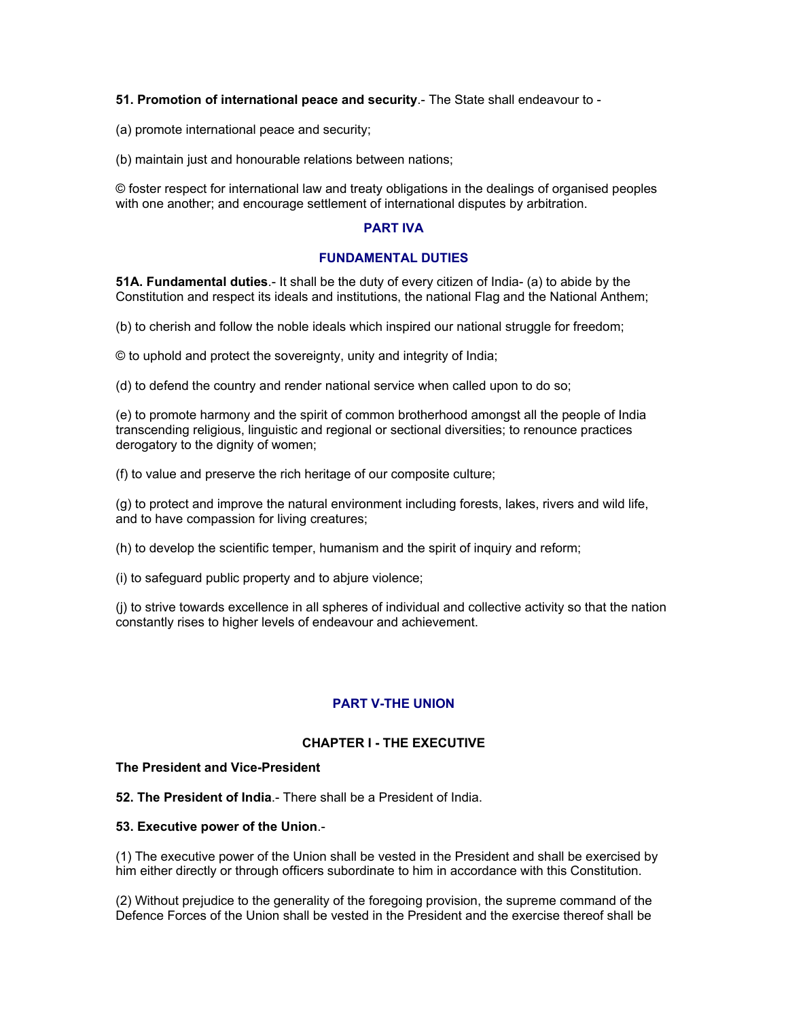**51. Promotion of international peace and security**.- The State shall endeavour to -

(a) promote international peace and security;

(b) maintain just and honourable relations between nations;

© foster respect for international law and treaty obligations in the dealings of organised peoples with one another; and encourage settlement of international disputes by arbitration.

# **PART IVA**

# **FUNDAMENTAL DUTIES**

**51A. Fundamental duties**.- It shall be the duty of every citizen of India- (a) to abide by the Constitution and respect its ideals and institutions, the national Flag and the National Anthem;

(b) to cherish and follow the noble ideals which inspired our national struggle for freedom;

© to uphold and protect the sovereignty, unity and integrity of India;

(d) to defend the country and render national service when called upon to do so;

(e) to promote harmony and the spirit of common brotherhood amongst all the people of India transcending religious, linguistic and regional or sectional diversities; to renounce practices derogatory to the dignity of women;

(f) to value and preserve the rich heritage of our composite culture;

(g) to protect and improve the natural environment including forests, lakes, rivers and wild life, and to have compassion for living creatures;

(h) to develop the scientific temper, humanism and the spirit of inquiry and reform;

(i) to safeguard public property and to abjure violence;

(j) to strive towards excellence in all spheres of individual and collective activity so that the nation constantly rises to higher levels of endeavour and achievement.

# **PART V-THE UNION**

# **CHAPTER I - THE EXECUTIVE**

## **The President and Vice-President**

**52. The President of India**.- There shall be a President of India.

## **53. Executive power of the Union**.-

(1) The executive power of the Union shall be vested in the President and shall be exercised by him either directly or through officers subordinate to him in accordance with this Constitution.

(2) Without prejudice to the generality of the foregoing provision, the supreme command of the Defence Forces of the Union shall be vested in the President and the exercise thereof shall be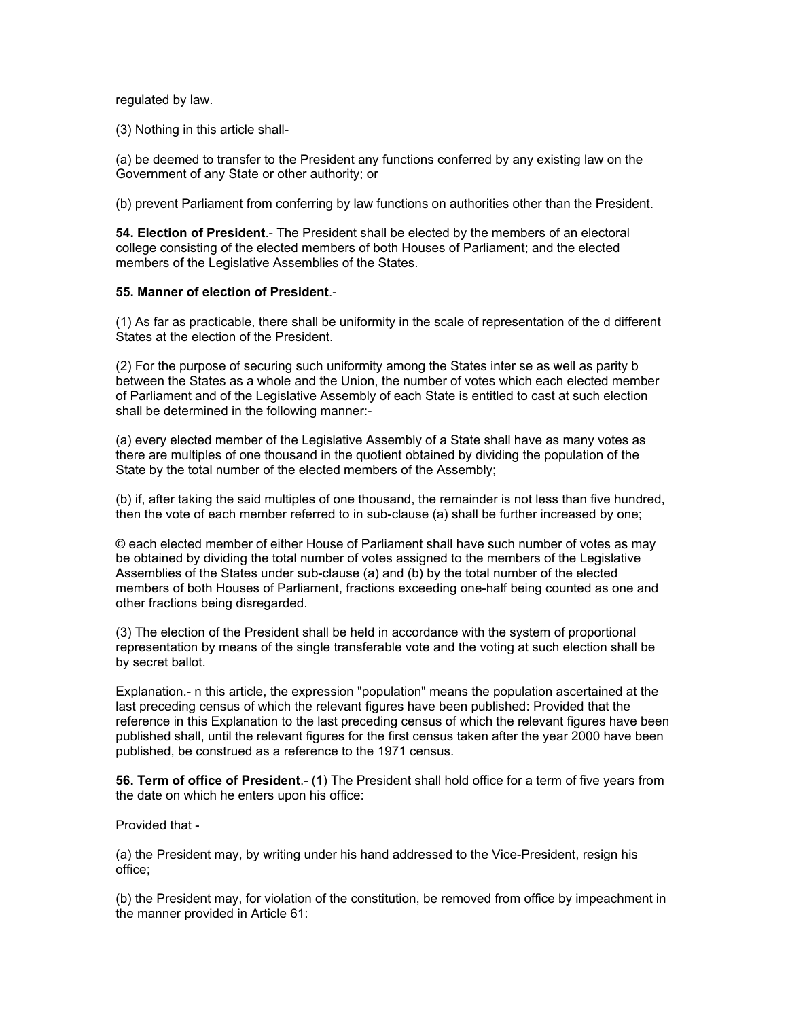regulated by law.

(3) Nothing in this article shall-

(a) be deemed to transfer to the President any functions conferred by any existing law on the Government of any State or other authority; or

(b) prevent Parliament from conferring by law functions on authorities other than the President.

**54. Election of President**.- The President shall be elected by the members of an electoral college consisting of the elected members of both Houses of Parliament; and the elected members of the Legislative Assemblies of the States.

#### **55. Manner of election of President**.-

(1) As far as practicable, there shall be uniformity in the scale of representation of the d different States at the election of the President.

(2) For the purpose of securing such uniformity among the States inter se as well as parity b between the States as a whole and the Union, the number of votes which each elected member of Parliament and of the Legislative Assembly of each State is entitled to cast at such election shall be determined in the following manner:-

(a) every elected member of the Legislative Assembly of a State shall have as many votes as there are multiples of one thousand in the quotient obtained by dividing the population of the State by the total number of the elected members of the Assembly;

(b) if, after taking the said multiples of one thousand, the remainder is not less than five hundred, then the vote of each member referred to in sub-clause (a) shall be further increased by one;

© each elected member of either House of Parliament shall have such number of votes as may be obtained by dividing the total number of votes assigned to the members of the Legislative Assemblies of the States under sub-clause (a) and (b) by the total number of the elected members of both Houses of Parliament, fractions exceeding one-half being counted as one and other fractions being disregarded.

(3) The election of the President shall be held in accordance with the system of proportional representation by means of the single transferable vote and the voting at such election shall be by secret ballot.

Explanation.- n this article, the expression "population" means the population ascertained at the last preceding census of which the relevant figures have been published: Provided that the reference in this Explanation to the last preceding census of which the relevant figures have been published shall, until the relevant figures for the first census taken after the year 2000 have been published, be construed as a reference to the 1971 census.

**56. Term of office of President**.- (1) The President shall hold office for a term of five years from the date on which he enters upon his office:

Provided that -

(a) the President may, by writing under his hand addressed to the Vice-President, resign his office;

(b) the President may, for violation of the constitution, be removed from office by impeachment in the manner provided in Article 61: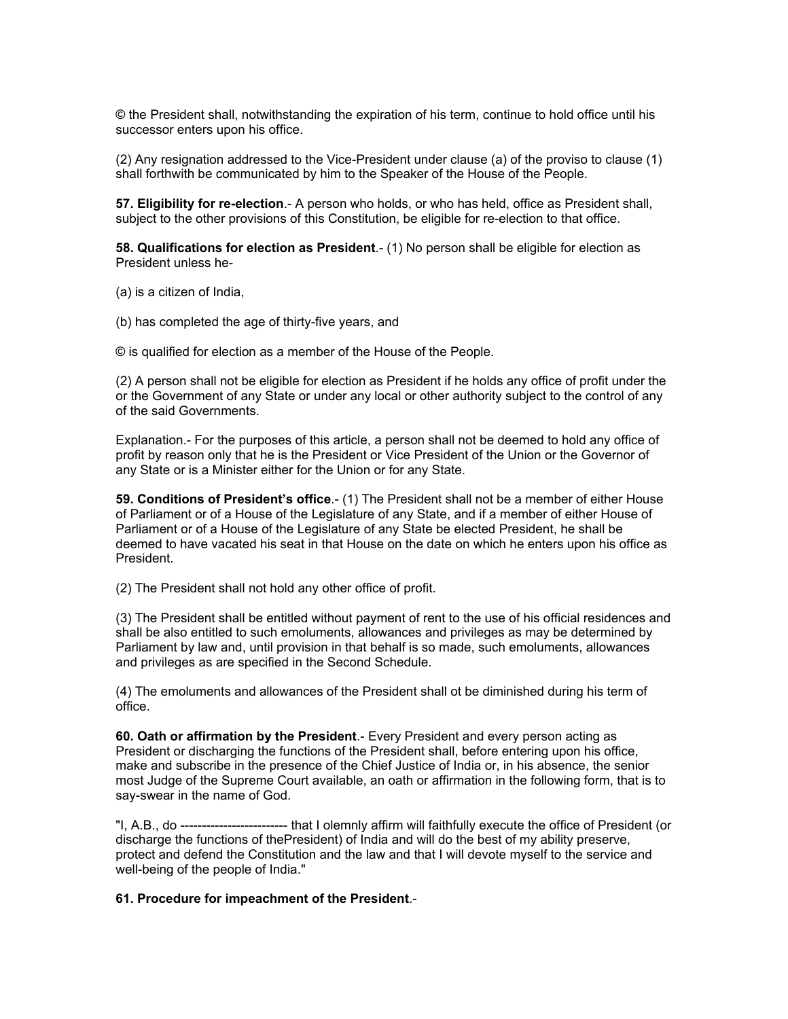© the President shall, notwithstanding the expiration of his term, continue to hold office until his successor enters upon his office.

(2) Any resignation addressed to the Vice-President under clause (a) of the proviso to clause (1) shall forthwith be communicated by him to the Speaker of the House of the People.

**57. Eligibility for re-election**.- A person who holds, or who has held, office as President shall, subject to the other provisions of this Constitution, be eligible for re-election to that office.

**58. Qualifications for election as President**.- (1) No person shall be eligible for election as President unless he-

(a) is a citizen of India,

(b) has completed the age of thirty-five years, and

© is qualified for election as a member of the House of the People.

(2) A person shall not be eligible for election as President if he holds any office of profit under the or the Government of any State or under any local or other authority subject to the control of any of the said Governments.

Explanation.- For the purposes of this article, a person shall not be deemed to hold any office of profit by reason only that he is the President or Vice President of the Union or the Governor of any State or is a Minister either for the Union or for any State.

**59. Conditions of President's office**.- (1) The President shall not be a member of either House of Parliament or of a House of the Legislature of any State, and if a member of either House of Parliament or of a House of the Legislature of any State be elected President, he shall be deemed to have vacated his seat in that House on the date on which he enters upon his office as President.

(2) The President shall not hold any other office of profit.

(3) The President shall be entitled without payment of rent to the use of his official residences and shall be also entitled to such emoluments, allowances and privileges as may be determined by Parliament by law and, until provision in that behalf is so made, such emoluments, allowances and privileges as are specified in the Second Schedule.

(4) The emoluments and allowances of the President shall ot be diminished during his term of office.

**60. Oath or affirmation by the President**.- Every President and every person acting as President or discharging the functions of the President shall, before entering upon his office, make and subscribe in the presence of the Chief Justice of India or, in his absence, the senior most Judge of the Supreme Court available, an oath or affirmation in the following form, that is to say-swear in the name of God.

"I, A.B., do ------------------------- that I olemnly affirm will faithfully execute the office of President (or discharge the functions of thePresident) of India and will do the best of my ability preserve, protect and defend the Constitution and the law and that I will devote myself to the service and well-being of the people of India."

**61. Procedure for impeachment of the President**.-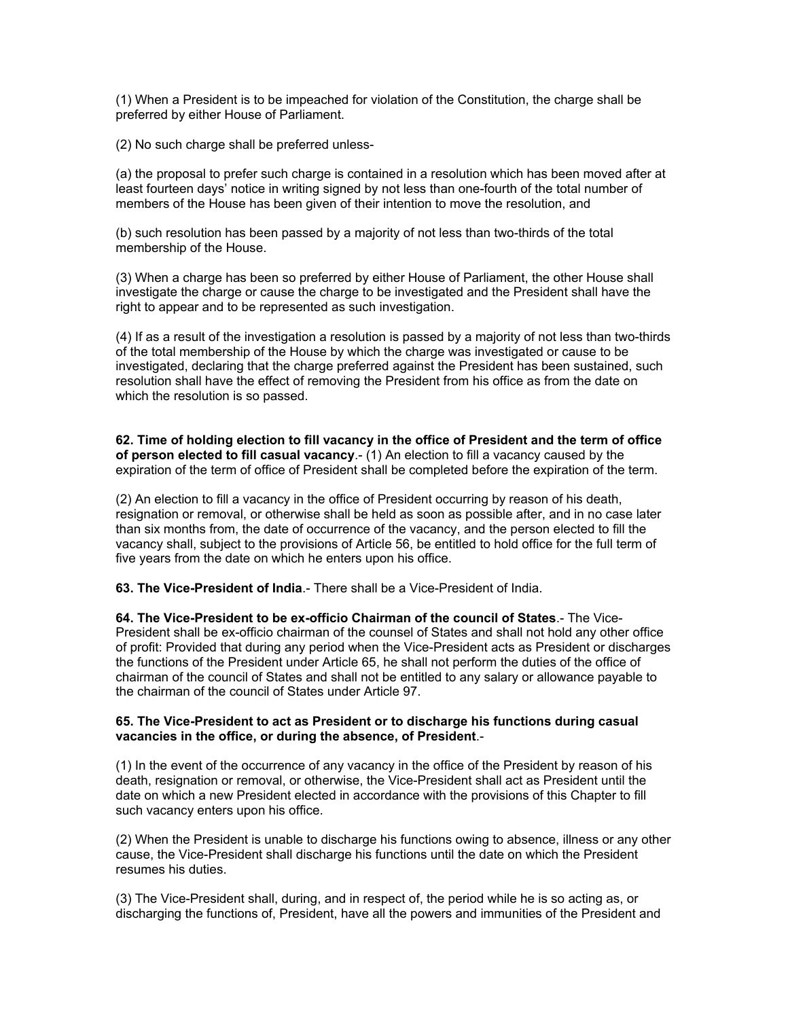(1) When a President is to be impeached for violation of the Constitution, the charge shall be preferred by either House of Parliament.

(2) No such charge shall be preferred unless-

(a) the proposal to prefer such charge is contained in a resolution which has been moved after at least fourteen days' notice in writing signed by not less than one-fourth of the total number of members of the House has been given of their intention to move the resolution, and

(b) such resolution has been passed by a majority of not less than two-thirds of the total membership of the House.

(3) When a charge has been so preferred by either House of Parliament, the other House shall investigate the charge or cause the charge to be investigated and the President shall have the right to appear and to be represented as such investigation.

(4) If as a result of the investigation a resolution is passed by a majority of not less than two-thirds of the total membership of the House by which the charge was investigated or cause to be investigated, declaring that the charge preferred against the President has been sustained, such resolution shall have the effect of removing the President from his office as from the date on which the resolution is so passed.

**62. Time of holding election to fill vacancy in the office of President and the term of office of person elected to fill casual vacancy**.- (1) An election to fill a vacancy caused by the expiration of the term of office of President shall be completed before the expiration of the term.

(2) An election to fill a vacancy in the office of President occurring by reason of his death, resignation or removal, or otherwise shall be held as soon as possible after, and in no case later than six months from, the date of occurrence of the vacancy, and the person elected to fill the vacancy shall, subject to the provisions of Article 56, be entitled to hold office for the full term of five years from the date on which he enters upon his office.

**63. The Vice-President of India**.- There shall be a Vice-President of India.

**64. The Vice-President to be ex-officio Chairman of the council of States**.- The Vice-President shall be ex-officio chairman of the counsel of States and shall not hold any other office of profit: Provided that during any period when the Vice-President acts as President or discharges the functions of the President under Article 65, he shall not perform the duties of the office of chairman of the council of States and shall not be entitled to any salary or allowance payable to the chairman of the council of States under Article 97.

#### **65. The Vice-President to act as President or to discharge his functions during casual vacancies in the office, or during the absence, of President**.-

(1) In the event of the occurrence of any vacancy in the office of the President by reason of his death, resignation or removal, or otherwise, the Vice-President shall act as President until the date on which a new President elected in accordance with the provisions of this Chapter to fill such vacancy enters upon his office.

(2) When the President is unable to discharge his functions owing to absence, illness or any other cause, the Vice-President shall discharge his functions until the date on which the President resumes his duties.

(3) The Vice-President shall, during, and in respect of, the period while he is so acting as, or discharging the functions of, President, have all the powers and immunities of the President and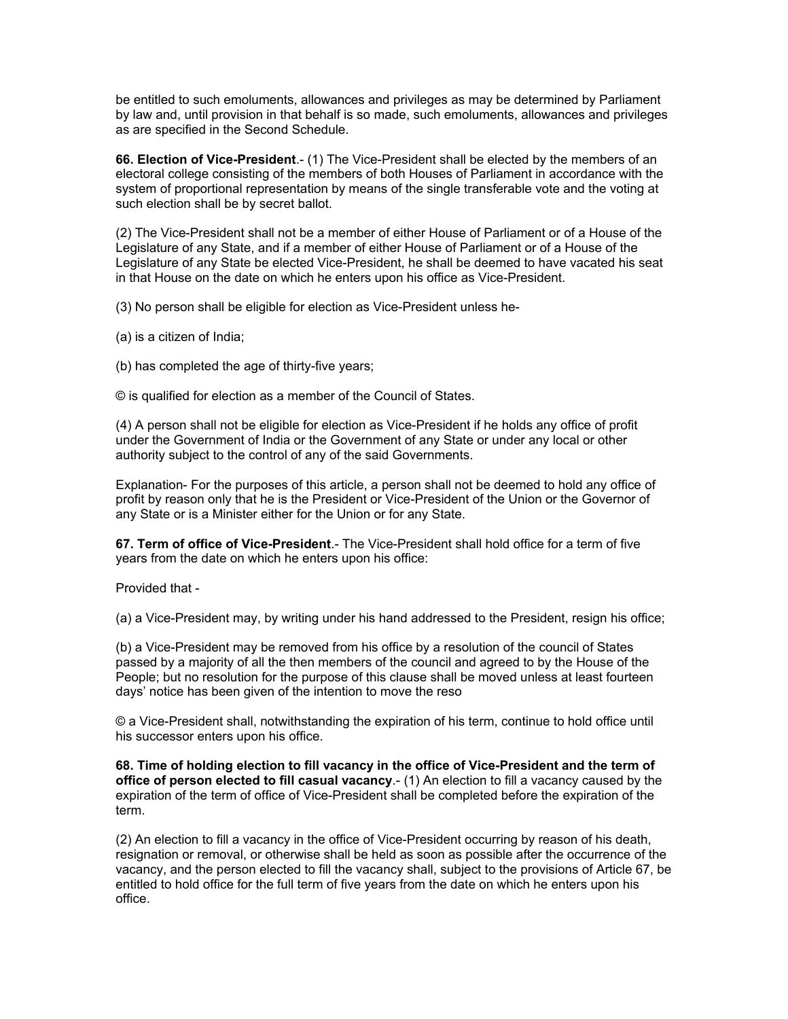be entitled to such emoluments, allowances and privileges as may be determined by Parliament by law and, until provision in that behalf is so made, such emoluments, allowances and privileges as are specified in the Second Schedule.

**66. Election of Vice-President**.- (1) The Vice-President shall be elected by the members of an electoral college consisting of the members of both Houses of Parliament in accordance with the system of proportional representation by means of the single transferable vote and the voting at such election shall be by secret ballot.

(2) The Vice-President shall not be a member of either House of Parliament or of a House of the Legislature of any State, and if a member of either House of Parliament or of a House of the Legislature of any State be elected Vice-President, he shall be deemed to have vacated his seat in that House on the date on which he enters upon his office as Vice-President.

(3) No person shall be eligible for election as Vice-President unless he-

(a) is a citizen of India;

(b) has completed the age of thirty-five years;

© is qualified for election as a member of the Council of States.

(4) A person shall not be eligible for election as Vice-President if he holds any office of profit under the Government of India or the Government of any State or under any local or other authority subject to the control of any of the said Governments.

Explanation- For the purposes of this article, a person shall not be deemed to hold any office of profit by reason only that he is the President or Vice-President of the Union or the Governor of any State or is a Minister either for the Union or for any State.

**67. Term of office of Vice-President**.- The Vice-President shall hold office for a term of five years from the date on which he enters upon his office:

Provided that -

(a) a Vice-President may, by writing under his hand addressed to the President, resign his office;

(b) a Vice-President may be removed from his office by a resolution of the council of States passed by a majority of all the then members of the council and agreed to by the House of the People; but no resolution for the purpose of this clause shall be moved unless at least fourteen days' notice has been given of the intention to move the reso

© a Vice-President shall, notwithstanding the expiration of his term, continue to hold office until his successor enters upon his office.

**68. Time of holding election to fill vacancy in the office of Vice-President and the term of office of person elected to fill casual vacancy**.- (1) An election to fill a vacancy caused by the expiration of the term of office of Vice-President shall be completed before the expiration of the term.

(2) An election to fill a vacancy in the office of Vice-President occurring by reason of his death, resignation or removal, or otherwise shall be held as soon as possible after the occurrence of the vacancy, and the person elected to fill the vacancy shall, subject to the provisions of Article 67, be entitled to hold office for the full term of five years from the date on which he enters upon his office.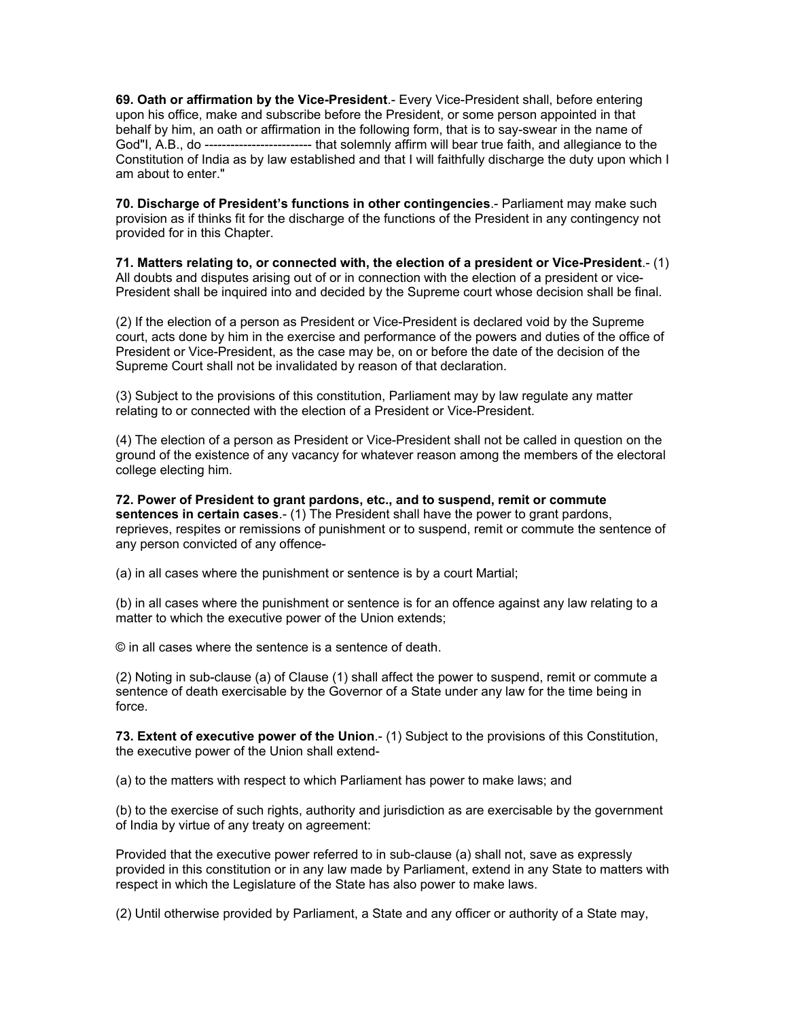**69. Oath or affirmation by the Vice-President**.- Every Vice-President shall, before entering upon his office, make and subscribe before the President, or some person appointed in that behalf by him, an oath or affirmation in the following form, that is to say-swear in the name of God"I, A.B., do ------------------------- that solemnly affirm will bear true faith, and allegiance to the Constitution of India as by law established and that I will faithfully discharge the duty upon which I am about to enter."

**70. Discharge of President's functions in other contingencies**.- Parliament may make such provision as if thinks fit for the discharge of the functions of the President in any contingency not provided for in this Chapter.

**71. Matters relating to, or connected with, the election of a president or Vice-President**.- (1) All doubts and disputes arising out of or in connection with the election of a president or vice-President shall be inquired into and decided by the Supreme court whose decision shall be final.

(2) If the election of a person as President or Vice-President is declared void by the Supreme court, acts done by him in the exercise and performance of the powers and duties of the office of President or Vice-President, as the case may be, on or before the date of the decision of the Supreme Court shall not be invalidated by reason of that declaration.

(3) Subject to the provisions of this constitution, Parliament may by law regulate any matter relating to or connected with the election of a President or Vice-President.

(4) The election of a person as President or Vice-President shall not be called in question on the ground of the existence of any vacancy for whatever reason among the members of the electoral college electing him.

**72. Power of President to grant pardons, etc., and to suspend, remit or commute sentences in certain cases**.- (1) The President shall have the power to grant pardons, reprieves, respites or remissions of punishment or to suspend, remit or commute the sentence of any person convicted of any offence-

(a) in all cases where the punishment or sentence is by a court Martial;

(b) in all cases where the punishment or sentence is for an offence against any law relating to a matter to which the executive power of the Union extends;

© in all cases where the sentence is a sentence of death.

(2) Noting in sub-clause (a) of Clause (1) shall affect the power to suspend, remit or commute a sentence of death exercisable by the Governor of a State under any law for the time being in force.

**73. Extent of executive power of the Union**.- (1) Subject to the provisions of this Constitution, the executive power of the Union shall extend-

(a) to the matters with respect to which Parliament has power to make laws; and

(b) to the exercise of such rights, authority and jurisdiction as are exercisable by the government of India by virtue of any treaty on agreement:

Provided that the executive power referred to in sub-clause (a) shall not, save as expressly provided in this constitution or in any law made by Parliament, extend in any State to matters with respect in which the Legislature of the State has also power to make laws.

(2) Until otherwise provided by Parliament, a State and any officer or authority of a State may,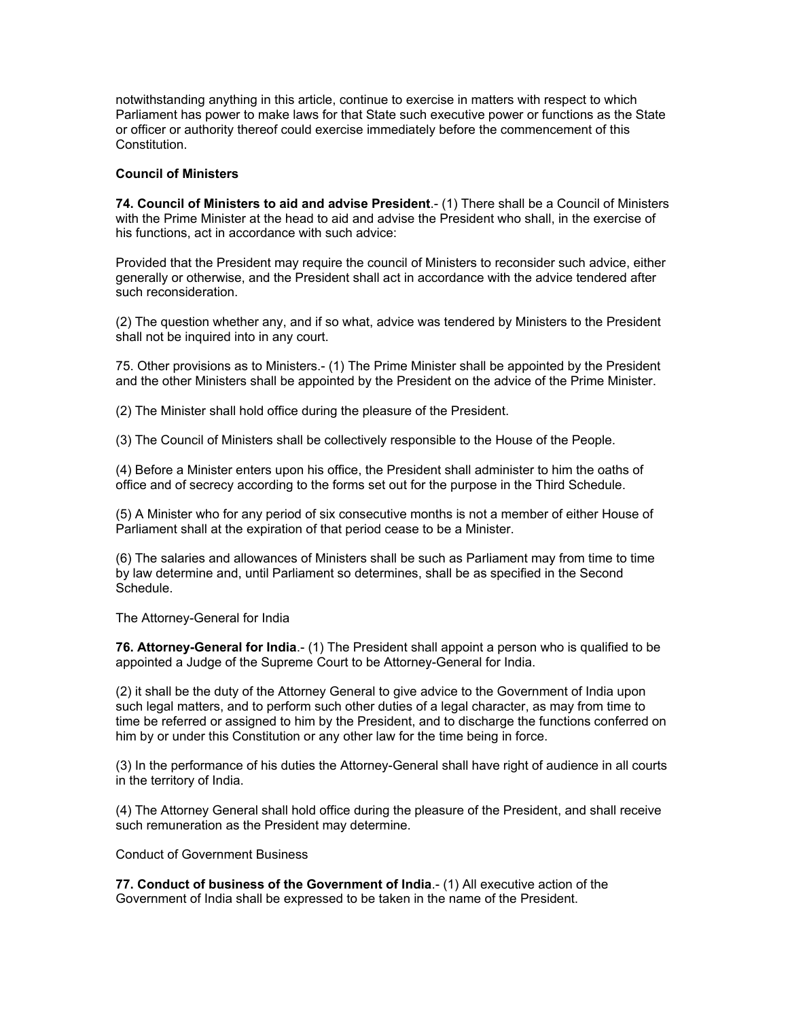notwithstanding anything in this article, continue to exercise in matters with respect to which Parliament has power to make laws for that State such executive power or functions as the State or officer or authority thereof could exercise immediately before the commencement of this **Constitution** 

# **Council of Ministers**

**74. Council of Ministers to aid and advise President**.- (1) There shall be a Council of Ministers with the Prime Minister at the head to aid and advise the President who shall, in the exercise of his functions, act in accordance with such advice:

Provided that the President may require the council of Ministers to reconsider such advice, either generally or otherwise, and the President shall act in accordance with the advice tendered after such reconsideration.

(2) The question whether any, and if so what, advice was tendered by Ministers to the President shall not be inquired into in any court.

75. Other provisions as to Ministers.- (1) The Prime Minister shall be appointed by the President and the other Ministers shall be appointed by the President on the advice of the Prime Minister.

(2) The Minister shall hold office during the pleasure of the President.

(3) The Council of Ministers shall be collectively responsible to the House of the People.

(4) Before a Minister enters upon his office, the President shall administer to him the oaths of office and of secrecy according to the forms set out for the purpose in the Third Schedule.

(5) A Minister who for any period of six consecutive months is not a member of either House of Parliament shall at the expiration of that period cease to be a Minister.

(6) The salaries and allowances of Ministers shall be such as Parliament may from time to time by law determine and, until Parliament so determines, shall be as specified in the Second Schedule.

The Attorney-General for India

**76. Attorney-General for India**.- (1) The President shall appoint a person who is qualified to be appointed a Judge of the Supreme Court to be Attorney-General for India.

(2) it shall be the duty of the Attorney General to give advice to the Government of India upon such legal matters, and to perform such other duties of a legal character, as may from time to time be referred or assigned to him by the President, and to discharge the functions conferred on him by or under this Constitution or any other law for the time being in force.

(3) In the performance of his duties the Attorney-General shall have right of audience in all courts in the territory of India.

(4) The Attorney General shall hold office during the pleasure of the President, and shall receive such remuneration as the President may determine.

Conduct of Government Business

**77. Conduct of business of the Government of India**.- (1) All executive action of the Government of India shall be expressed to be taken in the name of the President.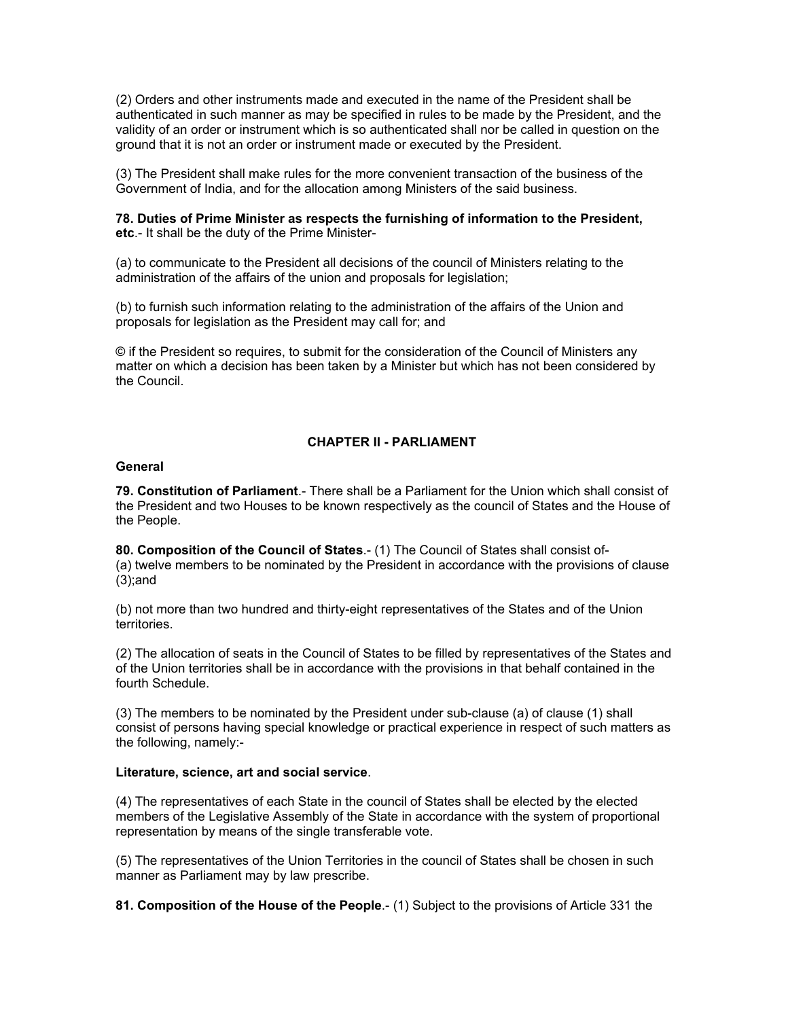(2) Orders and other instruments made and executed in the name of the President shall be authenticated in such manner as may be specified in rules to be made by the President, and the validity of an order or instrument which is so authenticated shall nor be called in question on the ground that it is not an order or instrument made or executed by the President.

(3) The President shall make rules for the more convenient transaction of the business of the Government of India, and for the allocation among Ministers of the said business.

**78. Duties of Prime Minister as respects the furnishing of information to the President, etc**.- It shall be the duty of the Prime Minister-

(a) to communicate to the President all decisions of the council of Ministers relating to the administration of the affairs of the union and proposals for legislation;

(b) to furnish such information relating to the administration of the affairs of the Union and proposals for legislation as the President may call for; and

© if the President so requires, to submit for the consideration of the Council of Ministers any matter on which a decision has been taken by a Minister but which has not been considered by the Council.

# **CHAPTER II - PARLIAMENT**

# **General**

**79. Constitution of Parliament**.- There shall be a Parliament for the Union which shall consist of the President and two Houses to be known respectively as the council of States and the House of the People.

**80. Composition of the Council of States**.- (1) The Council of States shall consist of-

(a) twelve members to be nominated by the President in accordance with the provisions of clause (3);and

(b) not more than two hundred and thirty-eight representatives of the States and of the Union territories.

(2) The allocation of seats in the Council of States to be filled by representatives of the States and of the Union territories shall be in accordance with the provisions in that behalf contained in the fourth Schedule.

(3) The members to be nominated by the President under sub-clause (a) of clause (1) shall consist of persons having special knowledge or practical experience in respect of such matters as the following, namely:-

#### **Literature, science, art and social service**.

(4) The representatives of each State in the council of States shall be elected by the elected members of the Legislative Assembly of the State in accordance with the system of proportional representation by means of the single transferable vote.

(5) The representatives of the Union Territories in the council of States shall be chosen in such manner as Parliament may by law prescribe.

**81. Composition of the House of the People**.- (1) Subject to the provisions of Article 331 the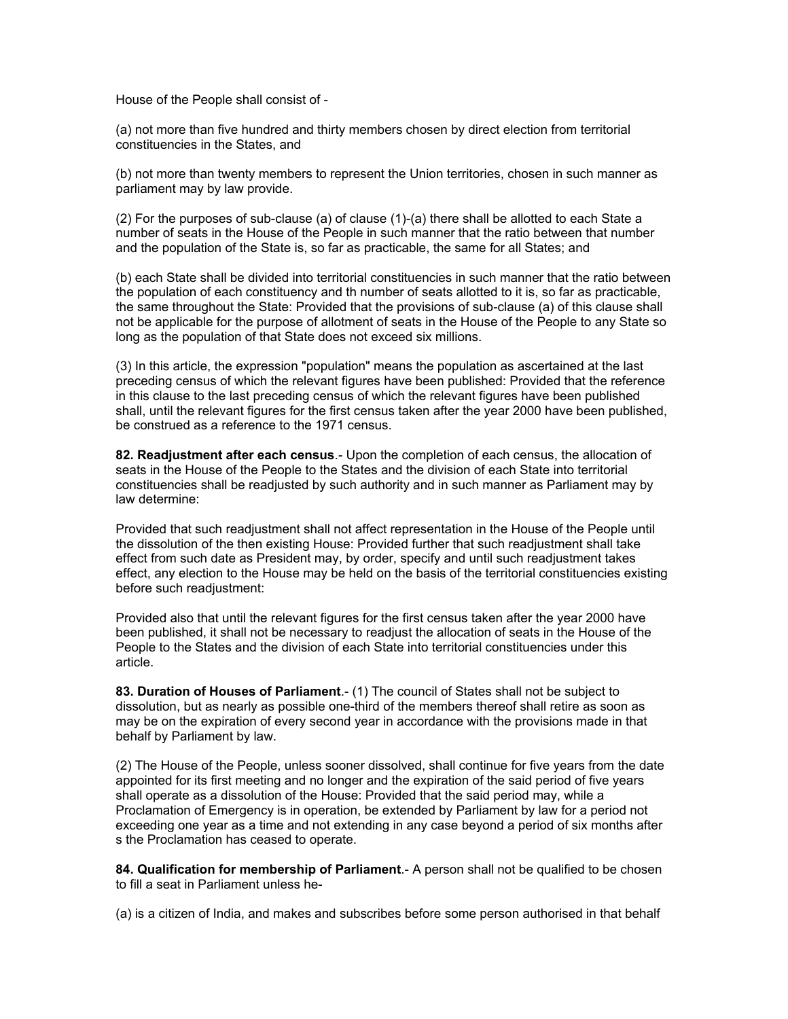House of the People shall consist of -

(a) not more than five hundred and thirty members chosen by direct election from territorial constituencies in the States, and

(b) not more than twenty members to represent the Union territories, chosen in such manner as parliament may by law provide.

(2) For the purposes of sub-clause (a) of clause (1)-(a) there shall be allotted to each State a number of seats in the House of the People in such manner that the ratio between that number and the population of the State is, so far as practicable, the same for all States; and

(b) each State shall be divided into territorial constituencies in such manner that the ratio between the population of each constituency and th number of seats allotted to it is, so far as practicable, the same throughout the State: Provided that the provisions of sub-clause (a) of this clause shall not be applicable for the purpose of allotment of seats in the House of the People to any State so long as the population of that State does not exceed six millions.

(3) In this article, the expression "population" means the population as ascertained at the last preceding census of which the relevant figures have been published: Provided that the reference in this clause to the last preceding census of which the relevant figures have been published shall, until the relevant figures for the first census taken after the year 2000 have been published, be construed as a reference to the 1971 census.

**82. Readjustment after each census**.- Upon the completion of each census, the allocation of seats in the House of the People to the States and the division of each State into territorial constituencies shall be readjusted by such authority and in such manner as Parliament may by law determine:

Provided that such readjustment shall not affect representation in the House of the People until the dissolution of the then existing House: Provided further that such readjustment shall take effect from such date as President may, by order, specify and until such readjustment takes effect, any election to the House may be held on the basis of the territorial constituencies existing before such readjustment:

Provided also that until the relevant figures for the first census taken after the year 2000 have been published, it shall not be necessary to readjust the allocation of seats in the House of the People to the States and the division of each State into territorial constituencies under this article.

**83. Duration of Houses of Parliament**.- (1) The council of States shall not be subject to dissolution, but as nearly as possible one-third of the members thereof shall retire as soon as may be on the expiration of every second year in accordance with the provisions made in that behalf by Parliament by law.

(2) The House of the People, unless sooner dissolved, shall continue for five years from the date appointed for its first meeting and no longer and the expiration of the said period of five years shall operate as a dissolution of the House: Provided that the said period may, while a Proclamation of Emergency is in operation, be extended by Parliament by law for a period not exceeding one year as a time and not extending in any case beyond a period of six months after s the Proclamation has ceased to operate.

**84. Qualification for membership of Parliament**.- A person shall not be qualified to be chosen to fill a seat in Parliament unless he-

(a) is a citizen of India, and makes and subscribes before some person authorised in that behalf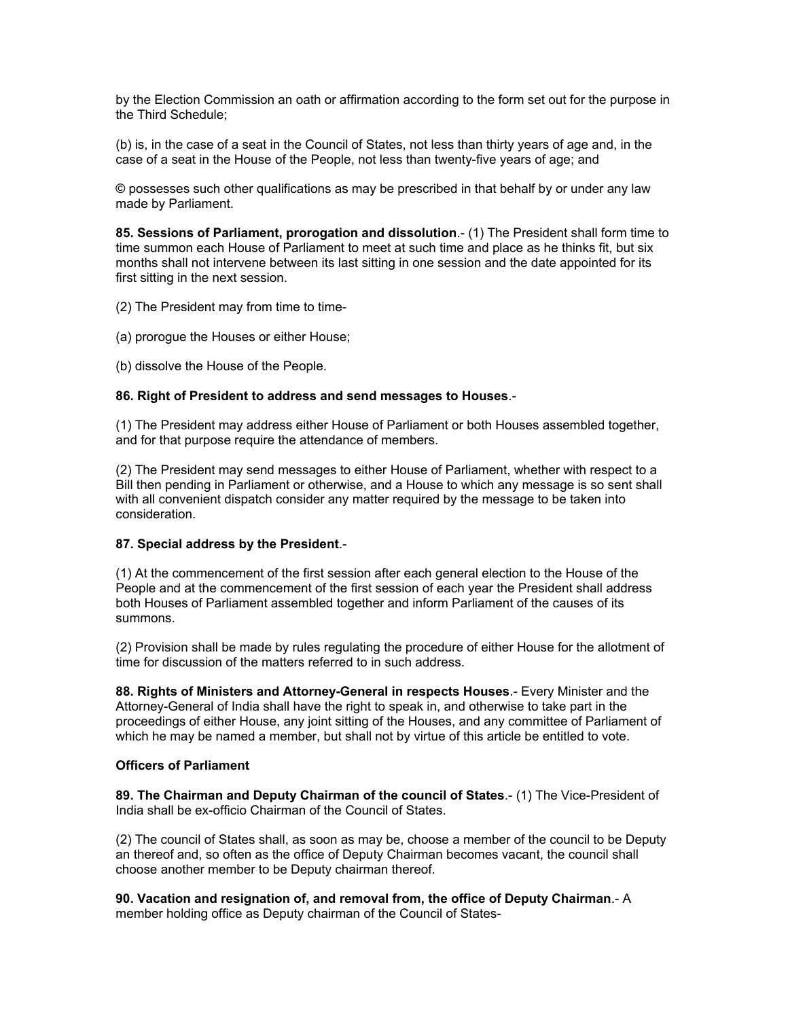by the Election Commission an oath or affirmation according to the form set out for the purpose in the Third Schedule;

(b) is, in the case of a seat in the Council of States, not less than thirty years of age and, in the case of a seat in the House of the People, not less than twenty-five years of age; and

© possesses such other qualifications as may be prescribed in that behalf by or under any law made by Parliament.

**85. Sessions of Parliament, prorogation and dissolution**.- (1) The President shall form time to time summon each House of Parliament to meet at such time and place as he thinks fit, but six months shall not intervene between its last sitting in one session and the date appointed for its first sitting in the next session.

(2) The President may from time to time-

(a) prorogue the Houses or either House;

(b) dissolve the House of the People.

### **86. Right of President to address and send messages to Houses**.-

(1) The President may address either House of Parliament or both Houses assembled together, and for that purpose require the attendance of members.

(2) The President may send messages to either House of Parliament, whether with respect to a Bill then pending in Parliament or otherwise, and a House to which any message is so sent shall with all convenient dispatch consider any matter required by the message to be taken into consideration.

## **87. Special address by the President**.-

(1) At the commencement of the first session after each general election to the House of the People and at the commencement of the first session of each year the President shall address both Houses of Parliament assembled together and inform Parliament of the causes of its summons.

(2) Provision shall be made by rules regulating the procedure of either House for the allotment of time for discussion of the matters referred to in such address.

**88. Rights of Ministers and Attorney-General in respects Houses**.- Every Minister and the Attorney-General of India shall have the right to speak in, and otherwise to take part in the proceedings of either House, any joint sitting of the Houses, and any committee of Parliament of which he may be named a member, but shall not by virtue of this article be entitled to vote.

# **Officers of Parliament**

**89. The Chairman and Deputy Chairman of the council of States**.- (1) The Vice-President of India shall be ex-officio Chairman of the Council of States.

(2) The council of States shall, as soon as may be, choose a member of the council to be Deputy an thereof and, so often as the office of Deputy Chairman becomes vacant, the council shall choose another member to be Deputy chairman thereof.

**90. Vacation and resignation of, and removal from, the office of Deputy Chairman**.- A member holding office as Deputy chairman of the Council of States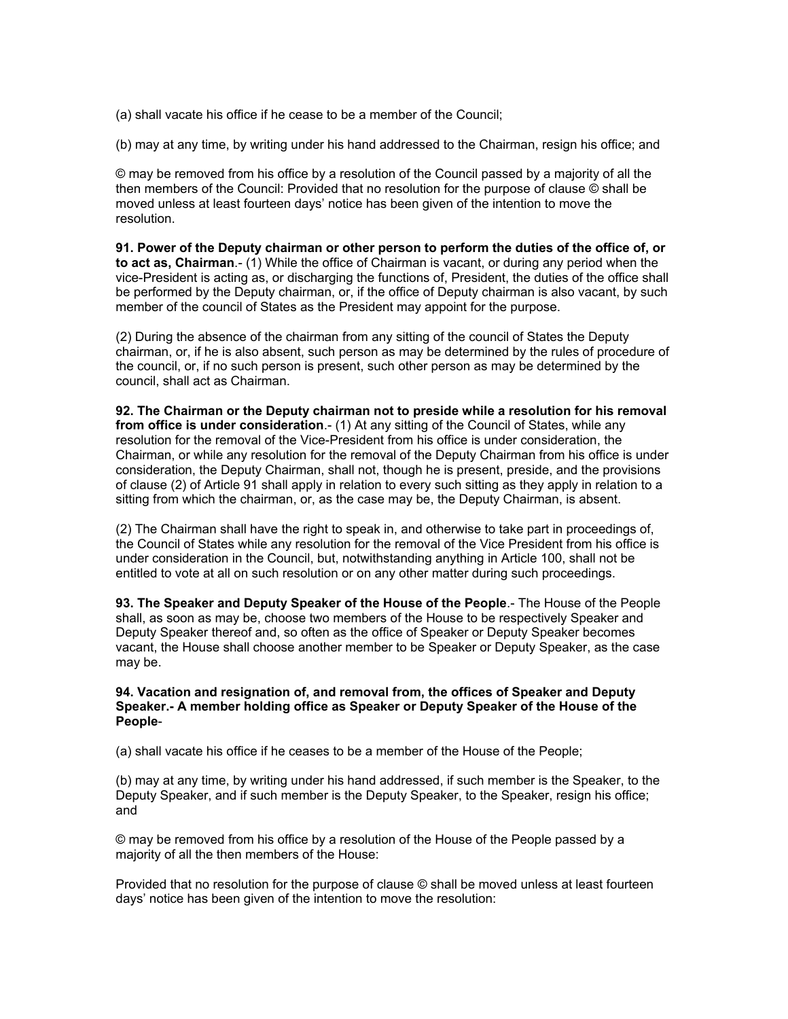(a) shall vacate his office if he cease to be a member of the Council;

(b) may at any time, by writing under his hand addressed to the Chairman, resign his office; and

© may be removed from his office by a resolution of the Council passed by a majority of all the then members of the Council: Provided that no resolution for the purpose of clause © shall be moved unless at least fourteen days' notice has been given of the intention to move the resolution.

**91. Power of the Deputy chairman or other person to perform the duties of the office of, or to act as, Chairman**.- (1) While the office of Chairman is vacant, or during any period when the vice-President is acting as, or discharging the functions of, President, the duties of the office shall be performed by the Deputy chairman, or, if the office of Deputy chairman is also vacant, by such member of the council of States as the President may appoint for the purpose.

(2) During the absence of the chairman from any sitting of the council of States the Deputy chairman, or, if he is also absent, such person as may be determined by the rules of procedure of the council, or, if no such person is present, such other person as may be determined by the council, shall act as Chairman.

**92. The Chairman or the Deputy chairman not to preside while a resolution for his removal from office is under consideration**.- (1) At any sitting of the Council of States, while any resolution for the removal of the Vice-President from his office is under consideration, the Chairman, or while any resolution for the removal of the Deputy Chairman from his office is under consideration, the Deputy Chairman, shall not, though he is present, preside, and the provisions of clause (2) of Article 91 shall apply in relation to every such sitting as they apply in relation to a sitting from which the chairman, or, as the case may be, the Deputy Chairman, is absent.

(2) The Chairman shall have the right to speak in, and otherwise to take part in proceedings of, the Council of States while any resolution for the removal of the Vice President from his office is under consideration in the Council, but, notwithstanding anything in Article 100, shall not be entitled to vote at all on such resolution or on any other matter during such proceedings.

**93. The Speaker and Deputy Speaker of the House of the People**.- The House of the People shall, as soon as may be, choose two members of the House to be respectively Speaker and Deputy Speaker thereof and, so often as the office of Speaker or Deputy Speaker becomes vacant, the House shall choose another member to be Speaker or Deputy Speaker, as the case may be.

### **94. Vacation and resignation of, and removal from, the offices of Speaker and Deputy Speaker.- A member holding office as Speaker or Deputy Speaker of the House of the People**-

(a) shall vacate his office if he ceases to be a member of the House of the People;

(b) may at any time, by writing under his hand addressed, if such member is the Speaker, to the Deputy Speaker, and if such member is the Deputy Speaker, to the Speaker, resign his office; and

© may be removed from his office by a resolution of the House of the People passed by a majority of all the then members of the House:

Provided that no resolution for the purpose of clause © shall be moved unless at least fourteen days' notice has been given of the intention to move the resolution: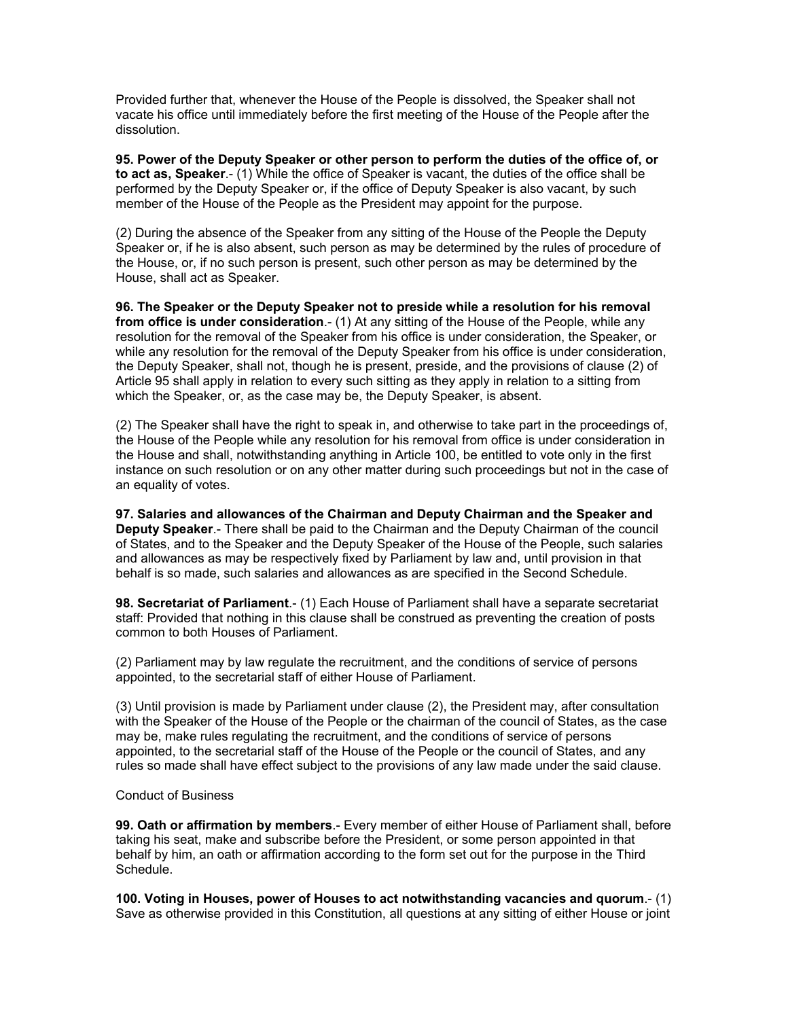Provided further that, whenever the House of the People is dissolved, the Speaker shall not vacate his office until immediately before the first meeting of the House of the People after the dissolution.

**95. Power of the Deputy Speaker or other person to perform the duties of the office of, or to act as, Speaker**.- (1) While the office of Speaker is vacant, the duties of the office shall be performed by the Deputy Speaker or, if the office of Deputy Speaker is also vacant, by such member of the House of the People as the President may appoint for the purpose.

(2) During the absence of the Speaker from any sitting of the House of the People the Deputy Speaker or, if he is also absent, such person as may be determined by the rules of procedure of the House, or, if no such person is present, such other person as may be determined by the House, shall act as Speaker.

**96. The Speaker or the Deputy Speaker not to preside while a resolution for his removal from office is under consideration**.- (1) At any sitting of the House of the People, while any resolution for the removal of the Speaker from his office is under consideration, the Speaker, or while any resolution for the removal of the Deputy Speaker from his office is under consideration, the Deputy Speaker, shall not, though he is present, preside, and the provisions of clause (2) of Article 95 shall apply in relation to every such sitting as they apply in relation to a sitting from which the Speaker, or, as the case may be, the Deputy Speaker, is absent.

(2) The Speaker shall have the right to speak in, and otherwise to take part in the proceedings of, the House of the People while any resolution for his removal from office is under consideration in the House and shall, notwithstanding anything in Article 100, be entitled to vote only in the first instance on such resolution or on any other matter during such proceedings but not in the case of an equality of votes.

**97. Salaries and allowances of the Chairman and Deputy Chairman and the Speaker and Deputy Speaker**.- There shall be paid to the Chairman and the Deputy Chairman of the council of States, and to the Speaker and the Deputy Speaker of the House of the People, such salaries and allowances as may be respectively fixed by Parliament by law and, until provision in that behalf is so made, such salaries and allowances as are specified in the Second Schedule.

**98. Secretariat of Parliament**.- (1) Each House of Parliament shall have a separate secretariat staff: Provided that nothing in this clause shall be construed as preventing the creation of posts common to both Houses of Parliament.

(2) Parliament may by law regulate the recruitment, and the conditions of service of persons appointed, to the secretarial staff of either House of Parliament.

(3) Until provision is made by Parliament under clause (2), the President may, after consultation with the Speaker of the House of the People or the chairman of the council of States, as the case may be, make rules regulating the recruitment, and the conditions of service of persons appointed, to the secretarial staff of the House of the People or the council of States, and any rules so made shall have effect subject to the provisions of any law made under the said clause.

## Conduct of Business

**99. Oath or affirmation by members**.- Every member of either House of Parliament shall, before taking his seat, make and subscribe before the President, or some person appointed in that behalf by him, an oath or affirmation according to the form set out for the purpose in the Third Schedule.

**100. Voting in Houses, power of Houses to act notwithstanding vacancies and quorum**.- (1) Save as otherwise provided in this Constitution, all questions at any sitting of either House or joint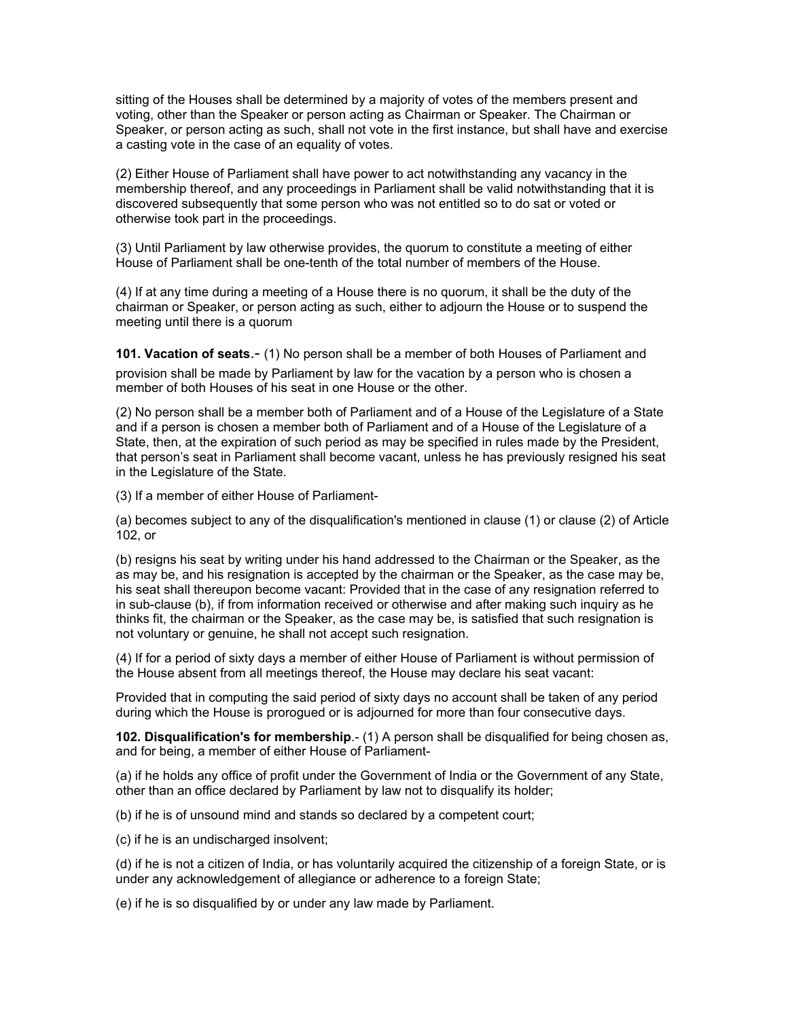sitting of the Houses shall be determined by a majority of votes of the members present and voting, other than the Speaker or person acting as Chairman or Speaker. The Chairman or Speaker, or person acting as such, shall not vote in the first instance, but shall have and exercise a casting vote in the case of an equality of votes.

(2) Either House of Parliament shall have power to act notwithstanding any vacancy in the membership thereof, and any proceedings in Parliament shall be valid notwithstanding that it is discovered subsequently that some person who was not entitled so to do sat or voted or otherwise took part in the proceedings.

(3) Until Parliament by law otherwise provides, the quorum to constitute a meeting of either House of Parliament shall be one-tenth of the total number of members of the House.

(4) If at any time during a meeting of a House there is no quorum, it shall be the duty of the chairman or Speaker, or person acting as such, either to adjourn the House or to suspend the meeting until there is a quorum

**101. Vacation of seats**.- (1) No person shall be a member of both Houses of Parliament and

provision shall be made by Parliament by law for the vacation by a person who is chosen a member of both Houses of his seat in one House or the other.

(2) No person shall be a member both of Parliament and of a House of the Legislature of a State and if a person is chosen a member both of Parliament and of a House of the Legislature of a State, then, at the expiration of such period as may be specified in rules made by the President, that person's seat in Parliament shall become vacant, unless he has previously resigned his seat in the Legislature of the State.

(3) If a member of either House of Parliament-

(a) becomes subject to any of the disqualification's mentioned in clause (1) or clause (2) of Article 102, or

(b) resigns his seat by writing under his hand addressed to the Chairman or the Speaker, as the as may be, and his resignation is accepted by the chairman or the Speaker, as the case may be, his seat shall thereupon become vacant: Provided that in the case of any resignation referred to in sub-clause (b), if from information received or otherwise and after making such inquiry as he thinks fit, the chairman or the Speaker, as the case may be, is satisfied that such resignation is not voluntary or genuine, he shall not accept such resignation.

(4) If for a period of sixty days a member of either House of Parliament is without permission of the House absent from all meetings thereof, the House may declare his seat vacant:

Provided that in computing the said period of sixty days no account shall be taken of any period during which the House is prorogued or is adjourned for more than four consecutive days.

**102. Disqualification's for membership**.- (1) A person shall be disqualified for being chosen as, and for being, a member of either House of Parliament-

(a) if he holds any office of profit under the Government of India or the Government of any State, other than an office declared by Parliament by law not to disqualify its holder;

(b) if he is of unsound mind and stands so declared by a competent court;

(c) if he is an undischarged insolvent;

(d) if he is not a citizen of India, or has voluntarily acquired the citizenship of a foreign State, or is under any acknowledgement of allegiance or adherence to a foreign State;

(e) if he is so disqualified by or under any law made by Parliament.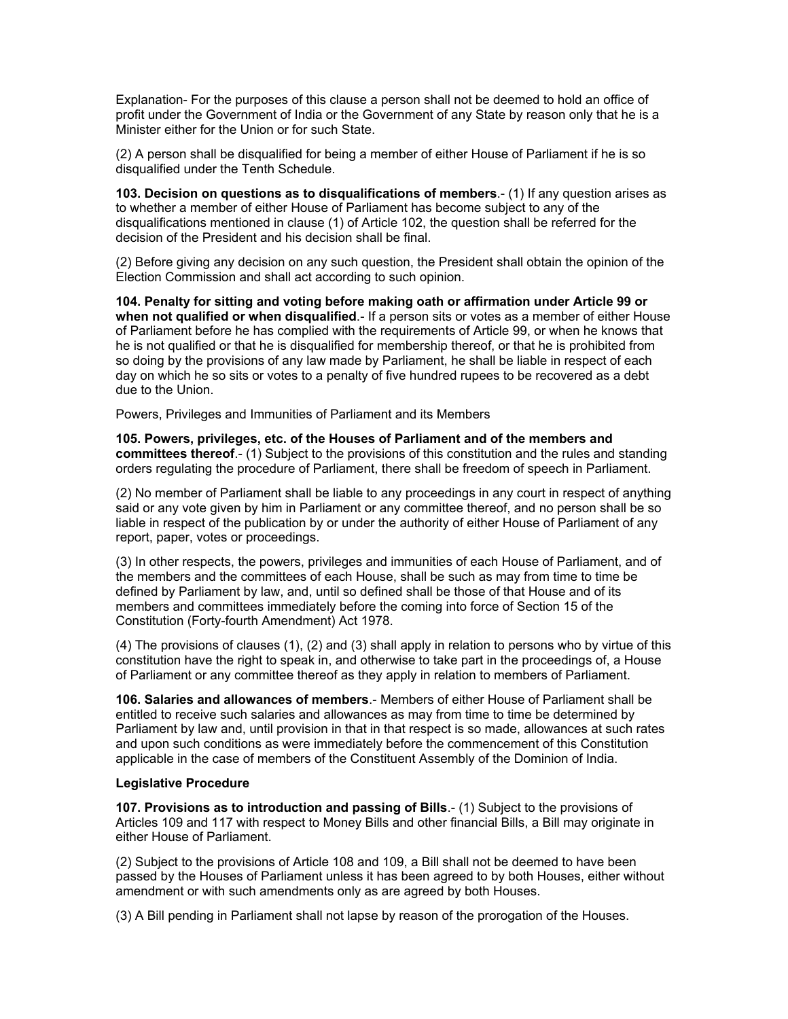Explanation- For the purposes of this clause a person shall not be deemed to hold an office of profit under the Government of India or the Government of any State by reason only that he is a Minister either for the Union or for such State.

(2) A person shall be disqualified for being a member of either House of Parliament if he is so disqualified under the Tenth Schedule.

**103. Decision on questions as to disqualifications of members**.- (1) If any question arises as to whether a member of either House of Parliament has become subject to any of the disqualifications mentioned in clause (1) of Article 102, the question shall be referred for the decision of the President and his decision shall be final.

(2) Before giving any decision on any such question, the President shall obtain the opinion of the Election Commission and shall act according to such opinion.

**104. Penalty for sitting and voting before making oath or affirmation under Article 99 or when not qualified or when disqualified**.- If a person sits or votes as a member of either House of Parliament before he has complied with the requirements of Article 99, or when he knows that he is not qualified or that he is disqualified for membership thereof, or that he is prohibited from so doing by the provisions of any law made by Parliament, he shall be liable in respect of each day on which he so sits or votes to a penalty of five hundred rupees to be recovered as a debt due to the Union.

Powers, Privileges and Immunities of Parliament and its Members

**105. Powers, privileges, etc. of the Houses of Parliament and of the members and committees thereof**.- (1) Subject to the provisions of this constitution and the rules and standing orders regulating the procedure of Parliament, there shall be freedom of speech in Parliament.

(2) No member of Parliament shall be liable to any proceedings in any court in respect of anything said or any vote given by him in Parliament or any committee thereof, and no person shall be so liable in respect of the publication by or under the authority of either House of Parliament of any report, paper, votes or proceedings.

(3) In other respects, the powers, privileges and immunities of each House of Parliament, and of the members and the committees of each House, shall be such as may from time to time be defined by Parliament by law, and, until so defined shall be those of that House and of its members and committees immediately before the coming into force of Section 15 of the Constitution (Forty-fourth Amendment) Act 1978.

(4) The provisions of clauses (1), (2) and (3) shall apply in relation to persons who by virtue of this constitution have the right to speak in, and otherwise to take part in the proceedings of, a House of Parliament or any committee thereof as they apply in relation to members of Parliament.

**106. Salaries and allowances of members**.- Members of either House of Parliament shall be entitled to receive such salaries and allowances as may from time to time be determined by Parliament by law and, until provision in that in that respect is so made, allowances at such rates and upon such conditions as were immediately before the commencement of this Constitution applicable in the case of members of the Constituent Assembly of the Dominion of India.

#### **Legislative Procedure**

**107. Provisions as to introduction and passing of Bills**.- (1) Subject to the provisions of Articles 109 and 117 with respect to Money Bills and other financial Bills, a Bill may originate in either House of Parliament.

(2) Subject to the provisions of Article 108 and 109, a Bill shall not be deemed to have been passed by the Houses of Parliament unless it has been agreed to by both Houses, either without amendment or with such amendments only as are agreed by both Houses.

(3) A Bill pending in Parliament shall not lapse by reason of the prorogation of the Houses.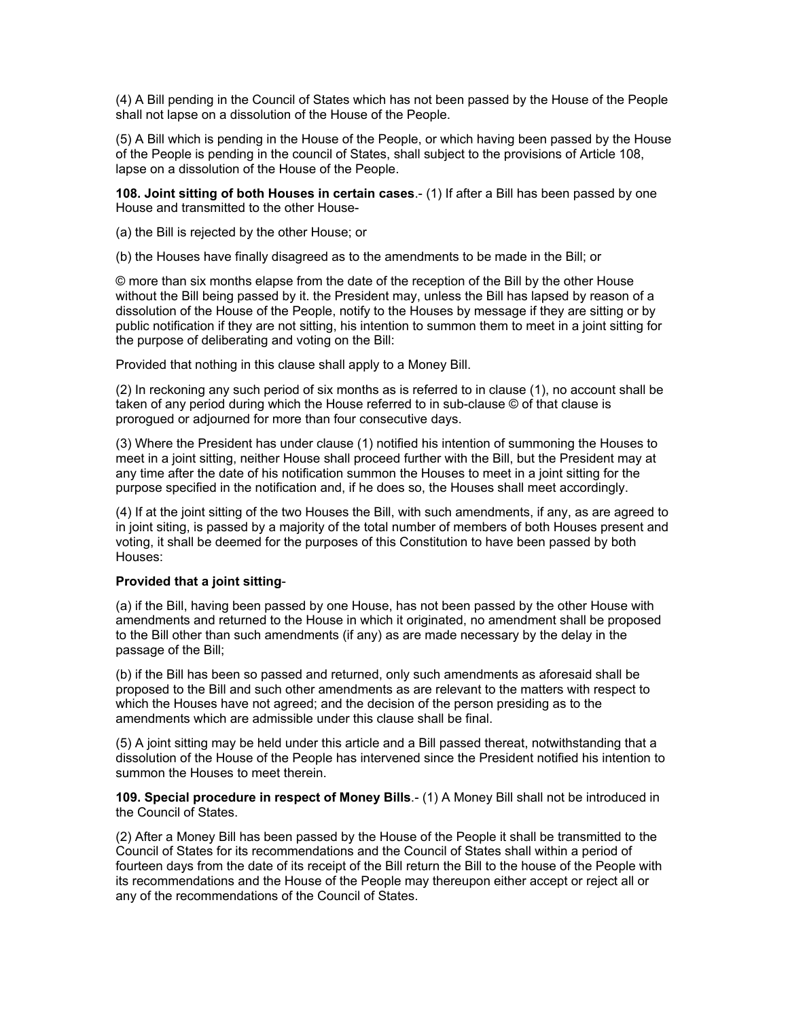(4) A Bill pending in the Council of States which has not been passed by the House of the People shall not lapse on a dissolution of the House of the People.

(5) A Bill which is pending in the House of the People, or which having been passed by the House of the People is pending in the council of States, shall subject to the provisions of Article 108, lapse on a dissolution of the House of the People.

**108. Joint sitting of both Houses in certain cases**.- (1) If after a Bill has been passed by one House and transmitted to the other House-

(a) the Bill is rejected by the other House; or

(b) the Houses have finally disagreed as to the amendments to be made in the Bill; or

© more than six months elapse from the date of the reception of the Bill by the other House without the Bill being passed by it. the President may, unless the Bill has lapsed by reason of a dissolution of the House of the People, notify to the Houses by message if they are sitting or by public notification if they are not sitting, his intention to summon them to meet in a joint sitting for the purpose of deliberating and voting on the Bill:

Provided that nothing in this clause shall apply to a Money Bill.

(2) In reckoning any such period of six months as is referred to in clause (1), no account shall be taken of any period during which the House referred to in sub-clause © of that clause is prorogued or adjourned for more than four consecutive days.

(3) Where the President has under clause (1) notified his intention of summoning the Houses to meet in a joint sitting, neither House shall proceed further with the Bill, but the President may at any time after the date of his notification summon the Houses to meet in a joint sitting for the purpose specified in the notification and, if he does so, the Houses shall meet accordingly.

(4) If at the joint sitting of the two Houses the Bill, with such amendments, if any, as are agreed to in joint siting, is passed by a majority of the total number of members of both Houses present and voting, it shall be deemed for the purposes of this Constitution to have been passed by both Houses:

## **Provided that a joint sitting**-

(a) if the Bill, having been passed by one House, has not been passed by the other House with amendments and returned to the House in which it originated, no amendment shall be proposed to the Bill other than such amendments (if any) as are made necessary by the delay in the passage of the Bill;

(b) if the Bill has been so passed and returned, only such amendments as aforesaid shall be proposed to the Bill and such other amendments as are relevant to the matters with respect to which the Houses have not agreed; and the decision of the person presiding as to the amendments which are admissible under this clause shall be final.

(5) A joint sitting may be held under this article and a Bill passed thereat, notwithstanding that a dissolution of the House of the People has intervened since the President notified his intention to summon the Houses to meet therein.

**109. Special procedure in respect of Money Bills**.- (1) A Money Bill shall not be introduced in the Council of States.

(2) After a Money Bill has been passed by the House of the People it shall be transmitted to the Council of States for its recommendations and the Council of States shall within a period of fourteen days from the date of its receipt of the Bill return the Bill to the house of the People with its recommendations and the House of the People may thereupon either accept or reject all or any of the recommendations of the Council of States.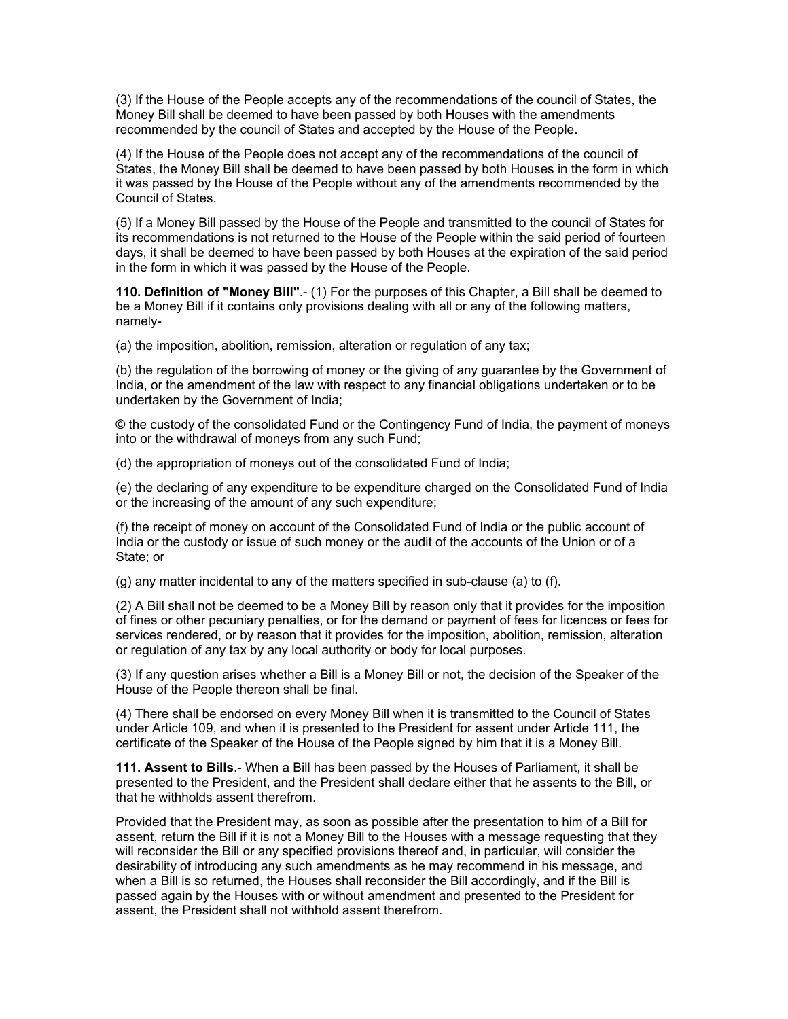(3) If the House of the People accepts any of the recommendations of the council of States, the Money Bill shall be deemed to have been passed by both Houses with the amendments recommended by the council of States and accepted by the House of the People.

(4) If the House of the People does not accept any of the recommendations of the council of States, the Money Bill shall be deemed to have been passed by both Houses in the form in which it was passed by the House of the People without any of the amendments recommended by the Council of States.

(5) If a Money Bill passed by the House of the People and transmitted to the council of States for its recommendations is not returned to the House of the People within the said period of fourteen days, it shall be deemed to have been passed by both Houses at the expiration of the said period in the form in which it was passed by the House of the People.

**110. Definition of "Money Bill"**.- (1) For the purposes of this Chapter, a Bill shall be deemed to be a Money Bill if it contains only provisions dealing with all or any of the following matters, namely-

(a) the imposition, abolition, remission, alteration or regulation of any tax;

(b) the regulation of the borrowing of money or the giving of any guarantee by the Government of India, or the amendment of the law with respect to any financial obligations undertaken or to be undertaken by the Government of India;

© the custody of the consolidated Fund or the Contingency Fund of India, the payment of moneys into or the withdrawal of moneys from any such Fund;

(d) the appropriation of moneys out of the consolidated Fund of India;

(e) the declaring of any expenditure to be expenditure charged on the Consolidated Fund of India or the increasing of the amount of any such expenditure;

(f) the receipt of money on account of the Consolidated Fund of India or the public account of India or the custody or issue of such money or the audit of the accounts of the Union or of a State; or

(g) any matter incidental to any of the matters specified in sub-clause (a) to (f).

(2) A Bill shall not be deemed to be a Money Bill by reason only that it provides for the imposition of fines or other pecuniary penalties, or for the demand or payment of fees for licences or fees for services rendered, or by reason that it provides for the imposition, abolition, remission, alteration or regulation of any tax by any local authority or body for local purposes.

(3) If any question arises whether a Bill is a Money Bill or not, the decision of the Speaker of the House of the People thereon shall be final.

(4) There shall be endorsed on every Money Bill when it is transmitted to the Council of States under Article 109, and when it is presented to the President for assent under Article 111, the certificate of the Speaker of the House of the People signed by him that it is a Money Bill.

**111. Assent to Bills**.- When a Bill has been passed by the Houses of Parliament, it shall be presented to the President, and the President shall declare either that he assents to the Bill, or that he withholds assent therefrom.

Provided that the President may, as soon as possible after the presentation to him of a Bill for assent, return the Bill if it is not a Money Bill to the Houses with a message requesting that they will reconsider the Bill or any specified provisions thereof and, in particular, will consider the desirability of introducing any such amendments as he may recommend in his message, and when a Bill is so returned, the Houses shall reconsider the Bill accordingly, and if the Bill is passed again by the Houses with or without amendment and presented to the President for assent, the President shall not withhold assent therefrom.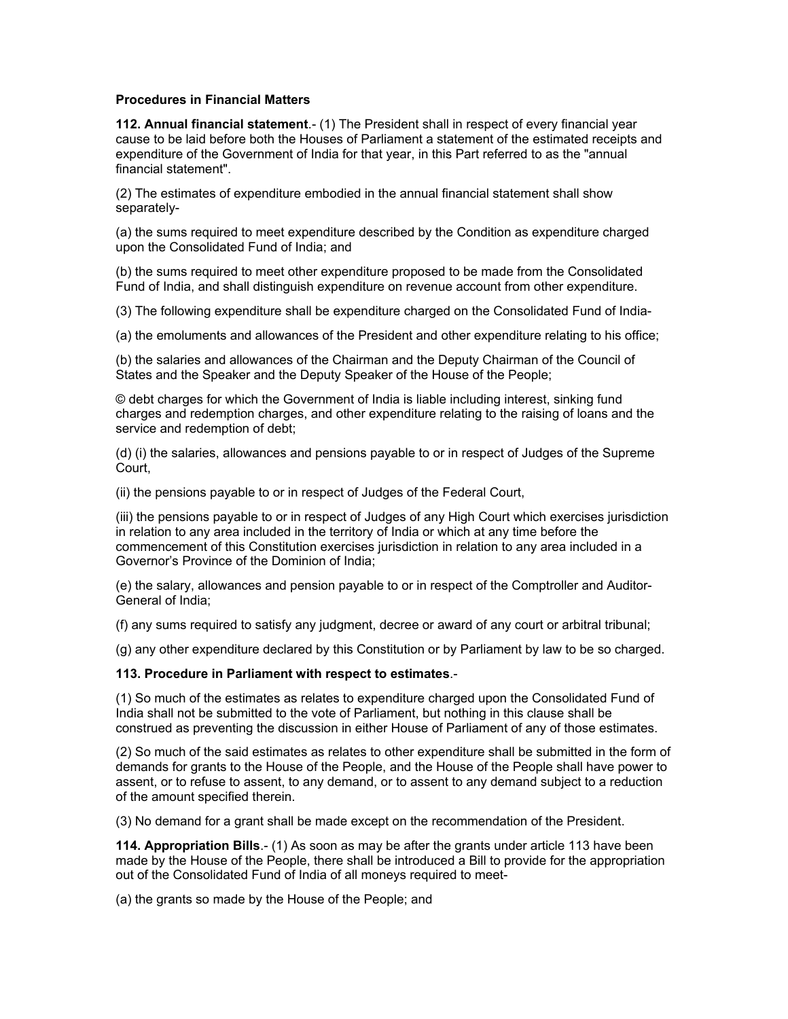## **Procedures in Financial Matters**

**112. Annual financial statement**.- (1) The President shall in respect of every financial year cause to be laid before both the Houses of Parliament a statement of the estimated receipts and expenditure of the Government of India for that year, in this Part referred to as the "annual financial statement".

(2) The estimates of expenditure embodied in the annual financial statement shall show separately-

(a) the sums required to meet expenditure described by the Condition as expenditure charged upon the Consolidated Fund of India; and

(b) the sums required to meet other expenditure proposed to be made from the Consolidated Fund of India, and shall distinguish expenditure on revenue account from other expenditure.

(3) The following expenditure shall be expenditure charged on the Consolidated Fund of India-

(a) the emoluments and allowances of the President and other expenditure relating to his office;

(b) the salaries and allowances of the Chairman and the Deputy Chairman of the Council of States and the Speaker and the Deputy Speaker of the House of the People;

© debt charges for which the Government of India is liable including interest, sinking fund charges and redemption charges, and other expenditure relating to the raising of loans and the service and redemption of debt;

(d) (i) the salaries, allowances and pensions payable to or in respect of Judges of the Supreme Court,

(ii) the pensions payable to or in respect of Judges of the Federal Court,

(iii) the pensions payable to or in respect of Judges of any High Court which exercises jurisdiction in relation to any area included in the territory of India or which at any time before the commencement of this Constitution exercises jurisdiction in relation to any area included in a Governor's Province of the Dominion of India;

(e) the salary, allowances and pension payable to or in respect of the Comptroller and Auditor-General of India;

(f) any sums required to satisfy any judgment, decree or award of any court or arbitral tribunal;

(g) any other expenditure declared by this Constitution or by Parliament by law to be so charged.

#### **113. Procedure in Parliament with respect to estimates**.-

(1) So much of the estimates as relates to expenditure charged upon the Consolidated Fund of India shall not be submitted to the vote of Parliament, but nothing in this clause shall be construed as preventing the discussion in either House of Parliament of any of those estimates.

(2) So much of the said estimates as relates to other expenditure shall be submitted in the form of demands for grants to the House of the People, and the House of the People shall have power to assent, or to refuse to assent, to any demand, or to assent to any demand subject to a reduction of the amount specified therein.

(3) No demand for a grant shall be made except on the recommendation of the President.

**114. Appropriation Bills**.- (1) As soon as may be after the grants under article 113 have been made by the House of the People, there shall be introduced a Bill to provide for the appropriation out of the Consolidated Fund of India of all moneys required to meet-

(a) the grants so made by the House of the People; and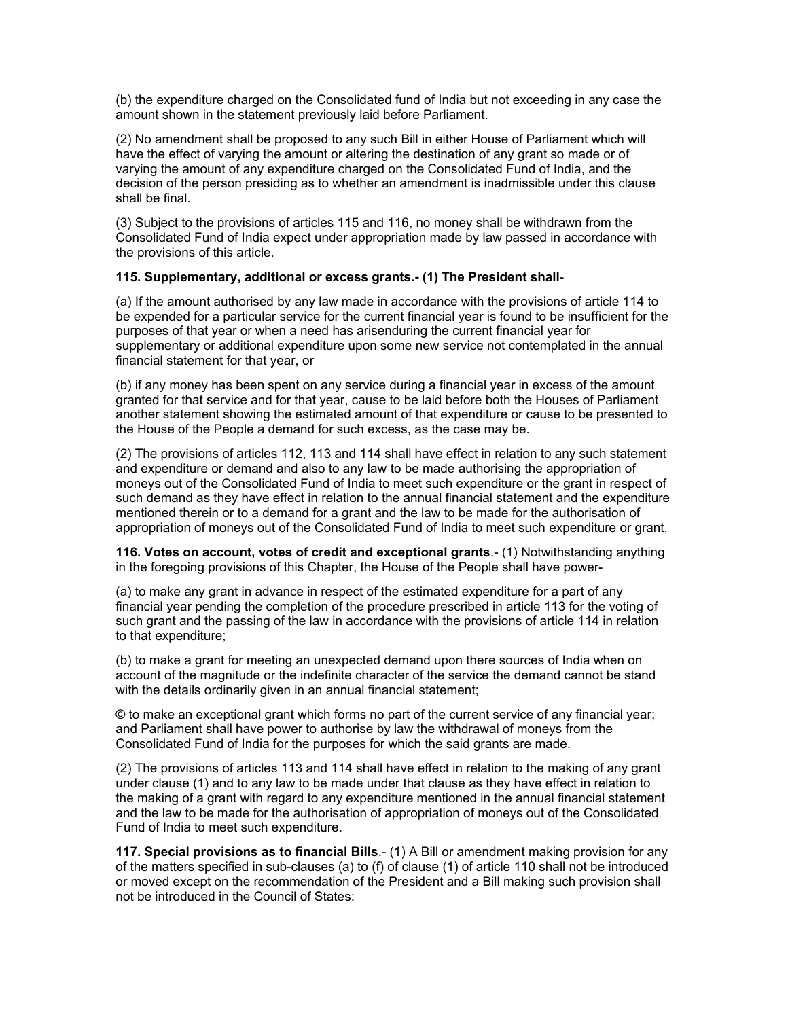(b) the expenditure charged on the Consolidated fund of India but not exceeding in any case the amount shown in the statement previously laid before Parliament.

(2) No amendment shall be proposed to any such Bill in either House of Parliament which will have the effect of varying the amount or altering the destination of any grant so made or of varying the amount of any expenditure charged on the Consolidated Fund of India, and the decision of the person presiding as to whether an amendment is inadmissible under this clause shall be final.

(3) Subject to the provisions of articles 115 and 116, no money shall be withdrawn from the Consolidated Fund of India expect under appropriation made by law passed in accordance with the provisions of this article.

# **115. Supplementary, additional or excess grants.- (1) The President shall**-

(a) If the amount authorised by any law made in accordance with the provisions of article 114 to be expended for a particular service for the current financial year is found to be insufficient for the purposes of that year or when a need has arisenduring the current financial year for supplementary or additional expenditure upon some new service not contemplated in the annual financial statement for that year, or

(b) if any money has been spent on any service during a financial year in excess of the amount granted for that service and for that year, cause to be laid before both the Houses of Parliament another statement showing the estimated amount of that expenditure or cause to be presented to the House of the People a demand for such excess, as the case may be.

(2) The provisions of articles 112, 113 and 114 shall have effect in relation to any such statement and expenditure or demand and also to any law to be made authorising the appropriation of moneys out of the Consolidated Fund of India to meet such expenditure or the grant in respect of such demand as they have effect in relation to the annual financial statement and the expenditure mentioned therein or to a demand for a grant and the law to be made for the authorisation of appropriation of moneys out of the Consolidated Fund of India to meet such expenditure or grant.

**116. Votes on account, votes of credit and exceptional grants**.- (1) Notwithstanding anything in the foregoing provisions of this Chapter, the House of the People shall have power-

(a) to make any grant in advance in respect of the estimated expenditure for a part of any financial year pending the completion of the procedure prescribed in article 113 for the voting of such grant and the passing of the law in accordance with the provisions of article 114 in relation to that expenditure;

(b) to make a grant for meeting an unexpected demand upon there sources of India when on account of the magnitude or the indefinite character of the service the demand cannot be stand with the details ordinarily given in an annual financial statement;

© to make an exceptional grant which forms no part of the current service of any financial year; and Parliament shall have power to authorise by law the withdrawal of moneys from the Consolidated Fund of India for the purposes for which the said grants are made.

(2) The provisions of articles 113 and 114 shall have effect in relation to the making of any grant under clause (1) and to any law to be made under that clause as they have effect in relation to the making of a grant with regard to any expenditure mentioned in the annual financial statement and the law to be made for the authorisation of appropriation of moneys out of the Consolidated Fund of India to meet such expenditure.

**117. Special provisions as to financial Bills**.- (1) A Bill or amendment making provision for any of the matters specified in sub-clauses (a) to (f) of clause (1) of article 110 shall not be introduced or moved except on the recommendation of the President and a Bill making such provision shall not be introduced in the Council of States: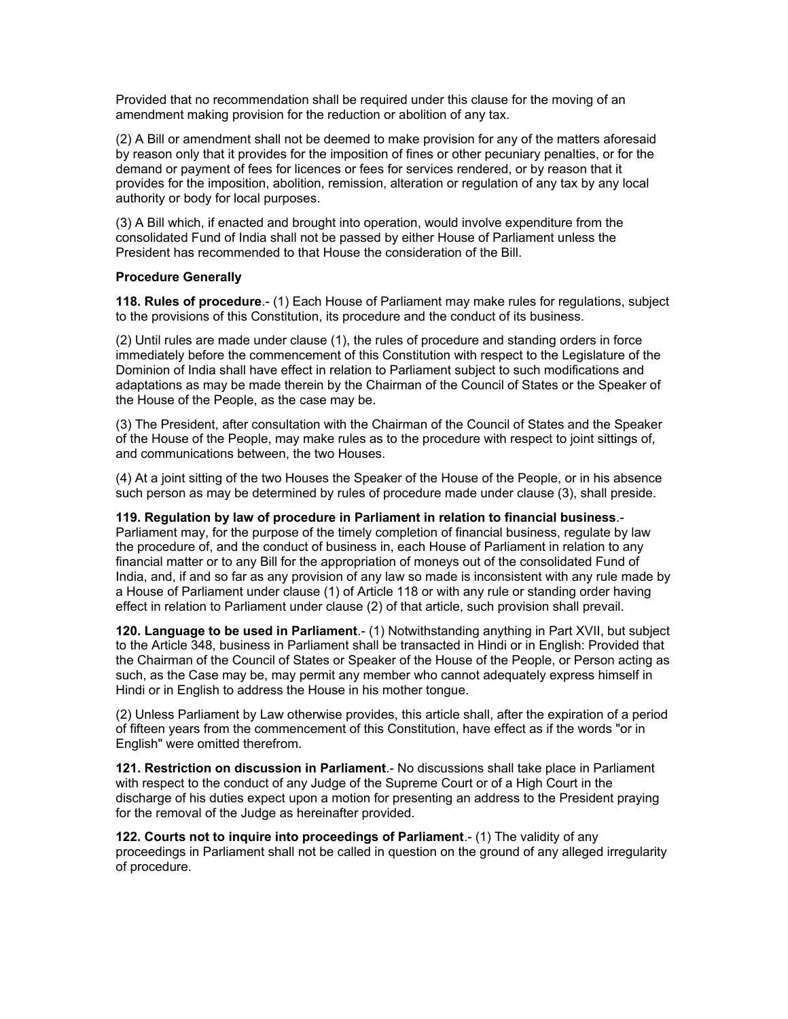Provided that no recommendation shall be required under this clause for the moving of an amendment making provision for the reduction or abolition of any tax.

(2) A Bill or amendment shall not be deemed to make provision for any of the matters aforesaid by reason only that it provides for the imposition of fines or other pecuniary penalties, or for the demand or payment of fees for licences or fees for services rendered, or by reason that it provides for the imposition, abolition, remission, alteration or regulation of any tax by any local authority or body for local purposes.

(3) A Bill which, if enacted and brought into operation, would involve expenditure from the consolidated Fund of India shall not be passed by either House of Parliament unless the President has recommended to that House the consideration of the Bill.

#### **Procedure Generally**

**118. Rules of procedure**.- (1) Each House of Parliament may make rules for regulations, subject to the provisions of this Constitution, its procedure and the conduct of its business.

(2) Until rules are made under clause (1), the rules of procedure and standing orders in force immediately before the commencement of this Constitution with respect to the Legislature of the Dominion of India shall have effect in relation to Parliament subject to such modifications and adaptations as may be made therein by the Chairman of the Council of States or the Speaker of the House of the People, as the case may be.

(3) The President, after consultation with the Chairman of the Council of States and the Speaker of the House of the People, may make rules as to the procedure with respect to joint sittings of, and communications between, the two Houses.

(4) At a joint sitting of the two Houses the Speaker of the House of the People, or in his absence such person as may be determined by rules of procedure made under clause (3), shall preside.

**119. Regulation by law of procedure in Parliament in relation to financial business**.- Parliament may, for the purpose of the timely completion of financial business, regulate by law the procedure of, and the conduct of business in, each House of Parliament in relation to any financial matter or to any Bill for the appropriation of moneys out of the consolidated Fund of India, and, if and so far as any provision of any law so made is inconsistent with any rule made by a House of Parliament under clause (1) of Article 118 or with any rule or standing order having effect in relation to Parliament under clause (2) of that article, such provision shall prevail.

**120. Language to be used in Parliament**.- (1) Notwithstanding anything in Part XVII, but subject to the Article 348, business in Parliament shall be transacted in Hindi or in English: Provided that the Chairman of the Council of States or Speaker of the House of the People, or Person acting as such, as the Case may be, may permit any member who cannot adequately express himself in Hindi or in English to address the House in his mother tongue.

(2) Unless Parliament by Law otherwise provides, this article shall, after the expiration of a period of fifteen years from the commencement of this Constitution, have effect as if the words "or in English" were omitted therefrom.

**121. Restriction on discussion in Parliament**.- No discussions shall take place in Parliament with respect to the conduct of any Judge of the Supreme Court or of a High Court in the discharge of his duties expect upon a motion for presenting an address to the President praying for the removal of the Judge as hereinafter provided.

**122. Courts not to inquire into proceedings of Parliament**.- (1) The validity of any proceedings in Parliament shall not be called in question on the ground of any alleged irregularity of procedure.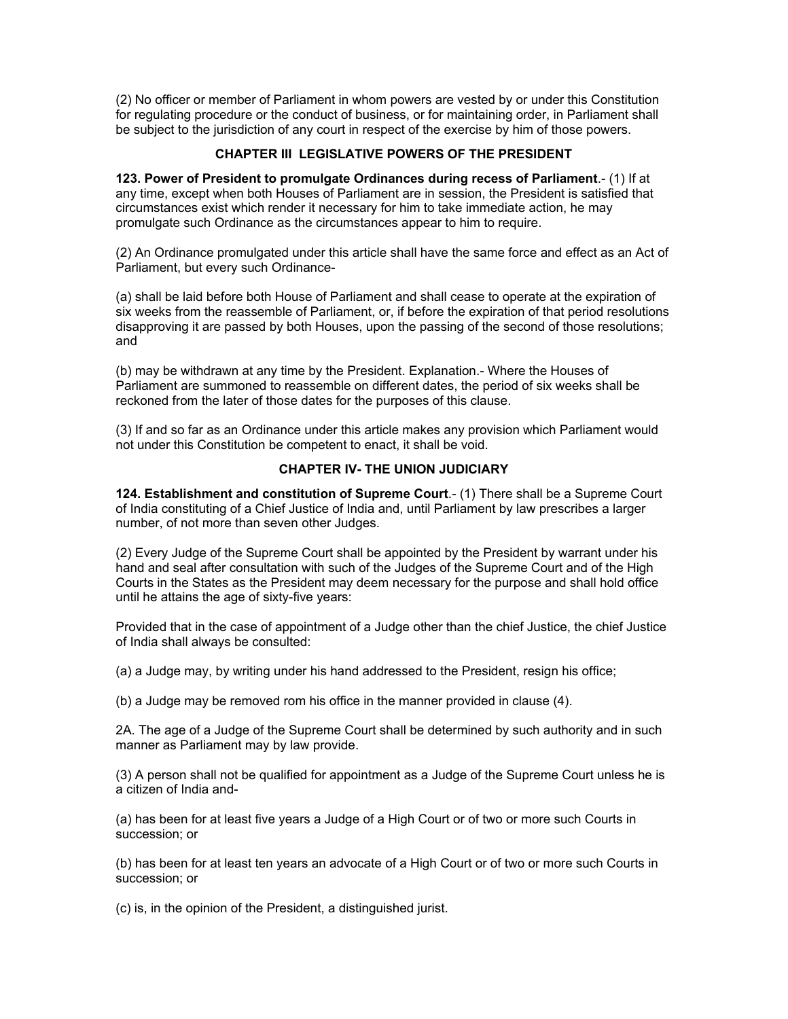(2) No officer or member of Parliament in whom powers are vested by or under this Constitution for regulating procedure or the conduct of business, or for maintaining order, in Parliament shall be subject to the jurisdiction of any court in respect of the exercise by him of those powers.

# **CHAPTER III LEGISLATIVE POWERS OF THE PRESIDENT**

**123. Power of President to promulgate Ordinances during recess of Parliament**.- (1) If at any time, except when both Houses of Parliament are in session, the President is satisfied that circumstances exist which render it necessary for him to take immediate action, he may promulgate such Ordinance as the circumstances appear to him to require.

(2) An Ordinance promulgated under this article shall have the same force and effect as an Act of Parliament, but every such Ordinance-

(a) shall be laid before both House of Parliament and shall cease to operate at the expiration of six weeks from the reassemble of Parliament, or, if before the expiration of that period resolutions disapproving it are passed by both Houses, upon the passing of the second of those resolutions; and

(b) may be withdrawn at any time by the President. Explanation.- Where the Houses of Parliament are summoned to reassemble on different dates, the period of six weeks shall be reckoned from the later of those dates for the purposes of this clause.

(3) If and so far as an Ordinance under this article makes any provision which Parliament would not under this Constitution be competent to enact, it shall be void.

## **CHAPTER IV- THE UNION JUDICIARY**

**124. Establishment and constitution of Supreme Court**.- (1) There shall be a Supreme Court of India constituting of a Chief Justice of India and, until Parliament by law prescribes a larger number, of not more than seven other Judges.

(2) Every Judge of the Supreme Court shall be appointed by the President by warrant under his hand and seal after consultation with such of the Judges of the Supreme Court and of the High Courts in the States as the President may deem necessary for the purpose and shall hold office until he attains the age of sixty-five years:

Provided that in the case of appointment of a Judge other than the chief Justice, the chief Justice of India shall always be consulted:

(a) a Judge may, by writing under his hand addressed to the President, resign his office;

(b) a Judge may be removed rom his office in the manner provided in clause (4).

2A. The age of a Judge of the Supreme Court shall be determined by such authority and in such manner as Parliament may by law provide.

(3) A person shall not be qualified for appointment as a Judge of the Supreme Court unless he is a citizen of India and-

(a) has been for at least five years a Judge of a High Court or of two or more such Courts in succession; or

(b) has been for at least ten years an advocate of a High Court or of two or more such Courts in succession; or

(c) is, in the opinion of the President, a distinguished jurist.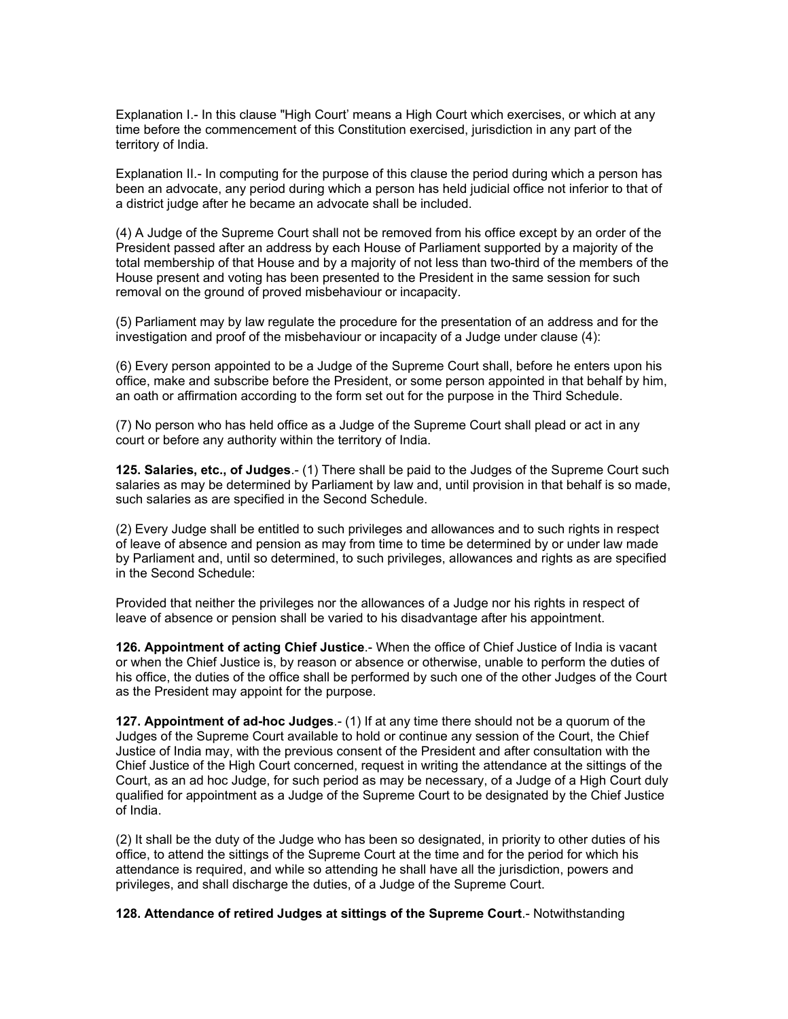Explanation I.- In this clause "High Court' means a High Court which exercises, or which at any time before the commencement of this Constitution exercised, jurisdiction in any part of the territory of India.

Explanation II.- In computing for the purpose of this clause the period during which a person has been an advocate, any period during which a person has held judicial office not inferior to that of a district judge after he became an advocate shall be included.

(4) A Judge of the Supreme Court shall not be removed from his office except by an order of the President passed after an address by each House of Parliament supported by a majority of the total membership of that House and by a majority of not less than two-third of the members of the House present and voting has been presented to the President in the same session for such removal on the ground of proved misbehaviour or incapacity.

(5) Parliament may by law regulate the procedure for the presentation of an address and for the investigation and proof of the misbehaviour or incapacity of a Judge under clause (4):

(6) Every person appointed to be a Judge of the Supreme Court shall, before he enters upon his office, make and subscribe before the President, or some person appointed in that behalf by him, an oath or affirmation according to the form set out for the purpose in the Third Schedule.

(7) No person who has held office as a Judge of the Supreme Court shall plead or act in any court or before any authority within the territory of India.

**125. Salaries, etc., of Judges**.- (1) There shall be paid to the Judges of the Supreme Court such salaries as may be determined by Parliament by law and, until provision in that behalf is so made, such salaries as are specified in the Second Schedule.

(2) Every Judge shall be entitled to such privileges and allowances and to such rights in respect of leave of absence and pension as may from time to time be determined by or under law made by Parliament and, until so determined, to such privileges, allowances and rights as are specified in the Second Schedule:

Provided that neither the privileges nor the allowances of a Judge nor his rights in respect of leave of absence or pension shall be varied to his disadvantage after his appointment.

**126. Appointment of acting Chief Justice**.- When the office of Chief Justice of India is vacant or when the Chief Justice is, by reason or absence or otherwise, unable to perform the duties of his office, the duties of the office shall be performed by such one of the other Judges of the Court as the President may appoint for the purpose.

**127. Appointment of ad-hoc Judges**.- (1) If at any time there should not be a quorum of the Judges of the Supreme Court available to hold or continue any session of the Court, the Chief Justice of India may, with the previous consent of the President and after consultation with the Chief Justice of the High Court concerned, request in writing the attendance at the sittings of the Court, as an ad hoc Judge, for such period as may be necessary, of a Judge of a High Court duly qualified for appointment as a Judge of the Supreme Court to be designated by the Chief Justice of India.

(2) It shall be the duty of the Judge who has been so designated, in priority to other duties of his office, to attend the sittings of the Supreme Court at the time and for the period for which his attendance is required, and while so attending he shall have all the jurisdiction, powers and privileges, and shall discharge the duties, of a Judge of the Supreme Court.

**128. Attendance of retired Judges at sittings of the Supreme Court**.- Notwithstanding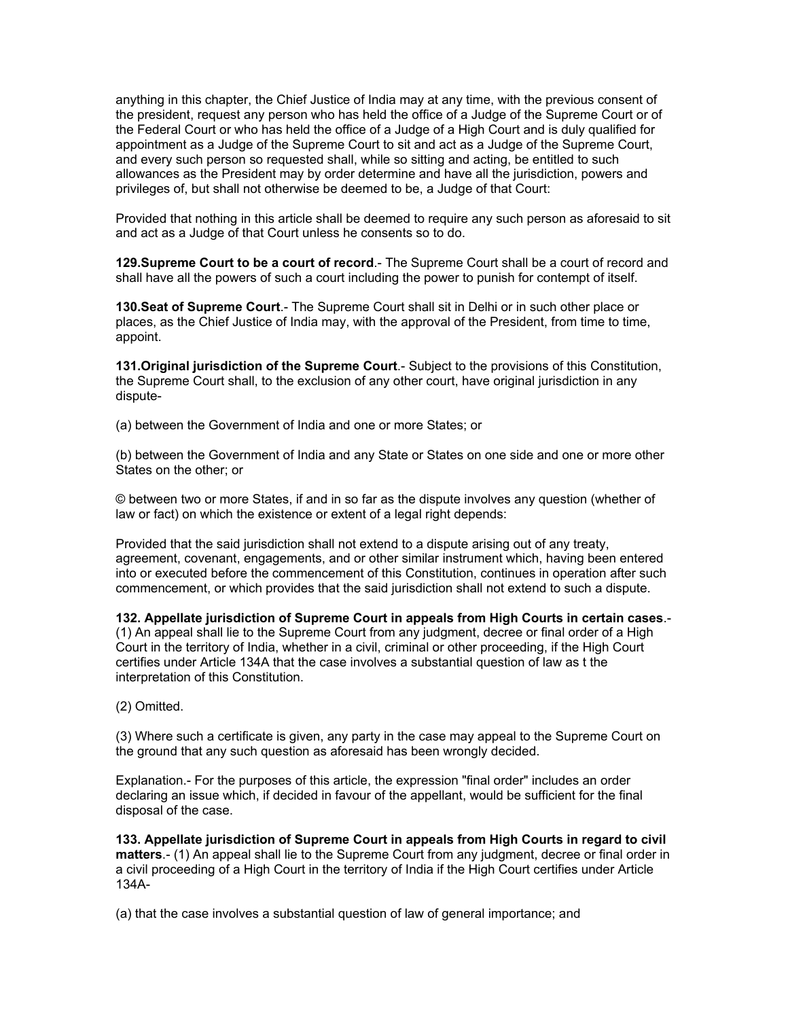anything in this chapter, the Chief Justice of India may at any time, with the previous consent of the president, request any person who has held the office of a Judge of the Supreme Court or of the Federal Court or who has held the office of a Judge of a High Court and is duly qualified for appointment as a Judge of the Supreme Court to sit and act as a Judge of the Supreme Court, and every such person so requested shall, while so sitting and acting, be entitled to such allowances as the President may by order determine and have all the jurisdiction, powers and privileges of, but shall not otherwise be deemed to be, a Judge of that Court:

Provided that nothing in this article shall be deemed to require any such person as aforesaid to sit and act as a Judge of that Court unless he consents so to do.

**129. Supreme Court to be a court of record.** - The Supreme Court shall be a court of record and shall have all the powers of such a court including the power to punish for contempt of itself.

**130.Seat of Supreme Court**.- The Supreme Court shall sit in Delhi or in such other place or places, as the Chief Justice of India may, with the approval of the President, from time to time, appoint.

**131.Original jurisdiction of the Supreme Court**.- Subject to the provisions of this Constitution, the Supreme Court shall, to the exclusion of any other court, have original jurisdiction in any dispute-

(a) between the Government of India and one or more States; or

(b) between the Government of India and any State or States on one side and one or more other States on the other; or

© between two or more States, if and in so far as the dispute involves any question (whether of law or fact) on which the existence or extent of a legal right depends:

Provided that the said jurisdiction shall not extend to a dispute arising out of any treaty, agreement, covenant, engagements, and or other similar instrument which, having been entered into or executed before the commencement of this Constitution, continues in operation after such commencement, or which provides that the said jurisdiction shall not extend to such a dispute.

**132. Appellate jurisdiction of Supreme Court in appeals from High Courts in certain cases**.- (1) An appeal shall lie to the Supreme Court from any judgment, decree or final order of a High Court in the territory of India, whether in a civil, criminal or other proceeding, if the High Court certifies under Article 134A that the case involves a substantial question of law as t the interpretation of this Constitution.

(2) Omitted.

(3) Where such a certificate is given, any party in the case may appeal to the Supreme Court on the ground that any such question as aforesaid has been wrongly decided.

Explanation.- For the purposes of this article, the expression "final order" includes an order declaring an issue which, if decided in favour of the appellant, would be sufficient for the final disposal of the case.

**133. Appellate jurisdiction of Supreme Court in appeals from High Courts in regard to civil matters**.- (1) An appeal shall lie to the Supreme Court from any judgment, decree or final order in a civil proceeding of a High Court in the territory of India if the High Court certifies under Article 134A-

(a) that the case involves a substantial question of law of general importance; and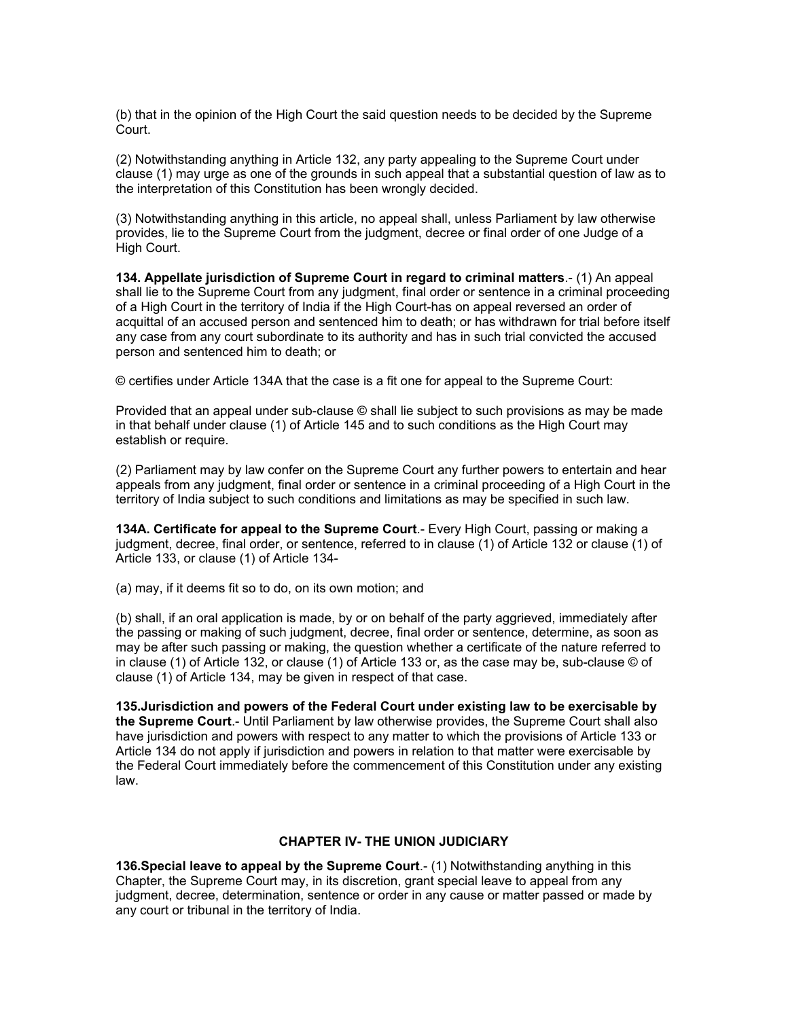(b) that in the opinion of the High Court the said question needs to be decided by the Supreme Court.

(2) Notwithstanding anything in Article 132, any party appealing to the Supreme Court under clause (1) may urge as one of the grounds in such appeal that a substantial question of law as to the interpretation of this Constitution has been wrongly decided.

(3) Notwithstanding anything in this article, no appeal shall, unless Parliament by law otherwise provides, lie to the Supreme Court from the judgment, decree or final order of one Judge of a High Court.

**134. Appellate jurisdiction of Supreme Court in regard to criminal matters**.- (1) An appeal shall lie to the Supreme Court from any judgment, final order or sentence in a criminal proceeding of a High Court in the territory of India if the High Court-has on appeal reversed an order of acquittal of an accused person and sentenced him to death; or has withdrawn for trial before itself any case from any court subordinate to its authority and has in such trial convicted the accused person and sentenced him to death; or

© certifies under Article 134A that the case is a fit one for appeal to the Supreme Court:

Provided that an appeal under sub-clause © shall lie subject to such provisions as may be made in that behalf under clause (1) of Article 145 and to such conditions as the High Court may establish or require.

(2) Parliament may by law confer on the Supreme Court any further powers to entertain and hear appeals from any judgment, final order or sentence in a criminal proceeding of a High Court in the territory of India subject to such conditions and limitations as may be specified in such law.

**134A. Certificate for appeal to the Supreme Court**.- Every High Court, passing or making a judgment, decree, final order, or sentence, referred to in clause (1) of Article 132 or clause (1) of Article 133, or clause (1) of Article 134-

(a) may, if it deems fit so to do, on its own motion; and

(b) shall, if an oral application is made, by or on behalf of the party aggrieved, immediately after the passing or making of such judgment, decree, final order or sentence, determine, as soon as may be after such passing or making, the question whether a certificate of the nature referred to in clause (1) of Article 132, or clause (1) of Article 133 or, as the case may be, sub-clause © of clause (1) of Article 134, may be given in respect of that case.

**135.Jurisdiction and powers of the Federal Court under existing law to be exercisable by the Supreme Court**.- Until Parliament by law otherwise provides, the Supreme Court shall also have jurisdiction and powers with respect to any matter to which the provisions of Article 133 or Article 134 do not apply if jurisdiction and powers in relation to that matter were exercisable by the Federal Court immediately before the commencement of this Constitution under any existing law.

# **CHAPTER IV- THE UNION JUDICIARY**

**136.Special leave to appeal by the Supreme Court**.- (1) Notwithstanding anything in this Chapter, the Supreme Court may, in its discretion, grant special leave to appeal from any judgment, decree, determination, sentence or order in any cause or matter passed or made by any court or tribunal in the territory of India.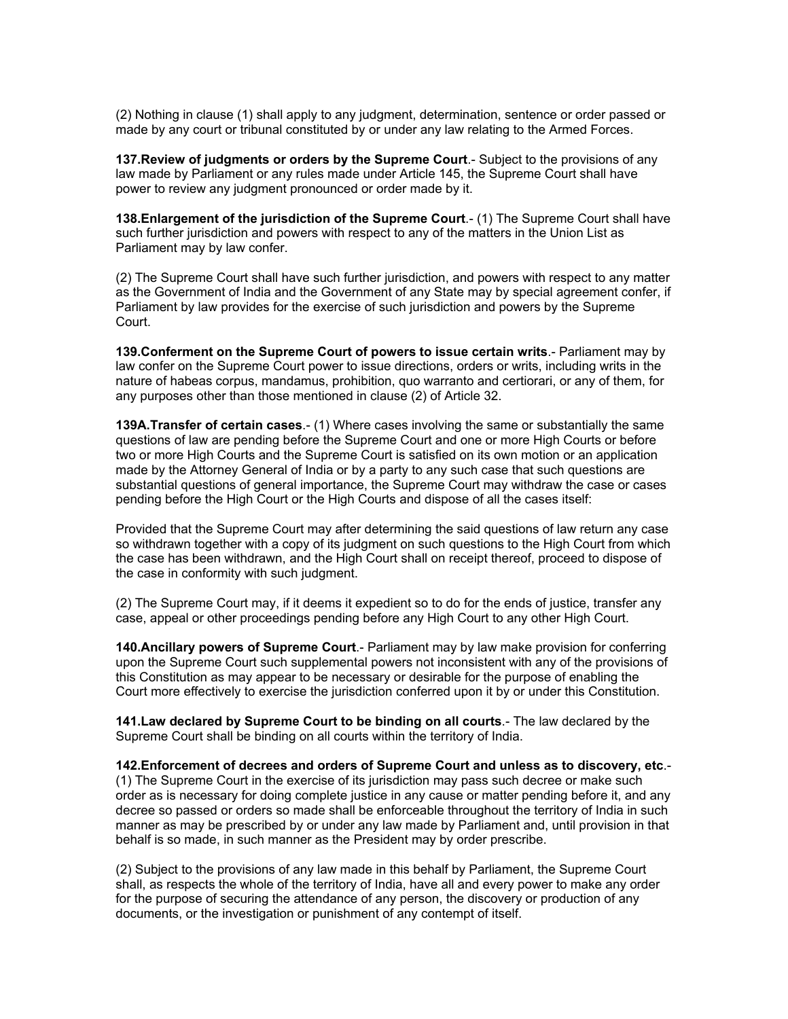(2) Nothing in clause (1) shall apply to any judgment, determination, sentence or order passed or made by any court or tribunal constituted by or under any law relating to the Armed Forces.

**137.Review of judgments or orders by the Supreme Court**.- Subject to the provisions of any law made by Parliament or any rules made under Article 145, the Supreme Court shall have power to review any judgment pronounced or order made by it.

**138.Enlargement of the jurisdiction of the Supreme Court**.- (1) The Supreme Court shall have such further jurisdiction and powers with respect to any of the matters in the Union List as Parliament may by law confer.

(2) The Supreme Court shall have such further jurisdiction, and powers with respect to any matter as the Government of India and the Government of any State may by special agreement confer, if Parliament by law provides for the exercise of such jurisdiction and powers by the Supreme Court.

**139.Conferment on the Supreme Court of powers to issue certain writs**.- Parliament may by law confer on the Supreme Court power to issue directions, orders or writs, including writs in the nature of habeas corpus, mandamus, prohibition, quo warranto and certiorari, or any of them, for any purposes other than those mentioned in clause (2) of Article 32.

**139A.Transfer of certain cases.**- (1) Where cases involving the same or substantially the same questions of law are pending before the Supreme Court and one or more High Courts or before two or more High Courts and the Supreme Court is satisfied on its own motion or an application made by the Attorney General of India or by a party to any such case that such questions are substantial questions of general importance, the Supreme Court may withdraw the case or cases pending before the High Court or the High Courts and dispose of all the cases itself:

Provided that the Supreme Court may after determining the said questions of law return any case so withdrawn together with a copy of its judgment on such questions to the High Court from which the case has been withdrawn, and the High Court shall on receipt thereof, proceed to dispose of the case in conformity with such judgment.

(2) The Supreme Court may, if it deems it expedient so to do for the ends of justice, transfer any case, appeal or other proceedings pending before any High Court to any other High Court.

**140.Ancillary powers of Supreme Court**.- Parliament may by law make provision for conferring upon the Supreme Court such supplemental powers not inconsistent with any of the provisions of this Constitution as may appear to be necessary or desirable for the purpose of enabling the Court more effectively to exercise the jurisdiction conferred upon it by or under this Constitution.

**141.Law declared by Supreme Court to be binding on all courts**.- The law declared by the Supreme Court shall be binding on all courts within the territory of India.

**142.Enforcement of decrees and orders of Supreme Court and unless as to discovery, etc**.- (1) The Supreme Court in the exercise of its jurisdiction may pass such decree or make such order as is necessary for doing complete justice in any cause or matter pending before it, and any decree so passed or orders so made shall be enforceable throughout the territory of India in such manner as may be prescribed by or under any law made by Parliament and, until provision in that behalf is so made, in such manner as the President may by order prescribe.

(2) Subject to the provisions of any law made in this behalf by Parliament, the Supreme Court shall, as respects the whole of the territory of India, have all and every power to make any order for the purpose of securing the attendance of any person, the discovery or production of any documents, or the investigation or punishment of any contempt of itself.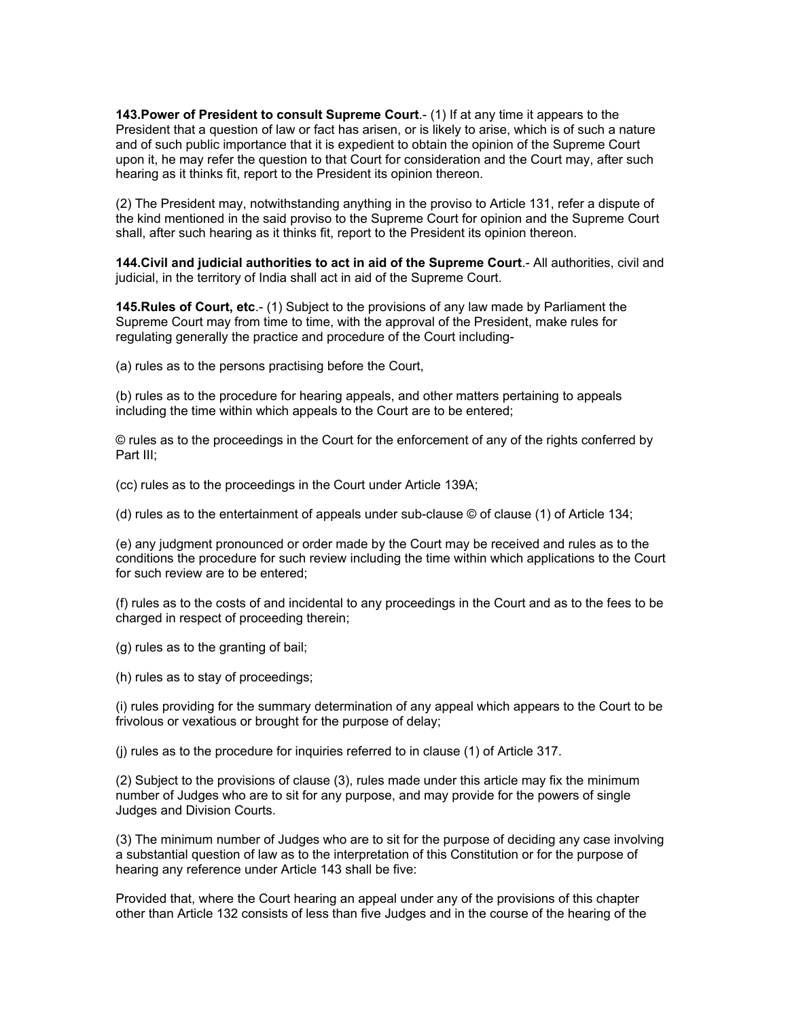**143.Power of President to consult Supreme Court**.- (1) If at any time it appears to the President that a question of law or fact has arisen, or is likely to arise, which is of such a nature and of such public importance that it is expedient to obtain the opinion of the Supreme Court upon it, he may refer the question to that Court for consideration and the Court may, after such hearing as it thinks fit, report to the President its opinion thereon.

(2) The President may, notwithstanding anything in the proviso to Article 131, refer a dispute of the kind mentioned in the said proviso to the Supreme Court for opinion and the Supreme Court shall, after such hearing as it thinks fit, report to the President its opinion thereon.

**144.Civil and judicial authorities to act in aid of the Supreme Court**.- All authorities, civil and judicial, in the territory of India shall act in aid of the Supreme Court.

**145.Rules of Court, etc**.- (1) Subject to the provisions of any law made by Parliament the Supreme Court may from time to time, with the approval of the President, make rules for regulating generally the practice and procedure of the Court including-

(a) rules as to the persons practising before the Court,

(b) rules as to the procedure for hearing appeals, and other matters pertaining to appeals including the time within which appeals to the Court are to be entered;

© rules as to the proceedings in the Court for the enforcement of any of the rights conferred by Part III;

(cc) rules as to the proceedings in the Court under Article 139A;

(d) rules as to the entertainment of appeals under sub-clause © of clause (1) of Article 134;

(e) any judgment pronounced or order made by the Court may be received and rules as to the conditions the procedure for such review including the time within which applications to the Court for such review are to be entered;

(f) rules as to the costs of and incidental to any proceedings in the Court and as to the fees to be charged in respect of proceeding therein;

(g) rules as to the granting of bail;

(h) rules as to stay of proceedings;

(i) rules providing for the summary determination of any appeal which appears to the Court to be frivolous or vexatious or brought for the purpose of delay;

(j) rules as to the procedure for inquiries referred to in clause (1) of Article 317.

(2) Subject to the provisions of clause (3), rules made under this article may fix the minimum number of Judges who are to sit for any purpose, and may provide for the powers of single Judges and Division Courts.

(3) The minimum number of Judges who are to sit for the purpose of deciding any case involving a substantial question of law as to the interpretation of this Constitution or for the purpose of hearing any reference under Article 143 shall be five:

Provided that, where the Court hearing an appeal under any of the provisions of this chapter other than Article 132 consists of less than five Judges and in the course of the hearing of the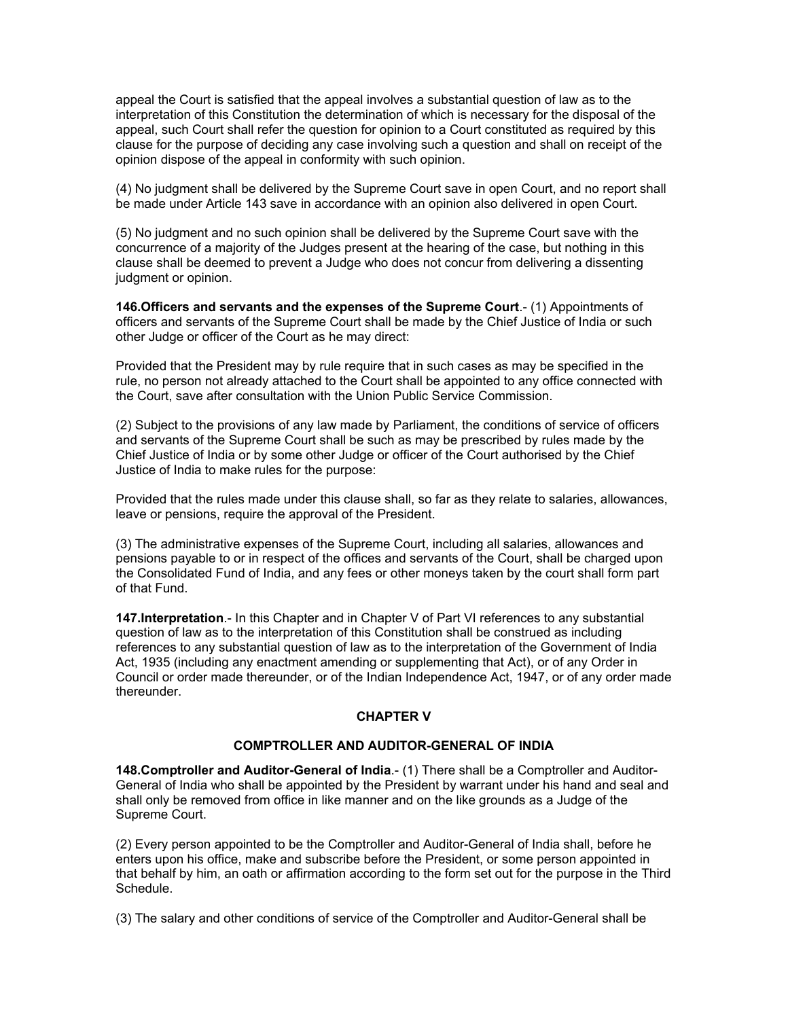appeal the Court is satisfied that the appeal involves a substantial question of law as to the interpretation of this Constitution the determination of which is necessary for the disposal of the appeal, such Court shall refer the question for opinion to a Court constituted as required by this clause for the purpose of deciding any case involving such a question and shall on receipt of the opinion dispose of the appeal in conformity with such opinion.

(4) No judgment shall be delivered by the Supreme Court save in open Court, and no report shall be made under Article 143 save in accordance with an opinion also delivered in open Court.

(5) No judgment and no such opinion shall be delivered by the Supreme Court save with the concurrence of a majority of the Judges present at the hearing of the case, but nothing in this clause shall be deemed to prevent a Judge who does not concur from delivering a dissenting judgment or opinion.

**146.Officers and servants and the expenses of the Supreme Court**.- (1) Appointments of officers and servants of the Supreme Court shall be made by the Chief Justice of India or such other Judge or officer of the Court as he may direct:

Provided that the President may by rule require that in such cases as may be specified in the rule, no person not already attached to the Court shall be appointed to any office connected with the Court, save after consultation with the Union Public Service Commission.

(2) Subject to the provisions of any law made by Parliament, the conditions of service of officers and servants of the Supreme Court shall be such as may be prescribed by rules made by the Chief Justice of India or by some other Judge or officer of the Court authorised by the Chief Justice of India to make rules for the purpose:

Provided that the rules made under this clause shall, so far as they relate to salaries, allowances, leave or pensions, require the approval of the President.

(3) The administrative expenses of the Supreme Court, including all salaries, allowances and pensions payable to or in respect of the offices and servants of the Court, shall be charged upon the Consolidated Fund of India, and any fees or other moneys taken by the court shall form part of that Fund.

**147.Interpretation**.- In this Chapter and in Chapter V of Part VI references to any substantial question of law as to the interpretation of this Constitution shall be construed as including references to any substantial question of law as to the interpretation of the Government of India Act, 1935 (including any enactment amending or supplementing that Act), or of any Order in Council or order made thereunder, or of the Indian Independence Act, 1947, or of any order made thereunder.

# **CHAPTER V**

# **COMPTROLLER AND AUDITOR-GENERAL OF INDIA**

**148.Comptroller and Auditor-General of India**.- (1) There shall be a Comptroller and Auditor-General of India who shall be appointed by the President by warrant under his hand and seal and shall only be removed from office in like manner and on the like grounds as a Judge of the Supreme Court.

(2) Every person appointed to be the Comptroller and Auditor-General of India shall, before he enters upon his office, make and subscribe before the President, or some person appointed in that behalf by him, an oath or affirmation according to the form set out for the purpose in the Third Schedule.

(3) The salary and other conditions of service of the Comptroller and Auditor-General shall be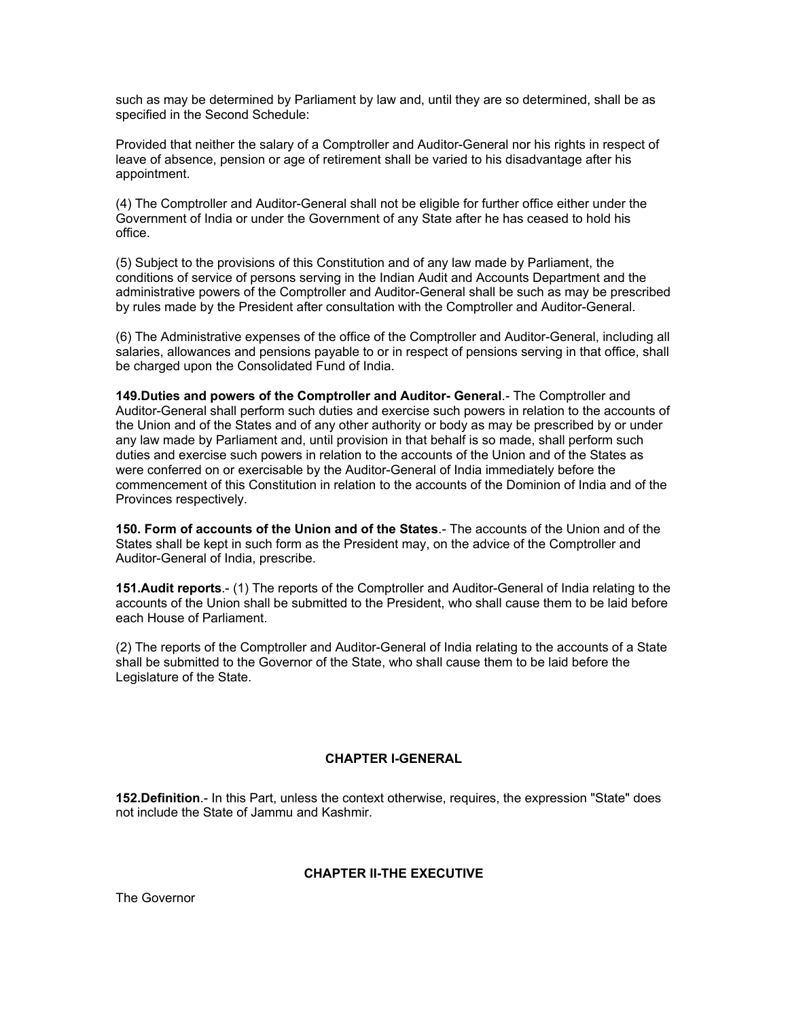such as may be determined by Parliament by law and, until they are so determined, shall be as specified in the Second Schedule:

Provided that neither the salary of a Comptroller and Auditor-General nor his rights in respect of leave of absence, pension or age of retirement shall be varied to his disadvantage after his appointment.

(4) The Comptroller and Auditor-General shall not be eligible for further office either under the Government of India or under the Government of any State after he has ceased to hold his office.

(5) Subject to the provisions of this Constitution and of any law made by Parliament, the conditions of service of persons serving in the Indian Audit and Accounts Department and the administrative powers of the Comptroller and Auditor-General shall be such as may be prescribed by rules made by the President after consultation with the Comptroller and Auditor-General.

(6) The Administrative expenses of the office of the Comptroller and Auditor-General, including all salaries, allowances and pensions payable to or in respect of pensions serving in that office, shall be charged upon the Consolidated Fund of India.

**149.Duties and powers of the Comptroller and Auditor- General**.- The Comptroller and Auditor-General shall perform such duties and exercise such powers in relation to the accounts of the Union and of the States and of any other authority or body as may be prescribed by or under any law made by Parliament and, until provision in that behalf is so made, shall perform such duties and exercise such powers in relation to the accounts of the Union and of the States as were conferred on or exercisable by the Auditor-General of India immediately before the commencement of this Constitution in relation to the accounts of the Dominion of India and of the Provinces respectively.

**150. Form of accounts of the Union and of the States**.- The accounts of the Union and of the States shall be kept in such form as the President may, on the advice of the Comptroller and Auditor-General of India, prescribe.

**151.Audit reports**.- (1) The reports of the Comptroller and Auditor-General of India relating to the accounts of the Union shall be submitted to the President, who shall cause them to be laid before each House of Parliament.

(2) The reports of the Comptroller and Auditor-General of India relating to the accounts of a State shall be submitted to the Governor of the State, who shall cause them to be laid before the Legislature of the State.

## **CHAPTER I-GENERAL**

**152.Definition**.- In this Part, unless the context otherwise, requires, the expression "State" does not include the State of Jammu and Kashmir.

# **CHAPTER II-THE EXECUTIVE**

The Governor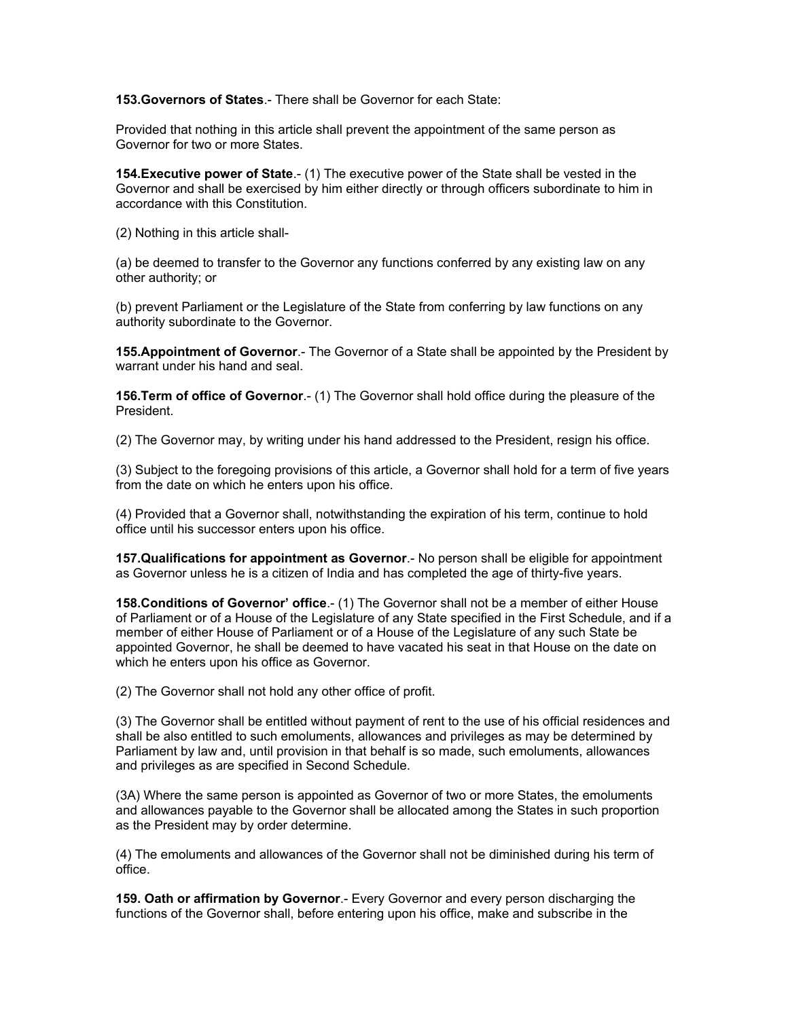**153.Governors of States**.- There shall be Governor for each State:

Provided that nothing in this article shall prevent the appointment of the same person as Governor for two or more States.

**154.Executive power of State**.- (1) The executive power of the State shall be vested in the Governor and shall be exercised by him either directly or through officers subordinate to him in accordance with this Constitution.

(2) Nothing in this article shall-

(a) be deemed to transfer to the Governor any functions conferred by any existing law on any other authority; or

(b) prevent Parliament or the Legislature of the State from conferring by law functions on any authority subordinate to the Governor.

**155.Appointment of Governor**.- The Governor of a State shall be appointed by the President by warrant under his hand and seal.

**156.Term of office of Governor**.- (1) The Governor shall hold office during the pleasure of the President.

(2) The Governor may, by writing under his hand addressed to the President, resign his office.

(3) Subject to the foregoing provisions of this article, a Governor shall hold for a term of five years from the date on which he enters upon his office.

(4) Provided that a Governor shall, notwithstanding the expiration of his term, continue to hold office until his successor enters upon his office.

**157.Qualifications for appointment as Governor**.- No person shall be eligible for appointment as Governor unless he is a citizen of India and has completed the age of thirty-five years.

**158. Conditions of Governor' office.**- (1) The Governor shall not be a member of either House of Parliament or of a House of the Legislature of any State specified in the First Schedule, and if a member of either House of Parliament or of a House of the Legislature of any such State be appointed Governor, he shall be deemed to have vacated his seat in that House on the date on which he enters upon his office as Governor.

(2) The Governor shall not hold any other office of profit.

(3) The Governor shall be entitled without payment of rent to the use of his official residences and shall be also entitled to such emoluments, allowances and privileges as may be determined by Parliament by law and, until provision in that behalf is so made, such emoluments, allowances and privileges as are specified in Second Schedule.

(3A) Where the same person is appointed as Governor of two or more States, the emoluments and allowances payable to the Governor shall be allocated among the States in such proportion as the President may by order determine.

(4) The emoluments and allowances of the Governor shall not be diminished during his term of office.

**159. Oath or affirmation by Governor**.- Every Governor and every person discharging the functions of the Governor shall, before entering upon his office, make and subscribe in the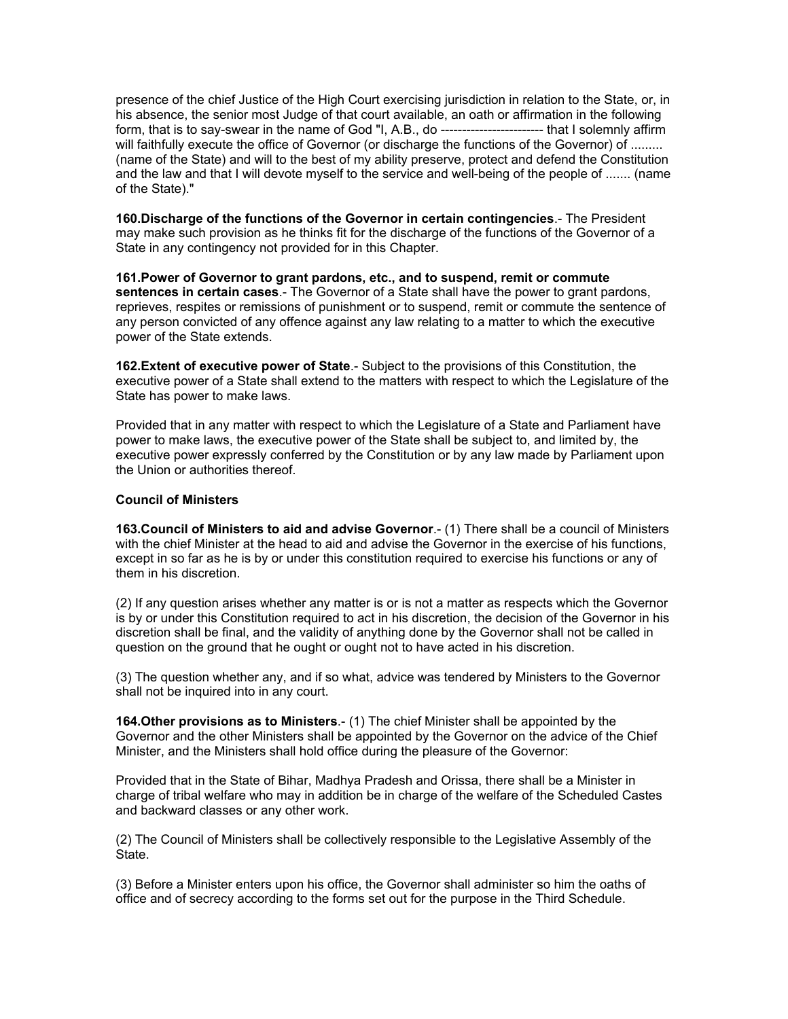presence of the chief Justice of the High Court exercising jurisdiction in relation to the State, or, in his absence, the senior most Judge of that court available, an oath or affirmation in the following form, that is to say-swear in the name of God "I, A.B., do ------------------------ that I solemnly affirm will faithfully execute the office of Governor (or discharge the functions of the Governor) of ......... (name of the State) and will to the best of my ability preserve, protect and defend the Constitution and the law and that I will devote myself to the service and well-being of the people of ....... (name of the State)."

**160.Discharge of the functions of the Governor in certain contingencies**.- The President may make such provision as he thinks fit for the discharge of the functions of the Governor of a State in any contingency not provided for in this Chapter.

**161.Power of Governor to grant pardons, etc., and to suspend, remit or commute sentences in certain cases**.- The Governor of a State shall have the power to grant pardons, reprieves, respites or remissions of punishment or to suspend, remit or commute the sentence of any person convicted of any offence against any law relating to a matter to which the executive power of the State extends.

**162.Extent of executive power of State**.- Subject to the provisions of this Constitution, the executive power of a State shall extend to the matters with respect to which the Legislature of the State has power to make laws.

Provided that in any matter with respect to which the Legislature of a State and Parliament have power to make laws, the executive power of the State shall be subject to, and limited by, the executive power expressly conferred by the Constitution or by any law made by Parliament upon the Union or authorities thereof.

### **Council of Ministers**

**163.Council of Ministers to aid and advise Governor**.- (1) There shall be a council of Ministers with the chief Minister at the head to aid and advise the Governor in the exercise of his functions, except in so far as he is by or under this constitution required to exercise his functions or any of them in his discretion.

(2) If any question arises whether any matter is or is not a matter as respects which the Governor is by or under this Constitution required to act in his discretion, the decision of the Governor in his discretion shall be final, and the validity of anything done by the Governor shall not be called in question on the ground that he ought or ought not to have acted in his discretion.

(3) The question whether any, and if so what, advice was tendered by Ministers to the Governor shall not be inquired into in any court.

**164.Other provisions as to Ministers**.- (1) The chief Minister shall be appointed by the Governor and the other Ministers shall be appointed by the Governor on the advice of the Chief Minister, and the Ministers shall hold office during the pleasure of the Governor:

Provided that in the State of Bihar, Madhya Pradesh and Orissa, there shall be a Minister in charge of tribal welfare who may in addition be in charge of the welfare of the Scheduled Castes and backward classes or any other work.

(2) The Council of Ministers shall be collectively responsible to the Legislative Assembly of the State.

(3) Before a Minister enters upon his office, the Governor shall administer so him the oaths of office and of secrecy according to the forms set out for the purpose in the Third Schedule.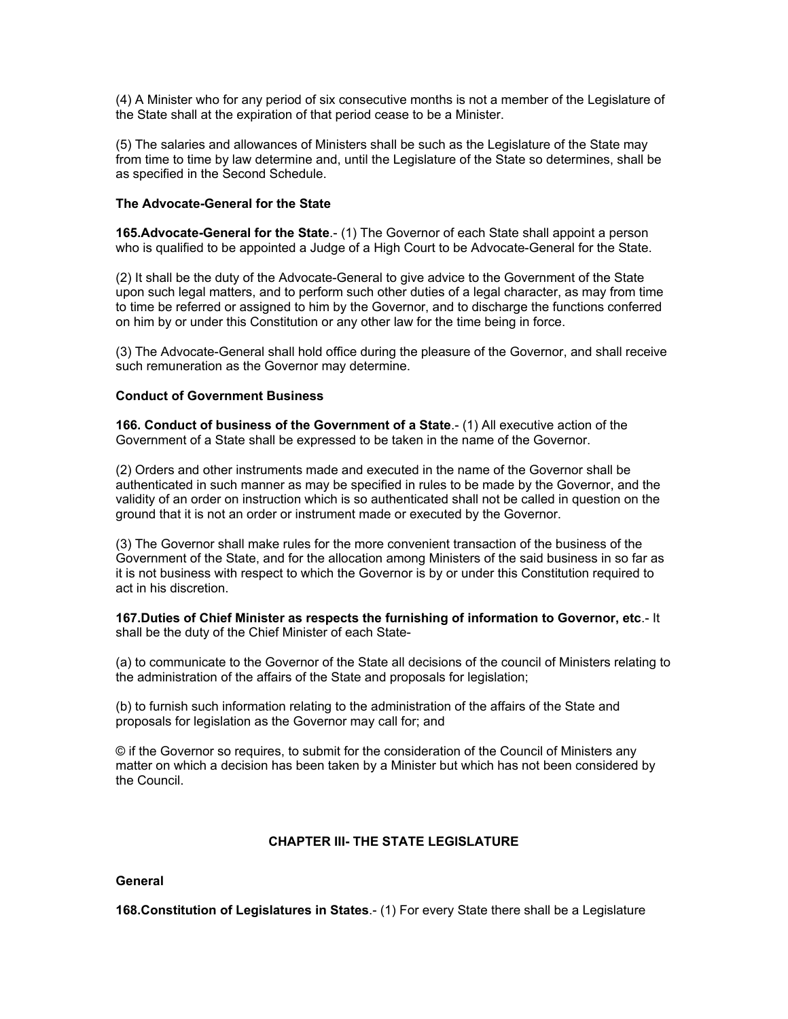(4) A Minister who for any period of six consecutive months is not a member of the Legislature of the State shall at the expiration of that period cease to be a Minister.

(5) The salaries and allowances of Ministers shall be such as the Legislature of the State may from time to time by law determine and, until the Legislature of the State so determines, shall be as specified in the Second Schedule.

## **The Advocate-General for the State**

**165.Advocate-General for the State**.- (1) The Governor of each State shall appoint a person who is qualified to be appointed a Judge of a High Court to be Advocate-General for the State.

(2) It shall be the duty of the Advocate-General to give advice to the Government of the State upon such legal matters, and to perform such other duties of a legal character, as may from time to time be referred or assigned to him by the Governor, and to discharge the functions conferred on him by or under this Constitution or any other law for the time being in force.

(3) The Advocate-General shall hold office during the pleasure of the Governor, and shall receive such remuneration as the Governor may determine.

# **Conduct of Government Business**

**166. Conduct of business of the Government of a State**.- (1) All executive action of the Government of a State shall be expressed to be taken in the name of the Governor.

(2) Orders and other instruments made and executed in the name of the Governor shall be authenticated in such manner as may be specified in rules to be made by the Governor, and the validity of an order on instruction which is so authenticated shall not be called in question on the ground that it is not an order or instrument made or executed by the Governor.

(3) The Governor shall make rules for the more convenient transaction of the business of the Government of the State, and for the allocation among Ministers of the said business in so far as it is not business with respect to which the Governor is by or under this Constitution required to act in his discretion.

### **167.Duties of Chief Minister as respects the furnishing of information to Governor, etc**.- It shall be the duty of the Chief Minister of each State-

(a) to communicate to the Governor of the State all decisions of the council of Ministers relating to the administration of the affairs of the State and proposals for legislation;

(b) to furnish such information relating to the administration of the affairs of the State and proposals for legislation as the Governor may call for; and

© if the Governor so requires, to submit for the consideration of the Council of Ministers any matter on which a decision has been taken by a Minister but which has not been considered by the Council.

# **CHAPTER III- THE STATE LEGISLATURE**

# **General**

**168.Constitution of Legislatures in States**.- (1) For every State there shall be a Legislature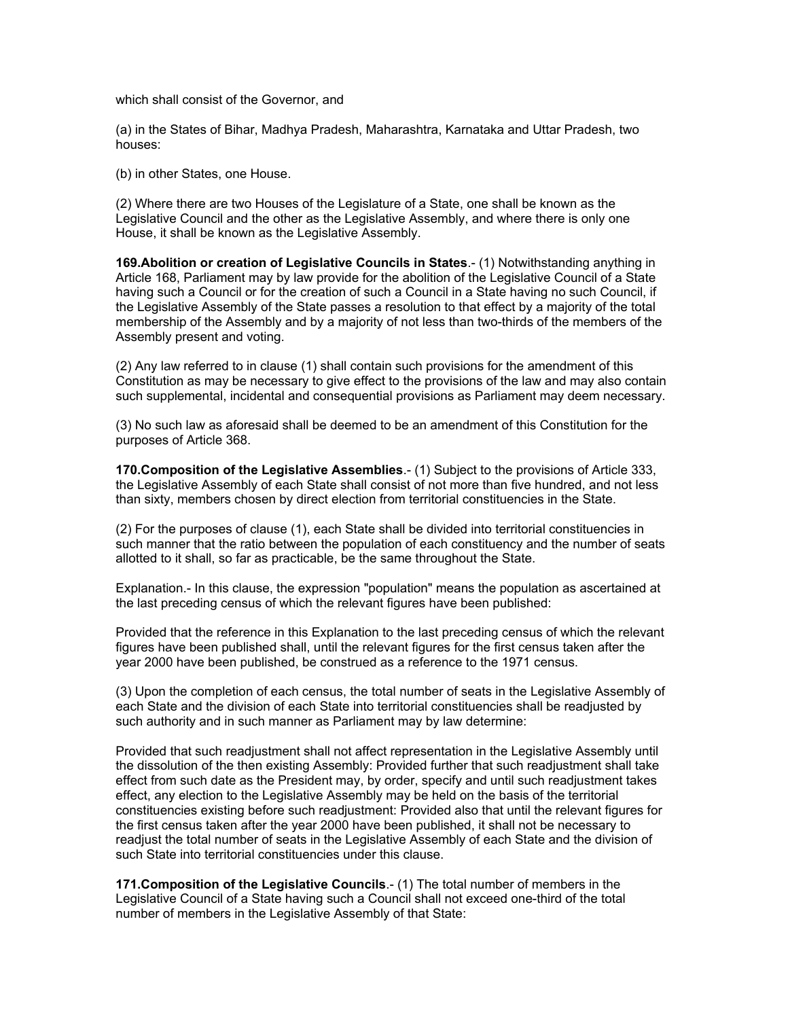which shall consist of the Governor, and

(a) in the States of Bihar, Madhya Pradesh, Maharashtra, Karnataka and Uttar Pradesh, two houses:

(b) in other States, one House.

(2) Where there are two Houses of the Legislature of a State, one shall be known as the Legislative Council and the other as the Legislative Assembly, and where there is only one House, it shall be known as the Legislative Assembly.

**169.Abolition or creation of Legislative Councils in States**.- (1) Notwithstanding anything in Article 168, Parliament may by law provide for the abolition of the Legislative Council of a State having such a Council or for the creation of such a Council in a State having no such Council, if the Legislative Assembly of the State passes a resolution to that effect by a majority of the total membership of the Assembly and by a majority of not less than two-thirds of the members of the Assembly present and voting.

(2) Any law referred to in clause (1) shall contain such provisions for the amendment of this Constitution as may be necessary to give effect to the provisions of the law and may also contain such supplemental, incidental and consequential provisions as Parliament may deem necessary.

(3) No such law as aforesaid shall be deemed to be an amendment of this Constitution for the purposes of Article 368.

**170.Composition of the Legislative Assemblies**.- (1) Subject to the provisions of Article 333, the Legislative Assembly of each State shall consist of not more than five hundred, and not less than sixty, members chosen by direct election from territorial constituencies in the State.

(2) For the purposes of clause (1), each State shall be divided into territorial constituencies in such manner that the ratio between the population of each constituency and the number of seats allotted to it shall, so far as practicable, be the same throughout the State.

Explanation.- In this clause, the expression "population" means the population as ascertained at the last preceding census of which the relevant figures have been published:

Provided that the reference in this Explanation to the last preceding census of which the relevant figures have been published shall, until the relevant figures for the first census taken after the year 2000 have been published, be construed as a reference to the 1971 census.

(3) Upon the completion of each census, the total number of seats in the Legislative Assembly of each State and the division of each State into territorial constituencies shall be readjusted by such authority and in such manner as Parliament may by law determine:

Provided that such readjustment shall not affect representation in the Legislative Assembly until the dissolution of the then existing Assembly: Provided further that such readjustment shall take effect from such date as the President may, by order, specify and until such readjustment takes effect, any election to the Legislative Assembly may be held on the basis of the territorial constituencies existing before such readjustment: Provided also that until the relevant figures for the first census taken after the year 2000 have been published, it shall not be necessary to readjust the total number of seats in the Legislative Assembly of each State and the division of such State into territorial constituencies under this clause.

**171.Composition of the Legislative Councils**.- (1) The total number of members in the Legislative Council of a State having such a Council shall not exceed one-third of the total number of members in the Legislative Assembly of that State: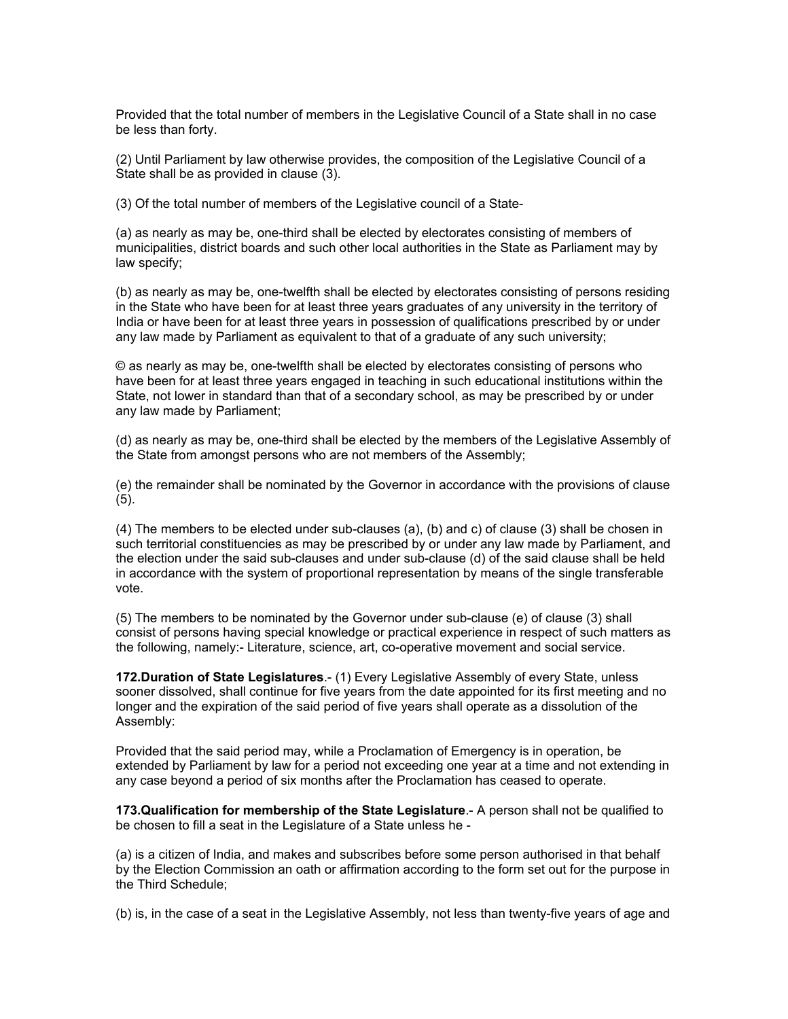Provided that the total number of members in the Legislative Council of a State shall in no case be less than forty.

(2) Until Parliament by law otherwise provides, the composition of the Legislative Council of a State shall be as provided in clause (3).

(3) Of the total number of members of the Legislative council of a State-

(a) as nearly as may be, one-third shall be elected by electorates consisting of members of municipalities, district boards and such other local authorities in the State as Parliament may by law specify;

(b) as nearly as may be, one-twelfth shall be elected by electorates consisting of persons residing in the State who have been for at least three years graduates of any university in the territory of India or have been for at least three years in possession of qualifications prescribed by or under any law made by Parliament as equivalent to that of a graduate of any such university;

© as nearly as may be, one-twelfth shall be elected by electorates consisting of persons who have been for at least three years engaged in teaching in such educational institutions within the State, not lower in standard than that of a secondary school, as may be prescribed by or under any law made by Parliament;

(d) as nearly as may be, one-third shall be elected by the members of the Legislative Assembly of the State from amongst persons who are not members of the Assembly;

(e) the remainder shall be nominated by the Governor in accordance with the provisions of clause (5).

(4) The members to be elected under sub-clauses (a), (b) and c) of clause (3) shall be chosen in such territorial constituencies as may be prescribed by or under any law made by Parliament, and the election under the said sub-clauses and under sub-clause (d) of the said clause shall be held in accordance with the system of proportional representation by means of the single transferable vote.

(5) The members to be nominated by the Governor under sub-clause (e) of clause (3) shall consist of persons having special knowledge or practical experience in respect of such matters as the following, namely:- Literature, science, art, co-operative movement and social service.

**172.Duration of State Legislatures**.- (1) Every Legislative Assembly of every State, unless sooner dissolved, shall continue for five years from the date appointed for its first meeting and no longer and the expiration of the said period of five years shall operate as a dissolution of the Assembly:

Provided that the said period may, while a Proclamation of Emergency is in operation, be extended by Parliament by law for a period not exceeding one year at a time and not extending in any case beyond a period of six months after the Proclamation has ceased to operate.

**173.Qualification for membership of the State Legislature**.- A person shall not be qualified to be chosen to fill a seat in the Legislature of a State unless he -

(a) is a citizen of India, and makes and subscribes before some person authorised in that behalf by the Election Commission an oath or affirmation according to the form set out for the purpose in the Third Schedule;

(b) is, in the case of a seat in the Legislative Assembly, not less than twenty-five years of age and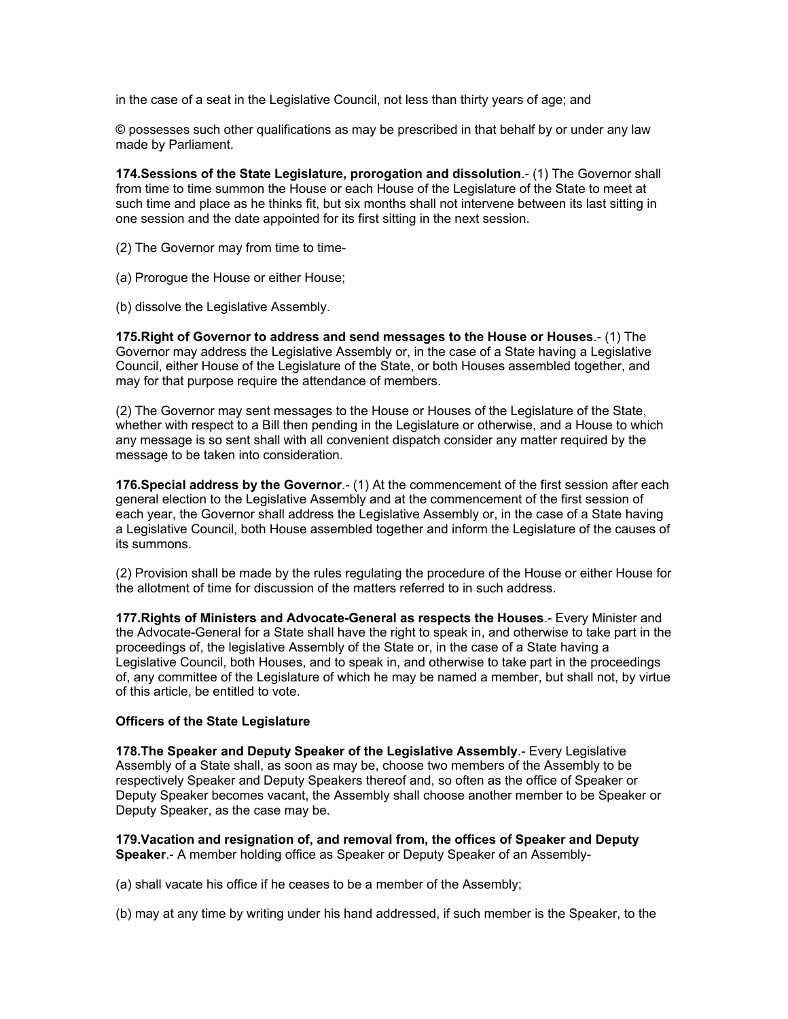in the case of a seat in the Legislative Council, not less than thirty years of age; and

© possesses such other qualifications as may be prescribed in that behalf by or under any law made by Parliament.

**174.Sessions of the State Legislature, prorogation and dissolution**.- (1) The Governor shall from time to time summon the House or each House of the Legislature of the State to meet at such time and place as he thinks fit, but six months shall not intervene between its last sitting in one session and the date appointed for its first sitting in the next session.

(2) The Governor may from time to time-

(a) Prorogue the House or either House;

(b) dissolve the Legislative Assembly.

**175.Right of Governor to address and send messages to the House or Houses**.- (1) The Governor may address the Legislative Assembly or, in the case of a State having a Legislative Council, either House of the Legislature of the State, or both Houses assembled together, and may for that purpose require the attendance of members.

(2) The Governor may sent messages to the House or Houses of the Legislature of the State, whether with respect to a Bill then pending in the Legislature or otherwise, and a House to which any message is so sent shall with all convenient dispatch consider any matter required by the message to be taken into consideration.

**176.Special address by the Governor**.- (1) At the commencement of the first session after each general election to the Legislative Assembly and at the commencement of the first session of each year, the Governor shall address the Legislative Assembly or, in the case of a State having a Legislative Council, both House assembled together and inform the Legislature of the causes of its summons.

(2) Provision shall be made by the rules regulating the procedure of the House or either House for the allotment of time for discussion of the matters referred to in such address.

**177.Rights of Ministers and Advocate-General as respects the Houses**.- Every Minister and the Advocate-General for a State shall have the right to speak in, and otherwise to take part in the proceedings of, the legislative Assembly of the State or, in the case of a State having a Legislative Council, both Houses, and to speak in, and otherwise to take part in the proceedings of, any committee of the Legislature of which he may be named a member, but shall not, by virtue of this article, be entitled to vote.

## **Officers of the State Legislature**

**178.The Speaker and Deputy Speaker of the Legislative Assembly**.- Every Legislative Assembly of a State shall, as soon as may be, choose two members of the Assembly to be respectively Speaker and Deputy Speakers thereof and, so often as the office of Speaker or Deputy Speaker becomes vacant, the Assembly shall choose another member to be Speaker or Deputy Speaker, as the case may be.

**179.Vacation and resignation of, and removal from, the offices of Speaker and Deputy Speaker**.- A member holding office as Speaker or Deputy Speaker of an Assembly-

(a) shall vacate his office if he ceases to be a member of the Assembly;

(b) may at any time by writing under his hand addressed, if such member is the Speaker, to the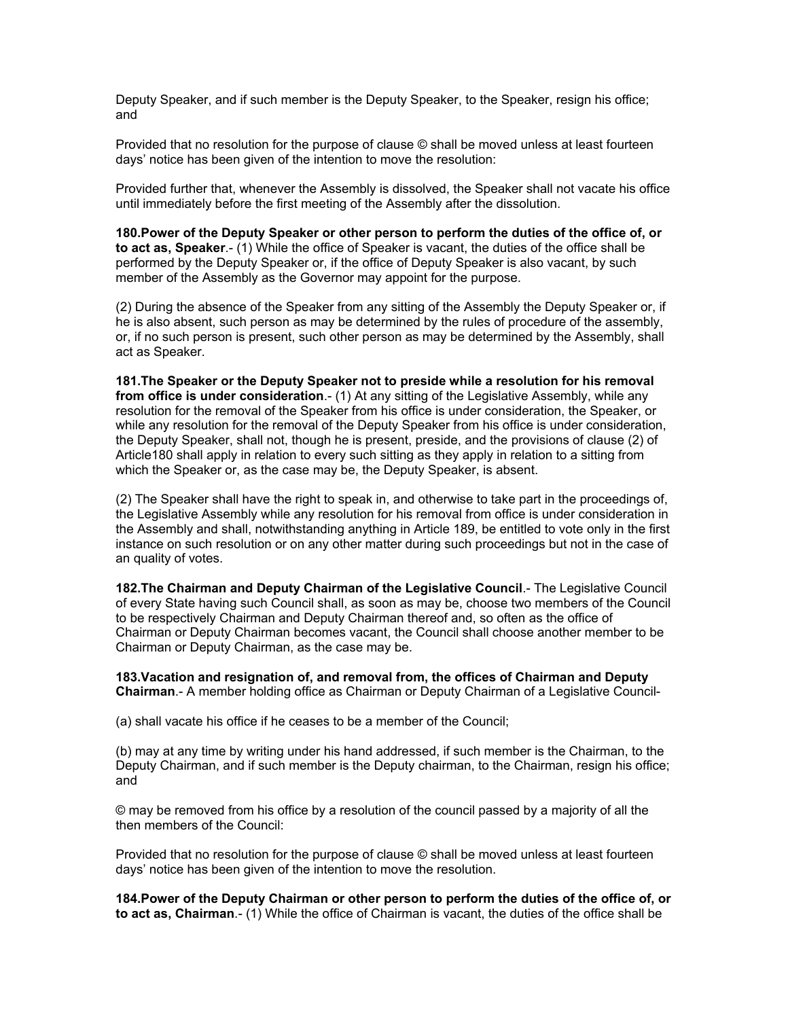Deputy Speaker, and if such member is the Deputy Speaker, to the Speaker, resign his office; and

Provided that no resolution for the purpose of clause © shall be moved unless at least fourteen days' notice has been given of the intention to move the resolution:

Provided further that, whenever the Assembly is dissolved, the Speaker shall not vacate his office until immediately before the first meeting of the Assembly after the dissolution.

**180.Power of the Deputy Speaker or other person to perform the duties of the office of, or to act as, Speaker**.- (1) While the office of Speaker is vacant, the duties of the office shall be performed by the Deputy Speaker or, if the office of Deputy Speaker is also vacant, by such member of the Assembly as the Governor may appoint for the purpose.

(2) During the absence of the Speaker from any sitting of the Assembly the Deputy Speaker or, if he is also absent, such person as may be determined by the rules of procedure of the assembly, or, if no such person is present, such other person as may be determined by the Assembly, shall act as Speaker.

**181.The Speaker or the Deputy Speaker not to preside while a resolution for his removal from office is under consideration**.- (1) At any sitting of the Legislative Assembly, while any resolution for the removal of the Speaker from his office is under consideration, the Speaker, or while any resolution for the removal of the Deputy Speaker from his office is under consideration, the Deputy Speaker, shall not, though he is present, preside, and the provisions of clause (2) of Article180 shall apply in relation to every such sitting as they apply in relation to a sitting from which the Speaker or, as the case may be, the Deputy Speaker, is absent.

(2) The Speaker shall have the right to speak in, and otherwise to take part in the proceedings of, the Legislative Assembly while any resolution for his removal from office is under consideration in the Assembly and shall, notwithstanding anything in Article 189, be entitled to vote only in the first instance on such resolution or on any other matter during such proceedings but not in the case of an quality of votes.

**182.The Chairman and Deputy Chairman of the Legislative Council**.- The Legislative Council of every State having such Council shall, as soon as may be, choose two members of the Council to be respectively Chairman and Deputy Chairman thereof and, so often as the office of Chairman or Deputy Chairman becomes vacant, the Council shall choose another member to be Chairman or Deputy Chairman, as the case may be.

**183.Vacation and resignation of, and removal from, the offices of Chairman and Deputy Chairman**.- A member holding office as Chairman or Deputy Chairman of a Legislative Council-

(a) shall vacate his office if he ceases to be a member of the Council;

(b) may at any time by writing under his hand addressed, if such member is the Chairman, to the Deputy Chairman, and if such member is the Deputy chairman, to the Chairman, resign his office; and

© may be removed from his office by a resolution of the council passed by a majority of all the then members of the Council:

Provided that no resolution for the purpose of clause © shall be moved unless at least fourteen days' notice has been given of the intention to move the resolution.

**184.Power of the Deputy Chairman or other person to perform the duties of the office of, or to act as, Chairman**.- (1) While the office of Chairman is vacant, the duties of the office shall be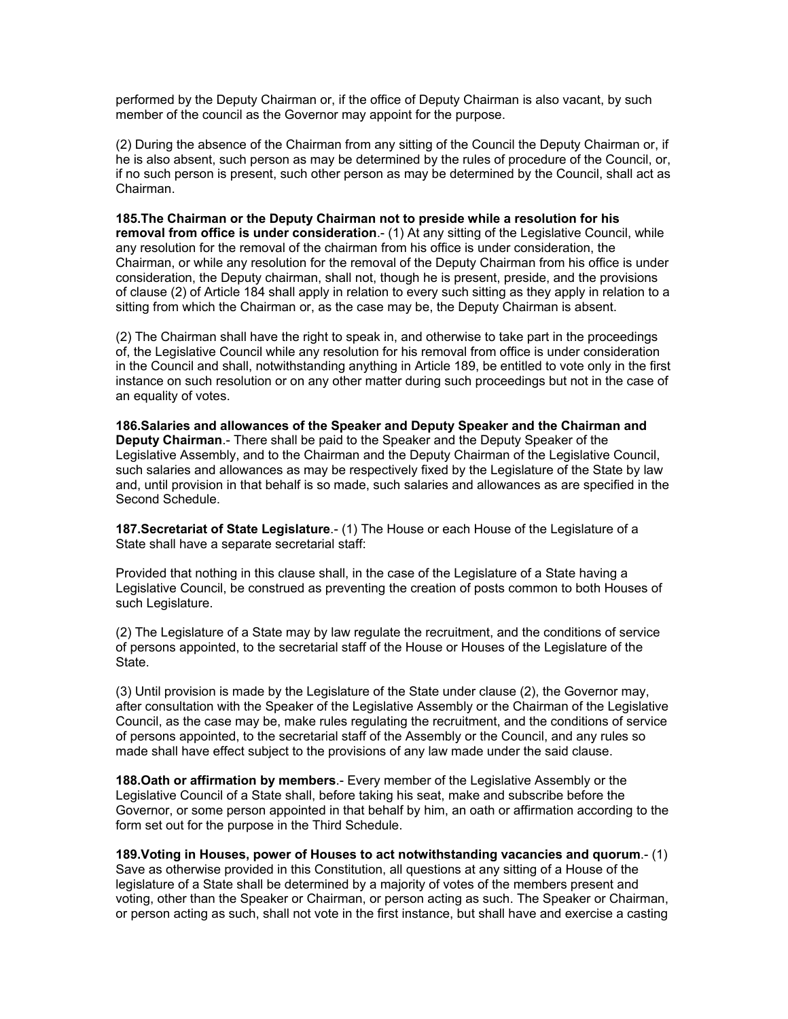performed by the Deputy Chairman or, if the office of Deputy Chairman is also vacant, by such member of the council as the Governor may appoint for the purpose.

(2) During the absence of the Chairman from any sitting of the Council the Deputy Chairman or, if he is also absent, such person as may be determined by the rules of procedure of the Council, or, if no such person is present, such other person as may be determined by the Council, shall act as Chairman.

**185.The Chairman or the Deputy Chairman not to preside while a resolution for his**  removal from office is under consideration.- (1) At any sitting of the Legislative Council, while any resolution for the removal of the chairman from his office is under consideration, the Chairman, or while any resolution for the removal of the Deputy Chairman from his office is under consideration, the Deputy chairman, shall not, though he is present, preside, and the provisions of clause (2) of Article 184 shall apply in relation to every such sitting as they apply in relation to a sitting from which the Chairman or, as the case may be, the Deputy Chairman is absent.

(2) The Chairman shall have the right to speak in, and otherwise to take part in the proceedings of, the Legislative Council while any resolution for his removal from office is under consideration in the Council and shall, notwithstanding anything in Article 189, be entitled to vote only in the first instance on such resolution or on any other matter during such proceedings but not in the case of an equality of votes.

**186.Salaries and allowances of the Speaker and Deputy Speaker and the Chairman and Deputy Chairman**.- There shall be paid to the Speaker and the Deputy Speaker of the Legislative Assembly, and to the Chairman and the Deputy Chairman of the Legislative Council, such salaries and allowances as may be respectively fixed by the Legislature of the State by law and, until provision in that behalf is so made, such salaries and allowances as are specified in the Second Schedule.

**187.Secretariat of State Legislature**.- (1) The House or each House of the Legislature of a State shall have a separate secretarial staff:

Provided that nothing in this clause shall, in the case of the Legislature of a State having a Legislative Council, be construed as preventing the creation of posts common to both Houses of such Legislature.

(2) The Legislature of a State may by law regulate the recruitment, and the conditions of service of persons appointed, to the secretarial staff of the House or Houses of the Legislature of the State.

(3) Until provision is made by the Legislature of the State under clause (2), the Governor may, after consultation with the Speaker of the Legislative Assembly or the Chairman of the Legislative Council, as the case may be, make rules regulating the recruitment, and the conditions of service of persons appointed, to the secretarial staff of the Assembly or the Council, and any rules so made shall have effect subject to the provisions of any law made under the said clause.

**188.Oath or affirmation by members**.- Every member of the Legislative Assembly or the Legislative Council of a State shall, before taking his seat, make and subscribe before the Governor, or some person appointed in that behalf by him, an oath or affirmation according to the form set out for the purpose in the Third Schedule.

**189.Voting in Houses, power of Houses to act notwithstanding vacancies and quorum**.- (1) Save as otherwise provided in this Constitution, all questions at any sitting of a House of the legislature of a State shall be determined by a majority of votes of the members present and voting, other than the Speaker or Chairman, or person acting as such. The Speaker or Chairman, or person acting as such, shall not vote in the first instance, but shall have and exercise a casting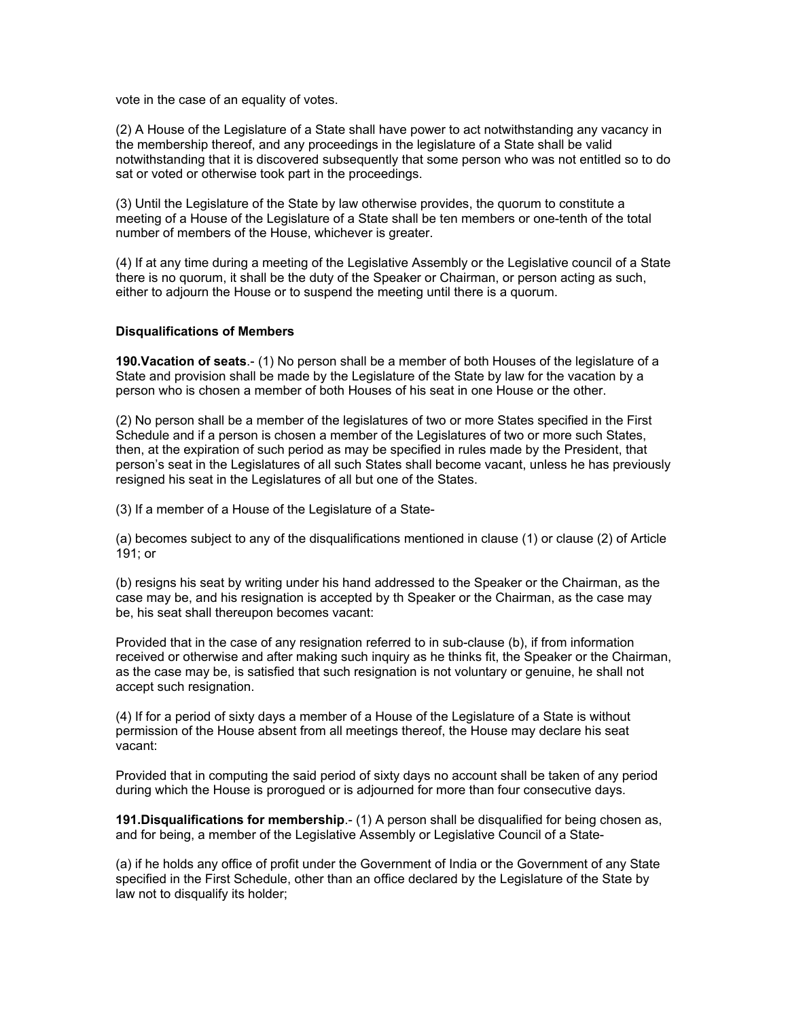vote in the case of an equality of votes.

(2) A House of the Legislature of a State shall have power to act notwithstanding any vacancy in the membership thereof, and any proceedings in the legislature of a State shall be valid notwithstanding that it is discovered subsequently that some person who was not entitled so to do sat or voted or otherwise took part in the proceedings.

(3) Until the Legislature of the State by law otherwise provides, the quorum to constitute a meeting of a House of the Legislature of a State shall be ten members or one-tenth of the total number of members of the House, whichever is greater.

(4) If at any time during a meeting of the Legislative Assembly or the Legislative council of a State there is no quorum, it shall be the duty of the Speaker or Chairman, or person acting as such, either to adjourn the House or to suspend the meeting until there is a quorum.

## **Disqualifications of Members**

**190.Vacation of seats**.- (1) No person shall be a member of both Houses of the legislature of a State and provision shall be made by the Legislature of the State by law for the vacation by a person who is chosen a member of both Houses of his seat in one House or the other.

(2) No person shall be a member of the legislatures of two or more States specified in the First Schedule and if a person is chosen a member of the Legislatures of two or more such States, then, at the expiration of such period as may be specified in rules made by the President, that person's seat in the Legislatures of all such States shall become vacant, unless he has previously resigned his seat in the Legislatures of all but one of the States.

(3) If a member of a House of the Legislature of a State-

(a) becomes subject to any of the disqualifications mentioned in clause (1) or clause (2) of Article 191; or

(b) resigns his seat by writing under his hand addressed to the Speaker or the Chairman, as the case may be, and his resignation is accepted by th Speaker or the Chairman, as the case may be, his seat shall thereupon becomes vacant:

Provided that in the case of any resignation referred to in sub-clause (b), if from information received or otherwise and after making such inquiry as he thinks fit, the Speaker or the Chairman, as the case may be, is satisfied that such resignation is not voluntary or genuine, he shall not accept such resignation.

(4) If for a period of sixty days a member of a House of the Legislature of a State is without permission of the House absent from all meetings thereof, the House may declare his seat vacant:

Provided that in computing the said period of sixty days no account shall be taken of any period during which the House is prorogued or is adjourned for more than four consecutive days.

**191.Disqualifications for membership**.- (1) A person shall be disqualified for being chosen as, and for being, a member of the Legislative Assembly or Legislative Council of a State-

(a) if he holds any office of profit under the Government of India or the Government of any State specified in the First Schedule, other than an office declared by the Legislature of the State by law not to disqualify its holder;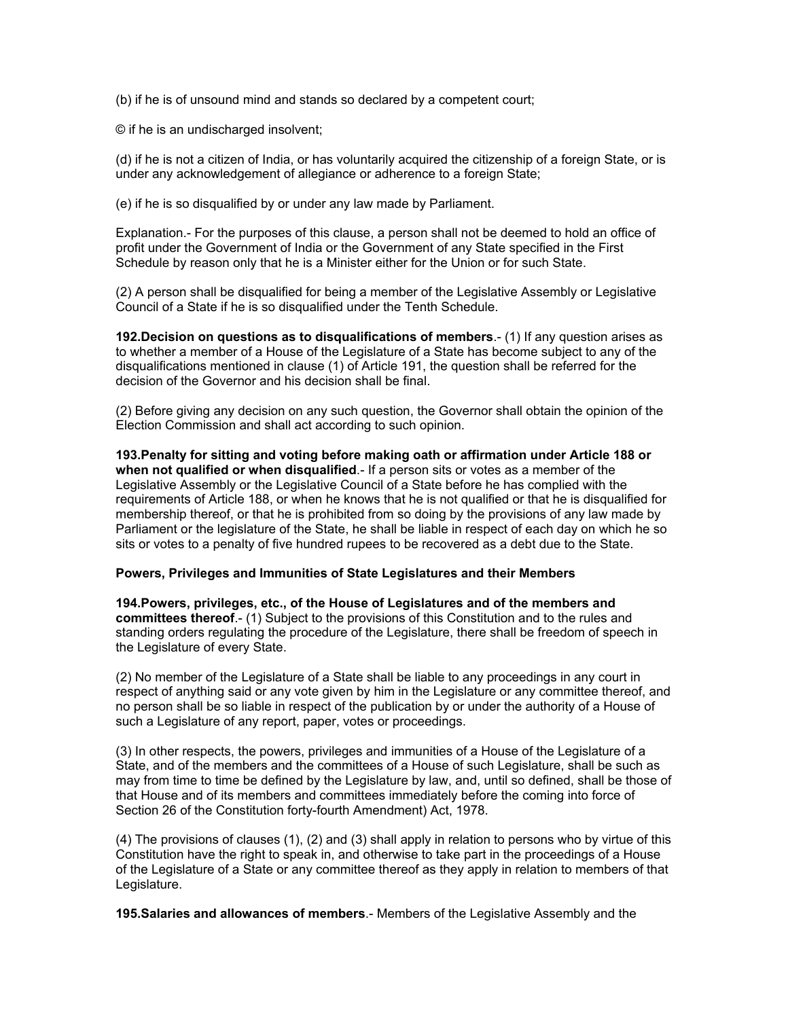(b) if he is of unsound mind and stands so declared by a competent court;

© if he is an undischarged insolvent;

(d) if he is not a citizen of India, or has voluntarily acquired the citizenship of a foreign State, or is under any acknowledgement of allegiance or adherence to a foreign State;

(e) if he is so disqualified by or under any law made by Parliament.

Explanation.- For the purposes of this clause, a person shall not be deemed to hold an office of profit under the Government of India or the Government of any State specified in the First Schedule by reason only that he is a Minister either for the Union or for such State.

(2) A person shall be disqualified for being a member of the Legislative Assembly or Legislative Council of a State if he is so disqualified under the Tenth Schedule.

**192.Decision on questions as to disqualifications of members**.- (1) If any question arises as to whether a member of a House of the Legislature of a State has become subject to any of the disqualifications mentioned in clause (1) of Article 191, the question shall be referred for the decision of the Governor and his decision shall be final.

(2) Before giving any decision on any such question, the Governor shall obtain the opinion of the Election Commission and shall act according to such opinion.

**193.Penalty for sitting and voting before making oath or affirmation under Article 188 or when not qualified or when disqualified**.- If a person sits or votes as a member of the Legislative Assembly or the Legislative Council of a State before he has complied with the requirements of Article 188, or when he knows that he is not qualified or that he is disqualified for membership thereof, or that he is prohibited from so doing by the provisions of any law made by Parliament or the legislature of the State, he shall be liable in respect of each day on which he so sits or votes to a penalty of five hundred rupees to be recovered as a debt due to the State.

#### **Powers, Privileges and Immunities of State Legislatures and their Members**

**194.Powers, privileges, etc., of the House of Legislatures and of the members and committees thereof**.- (1) Subject to the provisions of this Constitution and to the rules and standing orders regulating the procedure of the Legislature, there shall be freedom of speech in the Legislature of every State.

(2) No member of the Legislature of a State shall be liable to any proceedings in any court in respect of anything said or any vote given by him in the Legislature or any committee thereof, and no person shall be so liable in respect of the publication by or under the authority of a House of such a Legislature of any report, paper, votes or proceedings.

(3) In other respects, the powers, privileges and immunities of a House of the Legislature of a State, and of the members and the committees of a House of such Legislature, shall be such as may from time to time be defined by the Legislature by law, and, until so defined, shall be those of that House and of its members and committees immediately before the coming into force of Section 26 of the Constitution forty-fourth Amendment) Act, 1978.

(4) The provisions of clauses (1), (2) and (3) shall apply in relation to persons who by virtue of this Constitution have the right to speak in, and otherwise to take part in the proceedings of a House of the Legislature of a State or any committee thereof as they apply in relation to members of that Legislature.

**195.Salaries and allowances of members**.- Members of the Legislative Assembly and the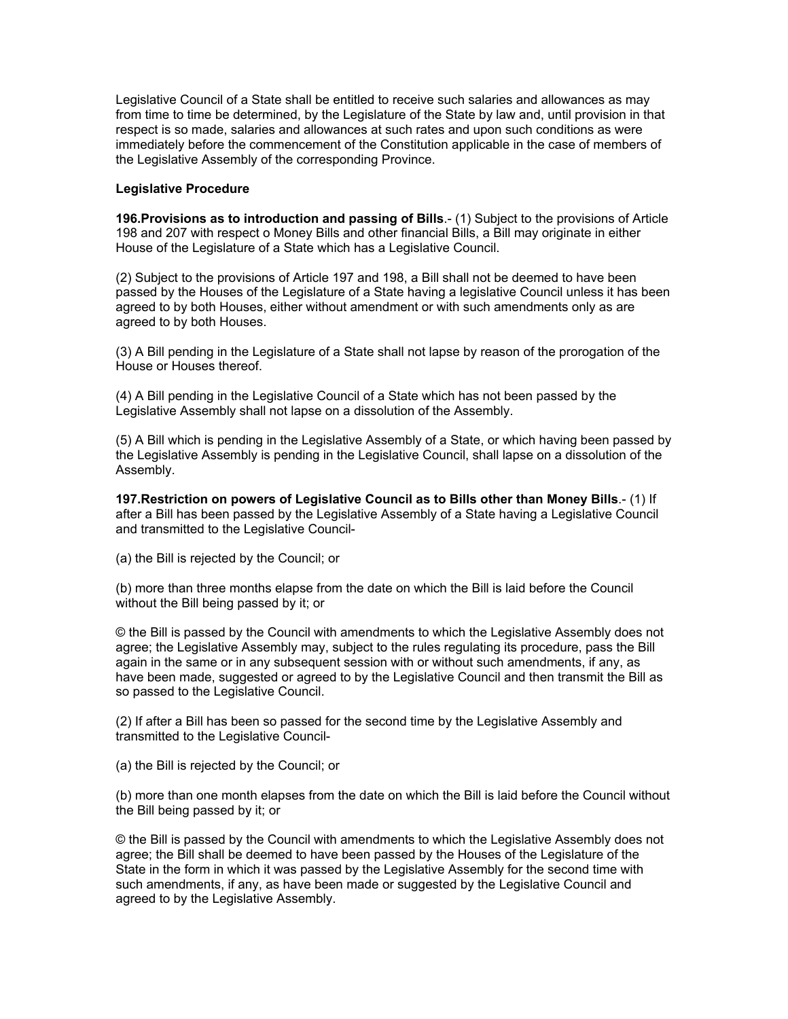Legislative Council of a State shall be entitled to receive such salaries and allowances as may from time to time be determined, by the Legislature of the State by law and, until provision in that respect is so made, salaries and allowances at such rates and upon such conditions as were immediately before the commencement of the Constitution applicable in the case of members of the Legislative Assembly of the corresponding Province.

## **Legislative Procedure**

**196.Provisions as to introduction and passing of Bills**.- (1) Subject to the provisions of Article 198 and 207 with respect o Money Bills and other financial Bills, a Bill may originate in either House of the Legislature of a State which has a Legislative Council.

(2) Subject to the provisions of Article 197 and 198, a Bill shall not be deemed to have been passed by the Houses of the Legislature of a State having a legislative Council unless it has been agreed to by both Houses, either without amendment or with such amendments only as are agreed to by both Houses.

(3) A Bill pending in the Legislature of a State shall not lapse by reason of the prorogation of the House or Houses thereof.

(4) A Bill pending in the Legislative Council of a State which has not been passed by the Legislative Assembly shall not lapse on a dissolution of the Assembly.

(5) A Bill which is pending in the Legislative Assembly of a State, or which having been passed by the Legislative Assembly is pending in the Legislative Council, shall lapse on a dissolution of the Assembly.

**197.Restriction on powers of Legislative Council as to Bills other than Money Bills**.- (1) If after a Bill has been passed by the Legislative Assembly of a State having a Legislative Council and transmitted to the Legislative Council-

(a) the Bill is rejected by the Council; or

(b) more than three months elapse from the date on which the Bill is laid before the Council without the Bill being passed by it; or

© the Bill is passed by the Council with amendments to which the Legislative Assembly does not agree; the Legislative Assembly may, subject to the rules regulating its procedure, pass the Bill again in the same or in any subsequent session with or without such amendments, if any, as have been made, suggested or agreed to by the Legislative Council and then transmit the Bill as so passed to the Legislative Council.

(2) If after a Bill has been so passed for the second time by the Legislative Assembly and transmitted to the Legislative Council-

(a) the Bill is rejected by the Council; or

(b) more than one month elapses from the date on which the Bill is laid before the Council without the Bill being passed by it; or

© the Bill is passed by the Council with amendments to which the Legislative Assembly does not agree; the Bill shall be deemed to have been passed by the Houses of the Legislature of the State in the form in which it was passed by the Legislative Assembly for the second time with such amendments, if any, as have been made or suggested by the Legislative Council and agreed to by the Legislative Assembly.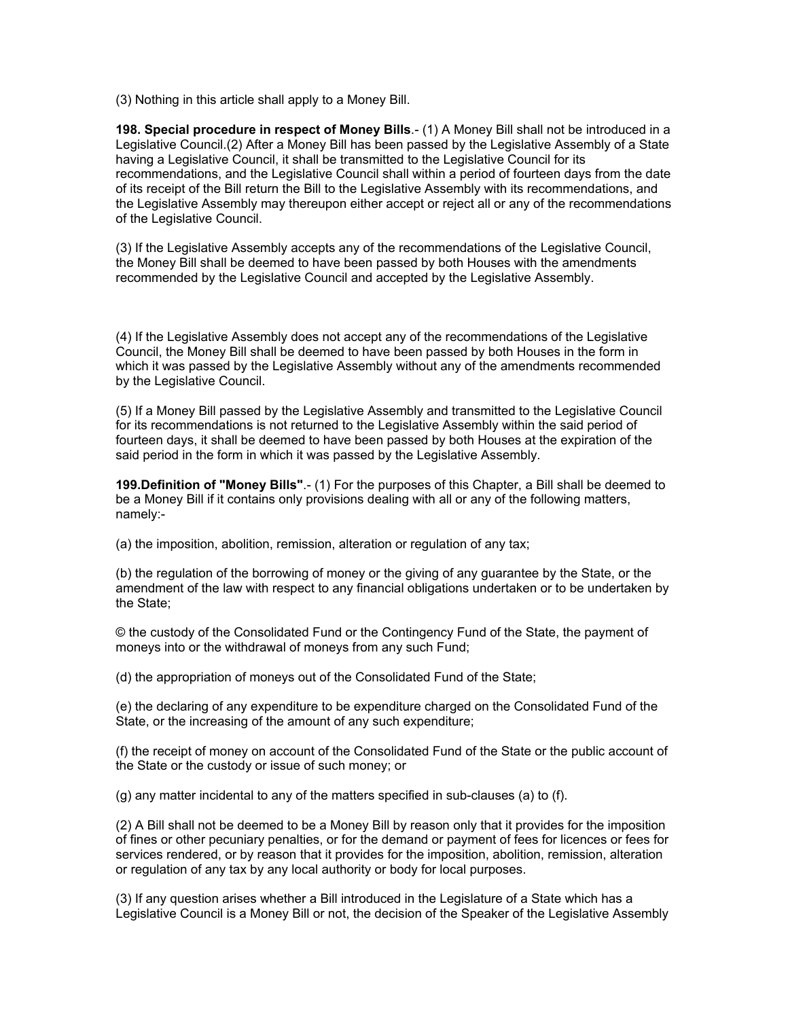(3) Nothing in this article shall apply to a Money Bill.

**198. Special procedure in respect of Money Bills**.- (1) A Money Bill shall not be introduced in a Legislative Council.(2) After a Money Bill has been passed by the Legislative Assembly of a State having a Legislative Council, it shall be transmitted to the Legislative Council for its recommendations, and the Legislative Council shall within a period of fourteen days from the date of its receipt of the Bill return the Bill to the Legislative Assembly with its recommendations, and the Legislative Assembly may thereupon either accept or reject all or any of the recommendations of the Legislative Council.

(3) If the Legislative Assembly accepts any of the recommendations of the Legislative Council, the Money Bill shall be deemed to have been passed by both Houses with the amendments recommended by the Legislative Council and accepted by the Legislative Assembly.

(4) If the Legislative Assembly does not accept any of the recommendations of the Legislative Council, the Money Bill shall be deemed to have been passed by both Houses in the form in which it was passed by the Legislative Assembly without any of the amendments recommended by the Legislative Council.

(5) If a Money Bill passed by the Legislative Assembly and transmitted to the Legislative Council for its recommendations is not returned to the Legislative Assembly within the said period of fourteen days, it shall be deemed to have been passed by both Houses at the expiration of the said period in the form in which it was passed by the Legislative Assembly.

**199.Definition of "Money Bills"**.- (1) For the purposes of this Chapter, a Bill shall be deemed to be a Money Bill if it contains only provisions dealing with all or any of the following matters, namely:-

(a) the imposition, abolition, remission, alteration or regulation of any tax;

(b) the regulation of the borrowing of money or the giving of any guarantee by the State, or the amendment of the law with respect to any financial obligations undertaken or to be undertaken by the State;

© the custody of the Consolidated Fund or the Contingency Fund of the State, the payment of moneys into or the withdrawal of moneys from any such Fund;

(d) the appropriation of moneys out of the Consolidated Fund of the State;

(e) the declaring of any expenditure to be expenditure charged on the Consolidated Fund of the State, or the increasing of the amount of any such expenditure;

(f) the receipt of money on account of the Consolidated Fund of the State or the public account of the State or the custody or issue of such money; or

(g) any matter incidental to any of the matters specified in sub-clauses (a) to (f).

(2) A Bill shall not be deemed to be a Money Bill by reason only that it provides for the imposition of fines or other pecuniary penalties, or for the demand or payment of fees for licences or fees for services rendered, or by reason that it provides for the imposition, abolition, remission, alteration or regulation of any tax by any local authority or body for local purposes.

(3) If any question arises whether a Bill introduced in the Legislature of a State which has a Legislative Council is a Money Bill or not, the decision of the Speaker of the Legislative Assembly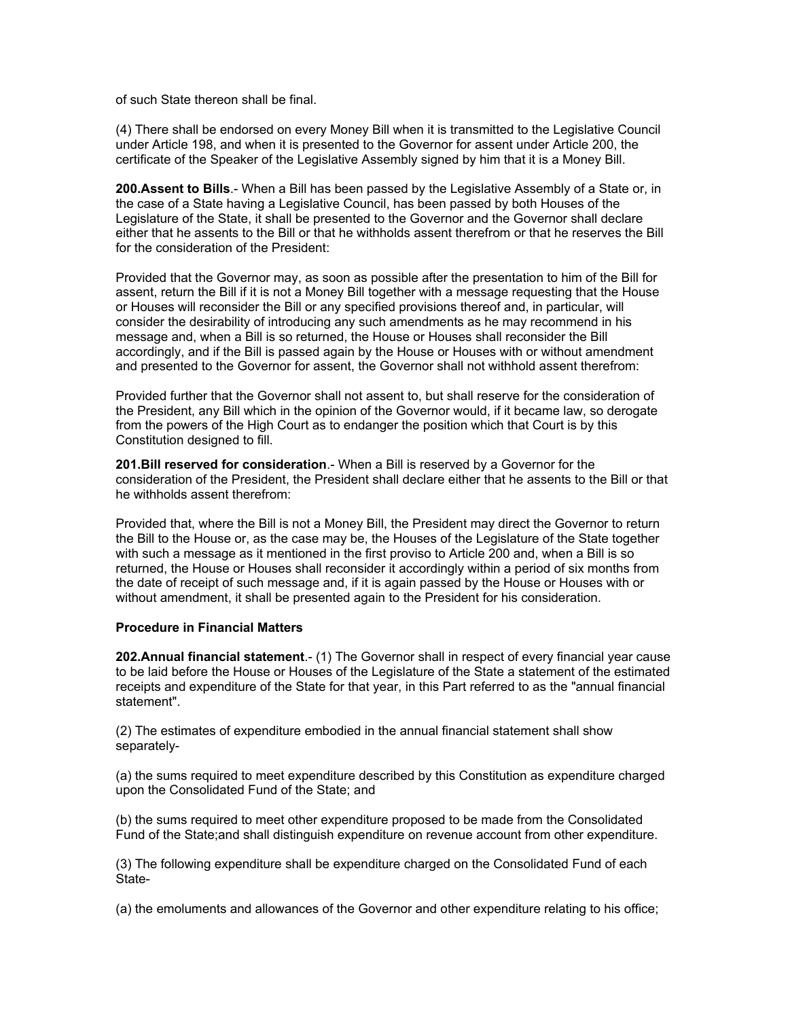of such State thereon shall be final.

(4) There shall be endorsed on every Money Bill when it is transmitted to the Legislative Council under Article 198, and when it is presented to the Governor for assent under Article 200, the certificate of the Speaker of the Legislative Assembly signed by him that it is a Money Bill.

**200.Assent to Bills**.- When a Bill has been passed by the Legislative Assembly of a State or, in the case of a State having a Legislative Council, has been passed by both Houses of the Legislature of the State, it shall be presented to the Governor and the Governor shall declare either that he assents to the Bill or that he withholds assent therefrom or that he reserves the Bill for the consideration of the President:

Provided that the Governor may, as soon as possible after the presentation to him of the Bill for assent, return the Bill if it is not a Money Bill together with a message requesting that the House or Houses will reconsider the Bill or any specified provisions thereof and, in particular, will consider the desirability of introducing any such amendments as he may recommend in his message and, when a Bill is so returned, the House or Houses shall reconsider the Bill accordingly, and if the Bill is passed again by the House or Houses with or without amendment and presented to the Governor for assent, the Governor shall not withhold assent therefrom:

Provided further that the Governor shall not assent to, but shall reserve for the consideration of the President, any Bill which in the opinion of the Governor would, if it became law, so derogate from the powers of the High Court as to endanger the position which that Court is by this Constitution designed to fill.

**201.Bill reserved for consideration**.- When a Bill is reserved by a Governor for the consideration of the President, the President shall declare either that he assents to the Bill or that he withholds assent therefrom:

Provided that, where the Bill is not a Money Bill, the President may direct the Governor to return the Bill to the House or, as the case may be, the Houses of the Legislature of the State together with such a message as it mentioned in the first proviso to Article 200 and, when a Bill is so returned, the House or Houses shall reconsider it accordingly within a period of six months from the date of receipt of such message and, if it is again passed by the House or Houses with or without amendment, it shall be presented again to the President for his consideration.

## **Procedure in Financial Matters**

**202.Annual financial statement**.- (1) The Governor shall in respect of every financial year cause to be laid before the House or Houses of the Legislature of the State a statement of the estimated receipts and expenditure of the State for that year, in this Part referred to as the "annual financial statement".

(2) The estimates of expenditure embodied in the annual financial statement shall show separately-

(a) the sums required to meet expenditure described by this Constitution as expenditure charged upon the Consolidated Fund of the State; and

(b) the sums required to meet other expenditure proposed to be made from the Consolidated Fund of the State;and shall distinguish expenditure on revenue account from other expenditure.

(3) The following expenditure shall be expenditure charged on the Consolidated Fund of each State-

(a) the emoluments and allowances of the Governor and other expenditure relating to his office;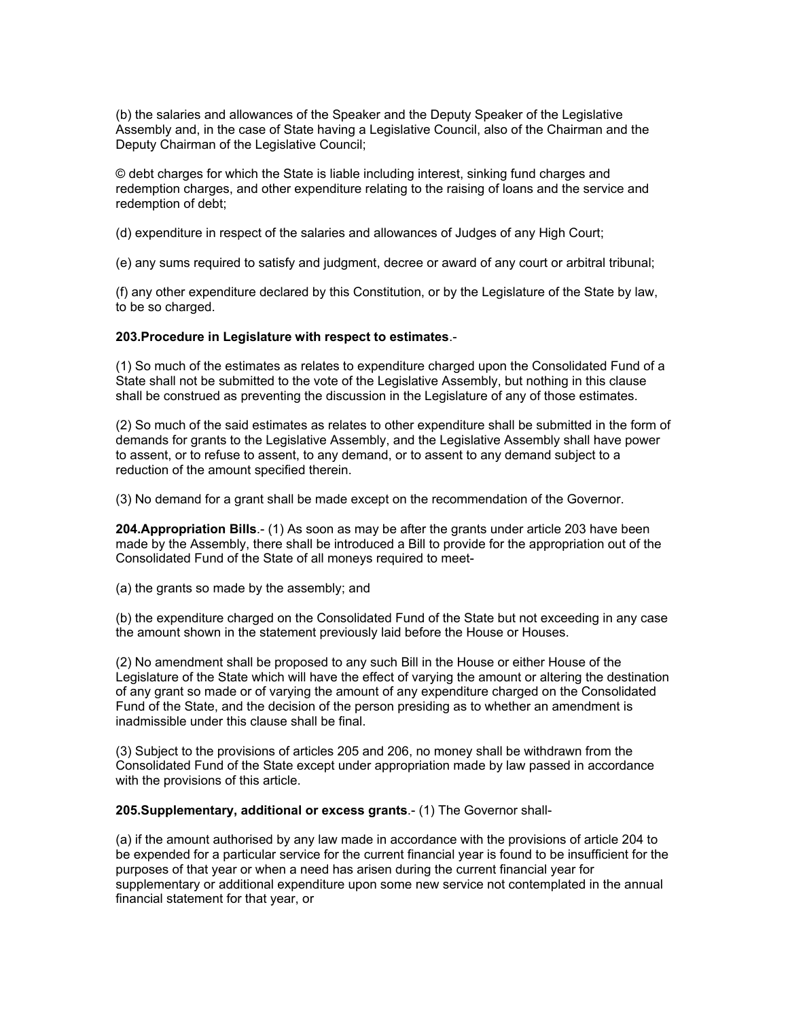(b) the salaries and allowances of the Speaker and the Deputy Speaker of the Legislative Assembly and, in the case of State having a Legislative Council, also of the Chairman and the Deputy Chairman of the Legislative Council;

© debt charges for which the State is liable including interest, sinking fund charges and redemption charges, and other expenditure relating to the raising of loans and the service and redemption of debt;

(d) expenditure in respect of the salaries and allowances of Judges of any High Court;

(e) any sums required to satisfy and judgment, decree or award of any court or arbitral tribunal;

(f) any other expenditure declared by this Constitution, or by the Legislature of the State by law, to be so charged.

### **203.Procedure in Legislature with respect to estimates**.-

(1) So much of the estimates as relates to expenditure charged upon the Consolidated Fund of a State shall not be submitted to the vote of the Legislative Assembly, but nothing in this clause shall be construed as preventing the discussion in the Legislature of any of those estimates.

(2) So much of the said estimates as relates to other expenditure shall be submitted in the form of demands for grants to the Legislative Assembly, and the Legislative Assembly shall have power to assent, or to refuse to assent, to any demand, or to assent to any demand subject to a reduction of the amount specified therein.

(3) No demand for a grant shall be made except on the recommendation of the Governor.

**204.Appropriation Bills**.- (1) As soon as may be after the grants under article 203 have been made by the Assembly, there shall be introduced a Bill to provide for the appropriation out of the Consolidated Fund of the State of all moneys required to meet-

(a) the grants so made by the assembly; and

(b) the expenditure charged on the Consolidated Fund of the State but not exceeding in any case the amount shown in the statement previously laid before the House or Houses.

(2) No amendment shall be proposed to any such Bill in the House or either House of the Legislature of the State which will have the effect of varying the amount or altering the destination of any grant so made or of varying the amount of any expenditure charged on the Consolidated Fund of the State, and the decision of the person presiding as to whether an amendment is inadmissible under this clause shall be final.

(3) Subject to the provisions of articles 205 and 206, no money shall be withdrawn from the Consolidated Fund of the State except under appropriation made by law passed in accordance with the provisions of this article.

**205.Supplementary, additional or excess grants**.- (1) The Governor shall-

(a) if the amount authorised by any law made in accordance with the provisions of article 204 to be expended for a particular service for the current financial year is found to be insufficient for the purposes of that year or when a need has arisen during the current financial year for supplementary or additional expenditure upon some new service not contemplated in the annual financial statement for that year, or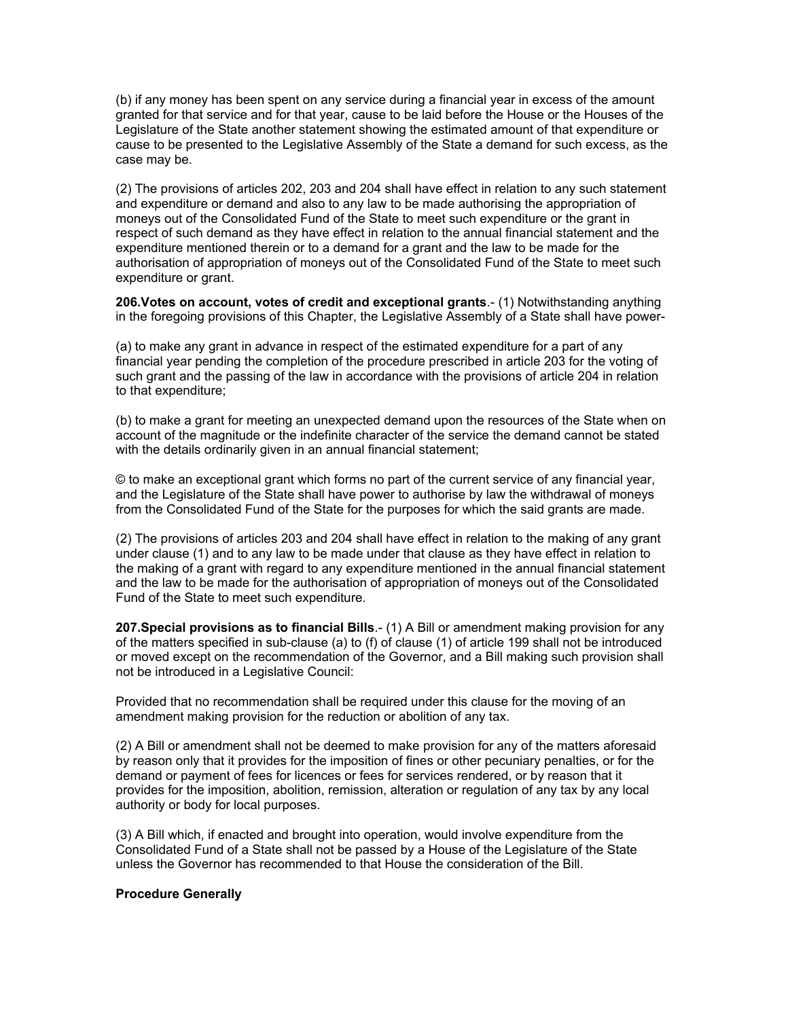(b) if any money has been spent on any service during a financial year in excess of the amount granted for that service and for that year, cause to be laid before the House or the Houses of the Legislature of the State another statement showing the estimated amount of that expenditure or cause to be presented to the Legislative Assembly of the State a demand for such excess, as the case may be.

(2) The provisions of articles 202, 203 and 204 shall have effect in relation to any such statement and expenditure or demand and also to any law to be made authorising the appropriation of moneys out of the Consolidated Fund of the State to meet such expenditure or the grant in respect of such demand as they have effect in relation to the annual financial statement and the expenditure mentioned therein or to a demand for a grant and the law to be made for the authorisation of appropriation of moneys out of the Consolidated Fund of the State to meet such expenditure or grant.

**206.Votes on account, votes of credit and exceptional grants**.- (1) Notwithstanding anything in the foregoing provisions of this Chapter, the Legislative Assembly of a State shall have power-

(a) to make any grant in advance in respect of the estimated expenditure for a part of any financial year pending the completion of the procedure prescribed in article 203 for the voting of such grant and the passing of the law in accordance with the provisions of article 204 in relation to that expenditure;

(b) to make a grant for meeting an unexpected demand upon the resources of the State when on account of the magnitude or the indefinite character of the service the demand cannot be stated with the details ordinarily given in an annual financial statement;

© to make an exceptional grant which forms no part of the current service of any financial year, and the Legislature of the State shall have power to authorise by law the withdrawal of moneys from the Consolidated Fund of the State for the purposes for which the said grants are made.

(2) The provisions of articles 203 and 204 shall have effect in relation to the making of any grant under clause (1) and to any law to be made under that clause as they have effect in relation to the making of a grant with regard to any expenditure mentioned in the annual financial statement and the law to be made for the authorisation of appropriation of moneys out of the Consolidated Fund of the State to meet such expenditure.

**207.Special provisions as to financial Bills**.- (1) A Bill or amendment making provision for any of the matters specified in sub-clause (a) to (f) of clause (1) of article 199 shall not be introduced or moved except on the recommendation of the Governor, and a Bill making such provision shall not be introduced in a Legislative Council:

Provided that no recommendation shall be required under this clause for the moving of an amendment making provision for the reduction or abolition of any tax.

(2) A Bill or amendment shall not be deemed to make provision for any of the matters aforesaid by reason only that it provides for the imposition of fines or other pecuniary penalties, or for the demand or payment of fees for licences or fees for services rendered, or by reason that it provides for the imposition, abolition, remission, alteration or regulation of any tax by any local authority or body for local purposes.

(3) A Bill which, if enacted and brought into operation, would involve expenditure from the Consolidated Fund of a State shall not be passed by a House of the Legislature of the State unless the Governor has recommended to that House the consideration of the Bill.

#### **Procedure Generally**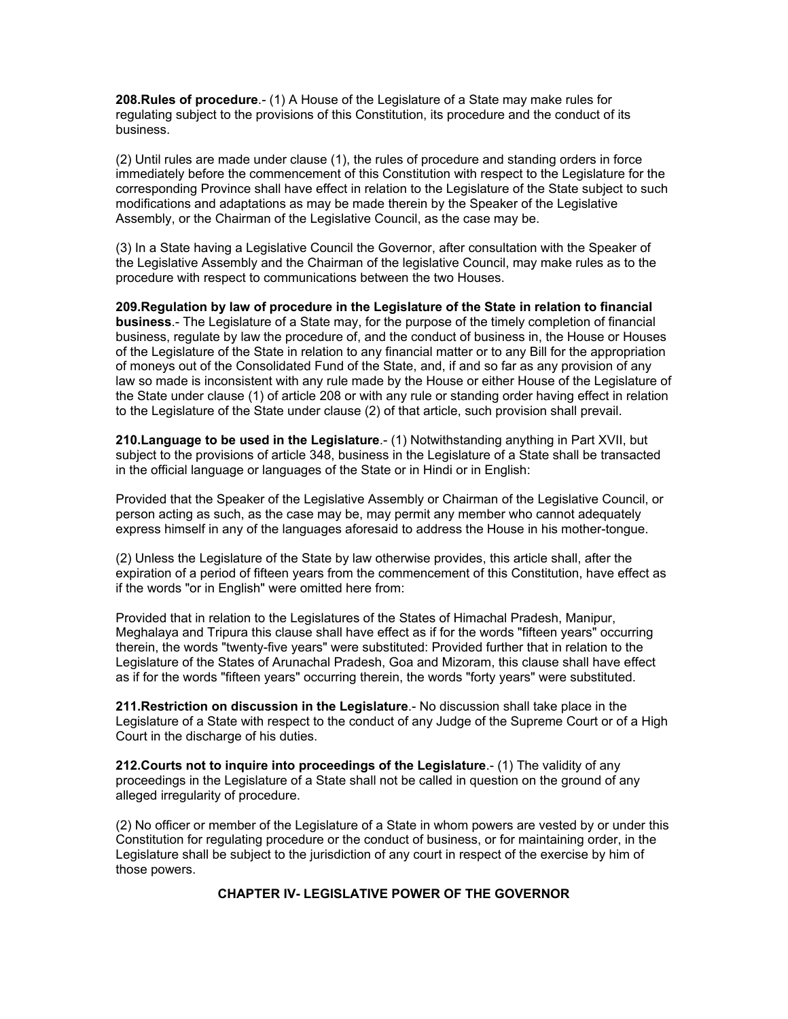**208.Rules of procedure**.- (1) A House of the Legislature of a State may make rules for regulating subject to the provisions of this Constitution, its procedure and the conduct of its business.

(2) Until rules are made under clause (1), the rules of procedure and standing orders in force immediately before the commencement of this Constitution with respect to the Legislature for the corresponding Province shall have effect in relation to the Legislature of the State subject to such modifications and adaptations as may be made therein by the Speaker of the Legislative Assembly, or the Chairman of the Legislative Council, as the case may be.

(3) In a State having a Legislative Council the Governor, after consultation with the Speaker of the Legislative Assembly and the Chairman of the legislative Council, may make rules as to the procedure with respect to communications between the two Houses.

**209.Regulation by law of procedure in the Legislature of the State in relation to financial business**.- The Legislature of a State may, for the purpose of the timely completion of financial business, regulate by law the procedure of, and the conduct of business in, the House or Houses of the Legislature of the State in relation to any financial matter or to any Bill for the appropriation of moneys out of the Consolidated Fund of the State, and, if and so far as any provision of any law so made is inconsistent with any rule made by the House or either House of the Legislature of the State under clause (1) of article 208 or with any rule or standing order having effect in relation to the Legislature of the State under clause (2) of that article, such provision shall prevail.

**210.Language to be used in the Legislature**.- (1) Notwithstanding anything in Part XVII, but subject to the provisions of article 348, business in the Legislature of a State shall be transacted in the official language or languages of the State or in Hindi or in English:

Provided that the Speaker of the Legislative Assembly or Chairman of the Legislative Council, or person acting as such, as the case may be, may permit any member who cannot adequately express himself in any of the languages aforesaid to address the House in his mother-tongue.

(2) Unless the Legislature of the State by law otherwise provides, this article shall, after the expiration of a period of fifteen years from the commencement of this Constitution, have effect as if the words "or in English" were omitted here from:

Provided that in relation to the Legislatures of the States of Himachal Pradesh, Manipur, Meghalaya and Tripura this clause shall have effect as if for the words "fifteen years" occurring therein, the words "twenty-five years" were substituted: Provided further that in relation to the Legislature of the States of Arunachal Pradesh, Goa and Mizoram, this clause shall have effect as if for the words "fifteen years" occurring therein, the words "forty years" were substituted.

**211.Restriction on discussion in the Legislature**.- No discussion shall take place in the Legislature of a State with respect to the conduct of any Judge of the Supreme Court or of a High Court in the discharge of his duties.

**212.Courts not to inquire into proceedings of the Legislature**.- (1) The validity of any proceedings in the Legislature of a State shall not be called in question on the ground of any alleged irregularity of procedure.

(2) No officer or member of the Legislature of a State in whom powers are vested by or under this Constitution for regulating procedure or the conduct of business, or for maintaining order, in the Legislature shall be subject to the jurisdiction of any court in respect of the exercise by him of those powers.

### **CHAPTER IV- LEGISLATIVE POWER OF THE GOVERNOR**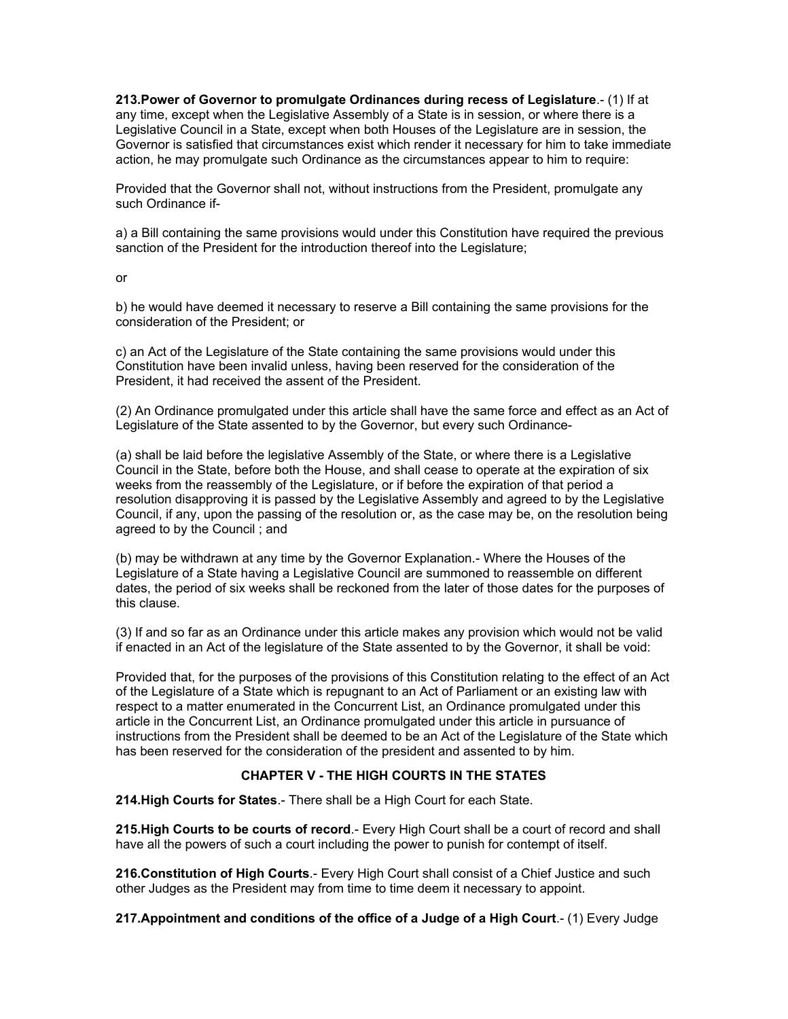**213.Power of Governor to promulgate Ordinances during recess of Legislature**.- (1) If at any time, except when the Legislative Assembly of a State is in session, or where there is a Legislative Council in a State, except when both Houses of the Legislature are in session, the Governor is satisfied that circumstances exist which render it necessary for him to take immediate action, he may promulgate such Ordinance as the circumstances appear to him to require:

Provided that the Governor shall not, without instructions from the President, promulgate any such Ordinance if-

a) a Bill containing the same provisions would under this Constitution have required the previous sanction of the President for the introduction thereof into the Legislature;

or

b) he would have deemed it necessary to reserve a Bill containing the same provisions for the consideration of the President; or

c) an Act of the Legislature of the State containing the same provisions would under this Constitution have been invalid unless, having been reserved for the consideration of the President, it had received the assent of the President.

(2) An Ordinance promulgated under this article shall have the same force and effect as an Act of Legislature of the State assented to by the Governor, but every such Ordinance-

(a) shall be laid before the legislative Assembly of the State, or where there is a Legislative Council in the State, before both the House, and shall cease to operate at the expiration of six weeks from the reassembly of the Legislature, or if before the expiration of that period a resolution disapproving it is passed by the Legislative Assembly and agreed to by the Legislative Council, if any, upon the passing of the resolution or, as the case may be, on the resolution being agreed to by the Council ; and

(b) may be withdrawn at any time by the Governor Explanation.- Where the Houses of the Legislature of a State having a Legislative Council are summoned to reassemble on different dates, the period of six weeks shall be reckoned from the later of those dates for the purposes of this clause.

(3) If and so far as an Ordinance under this article makes any provision which would not be valid if enacted in an Act of the legislature of the State assented to by the Governor, it shall be void:

Provided that, for the purposes of the provisions of this Constitution relating to the effect of an Act of the Legislature of a State which is repugnant to an Act of Parliament or an existing law with respect to a matter enumerated in the Concurrent List, an Ordinance promulgated under this article in the Concurrent List, an Ordinance promulgated under this article in pursuance of instructions from the President shall be deemed to be an Act of the Legislature of the State which has been reserved for the consideration of the president and assented to by him.

# **CHAPTER V - THE HIGH COURTS IN THE STATES**

**214.High Courts for States**.- There shall be a High Court for each State.

**215.High Courts to be courts of record**.- Every High Court shall be a court of record and shall have all the powers of such a court including the power to punish for contempt of itself.

**216.Constitution of High Courts**.- Every High Court shall consist of a Chief Justice and such other Judges as the President may from time to time deem it necessary to appoint.

**217.Appointment and conditions of the office of a Judge of a High Court**.- (1) Every Judge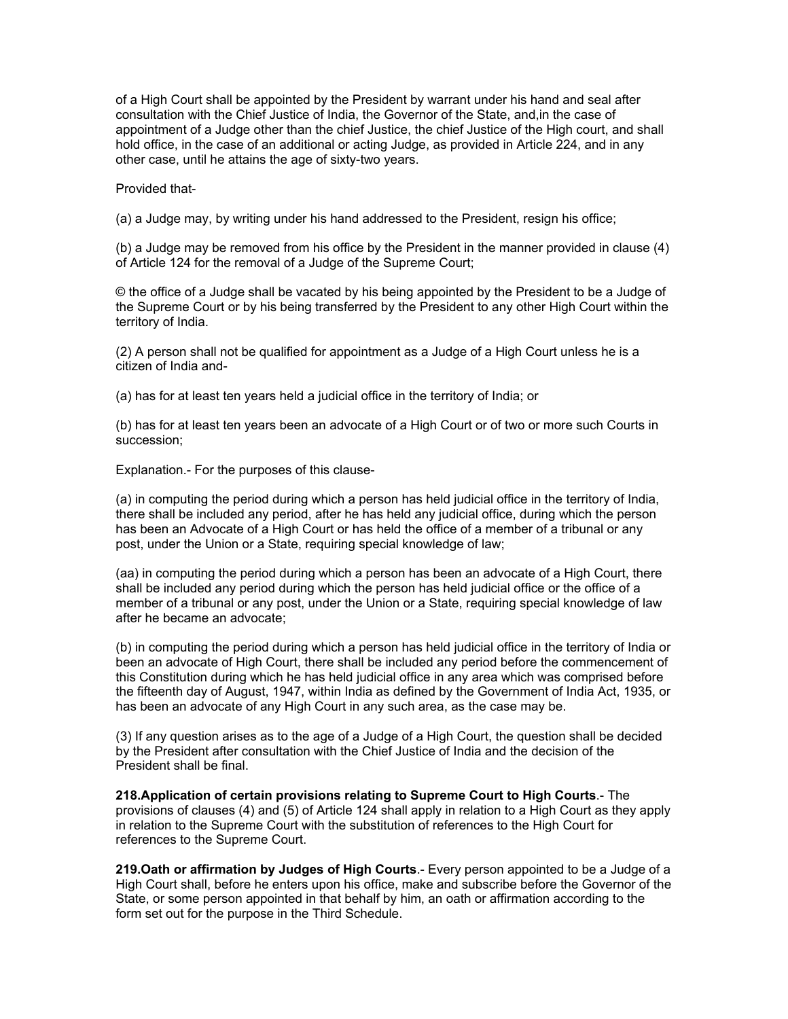of a High Court shall be appointed by the President by warrant under his hand and seal after consultation with the Chief Justice of India, the Governor of the State, and,in the case of appointment of a Judge other than the chief Justice, the chief Justice of the High court, and shall hold office, in the case of an additional or acting Judge, as provided in Article 224, and in any other case, until he attains the age of sixty-two years.

Provided that-

(a) a Judge may, by writing under his hand addressed to the President, resign his office;

(b) a Judge may be removed from his office by the President in the manner provided in clause (4) of Article 124 for the removal of a Judge of the Supreme Court;

© the office of a Judge shall be vacated by his being appointed by the President to be a Judge of the Supreme Court or by his being transferred by the President to any other High Court within the territory of India.

(2) A person shall not be qualified for appointment as a Judge of a High Court unless he is a citizen of India and-

(a) has for at least ten years held a judicial office in the territory of India; or

(b) has for at least ten years been an advocate of a High Court or of two or more such Courts in succession;

Explanation.- For the purposes of this clause-

(a) in computing the period during which a person has held judicial office in the territory of India, there shall be included any period, after he has held any judicial office, during which the person has been an Advocate of a High Court or has held the office of a member of a tribunal or any post, under the Union or a State, requiring special knowledge of law;

(aa) in computing the period during which a person has been an advocate of a High Court, there shall be included any period during which the person has held judicial office or the office of a member of a tribunal or any post, under the Union or a State, requiring special knowledge of law after he became an advocate;

(b) in computing the period during which a person has held judicial office in the territory of India or been an advocate of High Court, there shall be included any period before the commencement of this Constitution during which he has held judicial office in any area which was comprised before the fifteenth day of August, 1947, within India as defined by the Government of India Act, 1935, or has been an advocate of any High Court in any such area, as the case may be.

(3) If any question arises as to the age of a Judge of a High Court, the question shall be decided by the President after consultation with the Chief Justice of India and the decision of the President shall be final.

**218.Application of certain provisions relating to Supreme Court to High Courts**.- The provisions of clauses (4) and (5) of Article 124 shall apply in relation to a High Court as they apply in relation to the Supreme Court with the substitution of references to the High Court for references to the Supreme Court.

**219.Oath or affirmation by Judges of High Courts**.- Every person appointed to be a Judge of a High Court shall, before he enters upon his office, make and subscribe before the Governor of the State, or some person appointed in that behalf by him, an oath or affirmation according to the form set out for the purpose in the Third Schedule.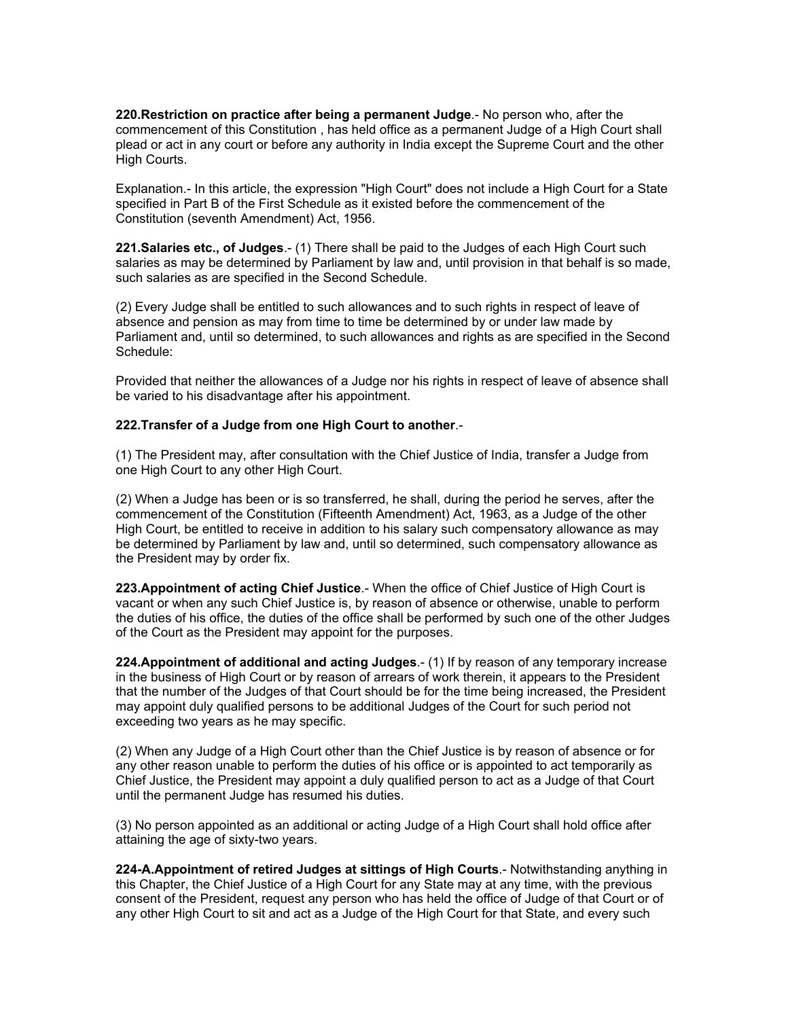**220.Restriction on practice after being a permanent Judge**.- No person who, after the commencement of this Constitution , has held office as a permanent Judge of a High Court shall plead or act in any court or before any authority in India except the Supreme Court and the other High Courts.

Explanation.- In this article, the expression "High Court" does not include a High Court for a State specified in Part B of the First Schedule as it existed before the commencement of the Constitution (seventh Amendment) Act, 1956.

**221.Salaries etc., of Judges**.- (1) There shall be paid to the Judges of each High Court such salaries as may be determined by Parliament by law and, until provision in that behalf is so made, such salaries as are specified in the Second Schedule.

(2) Every Judge shall be entitled to such allowances and to such rights in respect of leave of absence and pension as may from time to time be determined by or under law made by Parliament and, until so determined, to such allowances and rights as are specified in the Second Schedule:

Provided that neither the allowances of a Judge nor his rights in respect of leave of absence shall be varied to his disadvantage after his appointment.

### **222.Transfer of a Judge from one High Court to another**.-

(1) The President may, after consultation with the Chief Justice of India, transfer a Judge from one High Court to any other High Court.

(2) When a Judge has been or is so transferred, he shall, during the period he serves, after the commencement of the Constitution (Fifteenth Amendment) Act, 1963, as a Judge of the other High Court, be entitled to receive in addition to his salary such compensatory allowance as may be determined by Parliament by law and, until so determined, such compensatory allowance as the President may by order fix.

**223.Appointment of acting Chief Justice**.- When the office of Chief Justice of High Court is vacant or when any such Chief Justice is, by reason of absence or otherwise, unable to perform the duties of his office, the duties of the office shall be performed by such one of the other Judges of the Court as the President may appoint for the purposes.

**224.Appointment of additional and acting Judges**.- (1) If by reason of any temporary increase in the business of High Court or by reason of arrears of work therein, it appears to the President that the number of the Judges of that Court should be for the time being increased, the President may appoint duly qualified persons to be additional Judges of the Court for such period not exceeding two years as he may specific.

(2) When any Judge of a High Court other than the Chief Justice is by reason of absence or for any other reason unable to perform the duties of his office or is appointed to act temporarily as Chief Justice, the President may appoint a duly qualified person to act as a Judge of that Court until the permanent Judge has resumed his duties.

(3) No person appointed as an additional or acting Judge of a High Court shall hold office after attaining the age of sixty-two years.

**224-A.Appointment of retired Judges at sittings of High Courts**.- Notwithstanding anything in this Chapter, the Chief Justice of a High Court for any State may at any time, with the previous consent of the President, request any person who has held the office of Judge of that Court or of any other High Court to sit and act as a Judge of the High Court for that State, and every such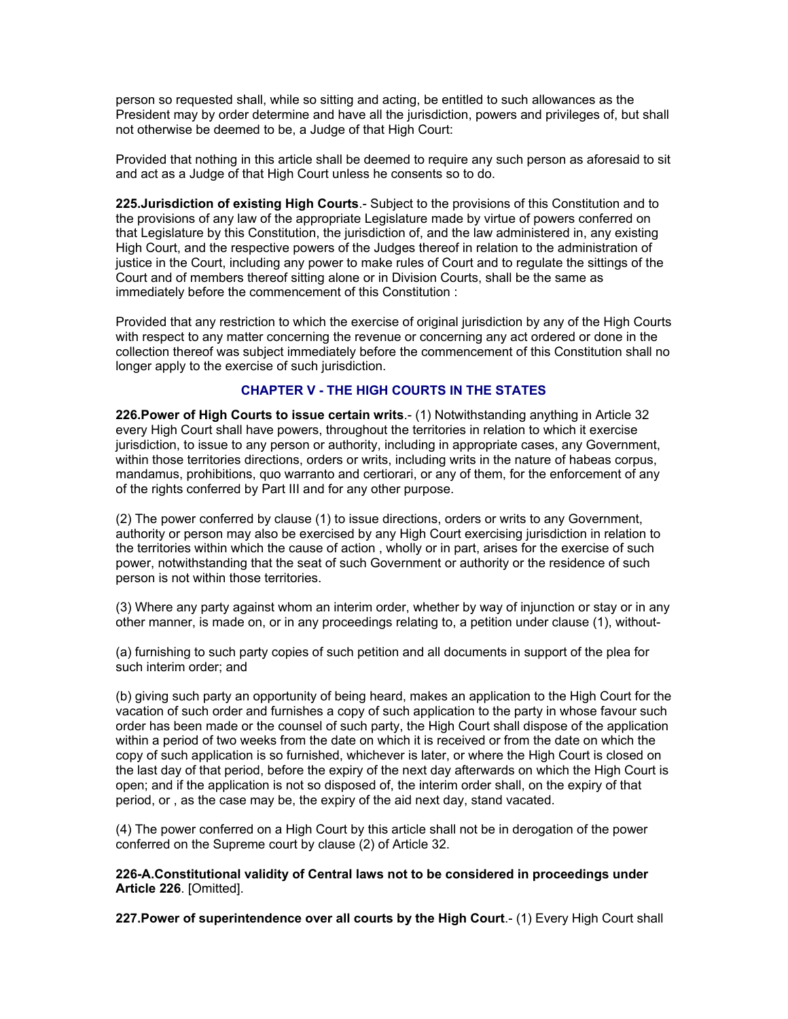person so requested shall, while so sitting and acting, be entitled to such allowances as the President may by order determine and have all the jurisdiction, powers and privileges of, but shall not otherwise be deemed to be, a Judge of that High Court:

Provided that nothing in this article shall be deemed to require any such person as aforesaid to sit and act as a Judge of that High Court unless he consents so to do.

**225.Jurisdiction of existing High Courts**.- Subject to the provisions of this Constitution and to the provisions of any law of the appropriate Legislature made by virtue of powers conferred on that Legislature by this Constitution, the jurisdiction of, and the law administered in, any existing High Court, and the respective powers of the Judges thereof in relation to the administration of justice in the Court, including any power to make rules of Court and to regulate the sittings of the Court and of members thereof sitting alone or in Division Courts, shall be the same as immediately before the commencement of this Constitution :

Provided that any restriction to which the exercise of original jurisdiction by any of the High Courts with respect to any matter concerning the revenue or concerning any act ordered or done in the collection thereof was subject immediately before the commencement of this Constitution shall no longer apply to the exercise of such jurisdiction.

## **CHAPTER V - THE HIGH COURTS IN THE STATES**

**226.Power of High Courts to issue certain writs**.- (1) Notwithstanding anything in Article 32 every High Court shall have powers, throughout the territories in relation to which it exercise jurisdiction, to issue to any person or authority, including in appropriate cases, any Government, within those territories directions, orders or writs, including writs in the nature of habeas corpus, mandamus, prohibitions, quo warranto and certiorari, or any of them, for the enforcement of any of the rights conferred by Part III and for any other purpose.

(2) The power conferred by clause (1) to issue directions, orders or writs to any Government, authority or person may also be exercised by any High Court exercising jurisdiction in relation to the territories within which the cause of action , wholly or in part, arises for the exercise of such power, notwithstanding that the seat of such Government or authority or the residence of such person is not within those territories.

(3) Where any party against whom an interim order, whether by way of injunction or stay or in any other manner, is made on, or in any proceedings relating to, a petition under clause (1), without-

(a) furnishing to such party copies of such petition and all documents in support of the plea for such interim order; and

(b) giving such party an opportunity of being heard, makes an application to the High Court for the vacation of such order and furnishes a copy of such application to the party in whose favour such order has been made or the counsel of such party, the High Court shall dispose of the application within a period of two weeks from the date on which it is received or from the date on which the copy of such application is so furnished, whichever is later, or where the High Court is closed on the last day of that period, before the expiry of the next day afterwards on which the High Court is open; and if the application is not so disposed of, the interim order shall, on the expiry of that period, or , as the case may be, the expiry of the aid next day, stand vacated.

(4) The power conferred on a High Court by this article shall not be in derogation of the power conferred on the Supreme court by clause (2) of Article 32.

**226-A.Constitutional validity of Central laws not to be considered in proceedings under Article 226**. [Omitted].

**227.Power of superintendence over all courts by the High Court**.- (1) Every High Court shall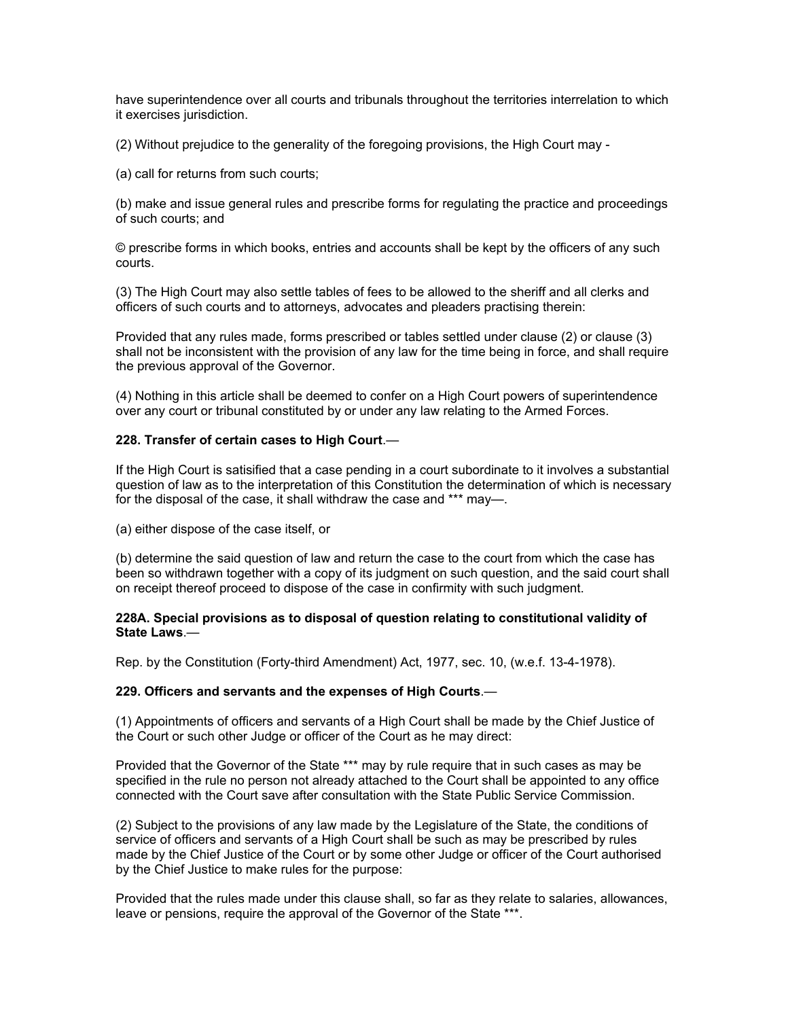have superintendence over all courts and tribunals throughout the territories interrelation to which it exercises jurisdiction.

(2) Without prejudice to the generality of the foregoing provisions, the High Court may -

(a) call for returns from such courts;

(b) make and issue general rules and prescribe forms for regulating the practice and proceedings of such courts; and

© prescribe forms in which books, entries and accounts shall be kept by the officers of any such courts.

(3) The High Court may also settle tables of fees to be allowed to the sheriff and all clerks and officers of such courts and to attorneys, advocates and pleaders practising therein:

Provided that any rules made, forms prescribed or tables settled under clause (2) or clause (3) shall not be inconsistent with the provision of any law for the time being in force, and shall require the previous approval of the Governor.

(4) Nothing in this article shall be deemed to confer on a High Court powers of superintendence over any court or tribunal constituted by or under any law relating to the Armed Forces.

### **228. Transfer of certain cases to High Court**.—

If the High Court is satisified that a case pending in a court subordinate to it involves a substantial question of law as to the interpretation of this Constitution the determination of which is necessary for the disposal of the case, it shall withdraw the case and \*\*\* may—.

(a) either dispose of the case itself, or

(b) determine the said question of law and return the case to the court from which the case has been so withdrawn together with a copy of its judgment on such question, and the said court shall on receipt thereof proceed to dispose of the case in confirmity with such judgment.

#### **228A. Special provisions as to disposal of question relating to constitutional validity of State Laws**.—

Rep. by the Constitution (Forty-third Amendment) Act, 1977, sec. 10, (w.e.f. 13-4-1978).

#### **229. Officers and servants and the expenses of High Courts**.—

(1) Appointments of officers and servants of a High Court shall be made by the Chief Justice of the Court or such other Judge or officer of the Court as he may direct:

Provided that the Governor of the State \*\*\* may by rule require that in such cases as may be specified in the rule no person not already attached to the Court shall be appointed to any office connected with the Court save after consultation with the State Public Service Commission.

(2) Subject to the provisions of any law made by the Legislature of the State, the conditions of service of officers and servants of a High Court shall be such as may be prescribed by rules made by the Chief Justice of the Court or by some other Judge or officer of the Court authorised by the Chief Justice to make rules for the purpose:

Provided that the rules made under this clause shall, so far as they relate to salaries, allowances, leave or pensions, require the approval of the Governor of the State \*\*\*.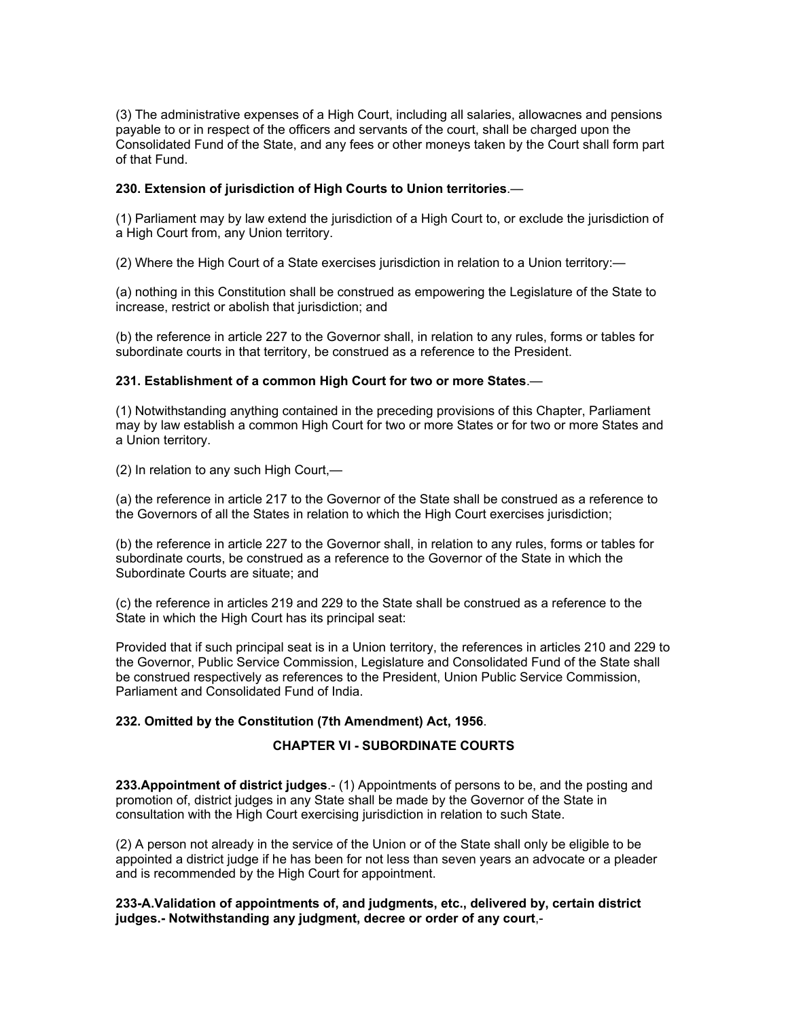(3) The administrative expenses of a High Court, including all salaries, allowacnes and pensions payable to or in respect of the officers and servants of the court, shall be charged upon the Consolidated Fund of the State, and any fees or other moneys taken by the Court shall form part of that Fund.

## **230. Extension of jurisdiction of High Courts to Union territories**.—

(1) Parliament may by law extend the jurisdiction of a High Court to, or exclude the jurisdiction of a High Court from, any Union territory.

(2) Where the High Court of a State exercises jurisdiction in relation to a Union territory:—

(a) nothing in this Constitution shall be construed as empowering the Legislature of the State to increase, restrict or abolish that jurisdiction; and

(b) the reference in article 227 to the Governor shall, in relation to any rules, forms or tables for subordinate courts in that territory, be construed as a reference to the President.

## **231. Establishment of a common High Court for two or more States**.—

(1) Notwithstanding anything contained in the preceding provisions of this Chapter, Parliament may by law establish a common High Court for two or more States or for two or more States and a Union territory.

(2) In relation to any such High Court,—

(a) the reference in article 217 to the Governor of the State shall be construed as a reference to the Governors of all the States in relation to which the High Court exercises jurisdiction;

(b) the reference in article 227 to the Governor shall, in relation to any rules, forms or tables for subordinate courts, be construed as a reference to the Governor of the State in which the Subordinate Courts are situate; and

(c) the reference in articles 219 and 229 to the State shall be construed as a reference to the State in which the High Court has its principal seat:

Provided that if such principal seat is in a Union territory, the references in articles 210 and 229 to the Governor, Public Service Commission, Legislature and Consolidated Fund of the State shall be construed respectively as references to the President, Union Public Service Commission, Parliament and Consolidated Fund of India.

# **232. Omitted by the Constitution (7th Amendment) Act, 1956**.

# **CHAPTER VI - SUBORDINATE COURTS**

**233.Appointment of district judges**.- (1) Appointments of persons to be, and the posting and promotion of, district judges in any State shall be made by the Governor of the State in consultation with the High Court exercising jurisdiction in relation to such State.

(2) A person not already in the service of the Union or of the State shall only be eligible to be appointed a district judge if he has been for not less than seven years an advocate or a pleader and is recommended by the High Court for appointment.

**233-A.Validation of appointments of, and judgments, etc., delivered by, certain district judges.- Notwithstanding any judgment, decree or order of any court**,-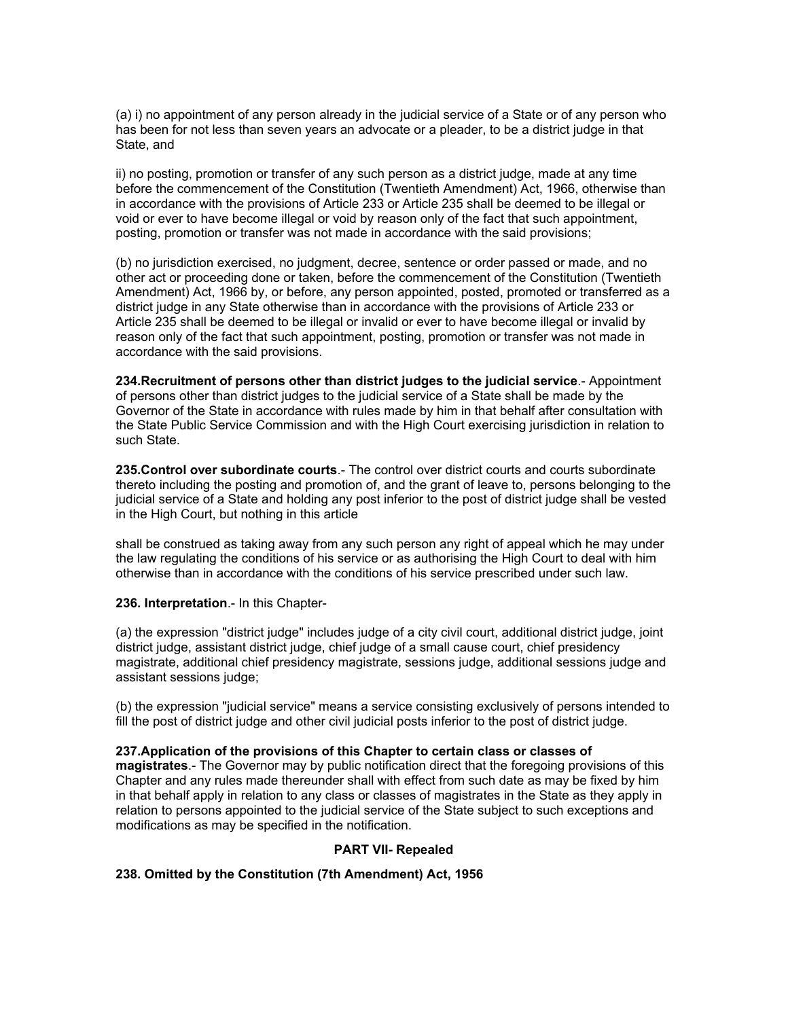(a) i) no appointment of any person already in the judicial service of a State or of any person who has been for not less than seven years an advocate or a pleader, to be a district judge in that State, and

ii) no posting, promotion or transfer of any such person as a district judge, made at any time before the commencement of the Constitution (Twentieth Amendment) Act, 1966, otherwise than in accordance with the provisions of Article 233 or Article 235 shall be deemed to be illegal or void or ever to have become illegal or void by reason only of the fact that such appointment, posting, promotion or transfer was not made in accordance with the said provisions;

(b) no jurisdiction exercised, no judgment, decree, sentence or order passed or made, and no other act or proceeding done or taken, before the commencement of the Constitution (Twentieth Amendment) Act, 1966 by, or before, any person appointed, posted, promoted or transferred as a district judge in any State otherwise than in accordance with the provisions of Article 233 or Article 235 shall be deemed to be illegal or invalid or ever to have become illegal or invalid by reason only of the fact that such appointment, posting, promotion or transfer was not made in accordance with the said provisions.

**234.Recruitment of persons other than district judges to the judicial service**.- Appointment of persons other than district judges to the judicial service of a State shall be made by the Governor of the State in accordance with rules made by him in that behalf after consultation with the State Public Service Commission and with the High Court exercising jurisdiction in relation to such State.

**235.Control over subordinate courts**.- The control over district courts and courts subordinate thereto including the posting and promotion of, and the grant of leave to, persons belonging to the judicial service of a State and holding any post inferior to the post of district judge shall be vested in the High Court, but nothing in this article

shall be construed as taking away from any such person any right of appeal which he may under the law regulating the conditions of his service or as authorising the High Court to deal with him otherwise than in accordance with the conditions of his service prescribed under such law.

#### **236. Interpretation**.- In this Chapter-

(a) the expression "district judge" includes judge of a city civil court, additional district judge, joint district judge, assistant district judge, chief judge of a small cause court, chief presidency magistrate, additional chief presidency magistrate, sessions judge, additional sessions judge and assistant sessions judge;

(b) the expression "judicial service" means a service consisting exclusively of persons intended to fill the post of district judge and other civil judicial posts inferior to the post of district judge.

#### **237.Application of the provisions of this Chapter to certain class or classes of**

**magistrates**.- The Governor may by public notification direct that the foregoing provisions of this Chapter and any rules made thereunder shall with effect from such date as may be fixed by him in that behalf apply in relation to any class or classes of magistrates in the State as they apply in relation to persons appointed to the judicial service of the State subject to such exceptions and modifications as may be specified in the notification.

#### **PART VII- Repealed**

## **238. Omitted by the Constitution (7th Amendment) Act, 1956**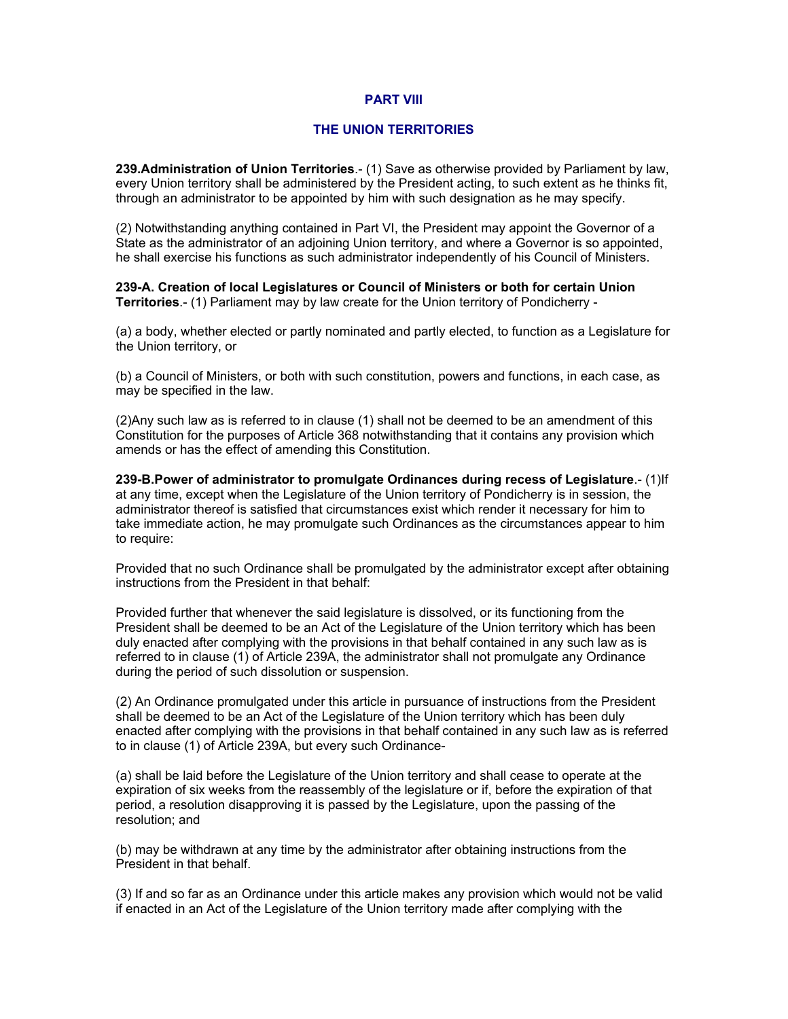## **PART VIII**

#### **THE UNION TERRITORIES**

**239.Administration of Union Territories**.- (1) Save as otherwise provided by Parliament by law, every Union territory shall be administered by the President acting, to such extent as he thinks fit, through an administrator to be appointed by him with such designation as he may specify.

(2) Notwithstanding anything contained in Part VI, the President may appoint the Governor of a State as the administrator of an adjoining Union territory, and where a Governor is so appointed, he shall exercise his functions as such administrator independently of his Council of Ministers.

**239-A. Creation of local Legislatures or Council of Ministers or both for certain Union Territories**.- (1) Parliament may by law create for the Union territory of Pondicherry -

(a) a body, whether elected or partly nominated and partly elected, to function as a Legislature for the Union territory, or

(b) a Council of Ministers, or both with such constitution, powers and functions, in each case, as may be specified in the law.

(2)Any such law as is referred to in clause (1) shall not be deemed to be an amendment of this Constitution for the purposes of Article 368 notwithstanding that it contains any provision which amends or has the effect of amending this Constitution.

**239-B.Power of administrator to promulgate Ordinances during recess of Legislature**.- (1)If at any time, except when the Legislature of the Union territory of Pondicherry is in session, the administrator thereof is satisfied that circumstances exist which render it necessary for him to take immediate action, he may promulgate such Ordinances as the circumstances appear to him to require:

Provided that no such Ordinance shall be promulgated by the administrator except after obtaining instructions from the President in that behalf:

Provided further that whenever the said legislature is dissolved, or its functioning from the President shall be deemed to be an Act of the Legislature of the Union territory which has been duly enacted after complying with the provisions in that behalf contained in any such law as is referred to in clause (1) of Article 239A, the administrator shall not promulgate any Ordinance during the period of such dissolution or suspension.

(2) An Ordinance promulgated under this article in pursuance of instructions from the President shall be deemed to be an Act of the Legislature of the Union territory which has been duly enacted after complying with the provisions in that behalf contained in any such law as is referred to in clause (1) of Article 239A, but every such Ordinance-

(a) shall be laid before the Legislature of the Union territory and shall cease to operate at the expiration of six weeks from the reassembly of the legislature or if, before the expiration of that period, a resolution disapproving it is passed by the Legislature, upon the passing of the resolution; and

(b) may be withdrawn at any time by the administrator after obtaining instructions from the President in that behalf.

(3) If and so far as an Ordinance under this article makes any provision which would not be valid if enacted in an Act of the Legislature of the Union territory made after complying with the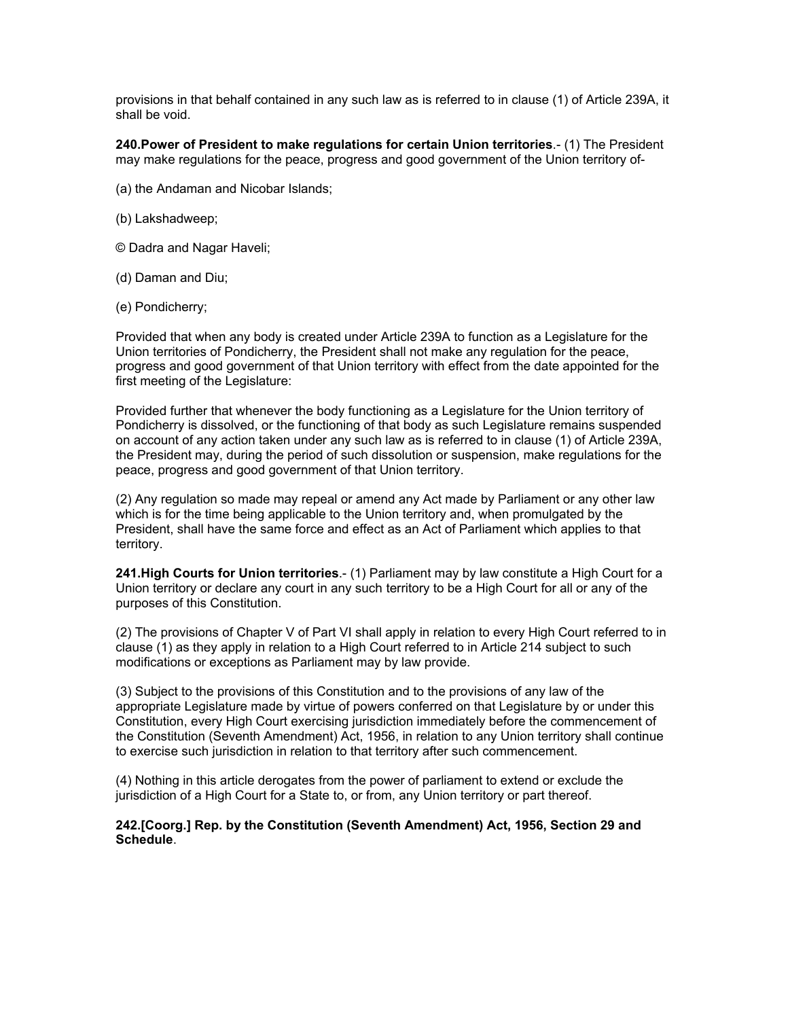provisions in that behalf contained in any such law as is referred to in clause (1) of Article 239A, it shall be void.

**240.Power of President to make regulations for certain Union territories**.- (1) The President may make regulations for the peace, progress and good government of the Union territory of-

- (a) the Andaman and Nicobar Islands;
- (b) Lakshadweep;
- © Dadra and Nagar Haveli;
- (d) Daman and Diu;
- (e) Pondicherry;

Provided that when any body is created under Article 239A to function as a Legislature for the Union territories of Pondicherry, the President shall not make any regulation for the peace, progress and good government of that Union territory with effect from the date appointed for the first meeting of the Legislature:

Provided further that whenever the body functioning as a Legislature for the Union territory of Pondicherry is dissolved, or the functioning of that body as such Legislature remains suspended on account of any action taken under any such law as is referred to in clause (1) of Article 239A, the President may, during the period of such dissolution or suspension, make regulations for the peace, progress and good government of that Union territory.

(2) Any regulation so made may repeal or amend any Act made by Parliament or any other law which is for the time being applicable to the Union territory and, when promulgated by the President, shall have the same force and effect as an Act of Parliament which applies to that territory.

**241.High Courts for Union territories**.- (1) Parliament may by law constitute a High Court for a Union territory or declare any court in any such territory to be a High Court for all or any of the purposes of this Constitution.

(2) The provisions of Chapter V of Part VI shall apply in relation to every High Court referred to in clause (1) as they apply in relation to a High Court referred to in Article 214 subject to such modifications or exceptions as Parliament may by law provide.

(3) Subject to the provisions of this Constitution and to the provisions of any law of the appropriate Legislature made by virtue of powers conferred on that Legislature by or under this Constitution, every High Court exercising jurisdiction immediately before the commencement of the Constitution (Seventh Amendment) Act, 1956, in relation to any Union territory shall continue to exercise such jurisdiction in relation to that territory after such commencement.

(4) Nothing in this article derogates from the power of parliament to extend or exclude the jurisdiction of a High Court for a State to, or from, any Union territory or part thereof.

### **242.[Coorg.] Rep. by the Constitution (Seventh Amendment) Act, 1956, Section 29 and Schedule**.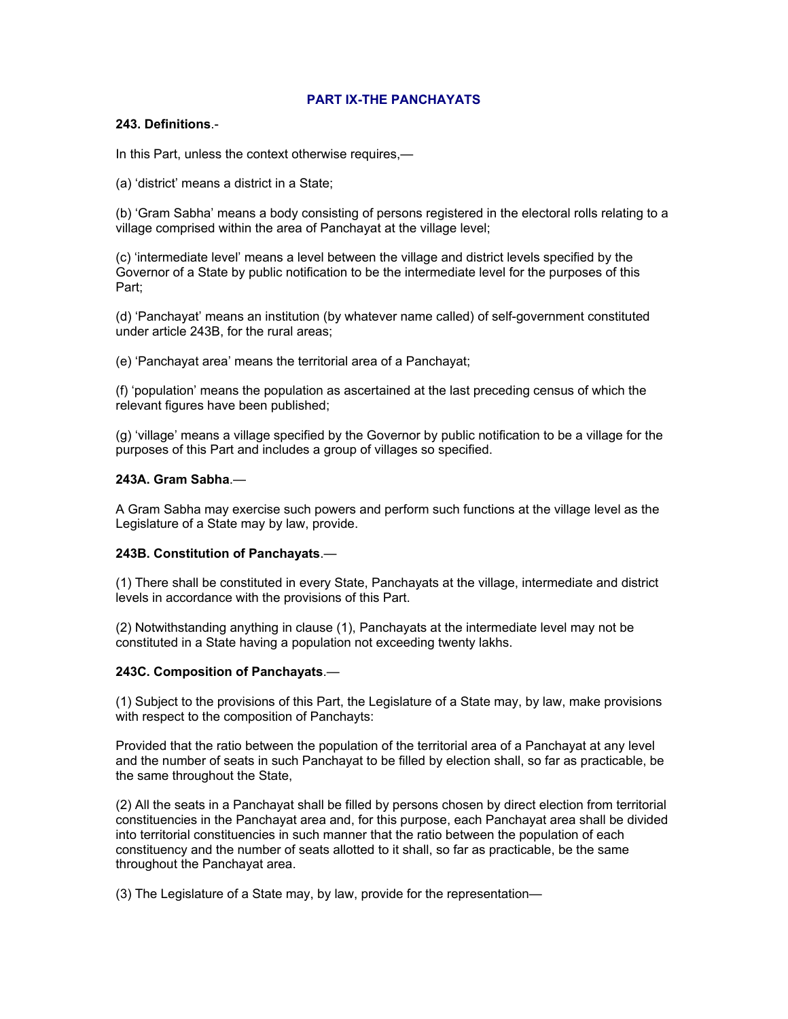# **PART IX-THE PANCHAYATS**

### **243. Definitions**.-

In this Part, unless the context otherwise requires,—

(a) 'district' means a district in a State;

(b) 'Gram Sabha' means a body consisting of persons registered in the electoral rolls relating to a village comprised within the area of Panchayat at the village level;

(c) 'intermediate level' means a level between the village and district levels specified by the Governor of a State by public notification to be the intermediate level for the purposes of this Part;

(d) 'Panchayat' means an institution (by whatever name called) of self-government constituted under article 243B, for the rural areas;

(e) 'Panchayat area' means the territorial area of a Panchayat;

(f) 'population' means the population as ascertained at the last preceding census of which the relevant figures have been published;

(g) 'village' means a village specified by the Governor by public notification to be a village for the purposes of this Part and includes a group of villages so specified.

### **243A. Gram Sabha**.—

A Gram Sabha may exercise such powers and perform such functions at the village level as the Legislature of a State may by law, provide.

# **243B. Constitution of Panchayats**.—

(1) There shall be constituted in every State, Panchayats at the village, intermediate and district levels in accordance with the provisions of this Part.

(2) Notwithstanding anything in clause (1), Panchayats at the intermediate level may not be constituted in a State having a population not exceeding twenty lakhs.

## **243C. Composition of Panchayats**.—

(1) Subject to the provisions of this Part, the Legislature of a State may, by law, make provisions with respect to the composition of Panchayts:

Provided that the ratio between the population of the territorial area of a Panchayat at any level and the number of seats in such Panchayat to be filled by election shall, so far as practicable, be the same throughout the State,

(2) All the seats in a Panchayat shall be filled by persons chosen by direct election from territorial constituencies in the Panchayat area and, for this purpose, each Panchayat area shall be divided into territorial constituencies in such manner that the ratio between the population of each constituency and the number of seats allotted to it shall, so far as practicable, be the same throughout the Panchayat area.

(3) The Legislature of a State may, by law, provide for the representation—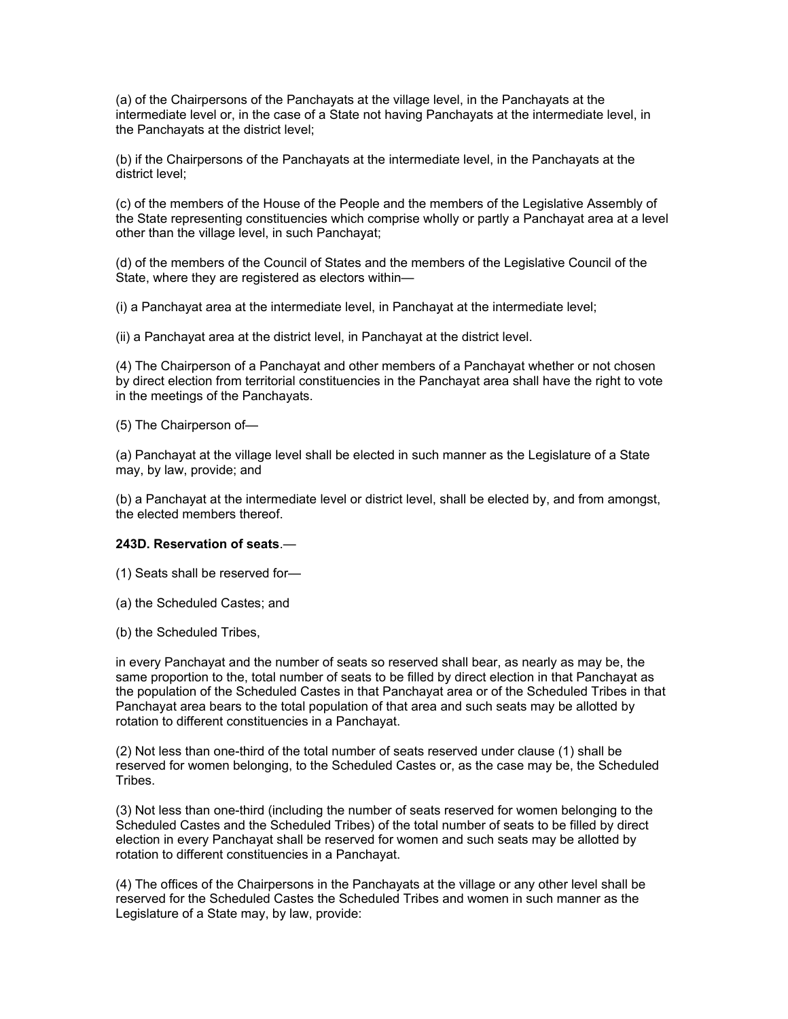(a) of the Chairpersons of the Panchayats at the village level, in the Panchayats at the intermediate level or, in the case of a State not having Panchayats at the intermediate level, in the Panchayats at the district level;

(b) if the Chairpersons of the Panchayats at the intermediate level, in the Panchayats at the district level;

(c) of the members of the House of the People and the members of the Legislative Assembly of the State representing constituencies which comprise wholly or partly a Panchayat area at a level other than the village level, in such Panchayat;

(d) of the members of the Council of States and the members of the Legislative Council of the State, where they are registered as electors within—

(i) a Panchayat area at the intermediate level, in Panchayat at the intermediate level;

(ii) a Panchayat area at the district level, in Panchayat at the district level.

(4) The Chairperson of a Panchayat and other members of a Panchayat whether or not chosen by direct election from territorial constituencies in the Panchayat area shall have the right to vote in the meetings of the Panchayats.

(5) The Chairperson of—

(a) Panchayat at the village level shall be elected in such manner as the Legislature of a State may, by law, provide; and

(b) a Panchayat at the intermediate level or district level, shall be elected by, and from amongst, the elected members thereof.

## **243D. Reservation of seats**.—

- (1) Seats shall be reserved for—
- (a) the Scheduled Castes; and
- (b) the Scheduled Tribes,

in every Panchayat and the number of seats so reserved shall bear, as nearly as may be, the same proportion to the, total number of seats to be filled by direct election in that Panchayat as the population of the Scheduled Castes in that Panchayat area or of the Scheduled Tribes in that Panchayat area bears to the total population of that area and such seats may be allotted by rotation to different constituencies in a Panchayat.

(2) Not less than one-third of the total number of seats reserved under clause (1) shall be reserved for women belonging, to the Scheduled Castes or, as the case may be, the Scheduled Tribes.

(3) Not less than one-third (including the number of seats reserved for women belonging to the Scheduled Castes and the Scheduled Tribes) of the total number of seats to be filled by direct election in every Panchayat shall be reserved for women and such seats may be allotted by rotation to different constituencies in a Panchayat.

(4) The offices of the Chairpersons in the Panchayats at the village or any other level shall be reserved for the Scheduled Castes the Scheduled Tribes and women in such manner as the Legislature of a State may, by law, provide: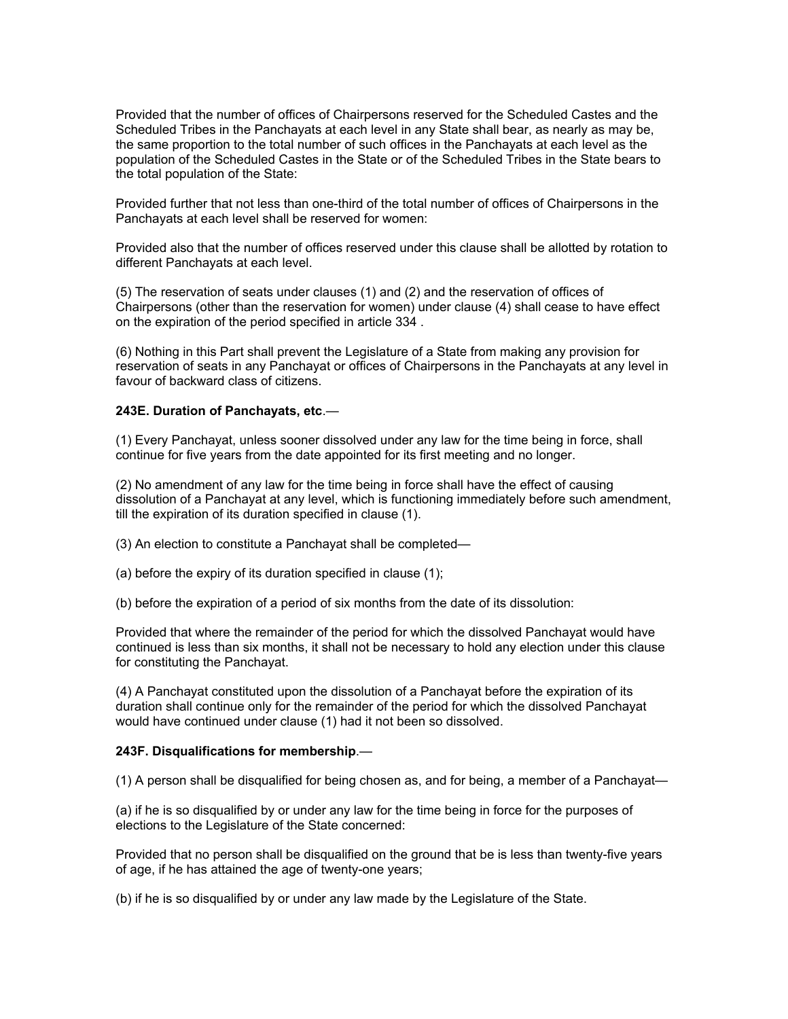Provided that the number of offices of Chairpersons reserved for the Scheduled Castes and the Scheduled Tribes in the Panchayats at each level in any State shall bear, as nearly as may be, the same proportion to the total number of such offices in the Panchayats at each level as the population of the Scheduled Castes in the State or of the Scheduled Tribes in the State bears to the total population of the State:

Provided further that not less than one-third of the total number of offices of Chairpersons in the Panchayats at each level shall be reserved for women:

Provided also that the number of offices reserved under this clause shall be allotted by rotation to different Panchayats at each level.

(5) The reservation of seats under clauses (1) and (2) and the reservation of offices of Chairpersons (other than the reservation for women) under clause (4) shall cease to have effect on the expiration of the period specified in article 334 .

(6) Nothing in this Part shall prevent the Legislature of a State from making any provision for reservation of seats in any Panchayat or offices of Chairpersons in the Panchayats at any level in favour of backward class of citizens.

### **243E. Duration of Panchayats, etc**.—

(1) Every Panchayat, unless sooner dissolved under any law for the time being in force, shall continue for five years from the date appointed for its first meeting and no longer.

(2) No amendment of any law for the time being in force shall have the effect of causing dissolution of a Panchayat at any level, which is functioning immediately before such amendment, till the expiration of its duration specified in clause (1).

- (3) An election to constitute a Panchayat shall be completed—
- (a) before the expiry of its duration specified in clause (1);
- (b) before the expiration of a period of six months from the date of its dissolution:

Provided that where the remainder of the period for which the dissolved Panchayat would have continued is less than six months, it shall not be necessary to hold any election under this clause for constituting the Panchayat.

(4) A Panchayat constituted upon the dissolution of a Panchayat before the expiration of its duration shall continue only for the remainder of the period for which the dissolved Panchayat would have continued under clause (1) had it not been so dissolved.

#### **243F. Disqualifications for membership**.—

(1) A person shall be disqualified for being chosen as, and for being, a member of a Panchayat—

(a) if he is so disqualified by or under any law for the time being in force for the purposes of elections to the Legislature of the State concerned:

Provided that no person shall be disqualified on the ground that be is less than twenty-five years of age, if he has attained the age of twenty-one years;

(b) if he is so disqualified by or under any law made by the Legislature of the State.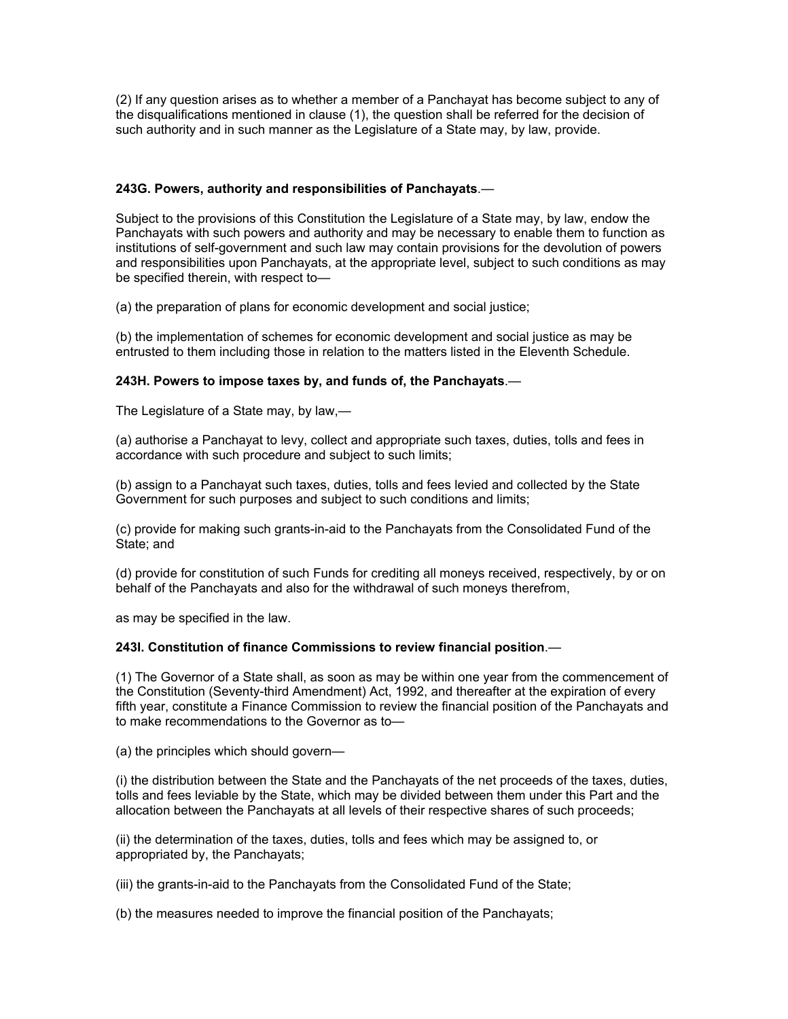(2) If any question arises as to whether a member of a Panchayat has become subject to any of the disqualifications mentioned in clause (1), the question shall be referred for the decision of such authority and in such manner as the Legislature of a State may, by law, provide.

## **243G. Powers, authority and responsibilities of Panchayats**.—

Subject to the provisions of this Constitution the Legislature of a State may, by law, endow the Panchayats with such powers and authority and may be necessary to enable them to function as institutions of self-government and such law may contain provisions for the devolution of powers and responsibilities upon Panchayats, at the appropriate level, subject to such conditions as may be specified therein, with respect to—

(a) the preparation of plans for economic development and social justice;

(b) the implementation of schemes for economic development and social justice as may be entrusted to them including those in relation to the matters listed in the Eleventh Schedule.

## **243H. Powers to impose taxes by, and funds of, the Panchayats**.—

The Legislature of a State may, by law,—

(a) authorise a Panchayat to levy, collect and appropriate such taxes, duties, tolls and fees in accordance with such procedure and subject to such limits;

(b) assign to a Panchayat such taxes, duties, tolls and fees levied and collected by the State Government for such purposes and subject to such conditions and limits;

(c) provide for making such grants-in-aid to the Panchayats from the Consolidated Fund of the State; and

(d) provide for constitution of such Funds for crediting all moneys received, respectively, by or on behalf of the Panchayats and also for the withdrawal of such moneys therefrom,

as may be specified in the law.

## **243I. Constitution of finance Commissions to review financial position**.—

(1) The Governor of a State shall, as soon as may be within one year from the commencement of the Constitution (Seventy-third Amendment) Act, 1992, and thereafter at the expiration of every fifth year, constitute a Finance Commission to review the financial position of the Panchayats and to make recommendations to the Governor as to—

(a) the principles which should govern—

(i) the distribution between the State and the Panchayats of the net proceeds of the taxes, duties, tolls and fees leviable by the State, which may be divided between them under this Part and the allocation between the Panchayats at all levels of their respective shares of such proceeds;

(ii) the determination of the taxes, duties, tolls and fees which may be assigned to, or appropriated by, the Panchayats;

(iii) the grants-in-aid to the Panchayats from the Consolidated Fund of the State;

(b) the measures needed to improve the financial position of the Panchayats;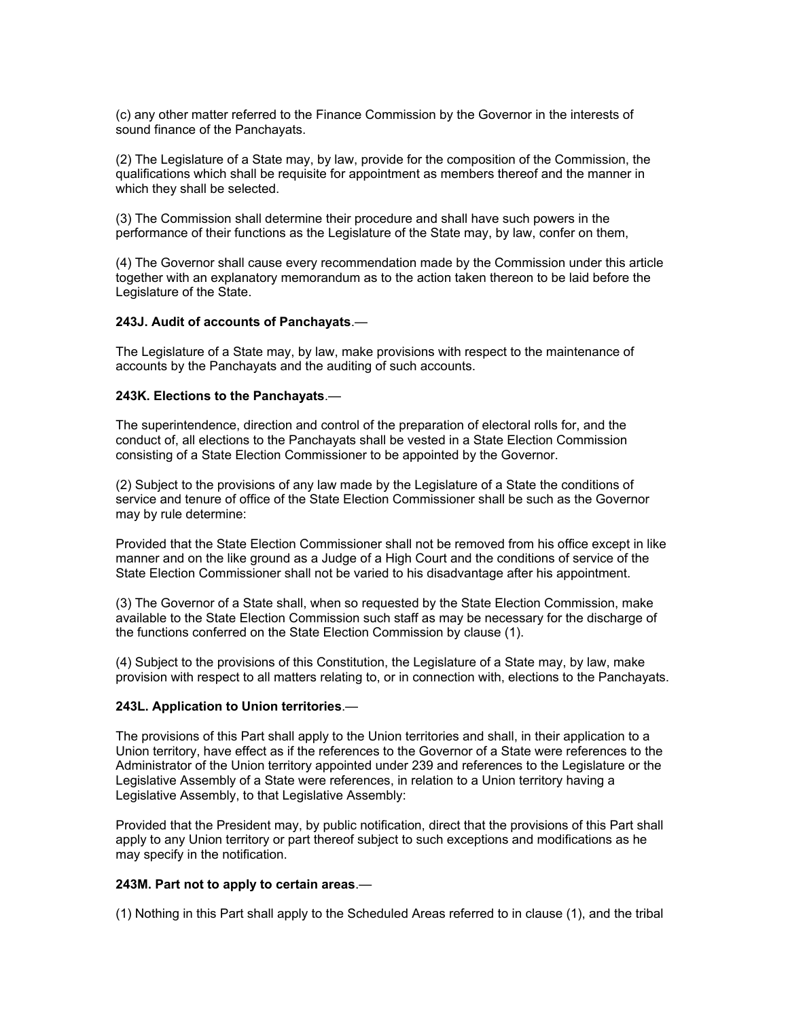(c) any other matter referred to the Finance Commission by the Governor in the interests of sound finance of the Panchayats.

(2) The Legislature of a State may, by law, provide for the composition of the Commission, the qualifications which shall be requisite for appointment as members thereof and the manner in which they shall be selected.

(3) The Commission shall determine their procedure and shall have such powers in the performance of their functions as the Legislature of the State may, by law, confer on them,

(4) The Governor shall cause every recommendation made by the Commission under this article together with an explanatory memorandum as to the action taken thereon to be laid before the Legislature of the State.

### **243J. Audit of accounts of Panchayats**.—

The Legislature of a State may, by law, make provisions with respect to the maintenance of accounts by the Panchayats and the auditing of such accounts.

### **243K. Elections to the Panchayats**.—

The superintendence, direction and control of the preparation of electoral rolls for, and the conduct of, all elections to the Panchayats shall be vested in a State Election Commission consisting of a State Election Commissioner to be appointed by the Governor.

(2) Subject to the provisions of any law made by the Legislature of a State the conditions of service and tenure of office of the State Election Commissioner shall be such as the Governor may by rule determine:

Provided that the State Election Commissioner shall not be removed from his office except in like manner and on the like ground as a Judge of a High Court and the conditions of service of the State Election Commissioner shall not be varied to his disadvantage after his appointment.

(3) The Governor of a State shall, when so requested by the State Election Commission, make available to the State Election Commission such staff as may be necessary for the discharge of the functions conferred on the State Election Commission by clause (1).

(4) Subject to the provisions of this Constitution, the Legislature of a State may, by law, make provision with respect to all matters relating to, or in connection with, elections to the Panchayats.

### **243L. Application to Union territories**.—

The provisions of this Part shall apply to the Union territories and shall, in their application to a Union territory, have effect as if the references to the Governor of a State were references to the Administrator of the Union territory appointed under 239 and references to the Legislature or the Legislative Assembly of a State were references, in relation to a Union territory having a Legislative Assembly, to that Legislative Assembly:

Provided that the President may, by public notification, direct that the provisions of this Part shall apply to any Union territory or part thereof subject to such exceptions and modifications as he may specify in the notification.

## **243M. Part not to apply to certain areas**.—

(1) Nothing in this Part shall apply to the Scheduled Areas referred to in clause (1), and the tribal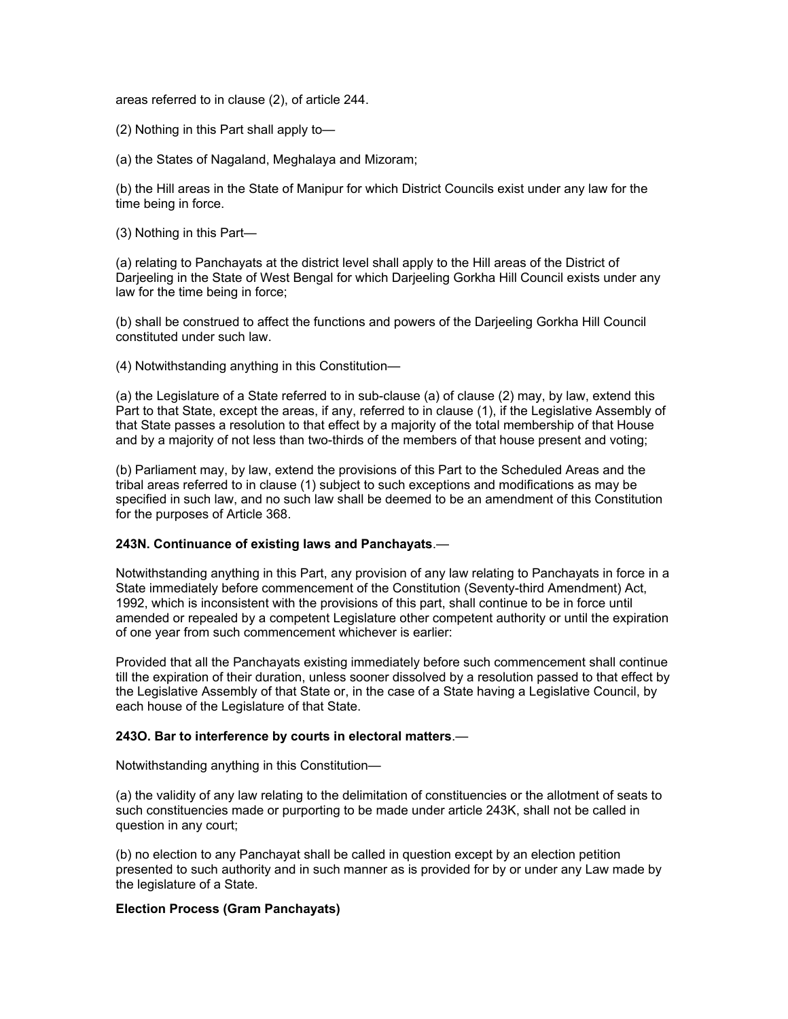areas referred to in clause (2), of article 244.

- (2) Nothing in this Part shall apply to—
- (a) the States of Nagaland, Meghalaya and Mizoram;

(b) the Hill areas in the State of Manipur for which District Councils exist under any law for the time being in force.

(3) Nothing in this Part—

(a) relating to Panchayats at the district level shall apply to the Hill areas of the District of Darjeeling in the State of West Bengal for which Darjeeling Gorkha Hill Council exists under any law for the time being in force;

(b) shall be construed to affect the functions and powers of the Darjeeling Gorkha Hill Council constituted under such law.

(4) Notwithstanding anything in this Constitution—

(a) the Legislature of a State referred to in sub-clause (a) of clause (2) may, by law, extend this Part to that State, except the areas, if any, referred to in clause (1), if the Legislative Assembly of that State passes a resolution to that effect by a majority of the total membership of that House and by a majority of not less than two-thirds of the members of that house present and voting;

(b) Parliament may, by law, extend the provisions of this Part to the Scheduled Areas and the tribal areas referred to in clause (1) subject to such exceptions and modifications as may be specified in such law, and no such law shall be deemed to be an amendment of this Constitution for the purposes of Article 368.

#### **243N. Continuance of existing laws and Panchayats**.—

Notwithstanding anything in this Part, any provision of any law relating to Panchayats in force in a State immediately before commencement of the Constitution (Seventy-third Amendment) Act, 1992, which is inconsistent with the provisions of this part, shall continue to be in force until amended or repealed by a competent Legislature other competent authority or until the expiration of one year from such commencement whichever is earlier:

Provided that all the Panchayats existing immediately before such commencement shall continue till the expiration of their duration, unless sooner dissolved by a resolution passed to that effect by the Legislative Assembly of that State or, in the case of a State having a Legislative Council, by each house of the Legislature of that State.

## **243O. Bar to interference by courts in electoral matters**.—

Notwithstanding anything in this Constitution—

(a) the validity of any law relating to the delimitation of constituencies or the allotment of seats to such constituencies made or purporting to be made under article 243K, shall not be called in question in any court;

(b) no election to any Panchayat shall be called in question except by an election petition presented to such authority and in such manner as is provided for by or under any Law made by the legislature of a State.

## **Election Process (Gram Panchayats)**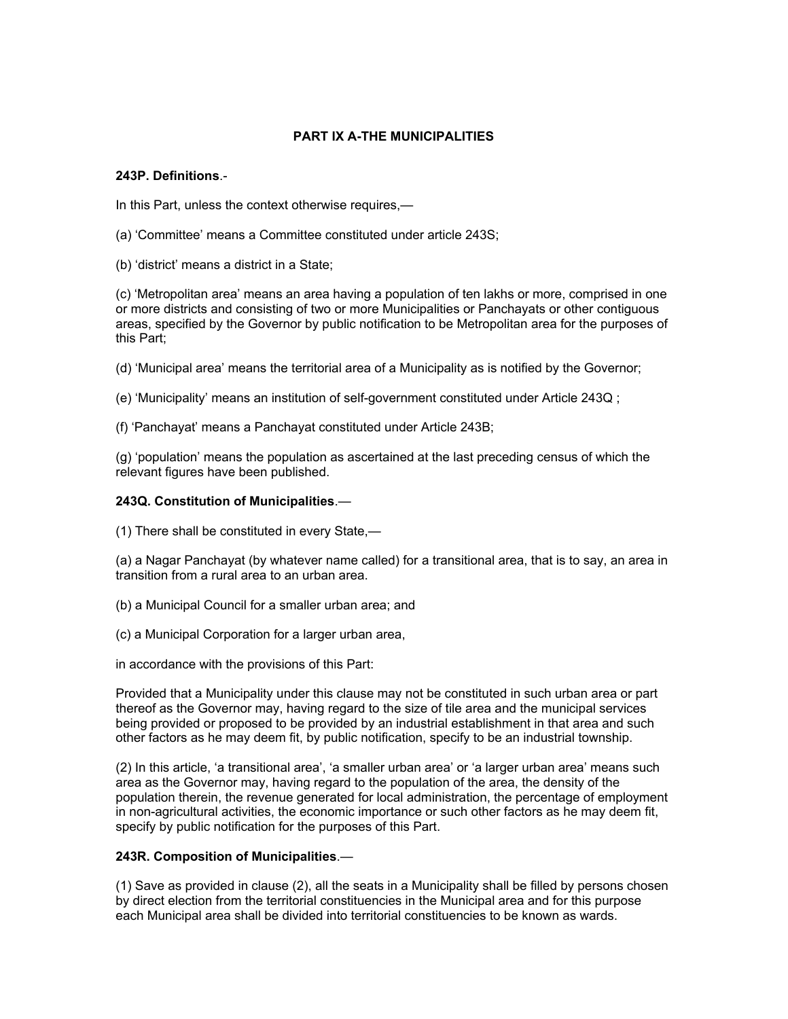# **PART IX A-THE MUNICIPALITIES**

## **243P. Definitions**.-

In this Part, unless the context otherwise requires,—

- (a) 'Committee' means a Committee constituted under article 243S;
- (b) 'district' means a district in a State;

(c) 'Metropolitan area' means an area having a population of ten lakhs or more, comprised in one or more districts and consisting of two or more Municipalities or Panchayats or other contiguous areas, specified by the Governor by public notification to be Metropolitan area for the purposes of this Part;

(d) 'Municipal area' means the territorial area of a Municipality as is notified by the Governor;

- (e) 'Municipality' means an institution of self-government constituted under Article 243Q ;
- (f) 'Panchayat' means a Panchayat constituted under Article 243B;

(g) 'population' means the population as ascertained at the last preceding census of which the relevant figures have been published.

## **243Q. Constitution of Municipalities**.—

(1) There shall be constituted in every State,—

(a) a Nagar Panchayat (by whatever name called) for a transitional area, that is to say, an area in transition from a rural area to an urban area.

- (b) a Municipal Council for a smaller urban area; and
- (c) a Municipal Corporation for a larger urban area,

in accordance with the provisions of this Part:

Provided that a Municipality under this clause may not be constituted in such urban area or part thereof as the Governor may, having regard to the size of tile area and the municipal services being provided or proposed to be provided by an industrial establishment in that area and such other factors as he may deem fit, by public notification, specify to be an industrial township.

(2) In this article, 'a transitional area', 'a smaller urban area' or 'a larger urban area' means such area as the Governor may, having regard to the population of the area, the density of the population therein, the revenue generated for local administration, the percentage of employment in non-agricultural activities, the economic importance or such other factors as he may deem fit, specify by public notification for the purposes of this Part.

## **243R. Composition of Municipalities**.—

(1) Save as provided in clause (2), all the seats in a Municipality shall be filled by persons chosen by direct election from the territorial constituencies in the Municipal area and for this purpose each Municipal area shall be divided into territorial constituencies to be known as wards.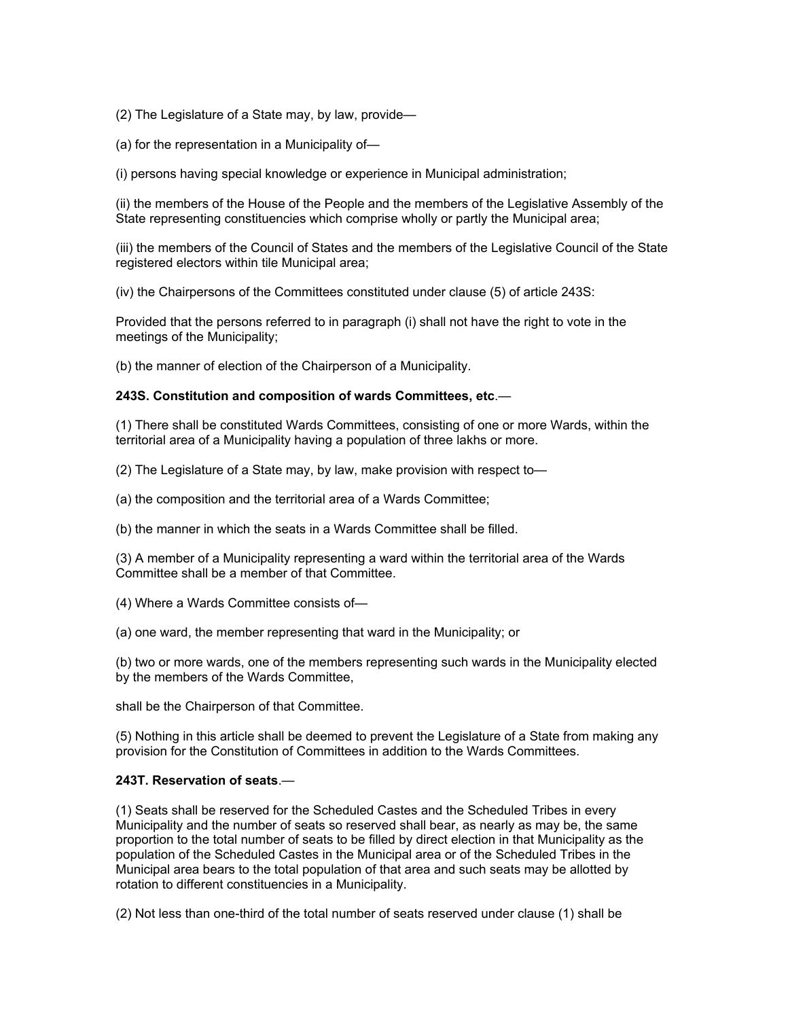(2) The Legislature of a State may, by law, provide—

(a) for the representation in a Municipality of—

(i) persons having special knowledge or experience in Municipal administration;

(ii) the members of the House of the People and the members of the Legislative Assembly of the State representing constituencies which comprise wholly or partly the Municipal area;

(iii) the members of the Council of States and the members of the Legislative Council of the State registered electors within tile Municipal area;

(iv) the Chairpersons of the Committees constituted under clause (5) of article 243S:

Provided that the persons referred to in paragraph (i) shall not have the right to vote in the meetings of the Municipality;

(b) the manner of election of the Chairperson of a Municipality.

### **243S. Constitution and composition of wards Committees, etc**.—

(1) There shall be constituted Wards Committees, consisting of one or more Wards, within the territorial area of a Municipality having a population of three lakhs or more.

(2) The Legislature of a State may, by law, make provision with respect to—

(a) the composition and the territorial area of a Wards Committee;

(b) the manner in which the seats in a Wards Committee shall be filled.

(3) A member of a Municipality representing a ward within the territorial area of the Wards Committee shall be a member of that Committee.

(4) Where a Wards Committee consists of—

(a) one ward, the member representing that ward in the Municipality; or

(b) two or more wards, one of the members representing such wards in the Municipality elected by the members of the Wards Committee,

shall be the Chairperson of that Committee.

(5) Nothing in this article shall be deemed to prevent the Legislature of a State from making any provision for the Constitution of Committees in addition to the Wards Committees.

#### **243T. Reservation of seats**.—

(1) Seats shall be reserved for the Scheduled Castes and the Scheduled Tribes in every Municipality and the number of seats so reserved shall bear, as nearly as may be, the same proportion to the total number of seats to be filled by direct election in that Municipality as the population of the Scheduled Castes in the Municipal area or of the Scheduled Tribes in the Municipal area bears to the total population of that area and such seats may be allotted by rotation to different constituencies in a Municipality.

(2) Not less than one-third of the total number of seats reserved under clause (1) shall be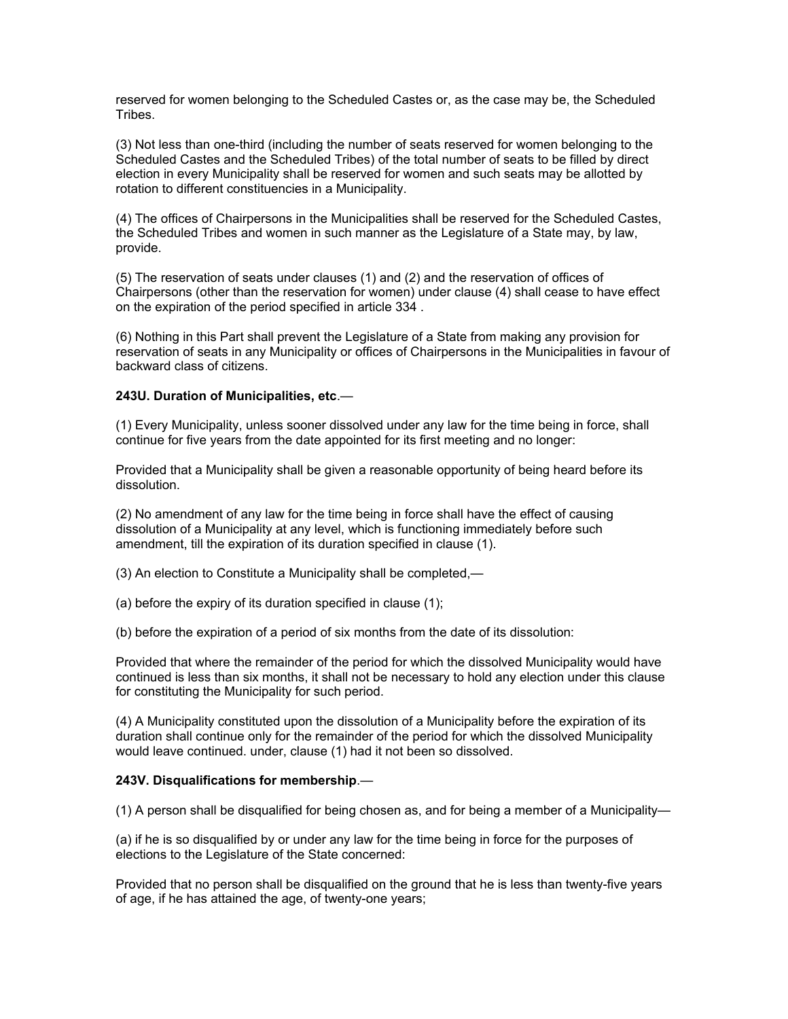reserved for women belonging to the Scheduled Castes or, as the case may be, the Scheduled Tribes.

(3) Not less than one-third (including the number of seats reserved for women belonging to the Scheduled Castes and the Scheduled Tribes) of the total number of seats to be filled by direct election in every Municipality shall be reserved for women and such seats may be allotted by rotation to different constituencies in a Municipality.

(4) The offices of Chairpersons in the Municipalities shall be reserved for the Scheduled Castes, the Scheduled Tribes and women in such manner as the Legislature of a State may, by law, provide.

(5) The reservation of seats under clauses (1) and (2) and the reservation of offices of Chairpersons (other than the reservation for women) under clause (4) shall cease to have effect on the expiration of the period specified in article 334 .

(6) Nothing in this Part shall prevent the Legislature of a State from making any provision for reservation of seats in any Municipality or offices of Chairpersons in the Municipalities in favour of backward class of citizens.

## **243U. Duration of Municipalities, etc**.—

(1) Every Municipality, unless sooner dissolved under any law for the time being in force, shall continue for five years from the date appointed for its first meeting and no longer:

Provided that a Municipality shall be given a reasonable opportunity of being heard before its dissolution.

(2) No amendment of any law for the time being in force shall have the effect of causing dissolution of a Municipality at any level, which is functioning immediately before such amendment, till the expiration of its duration specified in clause (1).

(3) An election to Constitute a Municipality shall be completed,—

- (a) before the expiry of its duration specified in clause (1);
- (b) before the expiration of a period of six months from the date of its dissolution:

Provided that where the remainder of the period for which the dissolved Municipality would have continued is less than six months, it shall not be necessary to hold any election under this clause for constituting the Municipality for such period.

(4) A Municipality constituted upon the dissolution of a Municipality before the expiration of its duration shall continue only for the remainder of the period for which the dissolved Municipality would leave continued. under, clause (1) had it not been so dissolved.

## **243V. Disqualifications for membership**.—

(1) A person shall be disqualified for being chosen as, and for being a member of a Municipality—

(a) if he is so disqualified by or under any law for the time being in force for the purposes of elections to the Legislature of the State concerned:

Provided that no person shall be disqualified on the ground that he is less than twenty-five years of age, if he has attained the age, of twenty-one years;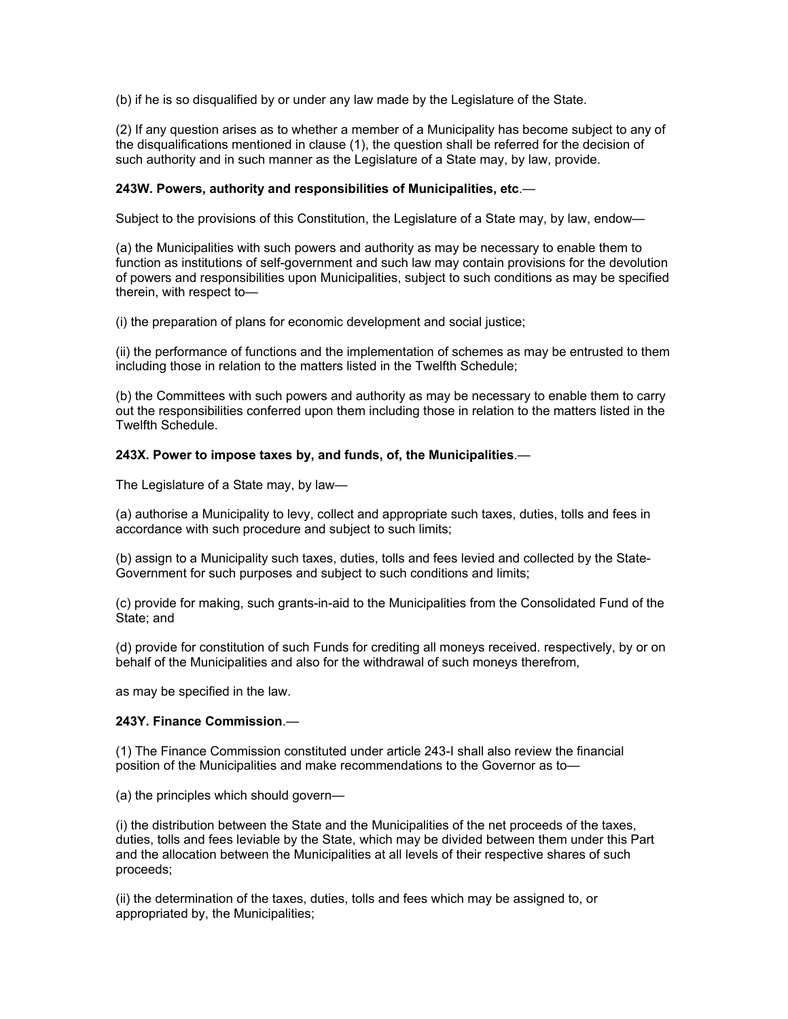(b) if he is so disqualified by or under any law made by the Legislature of the State.

(2) If any question arises as to whether a member of a Municipality has become subject to any of the disqualifications mentioned in clause (1), the question shall be referred for the decision of such authority and in such manner as the Legislature of a State may, by law, provide.

# **243W. Powers, authority and responsibilities of Municipalities, etc**.—

Subject to the provisions of this Constitution, the Legislature of a State may, by law, endow—

(a) the Municipalities with such powers and authority as may be necessary to enable them to function as institutions of self-government and such law may contain provisions for the devolution of powers and responsibilities upon Municipalities, subject to such conditions as may be specified therein, with respect to—

(i) the preparation of plans for economic development and social justice;

(ii) the performance of functions and the implementation of schemes as may be entrusted to them including those in relation to the matters listed in the Twelfth Schedule;

(b) the Committees with such powers and authority as may be necessary to enable them to carry out the responsibilities conferred upon them including those in relation to the matters listed in the Twelfth Schedule.

#### **243X. Power to impose taxes by, and funds, of, the Municipalities**.—

The Legislature of a State may, by law—

(a) authorise a Municipality to levy, collect and appropriate such taxes, duties, tolls and fees in accordance with such procedure and subject to such limits;

(b) assign to a Municipality such taxes, duties, tolls and fees levied and collected by the State-Government for such purposes and subject to such conditions and limits;

(c) provide for making, such grants-in-aid to the Municipalities from the Consolidated Fund of the State; and

(d) provide for constitution of such Funds for crediting all moneys received. respectively, by or on behalf of the Municipalities and also for the withdrawal of such moneys therefrom,

as may be specified in the law.

## **243Y. Finance Commission**.—

(1) The Finance Commission constituted under article 243-I shall also review the financial position of the Municipalities and make recommendations to the Governor as to—

(a) the principles which should govern—

(i) the distribution between the State and the Municipalities of the net proceeds of the taxes, duties, tolls and fees leviable by the State, which may be divided between them under this Part and the allocation between the Municipalities at all levels of their respective shares of such proceeds;

(ii) the determination of the taxes, duties, tolls and fees which may be assigned to, or appropriated by, the Municipalities;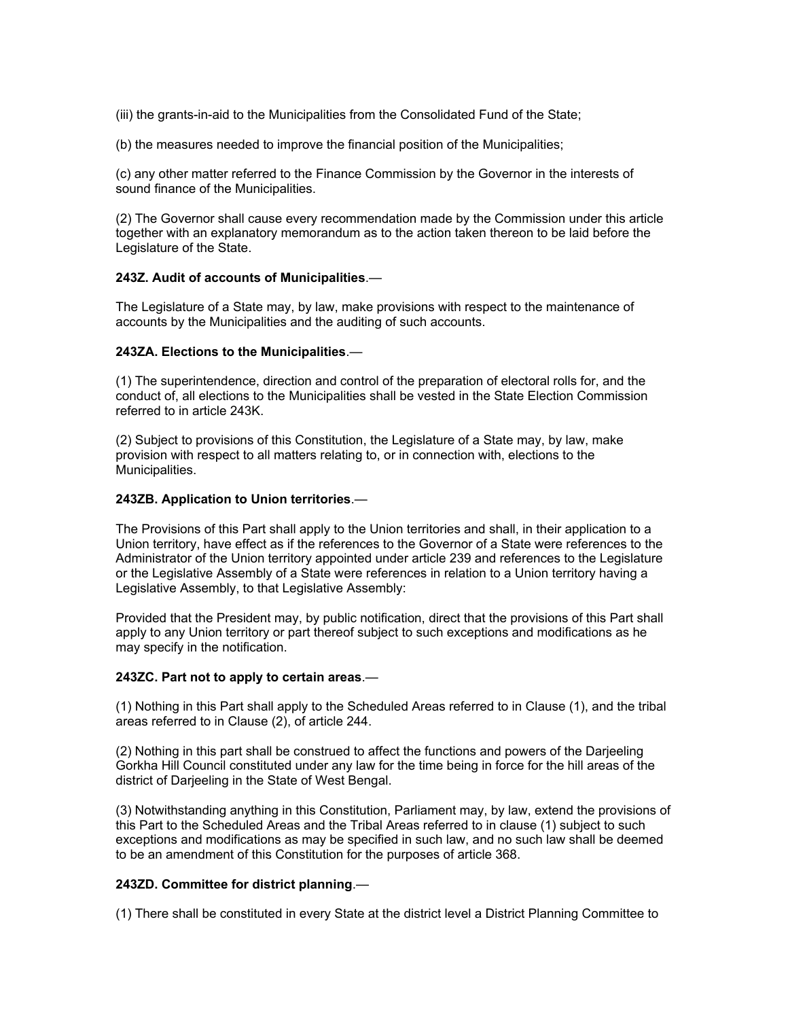(iii) the grants-in-aid to the Municipalities from the Consolidated Fund of the State;

(b) the measures needed to improve the financial position of the Municipalities;

(c) any other matter referred to the Finance Commission by the Governor in the interests of sound finance of the Municipalities.

(2) The Governor shall cause every recommendation made by the Commission under this article together with an explanatory memorandum as to the action taken thereon to be laid before the Legislature of the State.

#### **243Z. Audit of accounts of Municipalities**.—

The Legislature of a State may, by law, make provisions with respect to the maintenance of accounts by the Municipalities and the auditing of such accounts.

#### **243ZA. Elections to the Municipalities**.—

(1) The superintendence, direction and control of the preparation of electoral rolls for, and the conduct of, all elections to the Municipalities shall be vested in the State Election Commission referred to in article 243K.

(2) Subject to provisions of this Constitution, the Legislature of a State may, by law, make provision with respect to all matters relating to, or in connection with, elections to the Municipalities.

#### **243ZB. Application to Union territories**.—

The Provisions of this Part shall apply to the Union territories and shall, in their application to a Union territory, have effect as if the references to the Governor of a State were references to the Administrator of the Union territory appointed under article 239 and references to the Legislature or the Legislative Assembly of a State were references in relation to a Union territory having a Legislative Assembly, to that Legislative Assembly:

Provided that the President may, by public notification, direct that the provisions of this Part shall apply to any Union territory or part thereof subject to such exceptions and modifications as he may specify in the notification.

#### **243ZC. Part not to apply to certain areas**.—

(1) Nothing in this Part shall apply to the Scheduled Areas referred to in Clause (1), and the tribal areas referred to in Clause (2), of article 244.

(2) Nothing in this part shall be construed to affect the functions and powers of the Darjeeling Gorkha Hill Council constituted under any law for the time being in force for the hill areas of the district of Darjeeling in the State of West Bengal.

(3) Notwithstanding anything in this Constitution, Parliament may, by law, extend the provisions of this Part to the Scheduled Areas and the Tribal Areas referred to in clause (1) subject to such exceptions and modifications as may be specified in such law, and no such law shall be deemed to be an amendment of this Constitution for the purposes of article 368.

## **243ZD. Committee for district planning**.—

(1) There shall be constituted in every State at the district level a District Planning Committee to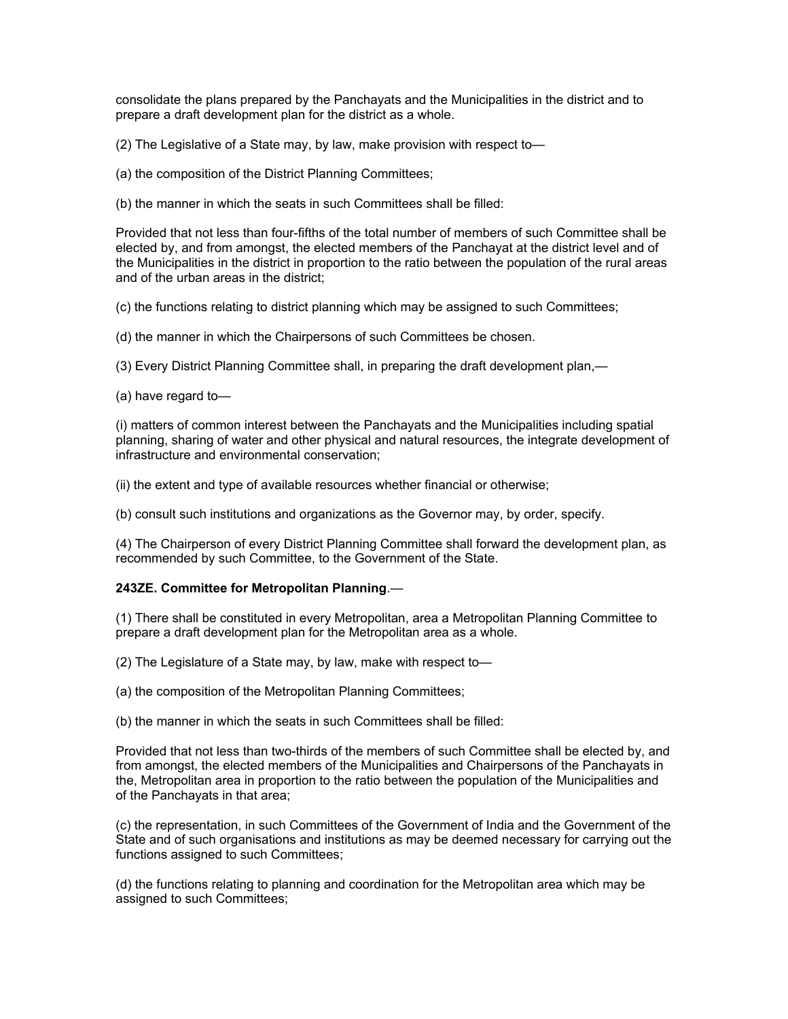consolidate the plans prepared by the Panchayats and the Municipalities in the district and to prepare a draft development plan for the district as a whole.

(2) The Legislative of a State may, by law, make provision with respect to—

(a) the composition of the District Planning Committees;

(b) the manner in which the seats in such Committees shall be filled:

Provided that not less than four-fifths of the total number of members of such Committee shall be elected by, and from amongst, the elected members of the Panchayat at the district level and of the Municipalities in the district in proportion to the ratio between the population of the rural areas and of the urban areas in the district;

(c) the functions relating to district planning which may be assigned to such Committees;

(d) the manner in which the Chairpersons of such Committees be chosen.

(3) Every District Planning Committee shall, in preparing the draft development plan,—

(a) have regard to—

(i) matters of common interest between the Panchayats and the Municipalities including spatial planning, sharing of water and other physical and natural resources, the integrate development of infrastructure and environmental conservation;

(ii) the extent and type of available resources whether financial or otherwise;

(b) consult such institutions and organizations as the Governor may, by order, specify.

(4) The Chairperson of every District Planning Committee shall forward the development plan, as recommended by such Committee, to the Government of the State.

# **243ZE. Committee for Metropolitan Planning**.—

(1) There shall be constituted in every Metropolitan, area a Metropolitan Planning Committee to prepare a draft development plan for the Metropolitan area as a whole.

(2) The Legislature of a State may, by law, make with respect to—

(a) the composition of the Metropolitan Planning Committees;

(b) the manner in which the seats in such Committees shall be filled:

Provided that not less than two-thirds of the members of such Committee shall be elected by, and from amongst, the elected members of the Municipalities and Chairpersons of the Panchayats in the, Metropolitan area in proportion to the ratio between the population of the Municipalities and of the Panchayats in that area;

(c) the representation, in such Committees of the Government of India and the Government of the State and of such organisations and institutions as may be deemed necessary for carrying out the functions assigned to such Committees;

(d) the functions relating to planning and coordination for the Metropolitan area which may be assigned to such Committees;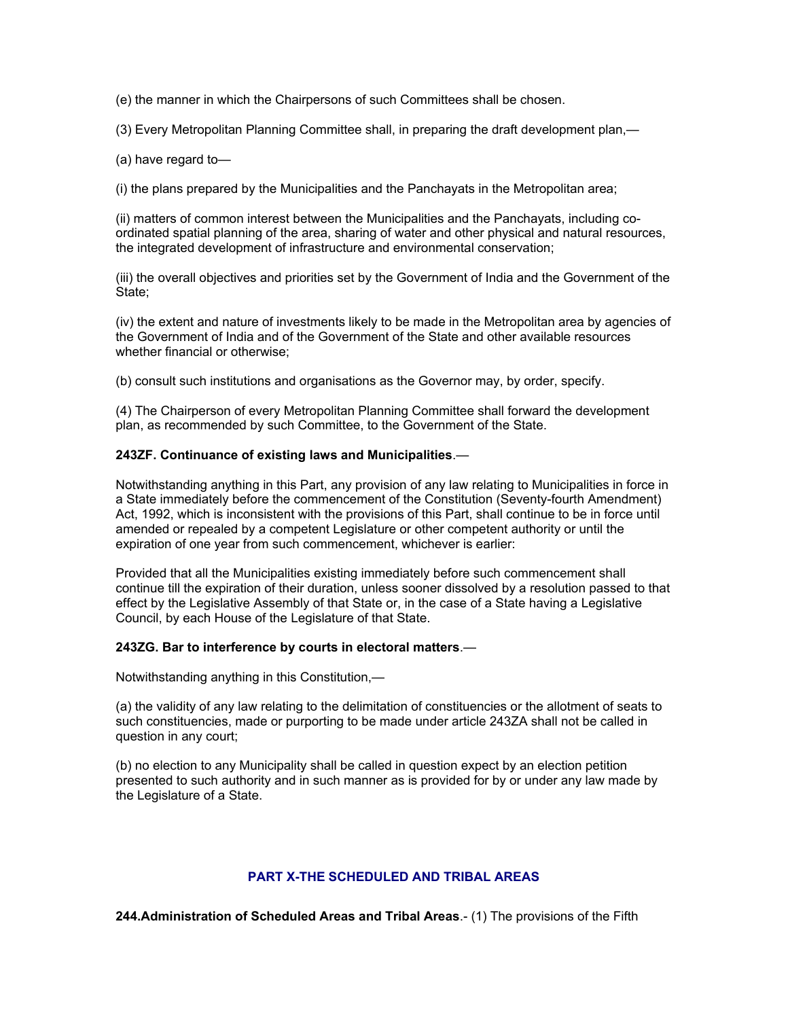(e) the manner in which the Chairpersons of such Committees shall be chosen.

(3) Every Metropolitan Planning Committee shall, in preparing the draft development plan,—

(a) have regard to—

(i) the plans prepared by the Municipalities and the Panchayats in the Metropolitan area;

(ii) matters of common interest between the Municipalities and the Panchayats, including coordinated spatial planning of the area, sharing of water and other physical and natural resources, the integrated development of infrastructure and environmental conservation;

(iii) the overall objectives and priorities set by the Government of India and the Government of the State;

(iv) the extent and nature of investments likely to be made in the Metropolitan area by agencies of the Government of India and of the Government of the State and other available resources whether financial or otherwise;

(b) consult such institutions and organisations as the Governor may, by order, specify.

(4) The Chairperson of every Metropolitan Planning Committee shall forward the development plan, as recommended by such Committee, to the Government of the State.

# **243ZF. Continuance of existing laws and Municipalities**.—

Notwithstanding anything in this Part, any provision of any law relating to Municipalities in force in a State immediately before the commencement of the Constitution (Seventy-fourth Amendment) Act, 1992, which is inconsistent with the provisions of this Part, shall continue to be in force until amended or repealed by a competent Legislature or other competent authority or until the expiration of one year from such commencement, whichever is earlier:

Provided that all the Municipalities existing immediately before such commencement shall continue till the expiration of their duration, unless sooner dissolved by a resolution passed to that effect by the Legislative Assembly of that State or, in the case of a State having a Legislative Council, by each House of the Legislature of that State.

## **243ZG. Bar to interference by courts in electoral matters**.—

Notwithstanding anything in this Constitution,—

(a) the validity of any law relating to the delimitation of constituencies or the allotment of seats to such constituencies, made or purporting to be made under article 243ZA shall not be called in question in any court;

(b) no election to any Municipality shall be called in question expect by an election petition presented to such authority and in such manner as is provided for by or under any law made by the Legislature of a State.

# **PART X-THE SCHEDULED AND TRIBAL AREAS**

**244.Administration of Scheduled Areas and Tribal Areas**.- (1) The provisions of the Fifth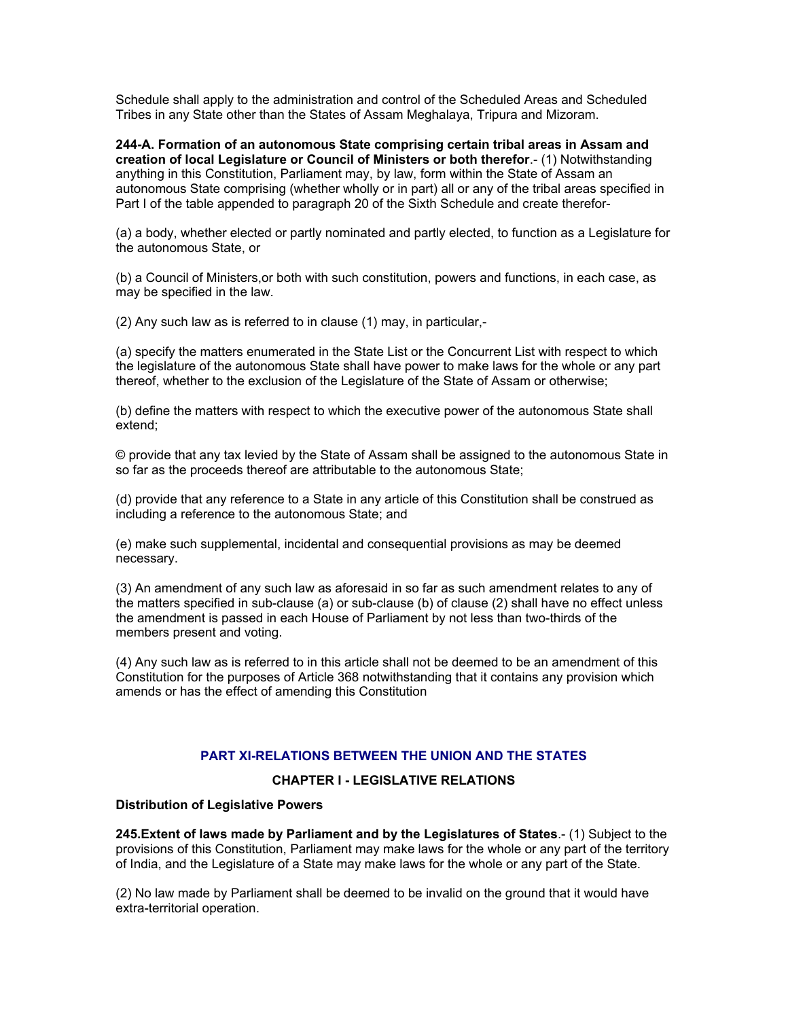Schedule shall apply to the administration and control of the Scheduled Areas and Scheduled Tribes in any State other than the States of Assam Meghalaya, Tripura and Mizoram.

**244-A. Formation of an autonomous State comprising certain tribal areas in Assam and creation of local Legislature or Council of Ministers or both therefor**.- (1) Notwithstanding anything in this Constitution, Parliament may, by law, form within the State of Assam an autonomous State comprising (whether wholly or in part) all or any of the tribal areas specified in Part I of the table appended to paragraph 20 of the Sixth Schedule and create therefor-

(a) a body, whether elected or partly nominated and partly elected, to function as a Legislature for the autonomous State, or

(b) a Council of Ministers,or both with such constitution, powers and functions, in each case, as may be specified in the law.

(2) Any such law as is referred to in clause (1) may, in particular,-

(a) specify the matters enumerated in the State List or the Concurrent List with respect to which the legislature of the autonomous State shall have power to make laws for the whole or any part thereof, whether to the exclusion of the Legislature of the State of Assam or otherwise;

(b) define the matters with respect to which the executive power of the autonomous State shall extend;

© provide that any tax levied by the State of Assam shall be assigned to the autonomous State in so far as the proceeds thereof are attributable to the autonomous State;

(d) provide that any reference to a State in any article of this Constitution shall be construed as including a reference to the autonomous State; and

(e) make such supplemental, incidental and consequential provisions as may be deemed necessary.

(3) An amendment of any such law as aforesaid in so far as such amendment relates to any of the matters specified in sub-clause (a) or sub-clause (b) of clause (2) shall have no effect unless the amendment is passed in each House of Parliament by not less than two-thirds of the members present and voting.

(4) Any such law as is referred to in this article shall not be deemed to be an amendment of this Constitution for the purposes of Article 368 notwithstanding that it contains any provision which amends or has the effect of amending this Constitution

## **PART XI-RELATIONS BETWEEN THE UNION AND THE STATES**

# **CHAPTER I - LEGISLATIVE RELATIONS**

## **Distribution of Legislative Powers**

**245.Extent of laws made by Parliament and by the Legislatures of States**.- (1) Subject to the provisions of this Constitution, Parliament may make laws for the whole or any part of the territory of India, and the Legislature of a State may make laws for the whole or any part of the State.

(2) No law made by Parliament shall be deemed to be invalid on the ground that it would have extra-territorial operation.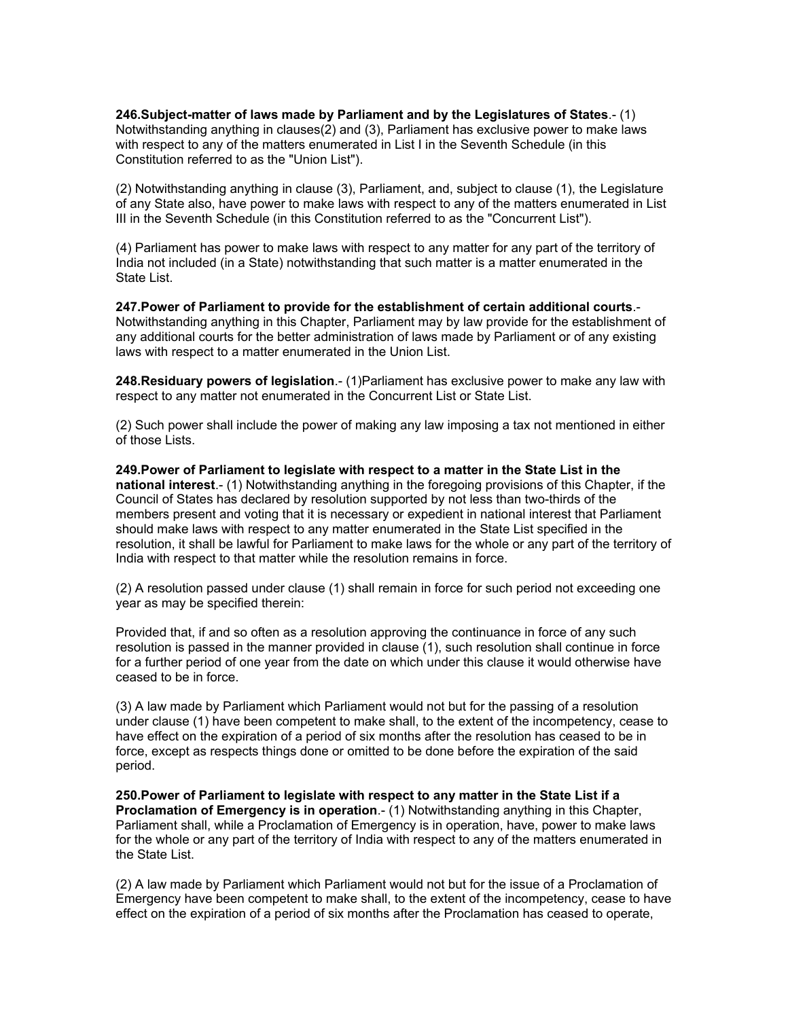**246.Subject-matter of laws made by Parliament and by the Legislatures of States**.- (1) Notwithstanding anything in clauses(2) and (3), Parliament has exclusive power to make laws with respect to any of the matters enumerated in List I in the Seventh Schedule (in this Constitution referred to as the "Union List").

(2) Notwithstanding anything in clause (3), Parliament, and, subject to clause (1), the Legislature of any State also, have power to make laws with respect to any of the matters enumerated in List III in the Seventh Schedule (in this Constitution referred to as the "Concurrent List").

(4) Parliament has power to make laws with respect to any matter for any part of the territory of India not included (in a State) notwithstanding that such matter is a matter enumerated in the State List.

**247.Power of Parliament to provide for the establishment of certain additional courts**.- Notwithstanding anything in this Chapter, Parliament may by law provide for the establishment of any additional courts for the better administration of laws made by Parliament or of any existing laws with respect to a matter enumerated in the Union List.

**248.Residuary powers of legislation**.- (1)Parliament has exclusive power to make any law with respect to any matter not enumerated in the Concurrent List or State List.

(2) Such power shall include the power of making any law imposing a tax not mentioned in either of those Lists.

**249.Power of Parliament to legislate with respect to a matter in the State List in the national interest**.- (1) Notwithstanding anything in the foregoing provisions of this Chapter, if the Council of States has declared by resolution supported by not less than two-thirds of the members present and voting that it is necessary or expedient in national interest that Parliament should make laws with respect to any matter enumerated in the State List specified in the resolution, it shall be lawful for Parliament to make laws for the whole or any part of the territory of India with respect to that matter while the resolution remains in force.

(2) A resolution passed under clause (1) shall remain in force for such period not exceeding one year as may be specified therein:

Provided that, if and so often as a resolution approving the continuance in force of any such resolution is passed in the manner provided in clause (1), such resolution shall continue in force for a further period of one year from the date on which under this clause it would otherwise have ceased to be in force.

(3) A law made by Parliament which Parliament would not but for the passing of a resolution under clause (1) have been competent to make shall, to the extent of the incompetency, cease to have effect on the expiration of a period of six months after the resolution has ceased to be in force, except as respects things done or omitted to be done before the expiration of the said period.

**250.Power of Parliament to legislate with respect to any matter in the State List if a Proclamation of Emergency is in operation**.- (1) Notwithstanding anything in this Chapter, Parliament shall, while a Proclamation of Emergency is in operation, have, power to make laws for the whole or any part of the territory of India with respect to any of the matters enumerated in the State List.

(2) A law made by Parliament which Parliament would not but for the issue of a Proclamation of Emergency have been competent to make shall, to the extent of the incompetency, cease to have effect on the expiration of a period of six months after the Proclamation has ceased to operate,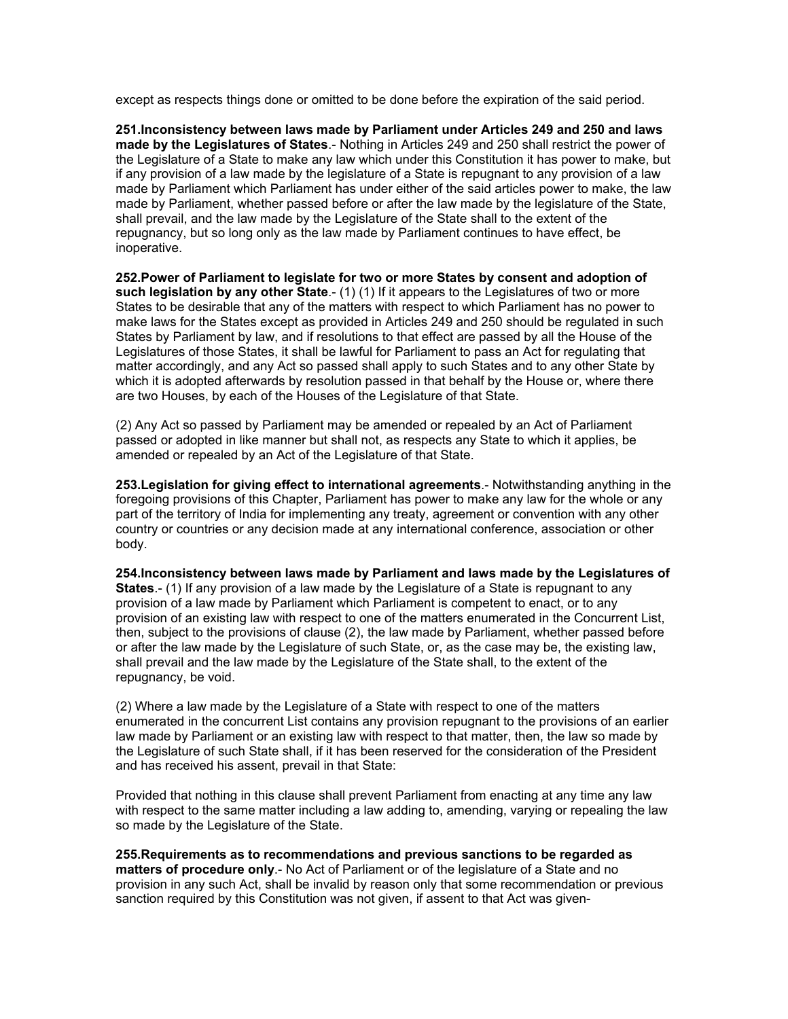except as respects things done or omitted to be done before the expiration of the said period.

**251.Inconsistency between laws made by Parliament under Articles 249 and 250 and laws made by the Legislatures of States**.- Nothing in Articles 249 and 250 shall restrict the power of the Legislature of a State to make any law which under this Constitution it has power to make, but if any provision of a law made by the legislature of a State is repugnant to any provision of a law made by Parliament which Parliament has under either of the said articles power to make, the law made by Parliament, whether passed before or after the law made by the legislature of the State, shall prevail, and the law made by the Legislature of the State shall to the extent of the repugnancy, but so long only as the law made by Parliament continues to have effect, be inoperative.

**252.Power of Parliament to legislate for two or more States by consent and adoption of such legislation by any other State**.- (1) (1) If it appears to the Legislatures of two or more States to be desirable that any of the matters with respect to which Parliament has no power to make laws for the States except as provided in Articles 249 and 250 should be regulated in such States by Parliament by law, and if resolutions to that effect are passed by all the House of the Legislatures of those States, it shall be lawful for Parliament to pass an Act for regulating that matter accordingly, and any Act so passed shall apply to such States and to any other State by which it is adopted afterwards by resolution passed in that behalf by the House or, where there are two Houses, by each of the Houses of the Legislature of that State.

(2) Any Act so passed by Parliament may be amended or repealed by an Act of Parliament passed or adopted in like manner but shall not, as respects any State to which it applies, be amended or repealed by an Act of the Legislature of that State.

**253.Legislation for giving effect to international agreements**.- Notwithstanding anything in the foregoing provisions of this Chapter, Parliament has power to make any law for the whole or any part of the territory of India for implementing any treaty, agreement or convention with any other country or countries or any decision made at any international conference, association or other body.

**254.Inconsistency between laws made by Parliament and laws made by the Legislatures of States**.- (1) If any provision of a law made by the Legislature of a State is repugnant to any provision of a law made by Parliament which Parliament is competent to enact, or to any provision of an existing law with respect to one of the matters enumerated in the Concurrent List, then, subject to the provisions of clause (2), the law made by Parliament, whether passed before or after the law made by the Legislature of such State, or, as the case may be, the existing law, shall prevail and the law made by the Legislature of the State shall, to the extent of the repugnancy, be void.

(2) Where a law made by the Legislature of a State with respect to one of the matters enumerated in the concurrent List contains any provision repugnant to the provisions of an earlier law made by Parliament or an existing law with respect to that matter, then, the law so made by the Legislature of such State shall, if it has been reserved for the consideration of the President and has received his assent, prevail in that State:

Provided that nothing in this clause shall prevent Parliament from enacting at any time any law with respect to the same matter including a law adding to, amending, varying or repealing the law so made by the Legislature of the State.

**255.Requirements as to recommendations and previous sanctions to be regarded as matters of procedure only**.- No Act of Parliament or of the legislature of a State and no provision in any such Act, shall be invalid by reason only that some recommendation or previous sanction required by this Constitution was not given, if assent to that Act was given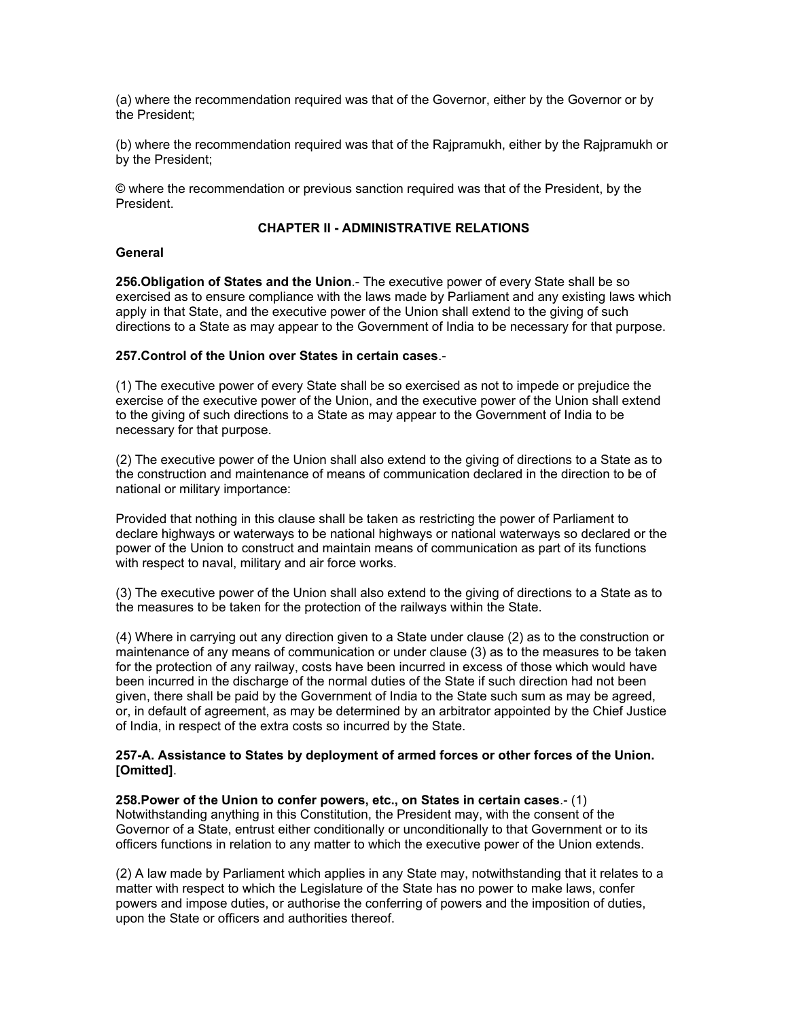(a) where the recommendation required was that of the Governor, either by the Governor or by the President;

(b) where the recommendation required was that of the Rajpramukh, either by the Rajpramukh or by the President;

© where the recommendation or previous sanction required was that of the President, by the President.

#### **CHAPTER II - ADMINISTRATIVE RELATIONS**

#### **General**

**256.Obligation of States and the Union**.- The executive power of every State shall be so exercised as to ensure compliance with the laws made by Parliament and any existing laws which apply in that State, and the executive power of the Union shall extend to the giving of such directions to a State as may appear to the Government of India to be necessary for that purpose.

#### **257.Control of the Union over States in certain cases**.-

(1) The executive power of every State shall be so exercised as not to impede or prejudice the exercise of the executive power of the Union, and the executive power of the Union shall extend to the giving of such directions to a State as may appear to the Government of India to be necessary for that purpose.

(2) The executive power of the Union shall also extend to the giving of directions to a State as to the construction and maintenance of means of communication declared in the direction to be of national or military importance:

Provided that nothing in this clause shall be taken as restricting the power of Parliament to declare highways or waterways to be national highways or national waterways so declared or the power of the Union to construct and maintain means of communication as part of its functions with respect to naval, military and air force works.

(3) The executive power of the Union shall also extend to the giving of directions to a State as to the measures to be taken for the protection of the railways within the State.

(4) Where in carrying out any direction given to a State under clause (2) as to the construction or maintenance of any means of communication or under clause (3) as to the measures to be taken for the protection of any railway, costs have been incurred in excess of those which would have been incurred in the discharge of the normal duties of the State if such direction had not been given, there shall be paid by the Government of India to the State such sum as may be agreed, or, in default of agreement, as may be determined by an arbitrator appointed by the Chief Justice of India, in respect of the extra costs so incurred by the State.

#### **257-A. Assistance to States by deployment of armed forces or other forces of the Union. [Omitted]**.

**258.Power of the Union to confer powers, etc., on States in certain cases**.- (1) Notwithstanding anything in this Constitution, the President may, with the consent of the Governor of a State, entrust either conditionally or unconditionally to that Government or to its officers functions in relation to any matter to which the executive power of the Union extends.

(2) A law made by Parliament which applies in any State may, notwithstanding that it relates to a matter with respect to which the Legislature of the State has no power to make laws, confer powers and impose duties, or authorise the conferring of powers and the imposition of duties, upon the State or officers and authorities thereof.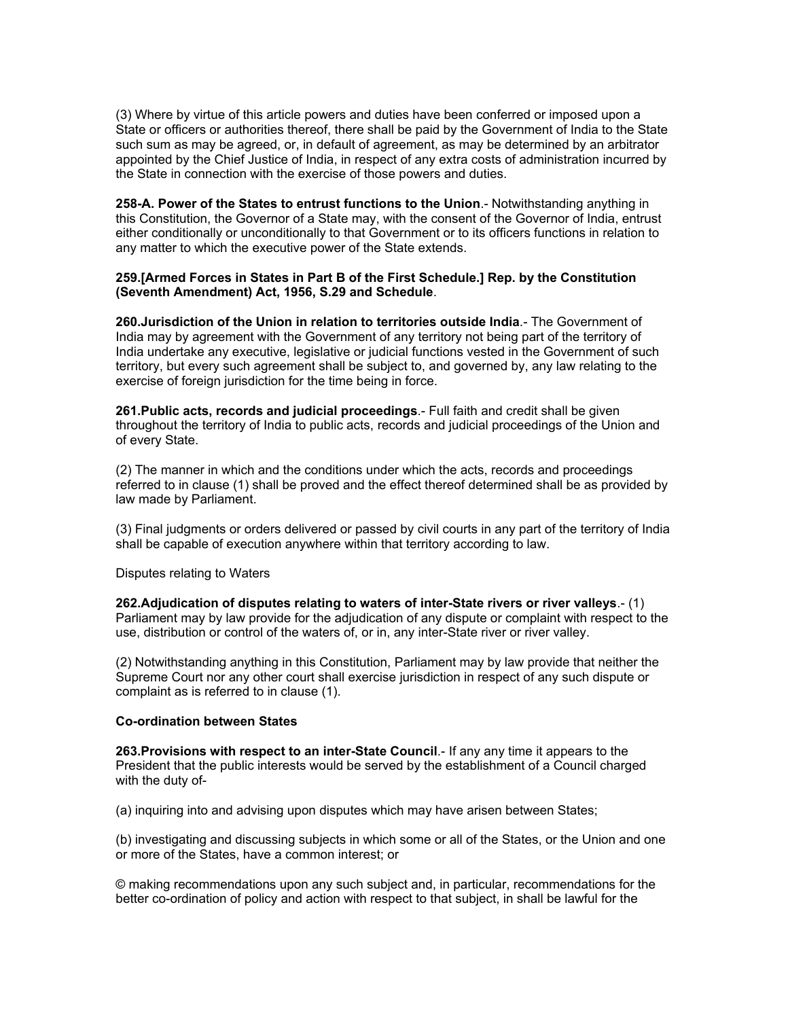(3) Where by virtue of this article powers and duties have been conferred or imposed upon a State or officers or authorities thereof, there shall be paid by the Government of India to the State such sum as may be agreed, or, in default of agreement, as may be determined by an arbitrator appointed by the Chief Justice of India, in respect of any extra costs of administration incurred by the State in connection with the exercise of those powers and duties.

**258-A. Power of the States to entrust functions to the Union**.- Notwithstanding anything in this Constitution, the Governor of a State may, with the consent of the Governor of India, entrust either conditionally or unconditionally to that Government or to its officers functions in relation to any matter to which the executive power of the State extends.

## **259.[Armed Forces in States in Part B of the First Schedule.] Rep. by the Constitution (Seventh Amendment) Act, 1956, S.29 and Schedule**.

**260.Jurisdiction of the Union in relation to territories outside India**.- The Government of India may by agreement with the Government of any territory not being part of the territory of India undertake any executive, legislative or judicial functions vested in the Government of such territory, but every such agreement shall be subject to, and governed by, any law relating to the exercise of foreign jurisdiction for the time being in force.

**261.Public acts, records and judicial proceedings**.- Full faith and credit shall be given throughout the territory of India to public acts, records and judicial proceedings of the Union and of every State.

(2) The manner in which and the conditions under which the acts, records and proceedings referred to in clause (1) shall be proved and the effect thereof determined shall be as provided by law made by Parliament.

(3) Final judgments or orders delivered or passed by civil courts in any part of the territory of India shall be capable of execution anywhere within that territory according to law.

Disputes relating to Waters

**262.Adjudication of disputes relating to waters of inter-State rivers or river valleys**.- (1) Parliament may by law provide for the adjudication of any dispute or complaint with respect to the use, distribution or control of the waters of, or in, any inter-State river or river valley.

(2) Notwithstanding anything in this Constitution, Parliament may by law provide that neither the Supreme Court nor any other court shall exercise jurisdiction in respect of any such dispute or complaint as is referred to in clause (1).

## **Co-ordination between States**

**263.Provisions with respect to an inter-State Council**.- If any any time it appears to the President that the public interests would be served by the establishment of a Council charged with the duty of-

(a) inquiring into and advising upon disputes which may have arisen between States;

(b) investigating and discussing subjects in which some or all of the States, or the Union and one or more of the States, have a common interest; or

© making recommendations upon any such subject and, in particular, recommendations for the better co-ordination of policy and action with respect to that subject, in shall be lawful for the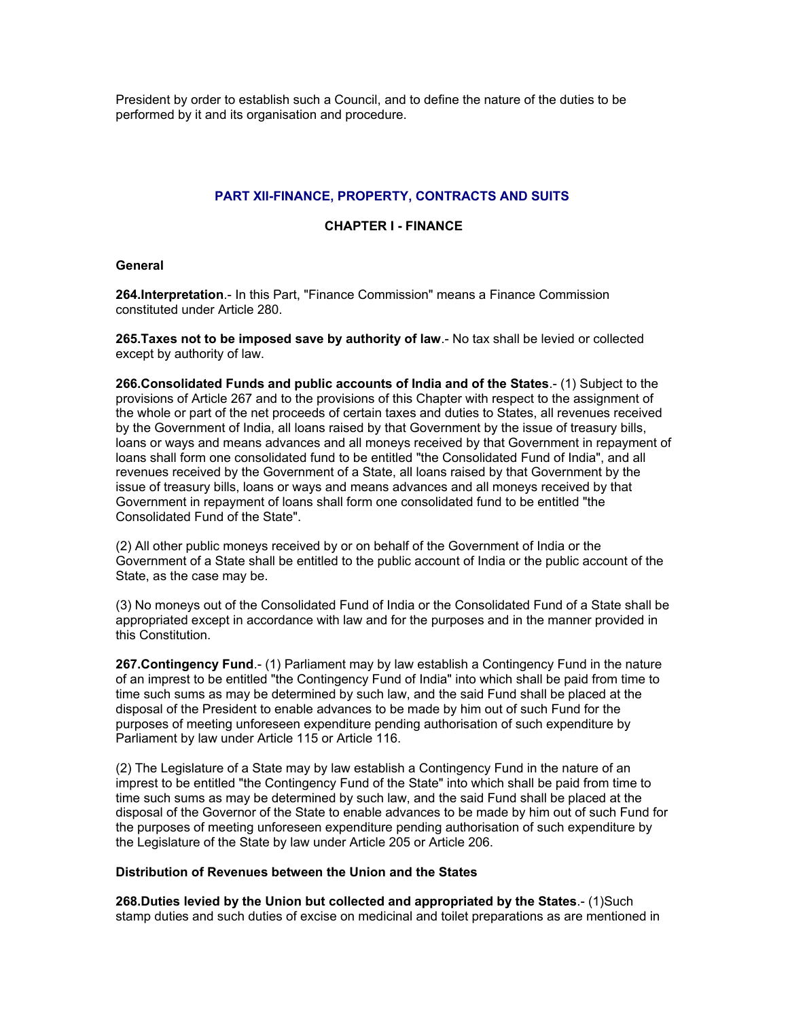President by order to establish such a Council, and to define the nature of the duties to be performed by it and its organisation and procedure.

# **PART XII-FINANCE, PROPERTY, CONTRACTS AND SUITS**

# **CHAPTER I - FINANCE**

#### **General**

**264.Interpretation**.- In this Part, "Finance Commission" means a Finance Commission constituted under Article 280.

**265.Taxes not to be imposed save by authority of law**.- No tax shall be levied or collected except by authority of law.

**266.Consolidated Funds and public accounts of India and of the States**.- (1) Subject to the provisions of Article 267 and to the provisions of this Chapter with respect to the assignment of the whole or part of the net proceeds of certain taxes and duties to States, all revenues received by the Government of India, all loans raised by that Government by the issue of treasury bills, loans or ways and means advances and all moneys received by that Government in repayment of loans shall form one consolidated fund to be entitled "the Consolidated Fund of India", and all revenues received by the Government of a State, all loans raised by that Government by the issue of treasury bills, loans or ways and means advances and all moneys received by that Government in repayment of loans shall form one consolidated fund to be entitled "the Consolidated Fund of the State".

(2) All other public moneys received by or on behalf of the Government of India or the Government of a State shall be entitled to the public account of India or the public account of the State, as the case may be.

(3) No moneys out of the Consolidated Fund of India or the Consolidated Fund of a State shall be appropriated except in accordance with law and for the purposes and in the manner provided in this Constitution.

**267.Contingency Fund**.- (1) Parliament may by law establish a Contingency Fund in the nature of an imprest to be entitled "the Contingency Fund of India" into which shall be paid from time to time such sums as may be determined by such law, and the said Fund shall be placed at the disposal of the President to enable advances to be made by him out of such Fund for the purposes of meeting unforeseen expenditure pending authorisation of such expenditure by Parliament by law under Article 115 or Article 116.

(2) The Legislature of a State may by law establish a Contingency Fund in the nature of an imprest to be entitled "the Contingency Fund of the State" into which shall be paid from time to time such sums as may be determined by such law, and the said Fund shall be placed at the disposal of the Governor of the State to enable advances to be made by him out of such Fund for the purposes of meeting unforeseen expenditure pending authorisation of such expenditure by the Legislature of the State by law under Article 205 or Article 206.

## **Distribution of Revenues between the Union and the States**

**268.Duties levied by the Union but collected and appropriated by the States**.- (1)Such stamp duties and such duties of excise on medicinal and toilet preparations as are mentioned in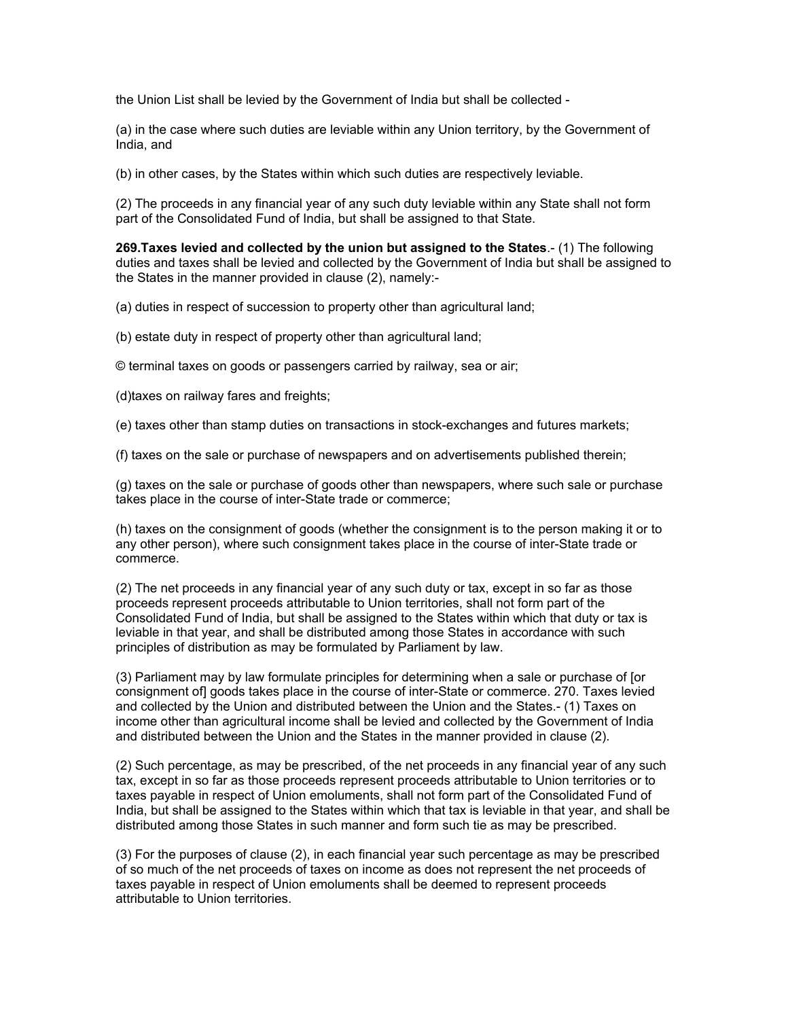the Union List shall be levied by the Government of India but shall be collected -

(a) in the case where such duties are leviable within any Union territory, by the Government of India, and

(b) in other cases, by the States within which such duties are respectively leviable.

(2) The proceeds in any financial year of any such duty leviable within any State shall not form part of the Consolidated Fund of India, but shall be assigned to that State.

**269.Taxes levied and collected by the union but assigned to the States**.- (1) The following duties and taxes shall be levied and collected by the Government of India but shall be assigned to the States in the manner provided in clause (2), namely:-

(a) duties in respect of succession to property other than agricultural land;

(b) estate duty in respect of property other than agricultural land;

© terminal taxes on goods or passengers carried by railway, sea or air;

(d)taxes on railway fares and freights;

(e) taxes other than stamp duties on transactions in stock-exchanges and futures markets;

(f) taxes on the sale or purchase of newspapers and on advertisements published therein;

(g) taxes on the sale or purchase of goods other than newspapers, where such sale or purchase takes place in the course of inter-State trade or commerce;

(h) taxes on the consignment of goods (whether the consignment is to the person making it or to any other person), where such consignment takes place in the course of inter-State trade or commerce.

(2) The net proceeds in any financial year of any such duty or tax, except in so far as those proceeds represent proceeds attributable to Union territories, shall not form part of the Consolidated Fund of India, but shall be assigned to the States within which that duty or tax is leviable in that year, and shall be distributed among those States in accordance with such principles of distribution as may be formulated by Parliament by law.

(3) Parliament may by law formulate principles for determining when a sale or purchase of [or consignment of] goods takes place in the course of inter-State or commerce. 270. Taxes levied and collected by the Union and distributed between the Union and the States.- (1) Taxes on income other than agricultural income shall be levied and collected by the Government of India and distributed between the Union and the States in the manner provided in clause (2).

(2) Such percentage, as may be prescribed, of the net proceeds in any financial year of any such tax, except in so far as those proceeds represent proceeds attributable to Union territories or to taxes payable in respect of Union emoluments, shall not form part of the Consolidated Fund of India, but shall be assigned to the States within which that tax is leviable in that year, and shall be distributed among those States in such manner and form such tie as may be prescribed.

(3) For the purposes of clause (2), in each financial year such percentage as may be prescribed of so much of the net proceeds of taxes on income as does not represent the net proceeds of taxes payable in respect of Union emoluments shall be deemed to represent proceeds attributable to Union territories.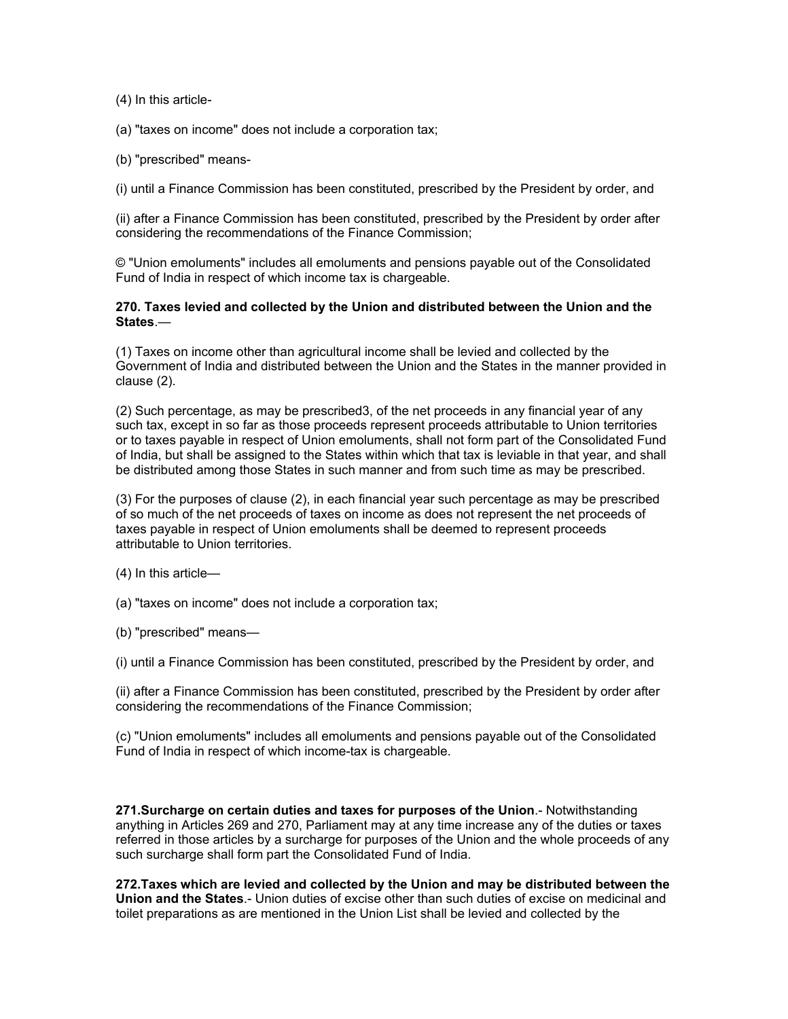(4) In this article-

- (a) "taxes on income" does not include a corporation tax;
- (b) "prescribed" means-

(i) until a Finance Commission has been constituted, prescribed by the President by order, and

(ii) after a Finance Commission has been constituted, prescribed by the President by order after considering the recommendations of the Finance Commission;

© "Union emoluments" includes all emoluments and pensions payable out of the Consolidated Fund of India in respect of which income tax is chargeable.

#### **270. Taxes levied and collected by the Union and distributed between the Union and the States**.—

(1) Taxes on income other than agricultural income shall be levied and collected by the Government of India and distributed between the Union and the States in the manner provided in clause (2).

(2) Such percentage, as may be prescribed3, of the net proceeds in any financial year of any such tax, except in so far as those proceeds represent proceeds attributable to Union territories or to taxes payable in respect of Union emoluments, shall not form part of the Consolidated Fund of India, but shall be assigned to the States within which that tax is leviable in that year, and shall be distributed among those States in such manner and from such time as may be prescribed.

(3) For the purposes of clause (2), in each financial year such percentage as may be prescribed of so much of the net proceeds of taxes on income as does not represent the net proceeds of taxes payable in respect of Union emoluments shall be deemed to represent proceeds attributable to Union territories.

- (4) In this article—
- (a) "taxes on income" does not include a corporation tax;
- (b) "prescribed" means—

(i) until a Finance Commission has been constituted, prescribed by the President by order, and

(ii) after a Finance Commission has been constituted, prescribed by the President by order after considering the recommendations of the Finance Commission;

(c) "Union emoluments" includes all emoluments and pensions payable out of the Consolidated Fund of India in respect of which income-tax is chargeable.

**271.Surcharge on certain duties and taxes for purposes of the Union**.- Notwithstanding anything in Articles 269 and 270, Parliament may at any time increase any of the duties or taxes referred in those articles by a surcharge for purposes of the Union and the whole proceeds of any such surcharge shall form part the Consolidated Fund of India.

**272.Taxes which are levied and collected by the Union and may be distributed between the Union and the States**.- Union duties of excise other than such duties of excise on medicinal and toilet preparations as are mentioned in the Union List shall be levied and collected by the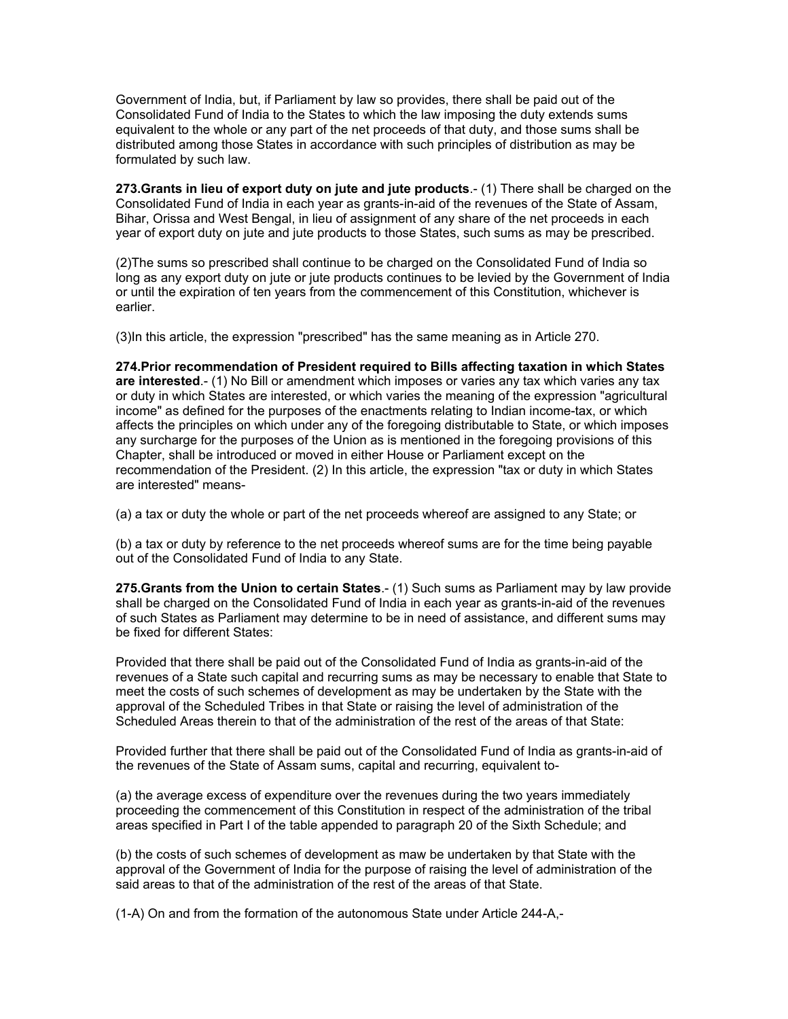Government of India, but, if Parliament by law so provides, there shall be paid out of the Consolidated Fund of India to the States to which the law imposing the duty extends sums equivalent to the whole or any part of the net proceeds of that duty, and those sums shall be distributed among those States in accordance with such principles of distribution as may be formulated by such law.

**273.Grants in lieu of export duty on jute and jute products**.- (1) There shall be charged on the Consolidated Fund of India in each year as grants-in-aid of the revenues of the State of Assam, Bihar, Orissa and West Bengal, in lieu of assignment of any share of the net proceeds in each year of export duty on jute and jute products to those States, such sums as may be prescribed.

(2)The sums so prescribed shall continue to be charged on the Consolidated Fund of India so long as any export duty on jute or jute products continues to be levied by the Government of India or until the expiration of ten years from the commencement of this Constitution, whichever is earlier.

(3)In this article, the expression "prescribed" has the same meaning as in Article 270.

**274.Prior recommendation of President required to Bills affecting taxation in which States are interested**.- (1) No Bill or amendment which imposes or varies any tax which varies any tax or duty in which States are interested, or which varies the meaning of the expression "agricultural income" as defined for the purposes of the enactments relating to Indian income-tax, or which affects the principles on which under any of the foregoing distributable to State, or which imposes any surcharge for the purposes of the Union as is mentioned in the foregoing provisions of this Chapter, shall be introduced or moved in either House or Parliament except on the recommendation of the President. (2) In this article, the expression "tax or duty in which States are interested" means-

(a) a tax or duty the whole or part of the net proceeds whereof are assigned to any State; or

(b) a tax or duty by reference to the net proceeds whereof sums are for the time being payable out of the Consolidated Fund of India to any State.

**275.Grants from the Union to certain States**.- (1) Such sums as Parliament may by law provide shall be charged on the Consolidated Fund of India in each year as grants-in-aid of the revenues of such States as Parliament may determine to be in need of assistance, and different sums may be fixed for different States:

Provided that there shall be paid out of the Consolidated Fund of India as grants-in-aid of the revenues of a State such capital and recurring sums as may be necessary to enable that State to meet the costs of such schemes of development as may be undertaken by the State with the approval of the Scheduled Tribes in that State or raising the level of administration of the Scheduled Areas therein to that of the administration of the rest of the areas of that State:

Provided further that there shall be paid out of the Consolidated Fund of India as grants-in-aid of the revenues of the State of Assam sums, capital and recurring, equivalent to-

(a) the average excess of expenditure over the revenues during the two years immediately proceeding the commencement of this Constitution in respect of the administration of the tribal areas specified in Part I of the table appended to paragraph 20 of the Sixth Schedule; and

(b) the costs of such schemes of development as maw be undertaken by that State with the approval of the Government of India for the purpose of raising the level of administration of the said areas to that of the administration of the rest of the areas of that State.

(1-A) On and from the formation of the autonomous State under Article 244-A,-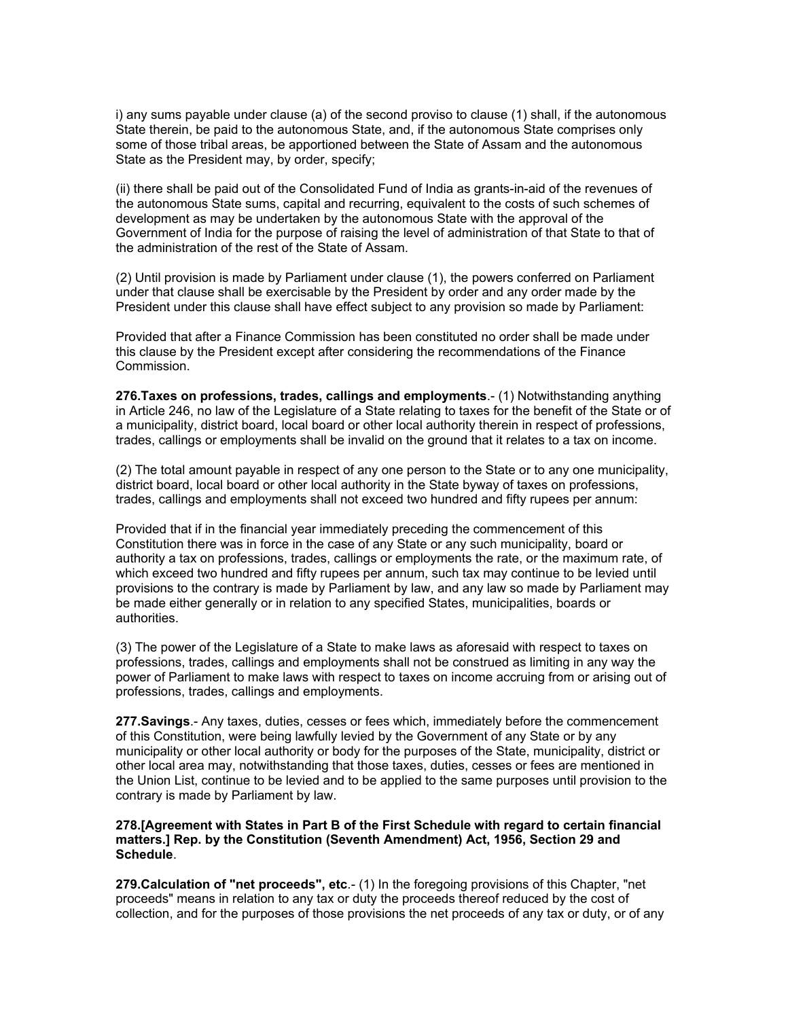i) any sums payable under clause (a) of the second proviso to clause (1) shall, if the autonomous State therein, be paid to the autonomous State, and, if the autonomous State comprises only some of those tribal areas, be apportioned between the State of Assam and the autonomous State as the President may, by order, specify;

(ii) there shall be paid out of the Consolidated Fund of India as grants-in-aid of the revenues of the autonomous State sums, capital and recurring, equivalent to the costs of such schemes of development as may be undertaken by the autonomous State with the approval of the Government of India for the purpose of raising the level of administration of that State to that of the administration of the rest of the State of Assam.

(2) Until provision is made by Parliament under clause (1), the powers conferred on Parliament under that clause shall be exercisable by the President by order and any order made by the President under this clause shall have effect subject to any provision so made by Parliament:

Provided that after a Finance Commission has been constituted no order shall be made under this clause by the President except after considering the recommendations of the Finance Commission.

**276.Taxes on professions, trades, callings and employments**.- (1) Notwithstanding anything in Article 246, no law of the Legislature of a State relating to taxes for the benefit of the State or of a municipality, district board, local board or other local authority therein in respect of professions, trades, callings or employments shall be invalid on the ground that it relates to a tax on income.

(2) The total amount payable in respect of any one person to the State or to any one municipality, district board, local board or other local authority in the State byway of taxes on professions, trades, callings and employments shall not exceed two hundred and fifty rupees per annum:

Provided that if in the financial year immediately preceding the commencement of this Constitution there was in force in the case of any State or any such municipality, board or authority a tax on professions, trades, callings or employments the rate, or the maximum rate, of which exceed two hundred and fifty rupees per annum, such tax may continue to be levied until provisions to the contrary is made by Parliament by law, and any law so made by Parliament may be made either generally or in relation to any specified States, municipalities, boards or authorities.

(3) The power of the Legislature of a State to make laws as aforesaid with respect to taxes on professions, trades, callings and employments shall not be construed as limiting in any way the power of Parliament to make laws with respect to taxes on income accruing from or arising out of professions, trades, callings and employments.

**277.Savings**.- Any taxes, duties, cesses or fees which, immediately before the commencement of this Constitution, were being lawfully levied by the Government of any State or by any municipality or other local authority or body for the purposes of the State, municipality, district or other local area may, notwithstanding that those taxes, duties, cesses or fees are mentioned in the Union List, continue to be levied and to be applied to the same purposes until provision to the contrary is made by Parliament by law.

#### **278.[Agreement with States in Part B of the First Schedule with regard to certain financial matters.] Rep. by the Constitution (Seventh Amendment) Act, 1956, Section 29 and Schedule**.

**279.Calculation of "net proceeds", etc**.- (1) In the foregoing provisions of this Chapter, "net proceeds" means in relation to any tax or duty the proceeds thereof reduced by the cost of collection, and for the purposes of those provisions the net proceeds of any tax or duty, or of any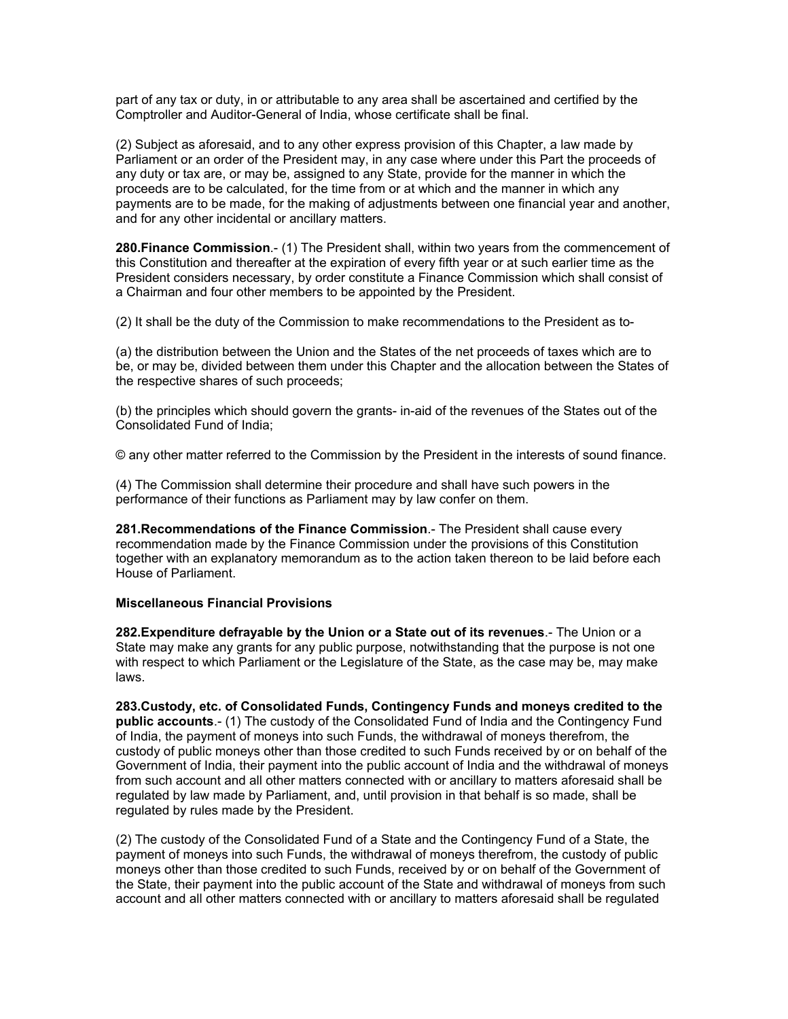part of any tax or duty, in or attributable to any area shall be ascertained and certified by the Comptroller and Auditor-General of India, whose certificate shall be final.

(2) Subject as aforesaid, and to any other express provision of this Chapter, a law made by Parliament or an order of the President may, in any case where under this Part the proceeds of any duty or tax are, or may be, assigned to any State, provide for the manner in which the proceeds are to be calculated, for the time from or at which and the manner in which any payments are to be made, for the making of adjustments between one financial year and another, and for any other incidental or ancillary matters.

**280.Finance Commission**.- (1) The President shall, within two years from the commencement of this Constitution and thereafter at the expiration of every fifth year or at such earlier time as the President considers necessary, by order constitute a Finance Commission which shall consist of a Chairman and four other members to be appointed by the President.

(2) It shall be the duty of the Commission to make recommendations to the President as to-

(a) the distribution between the Union and the States of the net proceeds of taxes which are to be, or may be, divided between them under this Chapter and the allocation between the States of the respective shares of such proceeds;

(b) the principles which should govern the grants- in-aid of the revenues of the States out of the Consolidated Fund of India;

© any other matter referred to the Commission by the President in the interests of sound finance.

(4) The Commission shall determine their procedure and shall have such powers in the performance of their functions as Parliament may by law confer on them.

**281.Recommendations of the Finance Commission**.- The President shall cause every recommendation made by the Finance Commission under the provisions of this Constitution together with an explanatory memorandum as to the action taken thereon to be laid before each House of Parliament.

## **Miscellaneous Financial Provisions**

**282.Expenditure defrayable by the Union or a State out of its revenues**.- The Union or a State may make any grants for any public purpose, notwithstanding that the purpose is not one with respect to which Parliament or the Legislature of the State, as the case may be, may make laws.

**283.Custody, etc. of Consolidated Funds, Contingency Funds and moneys credited to the public accounts**.- (1) The custody of the Consolidated Fund of India and the Contingency Fund of India, the payment of moneys into such Funds, the withdrawal of moneys therefrom, the custody of public moneys other than those credited to such Funds received by or on behalf of the Government of India, their payment into the public account of India and the withdrawal of moneys from such account and all other matters connected with or ancillary to matters aforesaid shall be regulated by law made by Parliament, and, until provision in that behalf is so made, shall be regulated by rules made by the President.

(2) The custody of the Consolidated Fund of a State and the Contingency Fund of a State, the payment of moneys into such Funds, the withdrawal of moneys therefrom, the custody of public moneys other than those credited to such Funds, received by or on behalf of the Government of the State, their payment into the public account of the State and withdrawal of moneys from such account and all other matters connected with or ancillary to matters aforesaid shall be regulated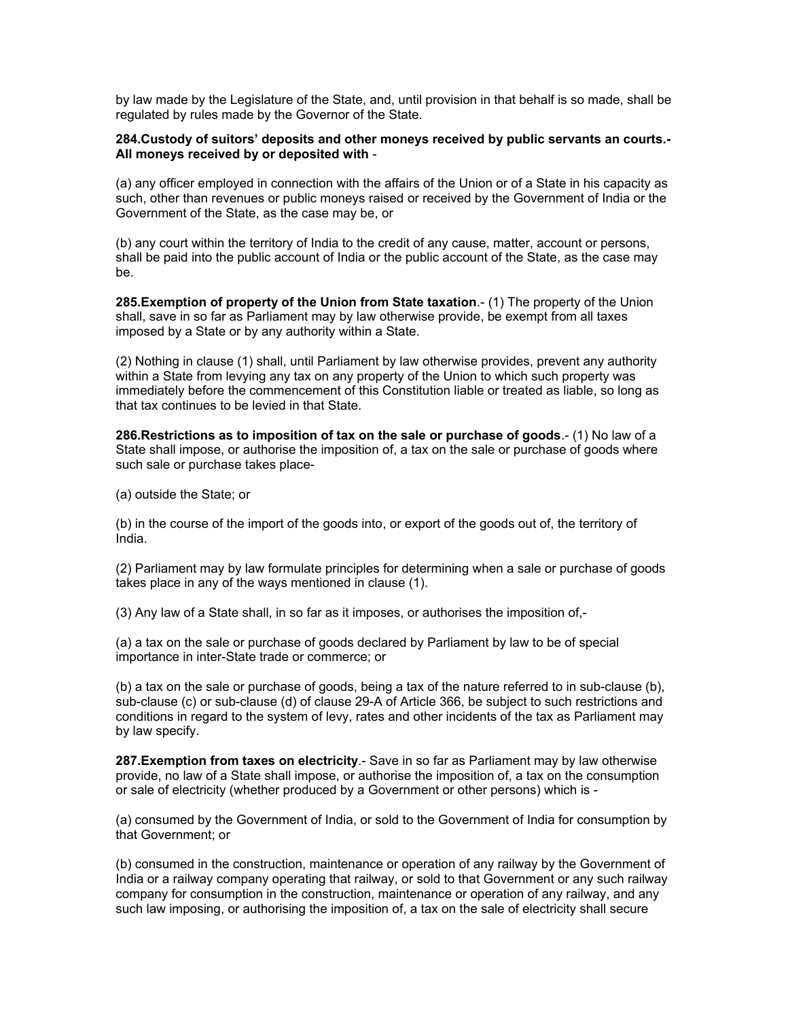by law made by the Legislature of the State, and, until provision in that behalf is so made, shall be regulated by rules made by the Governor of the State.

#### **284.Custody of suitors' deposits and other moneys received by public servants an courts.- All moneys received by or deposited with** -

(a) any officer employed in connection with the affairs of the Union or of a State in his capacity as such, other than revenues or public moneys raised or received by the Government of India or the Government of the State, as the case may be, or

(b) any court within the territory of India to the credit of any cause, matter, account or persons, shall be paid into the public account of India or the public account of the State, as the case may be.

**285.Exemption of property of the Union from State taxation**.- (1) The property of the Union shall, save in so far as Parliament may by law otherwise provide, be exempt from all taxes imposed by a State or by any authority within a State.

(2) Nothing in clause (1) shall, until Parliament by law otherwise provides, prevent any authority within a State from levying any tax on any property of the Union to which such property was immediately before the commencement of this Constitution liable or treated as liable, so long as that tax continues to be levied in that State.

**286.Restrictions as to imposition of tax on the sale or purchase of goods**.- (1) No law of a State shall impose, or authorise the imposition of, a tax on the sale or purchase of goods where such sale or purchase takes place-

(a) outside the State; or

(b) in the course of the import of the goods into, or export of the goods out of, the territory of India.

(2) Parliament may by law formulate principles for determining when a sale or purchase of goods takes place in any of the ways mentioned in clause (1).

(3) Any law of a State shall, in so far as it imposes, or authorises the imposition of,-

(a) a tax on the sale or purchase of goods declared by Parliament by law to be of special importance in inter-State trade or commerce; or

(b) a tax on the sale or purchase of goods, being a tax of the nature referred to in sub-clause (b), sub-clause (c) or sub-clause (d) of clause 29-A of Article 366, be subject to such restrictions and conditions in regard to the system of levy, rates and other incidents of the tax as Parliament may by law specify.

**287.Exemption from taxes on electricity**.- Save in so far as Parliament may by law otherwise provide, no law of a State shall impose, or authorise the imposition of, a tax on the consumption or sale of electricity (whether produced by a Government or other persons) which is -

(a) consumed by the Government of India, or sold to the Government of India for consumption by that Government; or

(b) consumed in the construction, maintenance or operation of any railway by the Government of India or a railway company operating that railway, or sold to that Government or any such railway company for consumption in the construction, maintenance or operation of any railway, and any such law imposing, or authorising the imposition of, a tax on the sale of electricity shall secure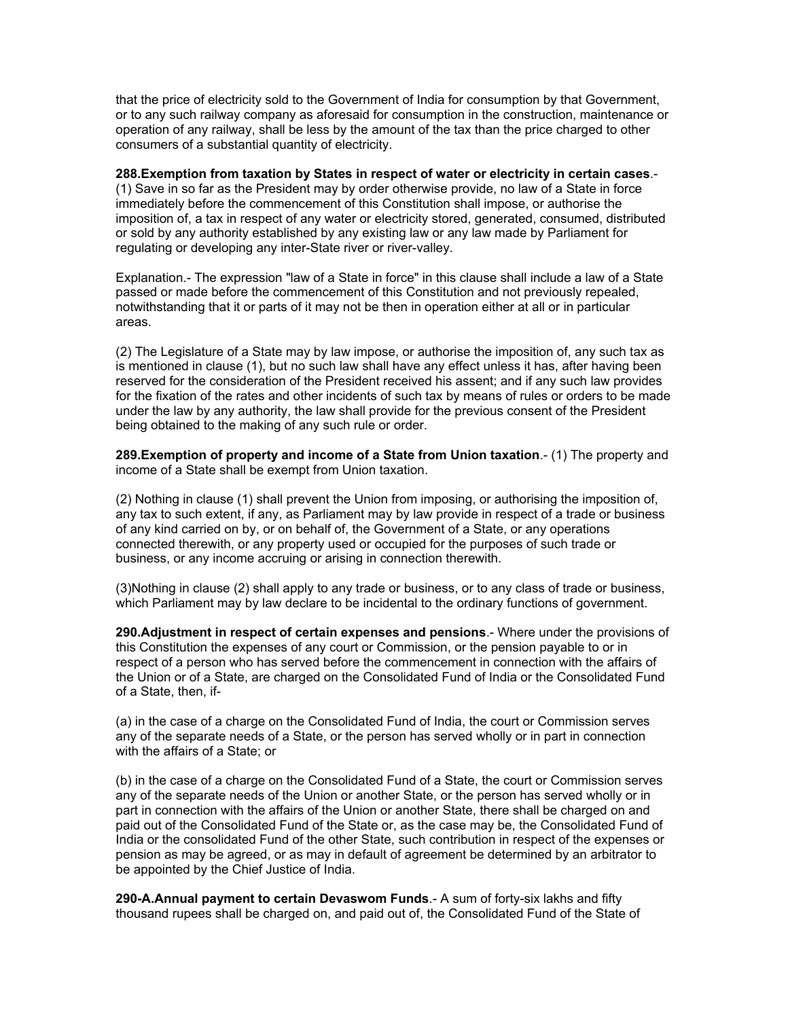that the price of electricity sold to the Government of India for consumption by that Government, or to any such railway company as aforesaid for consumption in the construction, maintenance or operation of any railway, shall be less by the amount of the tax than the price charged to other consumers of a substantial quantity of electricity.

## **288.Exemption from taxation by States in respect of water or electricity in certain cases**.-

(1) Save in so far as the President may by order otherwise provide, no law of a State in force immediately before the commencement of this Constitution shall impose, or authorise the imposition of, a tax in respect of any water or electricity stored, generated, consumed, distributed or sold by any authority established by any existing law or any law made by Parliament for regulating or developing any inter-State river or river-valley.

Explanation.- The expression "law of a State in force" in this clause shall include a law of a State passed or made before the commencement of this Constitution and not previously repealed, notwithstanding that it or parts of it may not be then in operation either at all or in particular areas.

(2) The Legislature of a State may by law impose, or authorise the imposition of, any such tax as is mentioned in clause (1), but no such law shall have any effect unless it has, after having been reserved for the consideration of the President received his assent; and if any such law provides for the fixation of the rates and other incidents of such tax by means of rules or orders to be made under the law by any authority, the law shall provide for the previous consent of the President being obtained to the making of any such rule or order.

**289.Exemption of property and income of a State from Union taxation**.- (1) The property and income of a State shall be exempt from Union taxation.

(2) Nothing in clause (1) shall prevent the Union from imposing, or authorising the imposition of, any tax to such extent, if any, as Parliament may by law provide in respect of a trade or business of any kind carried on by, or on behalf of, the Government of a State, or any operations connected therewith, or any property used or occupied for the purposes of such trade or business, or any income accruing or arising in connection therewith.

(3)Nothing in clause (2) shall apply to any trade or business, or to any class of trade or business, which Parliament may by law declare to be incidental to the ordinary functions of government.

**290.Adjustment in respect of certain expenses and pensions**.- Where under the provisions of this Constitution the expenses of any court or Commission, or the pension payable to or in respect of a person who has served before the commencement in connection with the affairs of the Union or of a State, are charged on the Consolidated Fund of India or the Consolidated Fund of a State, then, if-

(a) in the case of a charge on the Consolidated Fund of India, the court or Commission serves any of the separate needs of a State, or the person has served wholly or in part in connection with the affairs of a State; or

(b) in the case of a charge on the Consolidated Fund of a State, the court or Commission serves any of the separate needs of the Union or another State, or the person has served wholly or in part in connection with the affairs of the Union or another State, there shall be charged on and paid out of the Consolidated Fund of the State or, as the case may be, the Consolidated Fund of India or the consolidated Fund of the other State, such contribution in respect of the expenses or pension as may be agreed, or as may in default of agreement be determined by an arbitrator to be appointed by the Chief Justice of India.

**290-A.Annual payment to certain Devaswom Funds**.- A sum of forty-six lakhs and fifty thousand rupees shall be charged on, and paid out of, the Consolidated Fund of the State of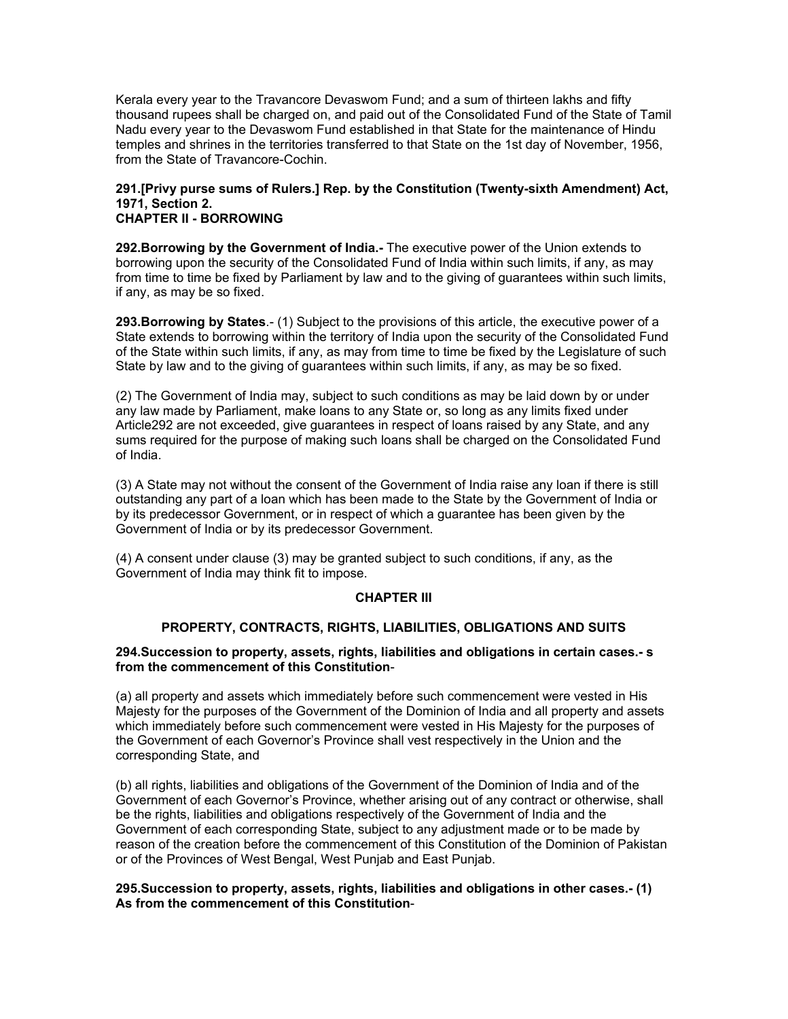Kerala every year to the Travancore Devaswom Fund; and a sum of thirteen lakhs and fifty thousand rupees shall be charged on, and paid out of the Consolidated Fund of the State of Tamil Nadu every year to the Devaswom Fund established in that State for the maintenance of Hindu temples and shrines in the territories transferred to that State on the 1st day of November, 1956, from the State of Travancore-Cochin.

#### **291.[Privy purse sums of Rulers.] Rep. by the Constitution (Twenty-sixth Amendment) Act, 1971, Section 2. CHAPTER II - BORROWING**

**292.Borrowing by the Government of India.-** The executive power of the Union extends to borrowing upon the security of the Consolidated Fund of India within such limits, if any, as may from time to time be fixed by Parliament by law and to the giving of guarantees within such limits, if any, as may be so fixed.

**293.Borrowing by States**.- (1) Subject to the provisions of this article, the executive power of a State extends to borrowing within the territory of India upon the security of the Consolidated Fund of the State within such limits, if any, as may from time to time be fixed by the Legislature of such State by law and to the giving of guarantees within such limits, if any, as may be so fixed.

(2) The Government of India may, subject to such conditions as may be laid down by or under any law made by Parliament, make loans to any State or, so long as any limits fixed under Article292 are not exceeded, give guarantees in respect of loans raised by any State, and any sums required for the purpose of making such loans shall be charged on the Consolidated Fund of India.

(3) A State may not without the consent of the Government of India raise any loan if there is still outstanding any part of a loan which has been made to the State by the Government of India or by its predecessor Government, or in respect of which a guarantee has been given by the Government of India or by its predecessor Government.

(4) A consent under clause (3) may be granted subject to such conditions, if any, as the Government of India may think fit to impose.

# **CHAPTER III**

# **PROPERTY, CONTRACTS, RIGHTS, LIABILITIES, OBLIGATIONS AND SUITS**

## **294.Succession to property, assets, rights, liabilities and obligations in certain cases.- s from the commencement of this Constitution**-

(a) all property and assets which immediately before such commencement were vested in His Majesty for the purposes of the Government of the Dominion of India and all property and assets which immediately before such commencement were vested in His Majesty for the purposes of the Government of each Governor's Province shall vest respectively in the Union and the corresponding State, and

(b) all rights, liabilities and obligations of the Government of the Dominion of India and of the Government of each Governor's Province, whether arising out of any contract or otherwise, shall be the rights, liabilities and obligations respectively of the Government of India and the Government of each corresponding State, subject to any adjustment made or to be made by reason of the creation before the commencement of this Constitution of the Dominion of Pakistan or of the Provinces of West Bengal, West Punjab and East Punjab.

## **295.Succession to property, assets, rights, liabilities and obligations in other cases.- (1) As from the commencement of this Constitution**-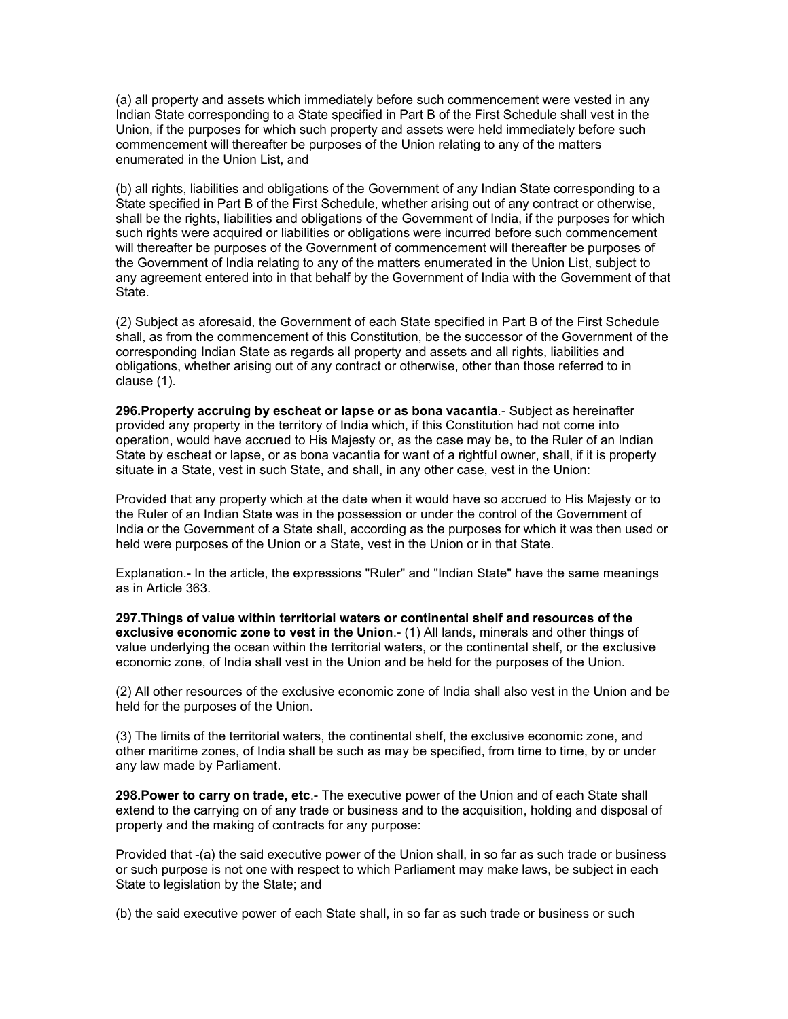(a) all property and assets which immediately before such commencement were vested in any Indian State corresponding to a State specified in Part B of the First Schedule shall vest in the Union, if the purposes for which such property and assets were held immediately before such commencement will thereafter be purposes of the Union relating to any of the matters enumerated in the Union List, and

(b) all rights, liabilities and obligations of the Government of any Indian State corresponding to a State specified in Part B of the First Schedule, whether arising out of any contract or otherwise, shall be the rights, liabilities and obligations of the Government of India, if the purposes for which such rights were acquired or liabilities or obligations were incurred before such commencement will thereafter be purposes of the Government of commencement will thereafter be purposes of the Government of India relating to any of the matters enumerated in the Union List, subject to any agreement entered into in that behalf by the Government of India with the Government of that State.

(2) Subject as aforesaid, the Government of each State specified in Part B of the First Schedule shall, as from the commencement of this Constitution, be the successor of the Government of the corresponding Indian State as regards all property and assets and all rights, liabilities and obligations, whether arising out of any contract or otherwise, other than those referred to in clause (1).

**296.Property accruing by escheat or lapse or as bona vacantia**.- Subject as hereinafter provided any property in the territory of India which, if this Constitution had not come into operation, would have accrued to His Majesty or, as the case may be, to the Ruler of an Indian State by escheat or lapse, or as bona vacantia for want of a rightful owner, shall, if it is property situate in a State, vest in such State, and shall, in any other case, vest in the Union:

Provided that any property which at the date when it would have so accrued to His Majesty or to the Ruler of an Indian State was in the possession or under the control of the Government of India or the Government of a State shall, according as the purposes for which it was then used or held were purposes of the Union or a State, vest in the Union or in that State.

Explanation.- In the article, the expressions "Ruler" and "Indian State" have the same meanings as in Article 363.

**297.Things of value within territorial waters or continental shelf and resources of the exclusive economic zone to vest in the Union**.- (1) All lands, minerals and other things of value underlying the ocean within the territorial waters, or the continental shelf, or the exclusive economic zone, of India shall vest in the Union and be held for the purposes of the Union.

(2) All other resources of the exclusive economic zone of India shall also vest in the Union and be held for the purposes of the Union.

(3) The limits of the territorial waters, the continental shelf, the exclusive economic zone, and other maritime zones, of India shall be such as may be specified, from time to time, by or under any law made by Parliament.

**298.Power to carry on trade, etc**.- The executive power of the Union and of each State shall extend to the carrying on of any trade or business and to the acquisition, holding and disposal of property and the making of contracts for any purpose:

Provided that -(a) the said executive power of the Union shall, in so far as such trade or business or such purpose is not one with respect to which Parliament may make laws, be subject in each State to legislation by the State; and

(b) the said executive power of each State shall, in so far as such trade or business or such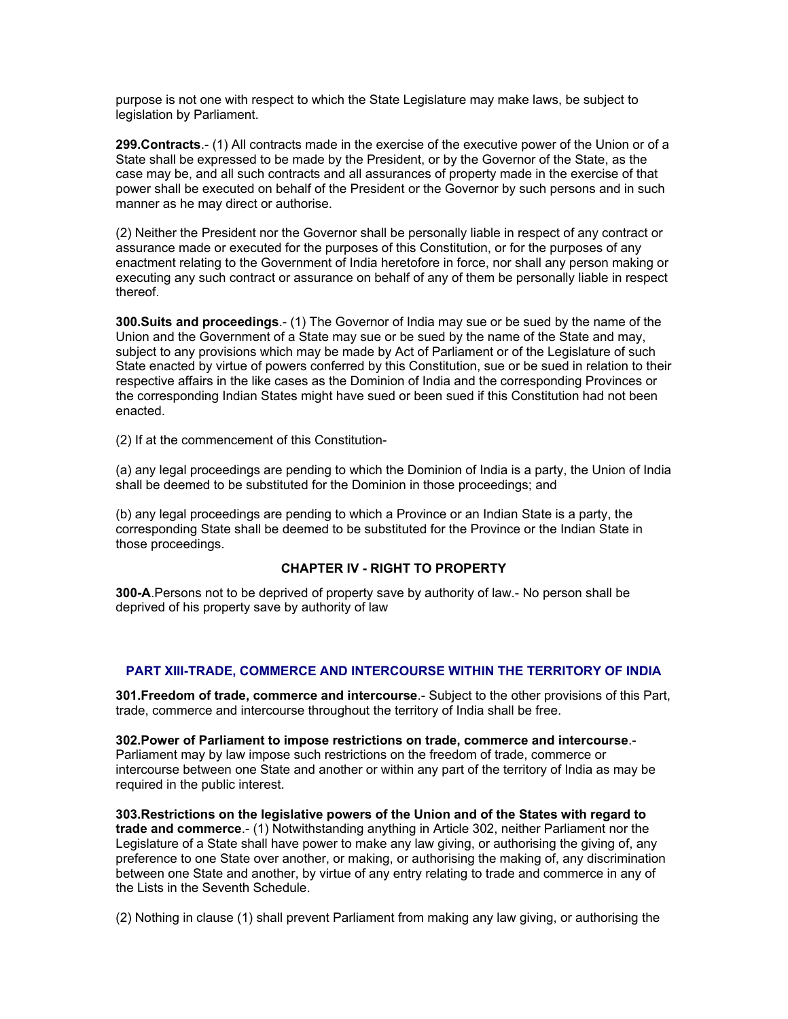purpose is not one with respect to which the State Legislature may make laws, be subject to legislation by Parliament.

**299.Contracts**.- (1) All contracts made in the exercise of the executive power of the Union or of a State shall be expressed to be made by the President, or by the Governor of the State, as the case may be, and all such contracts and all assurances of property made in the exercise of that power shall be executed on behalf of the President or the Governor by such persons and in such manner as he may direct or authorise.

(2) Neither the President nor the Governor shall be personally liable in respect of any contract or assurance made or executed for the purposes of this Constitution, or for the purposes of any enactment relating to the Government of India heretofore in force, nor shall any person making or executing any such contract or assurance on behalf of any of them be personally liable in respect thereof.

**300.Suits and proceedings**.- (1) The Governor of India may sue or be sued by the name of the Union and the Government of a State may sue or be sued by the name of the State and may, subject to any provisions which may be made by Act of Parliament or of the Legislature of such State enacted by virtue of powers conferred by this Constitution, sue or be sued in relation to their respective affairs in the like cases as the Dominion of India and the corresponding Provinces or the corresponding Indian States might have sued or been sued if this Constitution had not been enacted.

(2) If at the commencement of this Constitution-

(a) any legal proceedings are pending to which the Dominion of India is a party, the Union of India shall be deemed to be substituted for the Dominion in those proceedings; and

(b) any legal proceedings are pending to which a Province or an Indian State is a party, the corresponding State shall be deemed to be substituted for the Province or the Indian State in those proceedings.

# **CHAPTER IV - RIGHT TO PROPERTY**

**300-A**.Persons not to be deprived of property save by authority of law.- No person shall be deprived of his property save by authority of law

## **PART XIII-TRADE, COMMERCE AND INTERCOURSE WITHIN THE TERRITORY OF INDIA**

**301.Freedom of trade, commerce and intercourse**.- Subject to the other provisions of this Part, trade, commerce and intercourse throughout the territory of India shall be free.

**302.Power of Parliament to impose restrictions on trade, commerce and intercourse**.- Parliament may by law impose such restrictions on the freedom of trade, commerce or intercourse between one State and another or within any part of the territory of India as may be required in the public interest.

**303.Restrictions on the legislative powers of the Union and of the States with regard to trade and commerce**.- (1) Notwithstanding anything in Article 302, neither Parliament nor the Legislature of a State shall have power to make any law giving, or authorising the giving of, any preference to one State over another, or making, or authorising the making of, any discrimination between one State and another, by virtue of any entry relating to trade and commerce in any of the Lists in the Seventh Schedule.

(2) Nothing in clause (1) shall prevent Parliament from making any law giving, or authorising the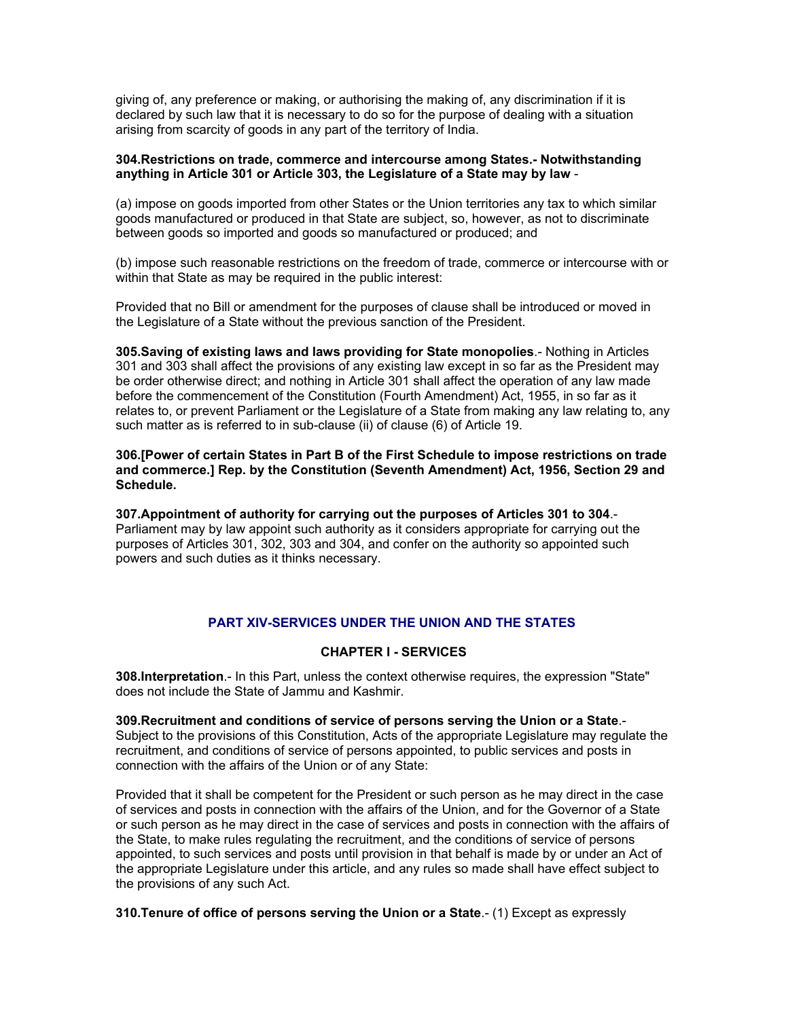giving of, any preference or making, or authorising the making of, any discrimination if it is declared by such law that it is necessary to do so for the purpose of dealing with a situation arising from scarcity of goods in any part of the territory of India.

#### **304.Restrictions on trade, commerce and intercourse among States.- Notwithstanding anything in Article 301 or Article 303, the Legislature of a State may by law** -

(a) impose on goods imported from other States or the Union territories any tax to which similar goods manufactured or produced in that State are subject, so, however, as not to discriminate between goods so imported and goods so manufactured or produced; and

(b) impose such reasonable restrictions on the freedom of trade, commerce or intercourse with or within that State as may be required in the public interest:

Provided that no Bill or amendment for the purposes of clause shall be introduced or moved in the Legislature of a State without the previous sanction of the President.

**305.Saving of existing laws and laws providing for State monopolies**.- Nothing in Articles 301 and 303 shall affect the provisions of any existing law except in so far as the President may be order otherwise direct; and nothing in Article 301 shall affect the operation of any law made before the commencement of the Constitution (Fourth Amendment) Act, 1955, in so far as it relates to, or prevent Parliament or the Legislature of a State from making any law relating to, any such matter as is referred to in sub-clause (ii) of clause (6) of Article 19.

**306.[Power of certain States in Part B of the First Schedule to impose restrictions on trade and commerce.] Rep. by the Constitution (Seventh Amendment) Act, 1956, Section 29 and Schedule.** 

**307.Appointment of authority for carrying out the purposes of Articles 301 to 304**.- Parliament may by law appoint such authority as it considers appropriate for carrying out the purposes of Articles 301, 302, 303 and 304, and confer on the authority so appointed such powers and such duties as it thinks necessary.

# **PART XIV-SERVICES UNDER THE UNION AND THE STATES**

# **CHAPTER I - SERVICES**

**308.Interpretation**.- In this Part, unless the context otherwise requires, the expression "State" does not include the State of Jammu and Kashmir.

**309.Recruitment and conditions of service of persons serving the Union or a State**.- Subject to the provisions of this Constitution, Acts of the appropriate Legislature may regulate the recruitment, and conditions of service of persons appointed, to public services and posts in connection with the affairs of the Union or of any State:

Provided that it shall be competent for the President or such person as he may direct in the case of services and posts in connection with the affairs of the Union, and for the Governor of a State or such person as he may direct in the case of services and posts in connection with the affairs of the State, to make rules regulating the recruitment, and the conditions of service of persons appointed, to such services and posts until provision in that behalf is made by or under an Act of the appropriate Legislature under this article, and any rules so made shall have effect subject to the provisions of any such Act.

**310.Tenure of office of persons serving the Union or a State**.- (1) Except as expressly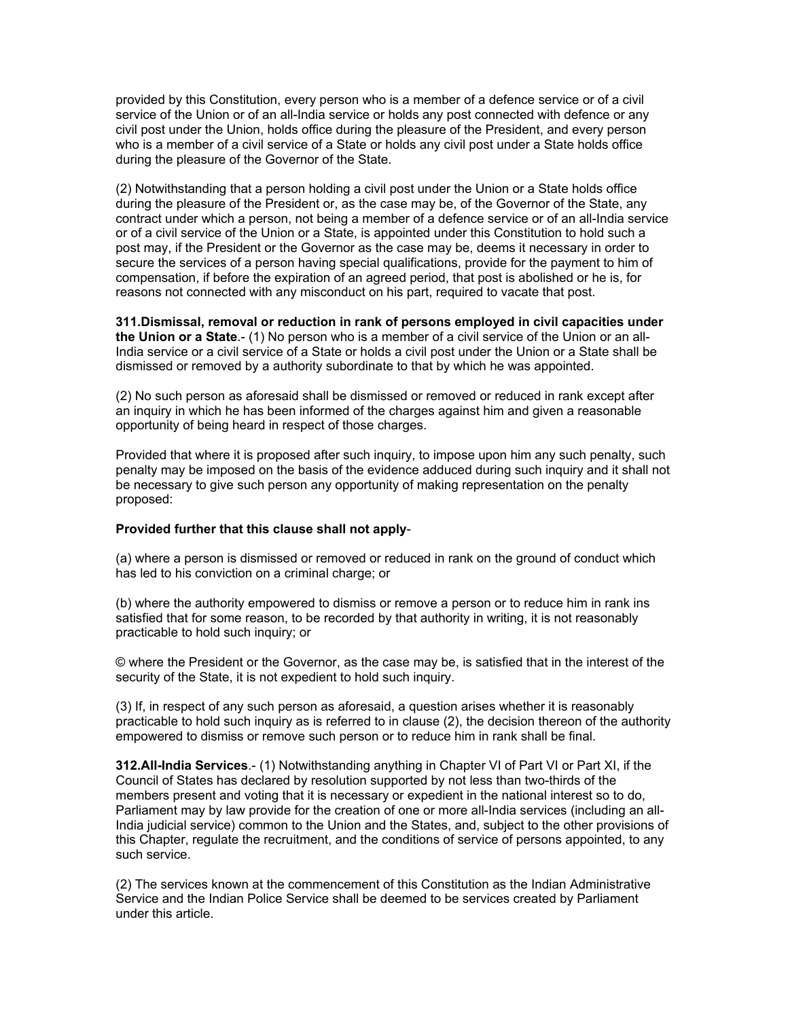provided by this Constitution, every person who is a member of a defence service or of a civil service of the Union or of an all-India service or holds any post connected with defence or any civil post under the Union, holds office during the pleasure of the President, and every person who is a member of a civil service of a State or holds any civil post under a State holds office during the pleasure of the Governor of the State.

(2) Notwithstanding that a person holding a civil post under the Union or a State holds office during the pleasure of the President or, as the case may be, of the Governor of the State, any contract under which a person, not being a member of a defence service or of an all-India service or of a civil service of the Union or a State, is appointed under this Constitution to hold such a post may, if the President or the Governor as the case may be, deems it necessary in order to secure the services of a person having special qualifications, provide for the payment to him of compensation, if before the expiration of an agreed period, that post is abolished or he is, for reasons not connected with any misconduct on his part, required to vacate that post.

**311.Dismissal, removal or reduction in rank of persons employed in civil capacities under the Union or a State**.- (1) No person who is a member of a civil service of the Union or an all-India service or a civil service of a State or holds a civil post under the Union or a State shall be dismissed or removed by a authority subordinate to that by which he was appointed.

(2) No such person as aforesaid shall be dismissed or removed or reduced in rank except after an inquiry in which he has been informed of the charges against him and given a reasonable opportunity of being heard in respect of those charges.

Provided that where it is proposed after such inquiry, to impose upon him any such penalty, such penalty may be imposed on the basis of the evidence adduced during such inquiry and it shall not be necessary to give such person any opportunity of making representation on the penalty proposed:

## **Provided further that this clause shall not apply**-

(a) where a person is dismissed or removed or reduced in rank on the ground of conduct which has led to his conviction on a criminal charge; or

(b) where the authority empowered to dismiss or remove a person or to reduce him in rank ins satisfied that for some reason, to be recorded by that authority in writing, it is not reasonably practicable to hold such inquiry; or

© where the President or the Governor, as the case may be, is satisfied that in the interest of the security of the State, it is not expedient to hold such inquiry.

(3) If, in respect of any such person as aforesaid, a question arises whether it is reasonably practicable to hold such inquiry as is referred to in clause (2), the decision thereon of the authority empowered to dismiss or remove such person or to reduce him in rank shall be final.

**312.All-India Services**.- (1) Notwithstanding anything in Chapter VI of Part VI or Part XI, if the Council of States has declared by resolution supported by not less than two-thirds of the members present and voting that it is necessary or expedient in the national interest so to do, Parliament may by law provide for the creation of one or more all-India services (including an all-India judicial service) common to the Union and the States, and, subject to the other provisions of this Chapter, regulate the recruitment, and the conditions of service of persons appointed, to any such service.

(2) The services known at the commencement of this Constitution as the Indian Administrative Service and the Indian Police Service shall be deemed to be services created by Parliament under this article.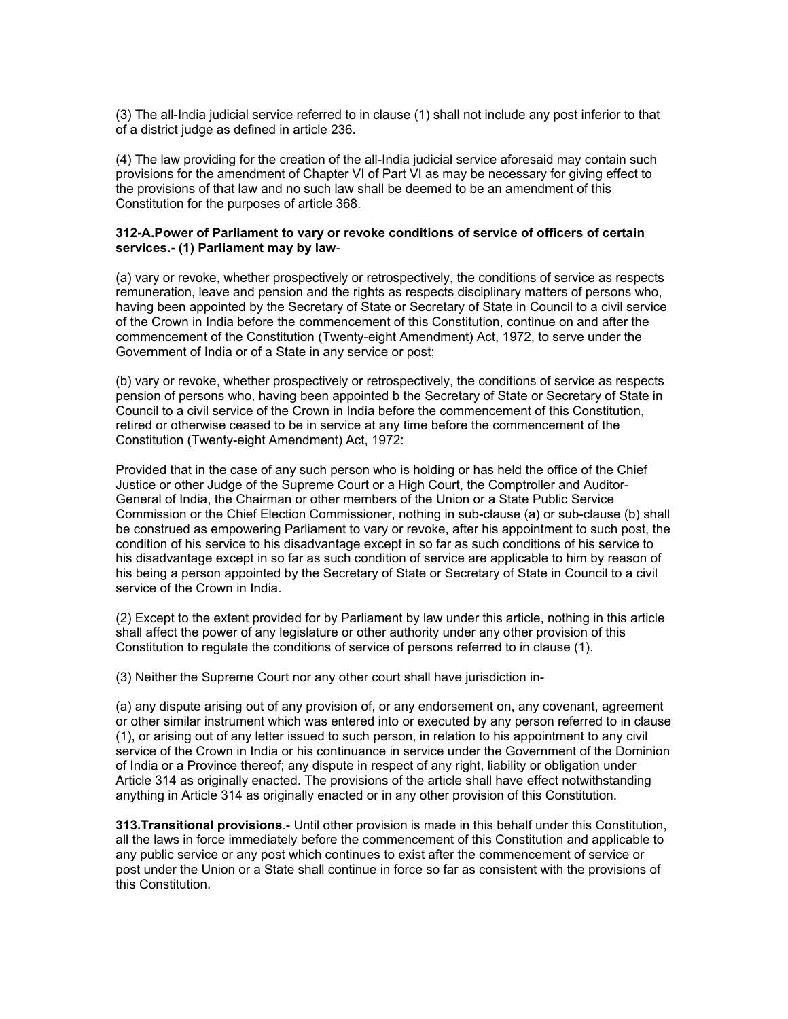(3) The all-India judicial service referred to in clause (1) shall not include any post inferior to that of a district judge as defined in article 236.

(4) The law providing for the creation of the all-India judicial service aforesaid may contain such provisions for the amendment of Chapter VI of Part VI as may be necessary for giving effect to the provisions of that law and no such law shall be deemed to be an amendment of this Constitution for the purposes of article 368.

## **312-A.Power of Parliament to vary or revoke conditions of service of officers of certain services.- (1) Parliament may by law**-

(a) vary or revoke, whether prospectively or retrospectively, the conditions of service as respects remuneration, leave and pension and the rights as respects disciplinary matters of persons who, having been appointed by the Secretary of State or Secretary of State in Council to a civil service of the Crown in India before the commencement of this Constitution, continue on and after the commencement of the Constitution (Twenty-eight Amendment) Act, 1972, to serve under the Government of India or of a State in any service or post;

(b) vary or revoke, whether prospectively or retrospectively, the conditions of service as respects pension of persons who, having been appointed b the Secretary of State or Secretary of State in Council to a civil service of the Crown in India before the commencement of this Constitution, retired or otherwise ceased to be in service at any time before the commencement of the Constitution (Twenty-eight Amendment) Act, 1972:

Provided that in the case of any such person who is holding or has held the office of the Chief Justice or other Judge of the Supreme Court or a High Court, the Comptroller and Auditor-General of India, the Chairman or other members of the Union or a State Public Service Commission or the Chief Election Commissioner, nothing in sub-clause (a) or sub-clause (b) shall be construed as empowering Parliament to vary or revoke, after his appointment to such post, the condition of his service to his disadvantage except in so far as such conditions of his service to his disadvantage except in so far as such condition of service are applicable to him by reason of his being a person appointed by the Secretary of State or Secretary of State in Council to a civil service of the Crown in India.

(2) Except to the extent provided for by Parliament by law under this article, nothing in this article shall affect the power of any legislature or other authority under any other provision of this Constitution to regulate the conditions of service of persons referred to in clause (1).

(3) Neither the Supreme Court nor any other court shall have jurisdiction in-

(a) any dispute arising out of any provision of, or any endorsement on, any covenant, agreement or other similar instrument which was entered into or executed by any person referred to in clause (1), or arising out of any letter issued to such person, in relation to his appointment to any civil service of the Crown in India or his continuance in service under the Government of the Dominion of India or a Province thereof; any dispute in respect of any right, liability or obligation under Article 314 as originally enacted. The provisions of the article shall have effect notwithstanding anything in Article 314 as originally enacted or in any other provision of this Constitution.

**313.Transitional provisions**.- Until other provision is made in this behalf under this Constitution, all the laws in force immediately before the commencement of this Constitution and applicable to any public service or any post which continues to exist after the commencement of service or post under the Union or a State shall continue in force so far as consistent with the provisions of this Constitution.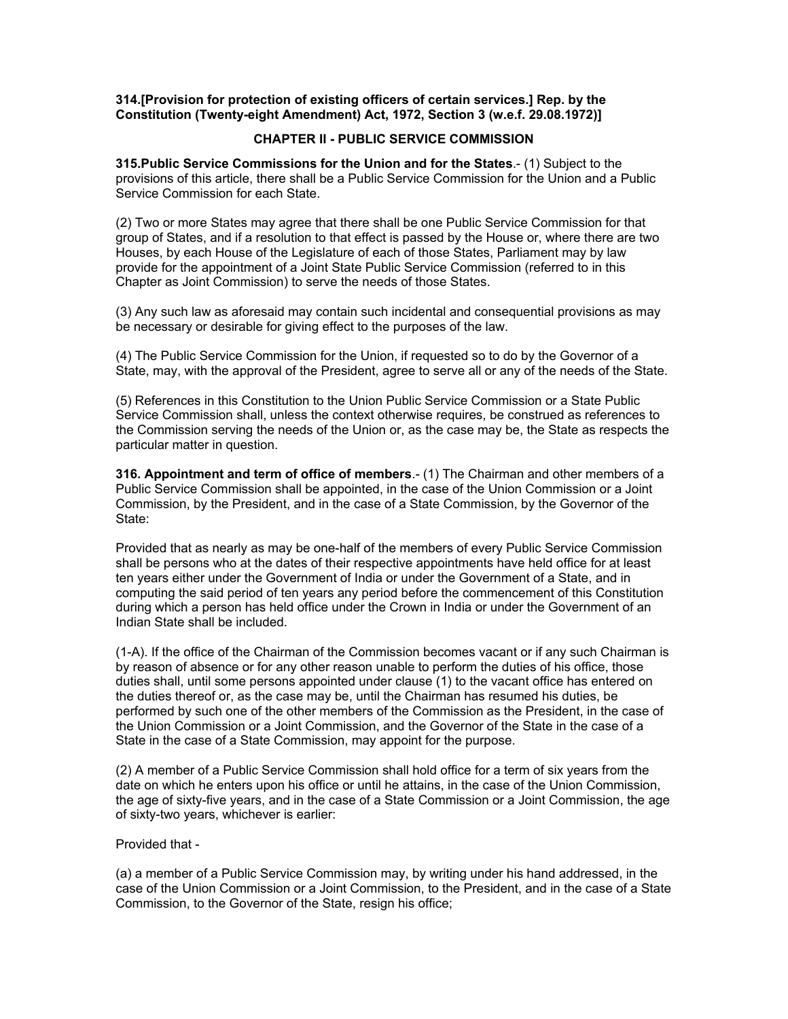## **314.[Provision for protection of existing officers of certain services.] Rep. by the Constitution (Twenty-eight Amendment) Act, 1972, Section 3 (w.e.f. 29.08.1972)]**

# **CHAPTER II - PUBLIC SERVICE COMMISSION**

**315.Public Service Commissions for the Union and for the States**.- (1) Subject to the provisions of this article, there shall be a Public Service Commission for the Union and a Public Service Commission for each State.

(2) Two or more States may agree that there shall be one Public Service Commission for that group of States, and if a resolution to that effect is passed by the House or, where there are two Houses, by each House of the Legislature of each of those States, Parliament may by law provide for the appointment of a Joint State Public Service Commission (referred to in this Chapter as Joint Commission) to serve the needs of those States.

(3) Any such law as aforesaid may contain such incidental and consequential provisions as may be necessary or desirable for giving effect to the purposes of the law.

(4) The Public Service Commission for the Union, if requested so to do by the Governor of a State, may, with the approval of the President, agree to serve all or any of the needs of the State.

(5) References in this Constitution to the Union Public Service Commission or a State Public Service Commission shall, unless the context otherwise requires, be construed as references to the Commission serving the needs of the Union or, as the case may be, the State as respects the particular matter in question.

**316. Appointment and term of office of members**.- (1) The Chairman and other members of a Public Service Commission shall be appointed, in the case of the Union Commission or a Joint Commission, by the President, and in the case of a State Commission, by the Governor of the State:

Provided that as nearly as may be one-half of the members of every Public Service Commission shall be persons who at the dates of their respective appointments have held office for at least ten years either under the Government of India or under the Government of a State, and in computing the said period of ten years any period before the commencement of this Constitution during which a person has held office under the Crown in India or under the Government of an Indian State shall be included.

(1-A). If the office of the Chairman of the Commission becomes vacant or if any such Chairman is by reason of absence or for any other reason unable to perform the duties of his office, those duties shall, until some persons appointed under clause (1) to the vacant office has entered on the duties thereof or, as the case may be, until the Chairman has resumed his duties, be performed by such one of the other members of the Commission as the President, in the case of the Union Commission or a Joint Commission, and the Governor of the State in the case of a State in the case of a State Commission, may appoint for the purpose.

(2) A member of a Public Service Commission shall hold office for a term of six years from the date on which he enters upon his office or until he attains, in the case of the Union Commission, the age of sixty-five years, and in the case of a State Commission or a Joint Commission, the age of sixty-two years, whichever is earlier:

Provided that -

(a) a member of a Public Service Commission may, by writing under his hand addressed, in the case of the Union Commission or a Joint Commission, to the President, and in the case of a State Commission, to the Governor of the State, resign his office;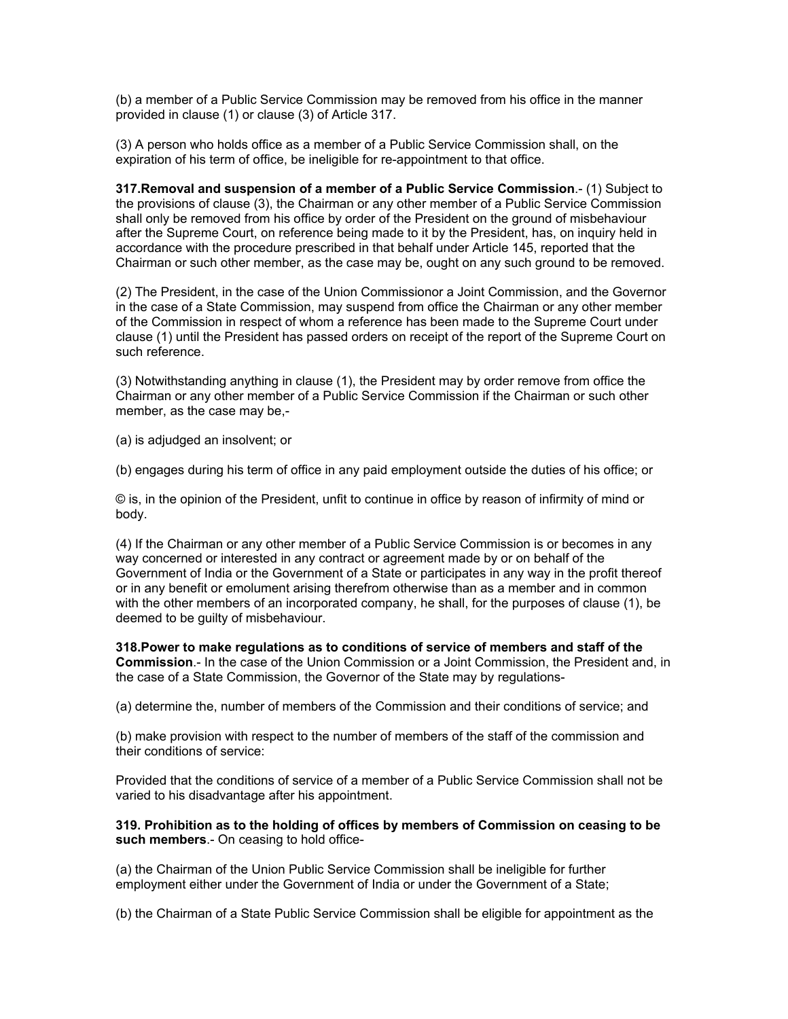(b) a member of a Public Service Commission may be removed from his office in the manner provided in clause (1) or clause (3) of Article 317.

(3) A person who holds office as a member of a Public Service Commission shall, on the expiration of his term of office, be ineligible for re-appointment to that office.

**317.Removal and suspension of a member of a Public Service Commission**.- (1) Subject to the provisions of clause (3), the Chairman or any other member of a Public Service Commission shall only be removed from his office by order of the President on the ground of misbehaviour after the Supreme Court, on reference being made to it by the President, has, on inquiry held in accordance with the procedure prescribed in that behalf under Article 145, reported that the Chairman or such other member, as the case may be, ought on any such ground to be removed.

(2) The President, in the case of the Union Commissionor a Joint Commission, and the Governor in the case of a State Commission, may suspend from office the Chairman or any other member of the Commission in respect of whom a reference has been made to the Supreme Court under clause (1) until the President has passed orders on receipt of the report of the Supreme Court on such reference.

(3) Notwithstanding anything in clause (1), the President may by order remove from office the Chairman or any other member of a Public Service Commission if the Chairman or such other member, as the case may be,-

(a) is adjudged an insolvent; or

(b) engages during his term of office in any paid employment outside the duties of his office; or

© is, in the opinion of the President, unfit to continue in office by reason of infirmity of mind or body.

(4) If the Chairman or any other member of a Public Service Commission is or becomes in any way concerned or interested in any contract or agreement made by or on behalf of the Government of India or the Government of a State or participates in any way in the profit thereof or in any benefit or emolument arising therefrom otherwise than as a member and in common with the other members of an incorporated company, he shall, for the purposes of clause (1), be deemed to be guilty of misbehaviour.

**318.Power to make regulations as to conditions of service of members and staff of the Commission**.- In the case of the Union Commission or a Joint Commission, the President and, in the case of a State Commission, the Governor of the State may by regulations-

(a) determine the, number of members of the Commission and their conditions of service; and

(b) make provision with respect to the number of members of the staff of the commission and their conditions of service:

Provided that the conditions of service of a member of a Public Service Commission shall not be varied to his disadvantage after his appointment.

**319. Prohibition as to the holding of offices by members of Commission on ceasing to be such members**.- On ceasing to hold office-

(a) the Chairman of the Union Public Service Commission shall be ineligible for further employment either under the Government of India or under the Government of a State;

(b) the Chairman of a State Public Service Commission shall be eligible for appointment as the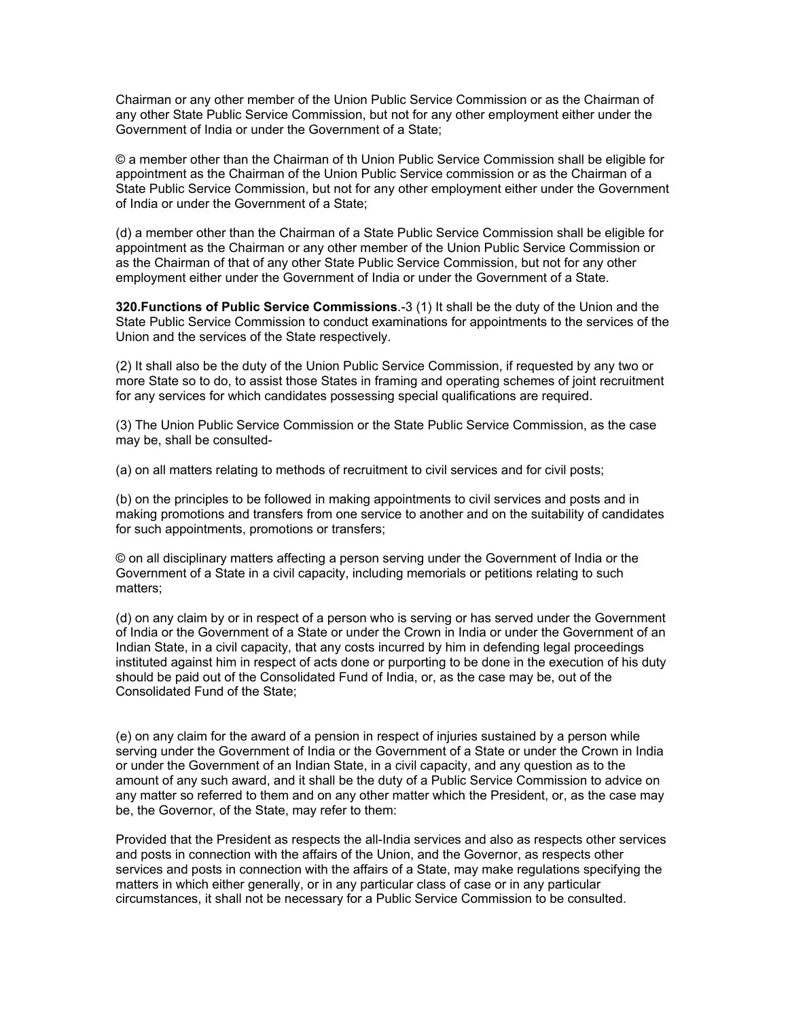Chairman or any other member of the Union Public Service Commission or as the Chairman of any other State Public Service Commission, but not for any other employment either under the Government of India or under the Government of a State;

© a member other than the Chairman of th Union Public Service Commission shall be eligible for appointment as the Chairman of the Union Public Service commission or as the Chairman of a State Public Service Commission, but not for any other employment either under the Government of India or under the Government of a State;

(d) a member other than the Chairman of a State Public Service Commission shall be eligible for appointment as the Chairman or any other member of the Union Public Service Commission or as the Chairman of that of any other State Public Service Commission, but not for any other employment either under the Government of India or under the Government of a State.

**320.Functions of Public Service Commissions**.-3 (1) It shall be the duty of the Union and the State Public Service Commission to conduct examinations for appointments to the services of the Union and the services of the State respectively.

(2) It shall also be the duty of the Union Public Service Commission, if requested by any two or more State so to do, to assist those States in framing and operating schemes of joint recruitment for any services for which candidates possessing special qualifications are required.

(3) The Union Public Service Commission or the State Public Service Commission, as the case may be, shall be consulted-

(a) on all matters relating to methods of recruitment to civil services and for civil posts;

(b) on the principles to be followed in making appointments to civil services and posts and in making promotions and transfers from one service to another and on the suitability of candidates for such appointments, promotions or transfers;

© on all disciplinary matters affecting a person serving under the Government of India or the Government of a State in a civil capacity, including memorials or petitions relating to such matters;

(d) on any claim by or in respect of a person who is serving or has served under the Government of India or the Government of a State or under the Crown in India or under the Government of an Indian State, in a civil capacity, that any costs incurred by him in defending legal proceedings instituted against him in respect of acts done or purporting to be done in the execution of his duty should be paid out of the Consolidated Fund of India, or, as the case may be, out of the Consolidated Fund of the State;

(e) on any claim for the award of a pension in respect of injuries sustained by a person while serving under the Government of India or the Government of a State or under the Crown in India or under the Government of an Indian State, in a civil capacity, and any question as to the amount of any such award, and it shall be the duty of a Public Service Commission to advice on any matter so referred to them and on any other matter which the President, or, as the case may be, the Governor, of the State, may refer to them:

Provided that the President as respects the all-India services and also as respects other services and posts in connection with the affairs of the Union, and the Governor, as respects other services and posts in connection with the affairs of a State, may make regulations specifying the matters in which either generally, or in any particular class of case or in any particular circumstances, it shall not be necessary for a Public Service Commission to be consulted.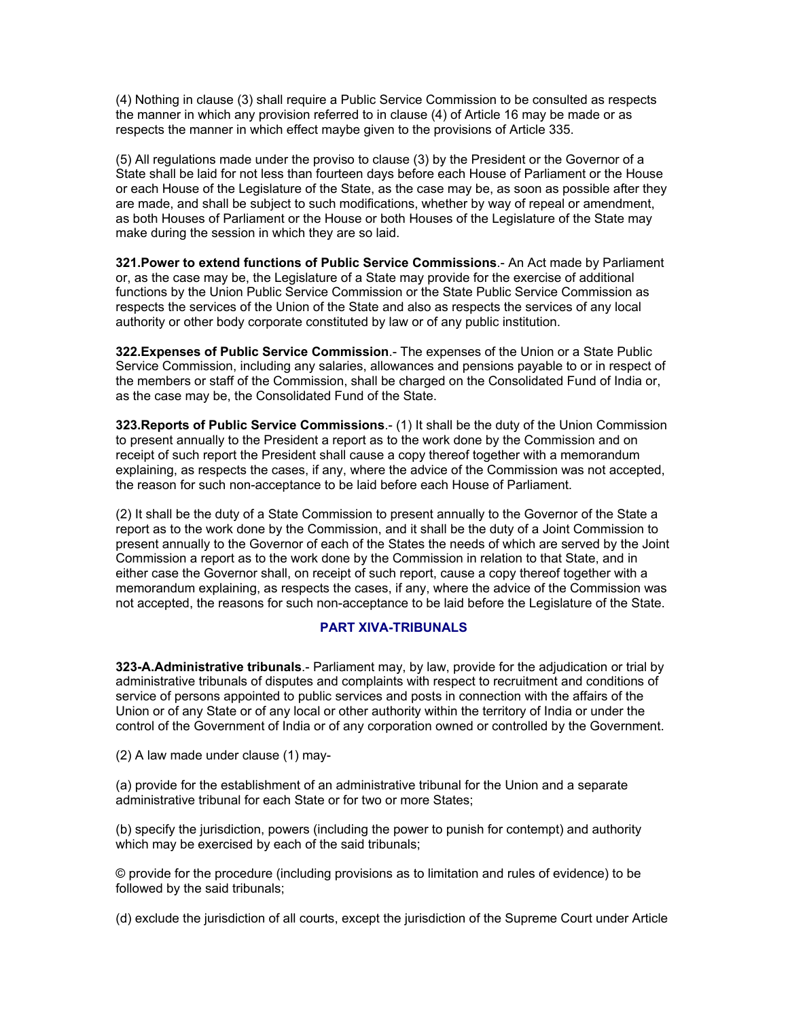(4) Nothing in clause (3) shall require a Public Service Commission to be consulted as respects the manner in which any provision referred to in clause (4) of Article 16 may be made or as respects the manner in which effect maybe given to the provisions of Article 335.

(5) All regulations made under the proviso to clause (3) by the President or the Governor of a State shall be laid for not less than fourteen days before each House of Parliament or the House or each House of the Legislature of the State, as the case may be, as soon as possible after they are made, and shall be subject to such modifications, whether by way of repeal or amendment, as both Houses of Parliament or the House or both Houses of the Legislature of the State may make during the session in which they are so laid.

**321.Power to extend functions of Public Service Commissions**.- An Act made by Parliament or, as the case may be, the Legislature of a State may provide for the exercise of additional functions by the Union Public Service Commission or the State Public Service Commission as respects the services of the Union of the State and also as respects the services of any local authority or other body corporate constituted by law or of any public institution.

**322.Expenses of Public Service Commission**.- The expenses of the Union or a State Public Service Commission, including any salaries, allowances and pensions payable to or in respect of the members or staff of the Commission, shall be charged on the Consolidated Fund of India or, as the case may be, the Consolidated Fund of the State.

**323.Reports of Public Service Commissions**.- (1) It shall be the duty of the Union Commission to present annually to the President a report as to the work done by the Commission and on receipt of such report the President shall cause a copy thereof together with a memorandum explaining, as respects the cases, if any, where the advice of the Commission was not accepted, the reason for such non-acceptance to be laid before each House of Parliament.

(2) It shall be the duty of a State Commission to present annually to the Governor of the State a report as to the work done by the Commission, and it shall be the duty of a Joint Commission to present annually to the Governor of each of the States the needs of which are served by the Joint Commission a report as to the work done by the Commission in relation to that State, and in either case the Governor shall, on receipt of such report, cause a copy thereof together with a memorandum explaining, as respects the cases, if any, where the advice of the Commission was not accepted, the reasons for such non-acceptance to be laid before the Legislature of the State.

## **PART XIVA-TRIBUNALS**

**323-A.Administrative tribunals**.- Parliament may, by law, provide for the adjudication or trial by administrative tribunals of disputes and complaints with respect to recruitment and conditions of service of persons appointed to public services and posts in connection with the affairs of the Union or of any State or of any local or other authority within the territory of India or under the control of the Government of India or of any corporation owned or controlled by the Government.

(2) A law made under clause (1) may-

(a) provide for the establishment of an administrative tribunal for the Union and a separate administrative tribunal for each State or for two or more States;

(b) specify the jurisdiction, powers (including the power to punish for contempt) and authority which may be exercised by each of the said tribunals;

© provide for the procedure (including provisions as to limitation and rules of evidence) to be followed by the said tribunals;

(d) exclude the jurisdiction of all courts, except the jurisdiction of the Supreme Court under Article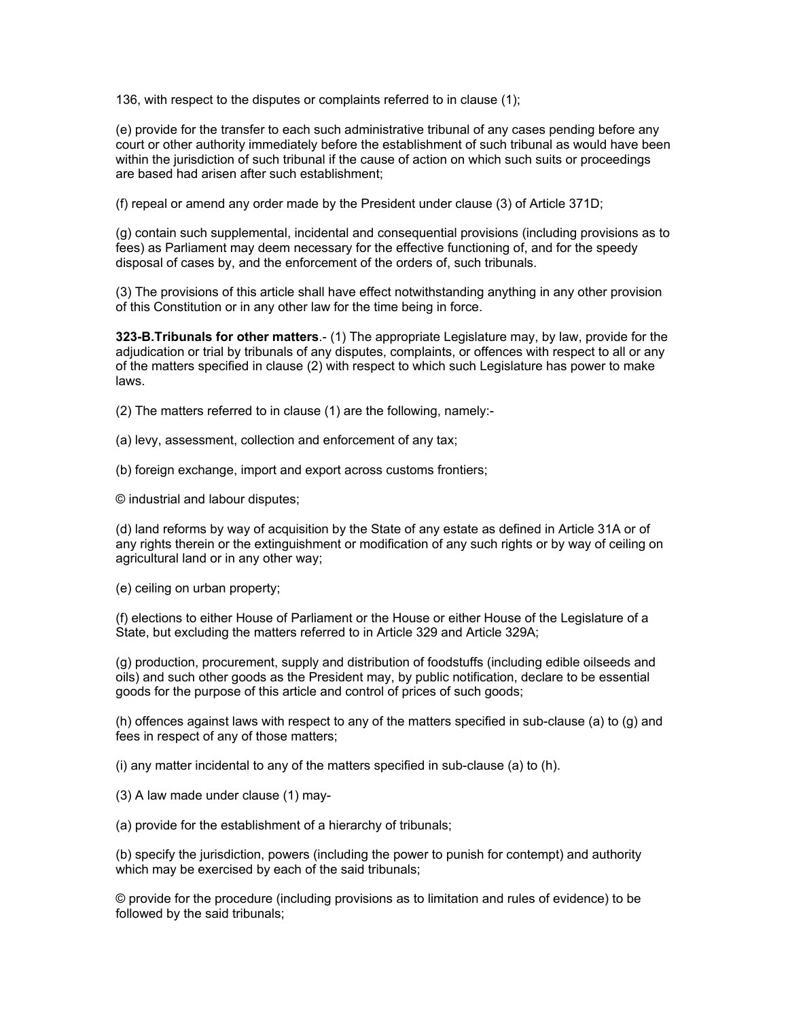136, with respect to the disputes or complaints referred to in clause (1);

(e) provide for the transfer to each such administrative tribunal of any cases pending before any court or other authority immediately before the establishment of such tribunal as would have been within the jurisdiction of such tribunal if the cause of action on which such suits or proceedings are based had arisen after such establishment;

(f) repeal or amend any order made by the President under clause (3) of Article 371D;

(g) contain such supplemental, incidental and consequential provisions (including provisions as to fees) as Parliament may deem necessary for the effective functioning of, and for the speedy disposal of cases by, and the enforcement of the orders of, such tribunals.

(3) The provisions of this article shall have effect notwithstanding anything in any other provision of this Constitution or in any other law for the time being in force.

**323-B.Tribunals for other matters**.- (1) The appropriate Legislature may, by law, provide for the adjudication or trial by tribunals of any disputes, complaints, or offences with respect to all or any of the matters specified in clause (2) with respect to which such Legislature has power to make laws.

(2) The matters referred to in clause (1) are the following, namely:-

- (a) levy, assessment, collection and enforcement of any tax;
- (b) foreign exchange, import and export across customs frontiers;

© industrial and labour disputes;

(d) land reforms by way of acquisition by the State of any estate as defined in Article 31A or of any rights therein or the extinguishment or modification of any such rights or by way of ceiling on agricultural land or in any other way;

(e) ceiling on urban property;

(f) elections to either House of Parliament or the House or either House of the Legislature of a State, but excluding the matters referred to in Article 329 and Article 329A;

(g) production, procurement, supply and distribution of foodstuffs (including edible oilseeds and oils) and such other goods as the President may, by public notification, declare to be essential goods for the purpose of this article and control of prices of such goods;

(h) offences against laws with respect to any of the matters specified in sub-clause (a) to (g) and fees in respect of any of those matters;

(i) any matter incidental to any of the matters specified in sub-clause (a) to (h).

(3) A law made under clause (1) may-

(a) provide for the establishment of a hierarchy of tribunals;

(b) specify the jurisdiction, powers (including the power to punish for contempt) and authority which may be exercised by each of the said tribunals;

© provide for the procedure (including provisions as to limitation and rules of evidence) to be followed by the said tribunals;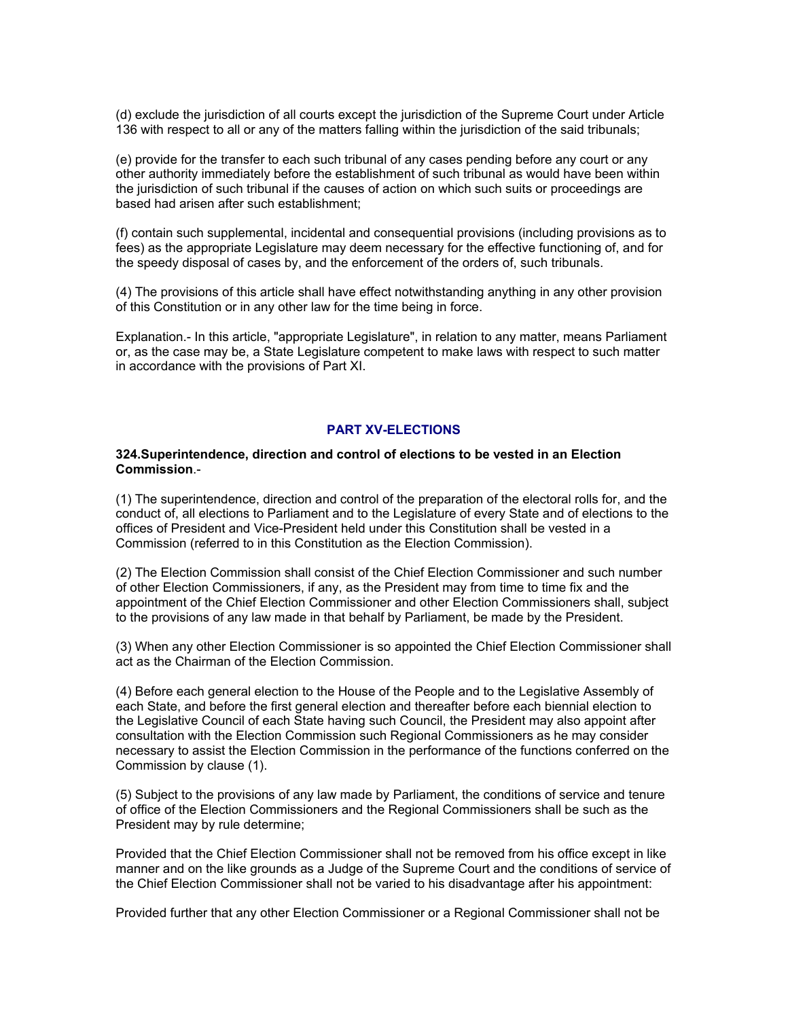(d) exclude the jurisdiction of all courts except the jurisdiction of the Supreme Court under Article 136 with respect to all or any of the matters falling within the jurisdiction of the said tribunals;

(e) provide for the transfer to each such tribunal of any cases pending before any court or any other authority immediately before the establishment of such tribunal as would have been within the jurisdiction of such tribunal if the causes of action on which such suits or proceedings are based had arisen after such establishment;

(f) contain such supplemental, incidental and consequential provisions (including provisions as to fees) as the appropriate Legislature may deem necessary for the effective functioning of, and for the speedy disposal of cases by, and the enforcement of the orders of, such tribunals.

(4) The provisions of this article shall have effect notwithstanding anything in any other provision of this Constitution or in any other law for the time being in force.

Explanation.- In this article, "appropriate Legislature", in relation to any matter, means Parliament or, as the case may be, a State Legislature competent to make laws with respect to such matter in accordance with the provisions of Part XI.

#### **PART XV-ELECTIONS**

#### **324.Superintendence, direction and control of elections to be vested in an Election Commission**.-

(1) The superintendence, direction and control of the preparation of the electoral rolls for, and the conduct of, all elections to Parliament and to the Legislature of every State and of elections to the offices of President and Vice-President held under this Constitution shall be vested in a Commission (referred to in this Constitution as the Election Commission).

(2) The Election Commission shall consist of the Chief Election Commissioner and such number of other Election Commissioners, if any, as the President may from time to time fix and the appointment of the Chief Election Commissioner and other Election Commissioners shall, subject to the provisions of any law made in that behalf by Parliament, be made by the President.

(3) When any other Election Commissioner is so appointed the Chief Election Commissioner shall act as the Chairman of the Election Commission.

(4) Before each general election to the House of the People and to the Legislative Assembly of each State, and before the first general election and thereafter before each biennial election to the Legislative Council of each State having such Council, the President may also appoint after consultation with the Election Commission such Regional Commissioners as he may consider necessary to assist the Election Commission in the performance of the functions conferred on the Commission by clause (1).

(5) Subject to the provisions of any law made by Parliament, the conditions of service and tenure of office of the Election Commissioners and the Regional Commissioners shall be such as the President may by rule determine;

Provided that the Chief Election Commissioner shall not be removed from his office except in like manner and on the like grounds as a Judge of the Supreme Court and the conditions of service of the Chief Election Commissioner shall not be varied to his disadvantage after his appointment:

Provided further that any other Election Commissioner or a Regional Commissioner shall not be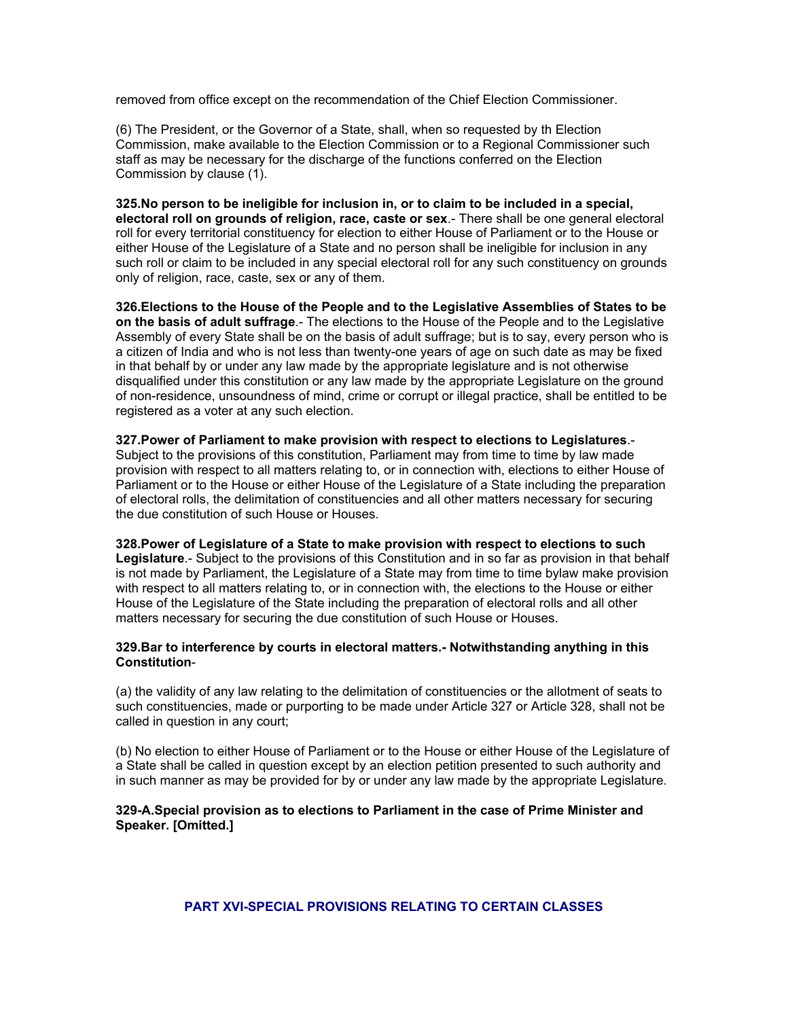removed from office except on the recommendation of the Chief Election Commissioner.

(6) The President, or the Governor of a State, shall, when so requested by th Election Commission, make available to the Election Commission or to a Regional Commissioner such staff as may be necessary for the discharge of the functions conferred on the Election Commission by clause (1).

**325.No person to be ineligible for inclusion in, or to claim to be included in a special, electoral roll on grounds of religion, race, caste or sex**.- There shall be one general electoral roll for every territorial constituency for election to either House of Parliament or to the House or either House of the Legislature of a State and no person shall be ineligible for inclusion in any such roll or claim to be included in any special electoral roll for any such constituency on grounds only of religion, race, caste, sex or any of them.

**326.Elections to the House of the People and to the Legislative Assemblies of States to be on the basis of adult suffrage**.- The elections to the House of the People and to the Legislative Assembly of every State shall be on the basis of adult suffrage; but is to say, every person who is a citizen of India and who is not less than twenty-one years of age on such date as may be fixed in that behalf by or under any law made by the appropriate legislature and is not otherwise disqualified under this constitution or any law made by the appropriate Legislature on the ground of non-residence, unsoundness of mind, crime or corrupt or illegal practice, shall be entitled to be registered as a voter at any such election.

## **327.Power of Parliament to make provision with respect to elections to Legislatures**.-

Subject to the provisions of this constitution, Parliament may from time to time by law made provision with respect to all matters relating to, or in connection with, elections to either House of Parliament or to the House or either House of the Legislature of a State including the preparation of electoral rolls, the delimitation of constituencies and all other matters necessary for securing the due constitution of such House or Houses.

**328.Power of Legislature of a State to make provision with respect to elections to such Legislature**.- Subject to the provisions of this Constitution and in so far as provision in that behalf is not made by Parliament, the Legislature of a State may from time to time bylaw make provision with respect to all matters relating to, or in connection with, the elections to the House or either House of the Legislature of the State including the preparation of electoral rolls and all other matters necessary for securing the due constitution of such House or Houses.

#### **329.Bar to interference by courts in electoral matters.- Notwithstanding anything in this Constitution**-

(a) the validity of any law relating to the delimitation of constituencies or the allotment of seats to such constituencies, made or purporting to be made under Article 327 or Article 328, shall not be called in question in any court;

(b) No election to either House of Parliament or to the House or either House of the Legislature of a State shall be called in question except by an election petition presented to such authority and in such manner as may be provided for by or under any law made by the appropriate Legislature.

## **329-A.Special provision as to elections to Parliament in the case of Prime Minister and Speaker. [Omitted.]**

# **PART XVI-SPECIAL PROVISIONS RELATING TO CERTAIN CLASSES**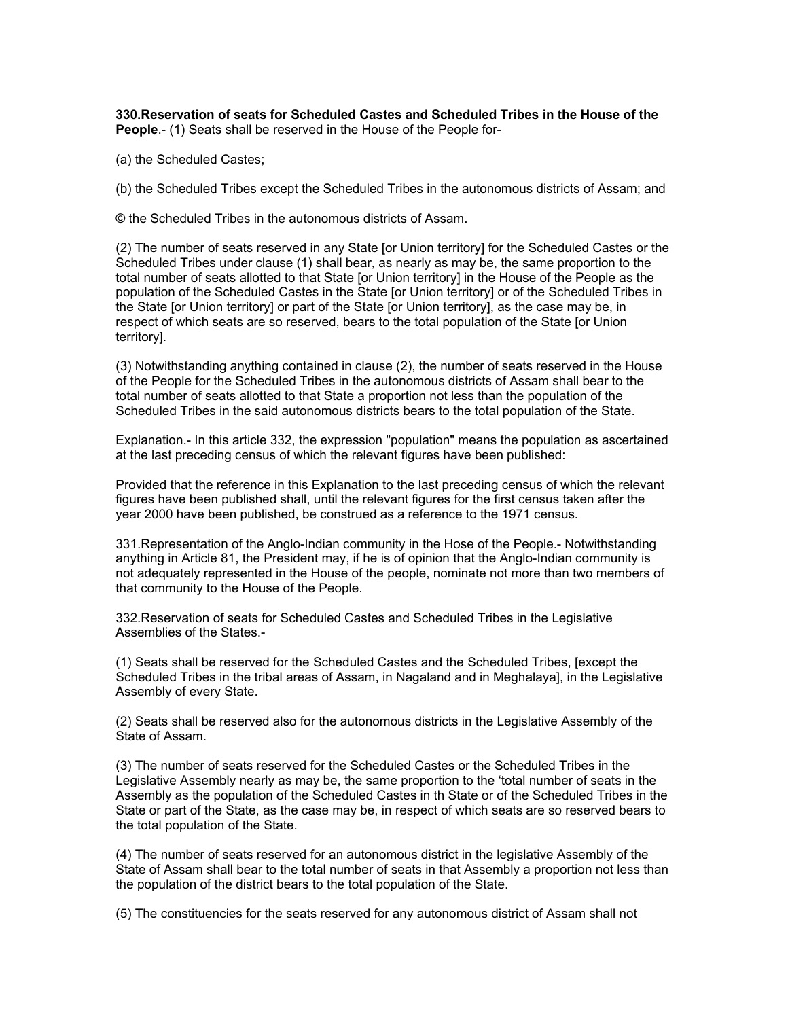**330.Reservation of seats for Scheduled Castes and Scheduled Tribes in the House of the People**.- (1) Seats shall be reserved in the House of the People for-

(a) the Scheduled Castes;

(b) the Scheduled Tribes except the Scheduled Tribes in the autonomous districts of Assam; and

© the Scheduled Tribes in the autonomous districts of Assam.

(2) The number of seats reserved in any State [or Union territory] for the Scheduled Castes or the Scheduled Tribes under clause (1) shall bear, as nearly as may be, the same proportion to the total number of seats allotted to that State [or Union territory] in the House of the People as the population of the Scheduled Castes in the State [or Union territory] or of the Scheduled Tribes in the State [or Union territory] or part of the State [or Union territory], as the case may be, in respect of which seats are so reserved, bears to the total population of the State [or Union territory].

(3) Notwithstanding anything contained in clause (2), the number of seats reserved in the House of the People for the Scheduled Tribes in the autonomous districts of Assam shall bear to the total number of seats allotted to that State a proportion not less than the population of the Scheduled Tribes in the said autonomous districts bears to the total population of the State.

Explanation.- In this article 332, the expression "population" means the population as ascertained at the last preceding census of which the relevant figures have been published:

Provided that the reference in this Explanation to the last preceding census of which the relevant figures have been published shall, until the relevant figures for the first census taken after the year 2000 have been published, be construed as a reference to the 1971 census.

331.Representation of the Anglo-Indian community in the Hose of the People.- Notwithstanding anything in Article 81, the President may, if he is of opinion that the Anglo-Indian community is not adequately represented in the House of the people, nominate not more than two members of that community to the House of the People.

332.Reservation of seats for Scheduled Castes and Scheduled Tribes in the Legislative Assemblies of the States.-

(1) Seats shall be reserved for the Scheduled Castes and the Scheduled Tribes, [except the Scheduled Tribes in the tribal areas of Assam, in Nagaland and in Meghalaya], in the Legislative Assembly of every State.

(2) Seats shall be reserved also for the autonomous districts in the Legislative Assembly of the State of Assam.

(3) The number of seats reserved for the Scheduled Castes or the Scheduled Tribes in the Legislative Assembly nearly as may be, the same proportion to the 'total number of seats in the Assembly as the population of the Scheduled Castes in th State or of the Scheduled Tribes in the State or part of the State, as the case may be, in respect of which seats are so reserved bears to the total population of the State.

(4) The number of seats reserved for an autonomous district in the legislative Assembly of the State of Assam shall bear to the total number of seats in that Assembly a proportion not less than the population of the district bears to the total population of the State.

(5) The constituencies for the seats reserved for any autonomous district of Assam shall not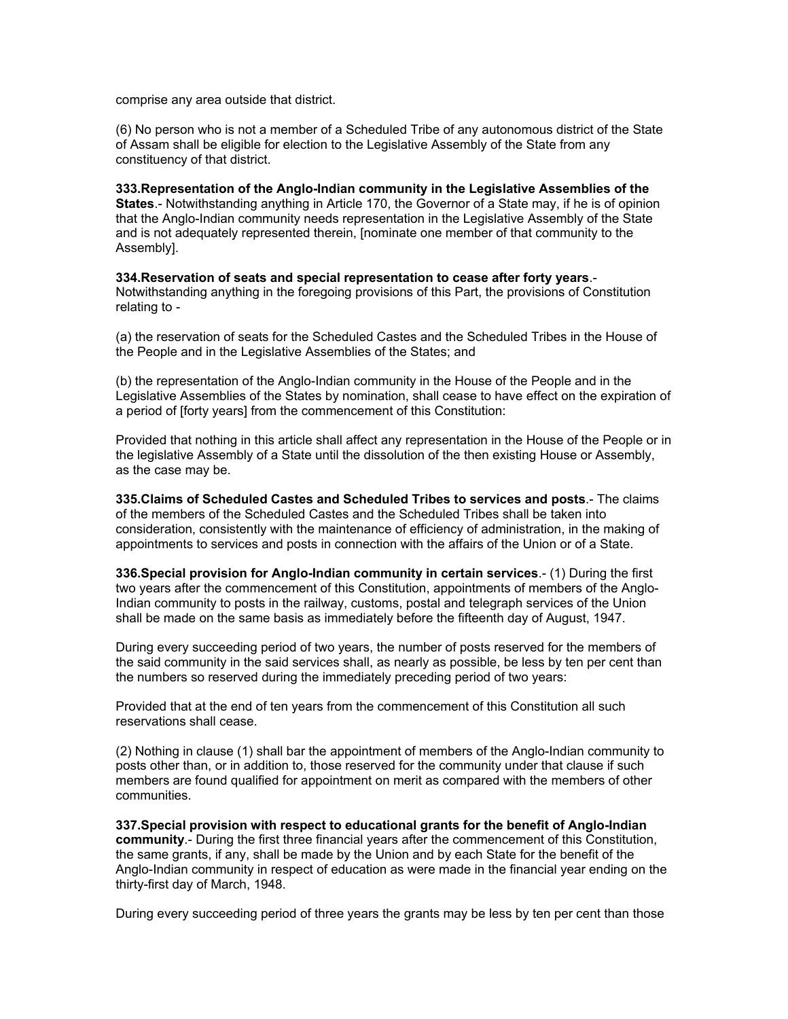comprise any area outside that district.

(6) No person who is not a member of a Scheduled Tribe of any autonomous district of the State of Assam shall be eligible for election to the Legislative Assembly of the State from any constituency of that district.

**333.Representation of the Anglo-Indian community in the Legislative Assemblies of the States**.- Notwithstanding anything in Article 170, the Governor of a State may, if he is of opinion that the Anglo-Indian community needs representation in the Legislative Assembly of the State and is not adequately represented therein, [nominate one member of that community to the Assembly].

**334.Reservation of seats and special representation to cease after forty years**.- Notwithstanding anything in the foregoing provisions of this Part, the provisions of Constitution relating to -

(a) the reservation of seats for the Scheduled Castes and the Scheduled Tribes in the House of the People and in the Legislative Assemblies of the States; and

(b) the representation of the Anglo-Indian community in the House of the People and in the Legislative Assemblies of the States by nomination, shall cease to have effect on the expiration of a period of [forty years] from the commencement of this Constitution:

Provided that nothing in this article shall affect any representation in the House of the People or in the legislative Assembly of a State until the dissolution of the then existing House or Assembly, as the case may be.

**335.Claims of Scheduled Castes and Scheduled Tribes to services and posts**.- The claims of the members of the Scheduled Castes and the Scheduled Tribes shall be taken into consideration, consistently with the maintenance of efficiency of administration, in the making of appointments to services and posts in connection with the affairs of the Union or of a State.

**336.Special provision for Anglo-Indian community in certain services**.- (1) During the first two years after the commencement of this Constitution, appointments of members of the Anglo-Indian community to posts in the railway, customs, postal and telegraph services of the Union shall be made on the same basis as immediately before the fifteenth day of August, 1947.

During every succeeding period of two years, the number of posts reserved for the members of the said community in the said services shall, as nearly as possible, be less by ten per cent than the numbers so reserved during the immediately preceding period of two years:

Provided that at the end of ten years from the commencement of this Constitution all such reservations shall cease.

(2) Nothing in clause (1) shall bar the appointment of members of the Anglo-Indian community to posts other than, or in addition to, those reserved for the community under that clause if such members are found qualified for appointment on merit as compared with the members of other communities.

**337.Special provision with respect to educational grants for the benefit of Anglo-Indian community**.- During the first three financial years after the commencement of this Constitution, the same grants, if any, shall be made by the Union and by each State for the benefit of the Anglo-Indian community in respect of education as were made in the financial year ending on the thirty-first day of March, 1948.

During every succeeding period of three years the grants may be less by ten per cent than those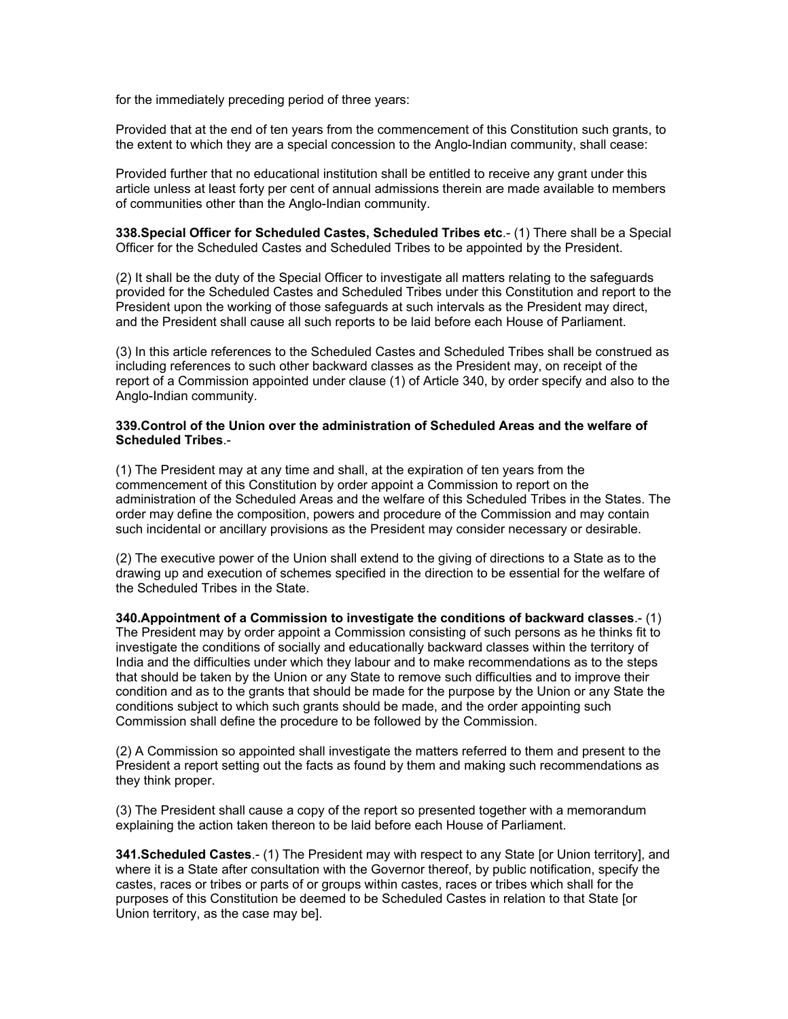for the immediately preceding period of three years:

Provided that at the end of ten years from the commencement of this Constitution such grants, to the extent to which they are a special concession to the Anglo-Indian community, shall cease:

Provided further that no educational institution shall be entitled to receive any grant under this article unless at least forty per cent of annual admissions therein are made available to members of communities other than the Anglo-Indian community.

**338.Special Officer for Scheduled Castes, Scheduled Tribes etc**.- (1) There shall be a Special Officer for the Scheduled Castes and Scheduled Tribes to be appointed by the President.

(2) It shall be the duty of the Special Officer to investigate all matters relating to the safeguards provided for the Scheduled Castes and Scheduled Tribes under this Constitution and report to the President upon the working of those safeguards at such intervals as the President may direct, and the President shall cause all such reports to be laid before each House of Parliament.

(3) In this article references to the Scheduled Castes and Scheduled Tribes shall be construed as including references to such other backward classes as the President may, on receipt of the report of a Commission appointed under clause (1) of Article 340, by order specify and also to the Anglo-Indian community.

## **339.Control of the Union over the administration of Scheduled Areas and the welfare of Scheduled Tribes**.-

(1) The President may at any time and shall, at the expiration of ten years from the commencement of this Constitution by order appoint a Commission to report on the administration of the Scheduled Areas and the welfare of this Scheduled Tribes in the States. The order may define the composition, powers and procedure of the Commission and may contain such incidental or ancillary provisions as the President may consider necessary or desirable.

(2) The executive power of the Union shall extend to the giving of directions to a State as to the drawing up and execution of schemes specified in the direction to be essential for the welfare of the Scheduled Tribes in the State.

**340.Appointment of a Commission to investigate the conditions of backward classes**.- (1) The President may by order appoint a Commission consisting of such persons as he thinks fit to investigate the conditions of socially and educationally backward classes within the territory of India and the difficulties under which they labour and to make recommendations as to the steps that should be taken by the Union or any State to remove such difficulties and to improve their condition and as to the grants that should be made for the purpose by the Union or any State the conditions subject to which such grants should be made, and the order appointing such Commission shall define the procedure to be followed by the Commission.

(2) A Commission so appointed shall investigate the matters referred to them and present to the President a report setting out the facts as found by them and making such recommendations as they think proper.

(3) The President shall cause a copy of the report so presented together with a memorandum explaining the action taken thereon to be laid before each House of Parliament.

**341.Scheduled Castes**.- (1) The President may with respect to any State [or Union territory], and where it is a State after consultation with the Governor thereof, by public notification, specify the castes, races or tribes or parts of or groups within castes, races or tribes which shall for the purposes of this Constitution be deemed to be Scheduled Castes in relation to that State [or Union territory, as the case may be].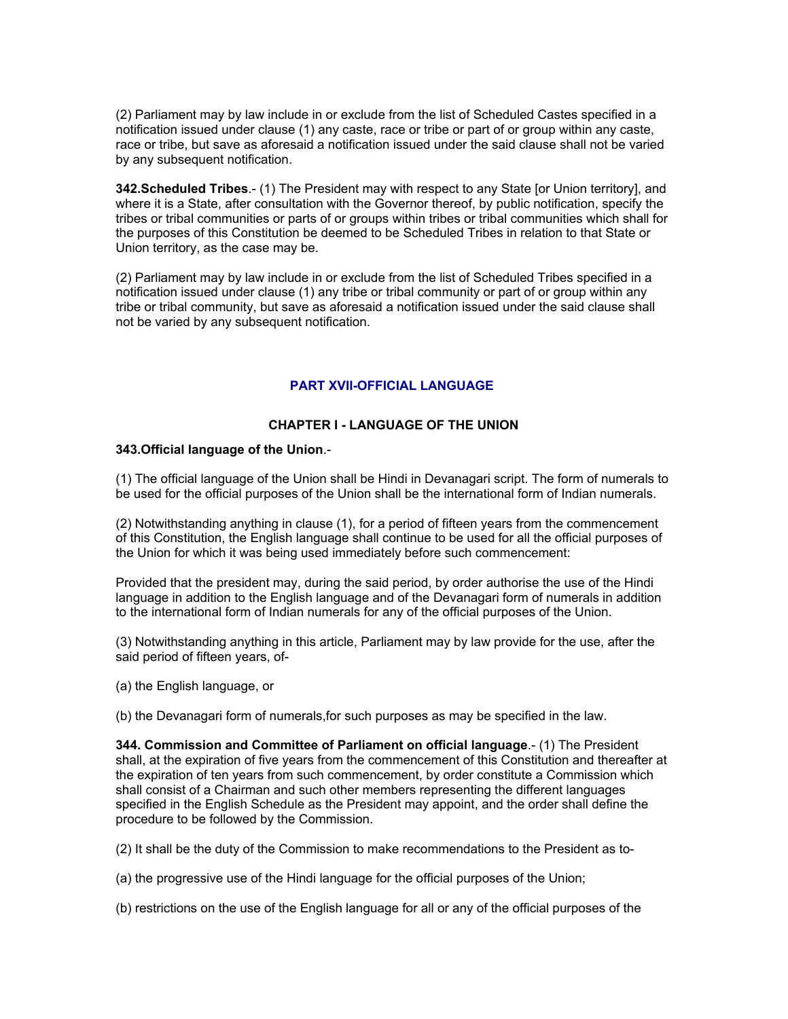(2) Parliament may by law include in or exclude from the list of Scheduled Castes specified in a notification issued under clause (1) any caste, race or tribe or part of or group within any caste, race or tribe, but save as aforesaid a notification issued under the said clause shall not be varied by any subsequent notification.

**342.Scheduled Tribes**.- (1) The President may with respect to any State [or Union territory], and where it is a State, after consultation with the Governor thereof, by public notification, specify the tribes or tribal communities or parts of or groups within tribes or tribal communities which shall for the purposes of this Constitution be deemed to be Scheduled Tribes in relation to that State or Union territory, as the case may be.

(2) Parliament may by law include in or exclude from the list of Scheduled Tribes specified in a notification issued under clause (1) any tribe or tribal community or part of or group within any tribe or tribal community, but save as aforesaid a notification issued under the said clause shall not be varied by any subsequent notification.

# **PART XVII-OFFICIAL LANGUAGE**

# **CHAPTER I - LANGUAGE OF THE UNION**

#### **343.Official language of the Union**.-

(1) The official language of the Union shall be Hindi in Devanagari script. The form of numerals to be used for the official purposes of the Union shall be the international form of Indian numerals.

(2) Notwithstanding anything in clause (1), for a period of fifteen years from the commencement of this Constitution, the English language shall continue to be used for all the official purposes of the Union for which it was being used immediately before such commencement:

Provided that the president may, during the said period, by order authorise the use of the Hindi language in addition to the English language and of the Devanagari form of numerals in addition to the international form of Indian numerals for any of the official purposes of the Union.

(3) Notwithstanding anything in this article, Parliament may by law provide for the use, after the said period of fifteen years, of-

(a) the English language, or

(b) the Devanagari form of numerals,for such purposes as may be specified in the law.

**344. Commission and Committee of Parliament on official language**.- (1) The President shall, at the expiration of five years from the commencement of this Constitution and thereafter at the expiration of ten years from such commencement, by order constitute a Commission which shall consist of a Chairman and such other members representing the different languages specified in the English Schedule as the President may appoint, and the order shall define the procedure to be followed by the Commission.

(2) It shall be the duty of the Commission to make recommendations to the President as to-

- (a) the progressive use of the Hindi language for the official purposes of the Union;
- (b) restrictions on the use of the English language for all or any of the official purposes of the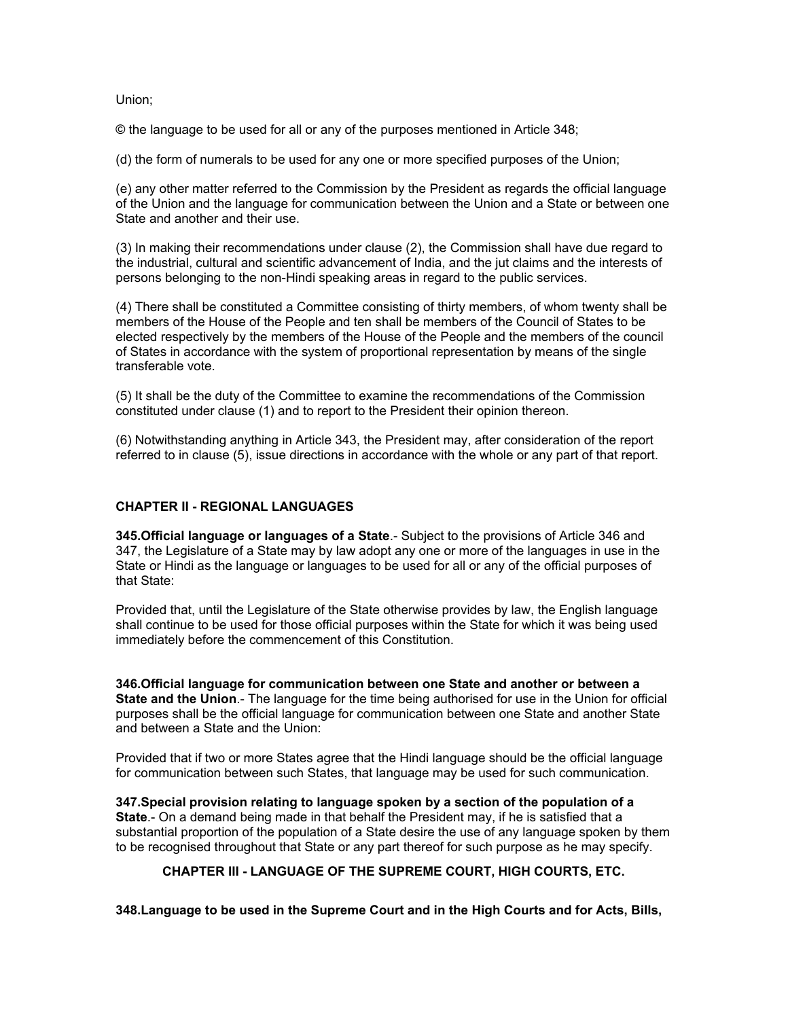Union;

© the language to be used for all or any of the purposes mentioned in Article 348;

(d) the form of numerals to be used for any one or more specified purposes of the Union;

(e) any other matter referred to the Commission by the President as regards the official language of the Union and the language for communication between the Union and a State or between one State and another and their use.

(3) In making their recommendations under clause (2), the Commission shall have due regard to the industrial, cultural and scientific advancement of India, and the jut claims and the interests of persons belonging to the non-Hindi speaking areas in regard to the public services.

(4) There shall be constituted a Committee consisting of thirty members, of whom twenty shall be members of the House of the People and ten shall be members of the Council of States to be elected respectively by the members of the House of the People and the members of the council of States in accordance with the system of proportional representation by means of the single transferable vote.

(5) It shall be the duty of the Committee to examine the recommendations of the Commission constituted under clause (1) and to report to the President their opinion thereon.

(6) Notwithstanding anything in Article 343, the President may, after consideration of the report referred to in clause (5), issue directions in accordance with the whole or any part of that report.

#### **CHAPTER II - REGIONAL LANGUAGES**

**345.Official language or languages of a State**.- Subject to the provisions of Article 346 and 347, the Legislature of a State may by law adopt any one or more of the languages in use in the State or Hindi as the language or languages to be used for all or any of the official purposes of that State:

Provided that, until the Legislature of the State otherwise provides by law, the English language shall continue to be used for those official purposes within the State for which it was being used immediately before the commencement of this Constitution.

**346.Official language for communication between one State and another or between a State and the Union**.- The language for the time being authorised for use in the Union for official purposes shall be the official language for communication between one State and another State and between a State and the Union:

Provided that if two or more States agree that the Hindi language should be the official language for communication between such States, that language may be used for such communication.

**347.Special provision relating to language spoken by a section of the population of a State**.- On a demand being made in that behalf the President may, if he is satisfied that a substantial proportion of the population of a State desire the use of any language spoken by them to be recognised throughout that State or any part thereof for such purpose as he may specify.

**CHAPTER III - LANGUAGE OF THE SUPREME COURT, HIGH COURTS, ETC.**

**348.Language to be used in the Supreme Court and in the High Courts and for Acts, Bills,**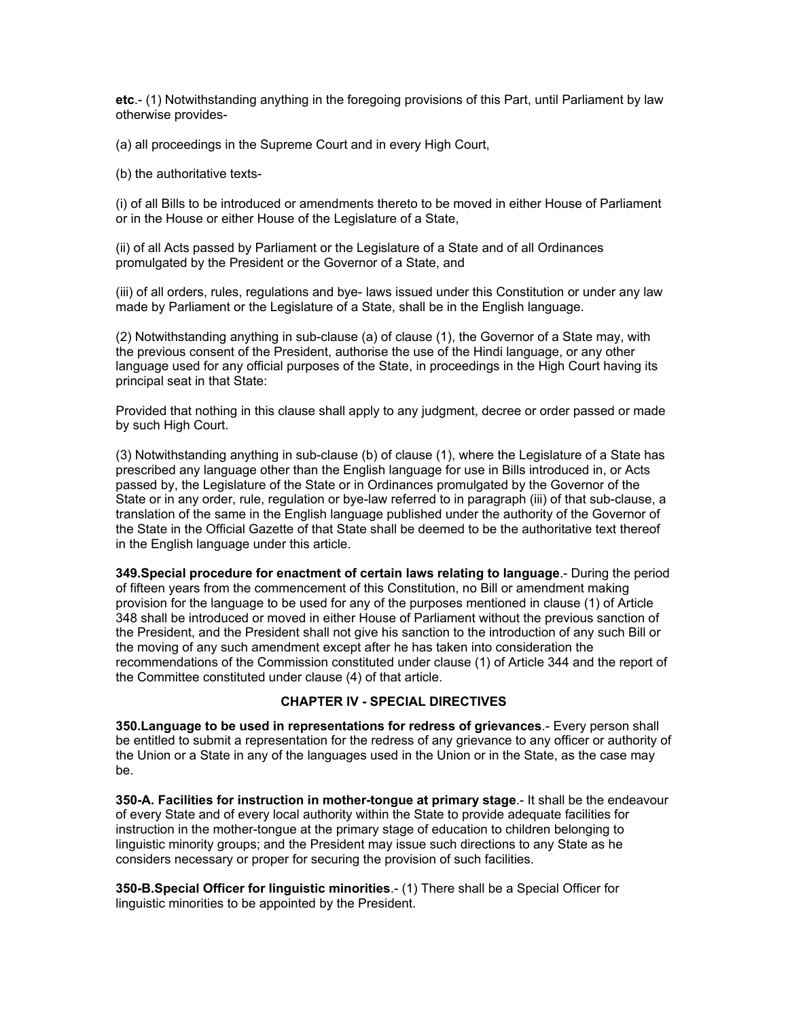**etc**.- (1) Notwithstanding anything in the foregoing provisions of this Part, until Parliament by law otherwise provides-

(a) all proceedings in the Supreme Court and in every High Court,

(b) the authoritative texts-

(i) of all Bills to be introduced or amendments thereto to be moved in either House of Parliament or in the House or either House of the Legislature of a State,

(ii) of all Acts passed by Parliament or the Legislature of a State and of all Ordinances promulgated by the President or the Governor of a State, and

(iii) of all orders, rules, regulations and bye- laws issued under this Constitution or under any law made by Parliament or the Legislature of a State, shall be in the English language.

(2) Notwithstanding anything in sub-clause (a) of clause (1), the Governor of a State may, with the previous consent of the President, authorise the use of the Hindi language, or any other language used for any official purposes of the State, in proceedings in the High Court having its principal seat in that State:

Provided that nothing in this clause shall apply to any judgment, decree or order passed or made by such High Court.

(3) Notwithstanding anything in sub-clause (b) of clause (1), where the Legislature of a State has prescribed any language other than the English language for use in Bills introduced in, or Acts passed by, the Legislature of the State or in Ordinances promulgated by the Governor of the State or in any order, rule, regulation or bye-law referred to in paragraph (iii) of that sub-clause, a translation of the same in the English language published under the authority of the Governor of the State in the Official Gazette of that State shall be deemed to be the authoritative text thereof in the English language under this article.

**349.Special procedure for enactment of certain laws relating to language**.- During the period of fifteen years from the commencement of this Constitution, no Bill or amendment making provision for the language to be used for any of the purposes mentioned in clause (1) of Article 348 shall be introduced or moved in either House of Parliament without the previous sanction of the President, and the President shall not give his sanction to the introduction of any such Bill or the moving of any such amendment except after he has taken into consideration the recommendations of the Commission constituted under clause (1) of Article 344 and the report of the Committee constituted under clause (4) of that article.

# **CHAPTER IV - SPECIAL DIRECTIVES**

**350.Language to be used in representations for redress of grievances**.- Every person shall be entitled to submit a representation for the redress of any grievance to any officer or authority of the Union or a State in any of the languages used in the Union or in the State, as the case may be.

**350-A. Facilities for instruction in mother-tongue at primary stage**.- It shall be the endeavour of every State and of every local authority within the State to provide adequate facilities for instruction in the mother-tongue at the primary stage of education to children belonging to linguistic minority groups; and the President may issue such directions to any State as he considers necessary or proper for securing the provision of such facilities.

**350-B.Special Officer for linguistic minorities**.- (1) There shall be a Special Officer for linguistic minorities to be appointed by the President.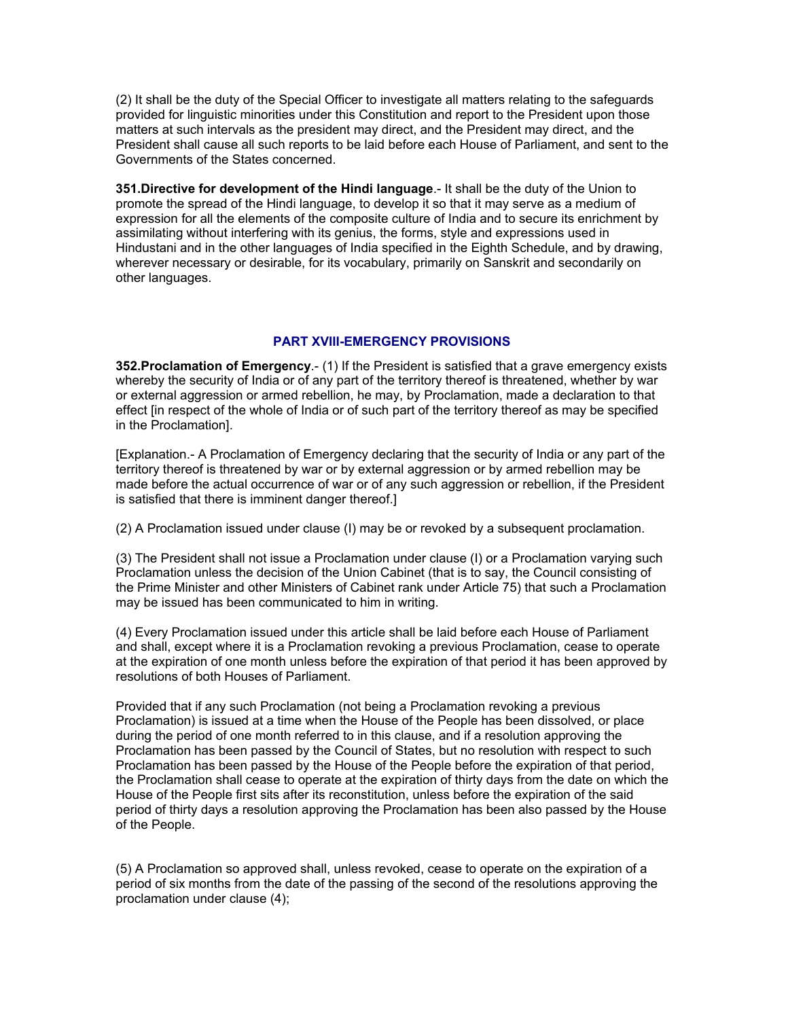(2) It shall be the duty of the Special Officer to investigate all matters relating to the safeguards provided for linguistic minorities under this Constitution and report to the President upon those matters at such intervals as the president may direct, and the President may direct, and the President shall cause all such reports to be laid before each House of Parliament, and sent to the Governments of the States concerned.

**351.Directive for development of the Hindi language**.- It shall be the duty of the Union to promote the spread of the Hindi language, to develop it so that it may serve as a medium of expression for all the elements of the composite culture of India and to secure its enrichment by assimilating without interfering with its genius, the forms, style and expressions used in Hindustani and in the other languages of India specified in the Eighth Schedule, and by drawing, wherever necessary or desirable, for its vocabulary, primarily on Sanskrit and secondarily on other languages.

# **PART XVIII-EMERGENCY PROVISIONS**

**352.Proclamation of Emergency**.- (1) If the President is satisfied that a grave emergency exists whereby the security of India or of any part of the territory thereof is threatened, whether by war or external aggression or armed rebellion, he may, by Proclamation, made a declaration to that effect [in respect of the whole of India or of such part of the territory thereof as may be specified in the Proclamation].

[Explanation.- A Proclamation of Emergency declaring that the security of India or any part of the territory thereof is threatened by war or by external aggression or by armed rebellion may be made before the actual occurrence of war or of any such aggression or rebellion, if the President is satisfied that there is imminent danger thereof.]

(2) A Proclamation issued under clause (I) may be or revoked by a subsequent proclamation.

(3) The President shall not issue a Proclamation under clause (I) or a Proclamation varying such Proclamation unless the decision of the Union Cabinet (that is to say, the Council consisting of the Prime Minister and other Ministers of Cabinet rank under Article 75) that such a Proclamation may be issued has been communicated to him in writing.

(4) Every Proclamation issued under this article shall be laid before each House of Parliament and shall, except where it is a Proclamation revoking a previous Proclamation, cease to operate at the expiration of one month unless before the expiration of that period it has been approved by resolutions of both Houses of Parliament.

Provided that if any such Proclamation (not being a Proclamation revoking a previous Proclamation) is issued at a time when the House of the People has been dissolved, or place during the period of one month referred to in this clause, and if a resolution approving the Proclamation has been passed by the Council of States, but no resolution with respect to such Proclamation has been passed by the House of the People before the expiration of that period, the Proclamation shall cease to operate at the expiration of thirty days from the date on which the House of the People first sits after its reconstitution, unless before the expiration of the said period of thirty days a resolution approving the Proclamation has been also passed by the House of the People.

(5) A Proclamation so approved shall, unless revoked, cease to operate on the expiration of a period of six months from the date of the passing of the second of the resolutions approving the proclamation under clause (4);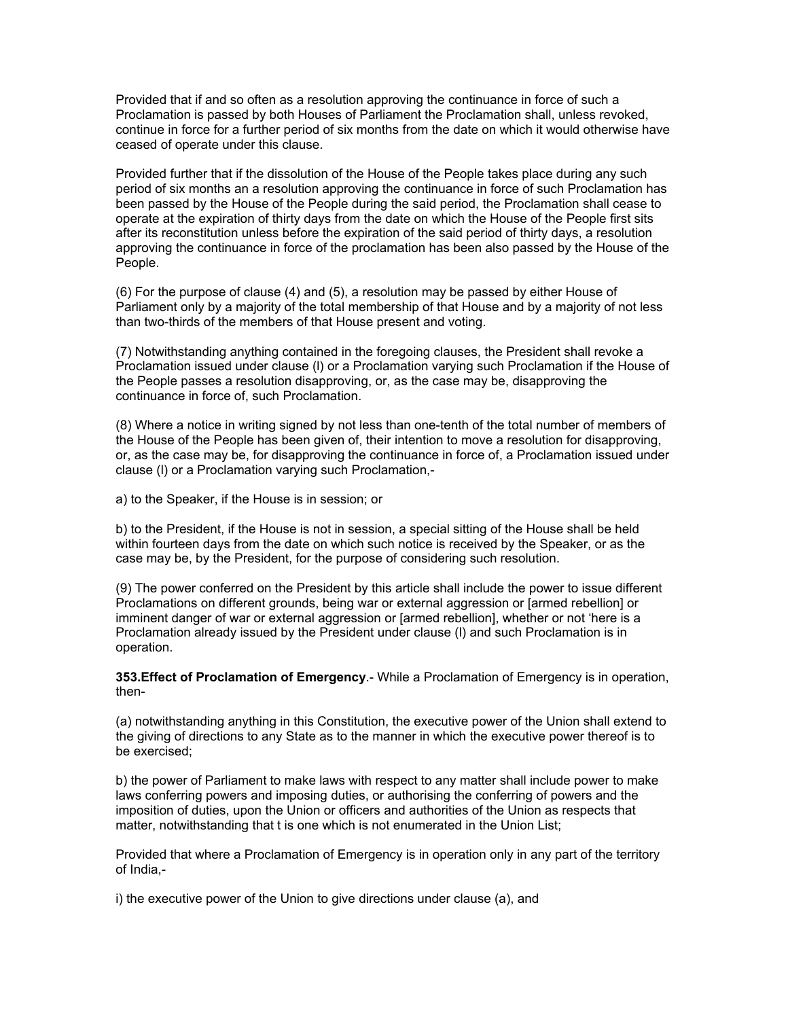Provided that if and so often as a resolution approving the continuance in force of such a Proclamation is passed by both Houses of Parliament the Proclamation shall, unless revoked, continue in force for a further period of six months from the date on which it would otherwise have ceased of operate under this clause.

Provided further that if the dissolution of the House of the People takes place during any such period of six months an a resolution approving the continuance in force of such Proclamation has been passed by the House of the People during the said period, the Proclamation shall cease to operate at the expiration of thirty days from the date on which the House of the People first sits after its reconstitution unless before the expiration of the said period of thirty days, a resolution approving the continuance in force of the proclamation has been also passed by the House of the People.

(6) For the purpose of clause (4) and (5), a resolution may be passed by either House of Parliament only by a majority of the total membership of that House and by a majority of not less than two-thirds of the members of that House present and voting.

(7) Notwithstanding anything contained in the foregoing clauses, the President shall revoke a Proclamation issued under clause (l) or a Proclamation varying such Proclamation if the House of the People passes a resolution disapproving, or, as the case may be, disapproving the continuance in force of, such Proclamation.

(8) Where a notice in writing signed by not less than one-tenth of the total number of members of the House of the People has been given of, their intention to move a resolution for disapproving, or, as the case may be, for disapproving the continuance in force of, a Proclamation issued under clause (l) or a Proclamation varying such Proclamation,-

a) to the Speaker, if the House is in session; or

b) to the President, if the House is not in session, a special sitting of the House shall be held within fourteen days from the date on which such notice is received by the Speaker, or as the case may be, by the President, for the purpose of considering such resolution.

(9) The power conferred on the President by this article shall include the power to issue different Proclamations on different grounds, being war or external aggression or [armed rebellion] or imminent danger of war or external aggression or [armed rebellion], whether or not 'here is a Proclamation already issued by the President under clause (l) and such Proclamation is in operation.

**353.Effect of Proclamation of Emergency**.- While a Proclamation of Emergency is in operation, then-

(a) notwithstanding anything in this Constitution, the executive power of the Union shall extend to the giving of directions to any State as to the manner in which the executive power thereof is to be exercised;

b) the power of Parliament to make laws with respect to any matter shall include power to make laws conferring powers and imposing duties, or authorising the conferring of powers and the imposition of duties, upon the Union or officers and authorities of the Union as respects that matter, notwithstanding that t is one which is not enumerated in the Union List;

Provided that where a Proclamation of Emergency is in operation only in any part of the territory of India,-

i) the executive power of the Union to give directions under clause (a), and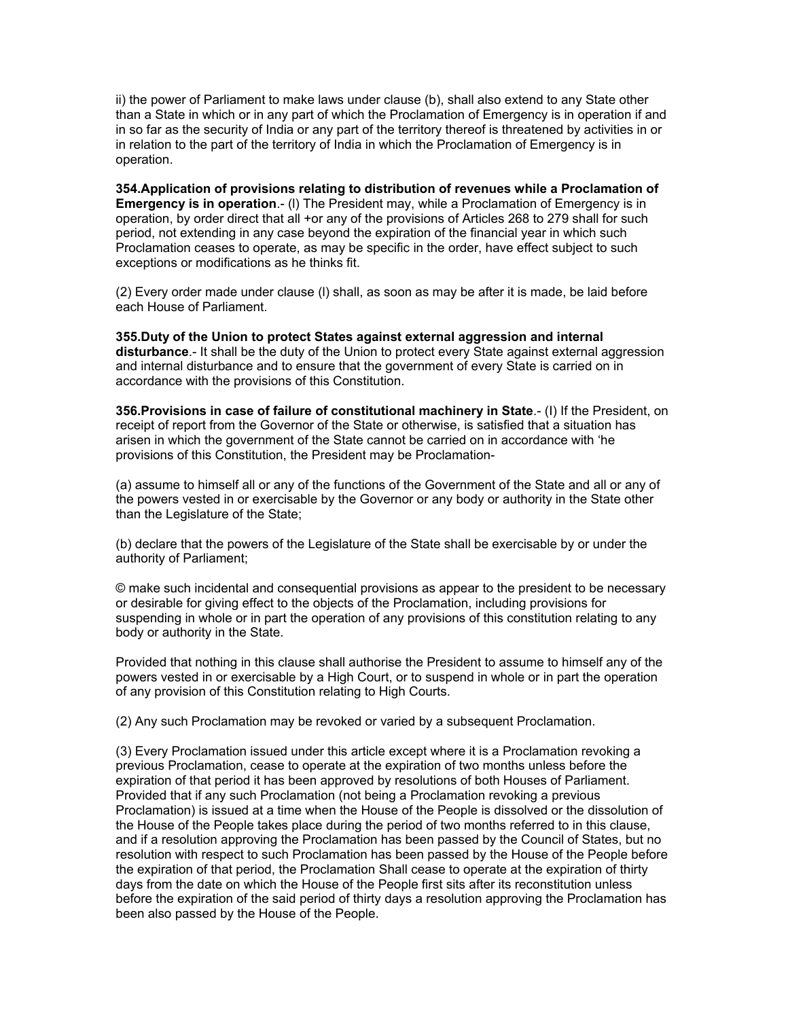ii) the power of Parliament to make laws under clause (b), shall also extend to any State other than a State in which or in any part of which the Proclamation of Emergency is in operation if and in so far as the security of India or any part of the territory thereof is threatened by activities in or in relation to the part of the territory of India in which the Proclamation of Emergency is in operation.

**354.Application of provisions relating to distribution of revenues while a Proclamation of Emergency is in operation**.- (l) The President may, while a Proclamation of Emergency is in operation, by order direct that all +or any of the provisions of Articles 268 to 279 shall for such period, not extending in any case beyond the expiration of the financial year in which such Proclamation ceases to operate, as may be specific in the order, have effect subject to such exceptions or modifications as he thinks fit.

(2) Every order made under clause (l) shall, as soon as may be after it is made, be laid before each House of Parliament.

**355.Duty of the Union to protect States against external aggression and internal disturbance**.- It shall be the duty of the Union to protect every State against external aggression and internal disturbance and to ensure that the government of every State is carried on in accordance with the provisions of this Constitution.

**356.Provisions in case of failure of constitutional machinery in State**.- (I) If the President, on receipt of report from the Governor of the State or otherwise, is satisfied that a situation has arisen in which the government of the State cannot be carried on in accordance with 'he provisions of this Constitution, the President may be Proclamation-

(a) assume to himself all or any of the functions of the Government of the State and all or any of the powers vested in or exercisable by the Governor or any body or authority in the State other than the Legislature of the State;

(b) declare that the powers of the Legislature of the State shall be exercisable by or under the authority of Parliament;

© make such incidental and consequential provisions as appear to the president to be necessary or desirable for giving effect to the objects of the Proclamation, including provisions for suspending in whole or in part the operation of any provisions of this constitution relating to any body or authority in the State.

Provided that nothing in this clause shall authorise the President to assume to himself any of the powers vested in or exercisable by a High Court, or to suspend in whole or in part the operation of any provision of this Constitution relating to High Courts.

(2) Any such Proclamation may be revoked or varied by a subsequent Proclamation.

(3) Every Proclamation issued under this article except where it is a Proclamation revoking a previous Proclamation, cease to operate at the expiration of two months unless before the expiration of that period it has been approved by resolutions of both Houses of Parliament. Provided that if any such Proclamation (not being a Proclamation revoking a previous Proclamation) is issued at a time when the House of the People is dissolved or the dissolution of the House of the People takes place during the period of two months referred to in this clause, and if a resolution approving the Proclamation has been passed by the Council of States, but no resolution with respect to such Proclamation has been passed by the House of the People before the expiration of that period, the Proclamation Shall cease to operate at the expiration of thirty days from the date on which the House of the People first sits after its reconstitution unless before the expiration of the said period of thirty days a resolution approving the Proclamation has been also passed by the House of the People.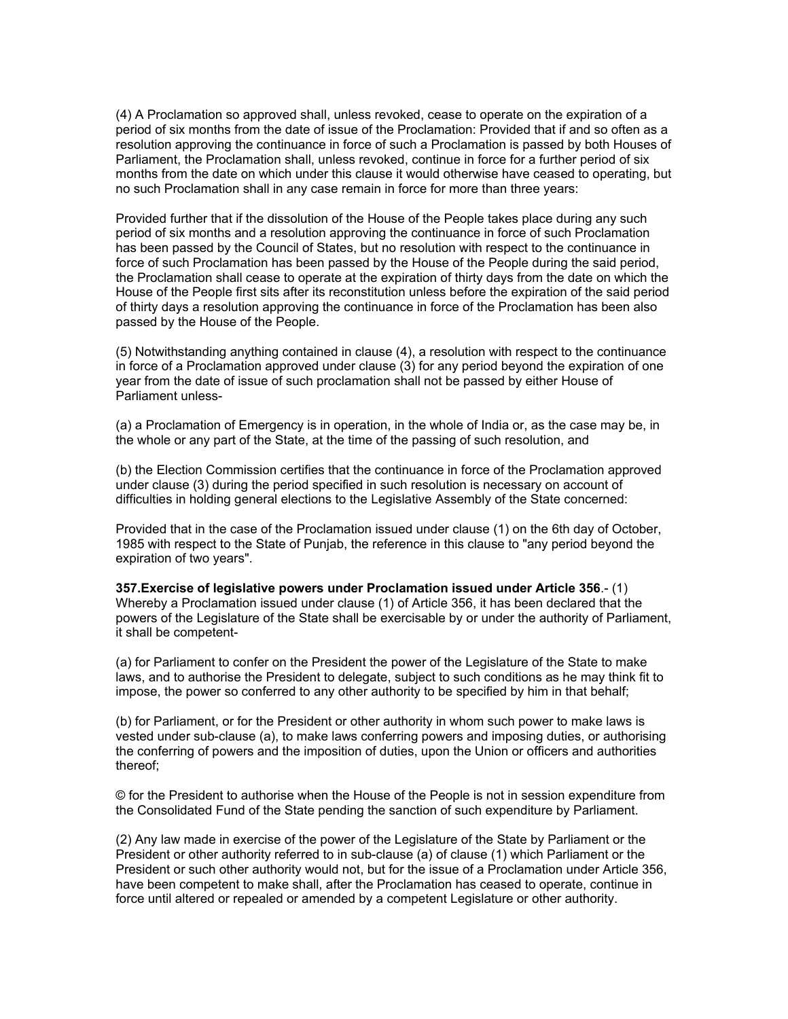(4) A Proclamation so approved shall, unless revoked, cease to operate on the expiration of a period of six months from the date of issue of the Proclamation: Provided that if and so often as a resolution approving the continuance in force of such a Proclamation is passed by both Houses of Parliament, the Proclamation shall, unless revoked, continue in force for a further period of six months from the date on which under this clause it would otherwise have ceased to operating, but no such Proclamation shall in any case remain in force for more than three years:

Provided further that if the dissolution of the House of the People takes place during any such period of six months and a resolution approving the continuance in force of such Proclamation has been passed by the Council of States, but no resolution with respect to the continuance in force of such Proclamation has been passed by the House of the People during the said period, the Proclamation shall cease to operate at the expiration of thirty days from the date on which the House of the People first sits after its reconstitution unless before the expiration of the said period of thirty days a resolution approving the continuance in force of the Proclamation has been also passed by the House of the People.

(5) Notwithstanding anything contained in clause (4), a resolution with respect to the continuance in force of a Proclamation approved under clause (3) for any period beyond the expiration of one year from the date of issue of such proclamation shall not be passed by either House of Parliament unless-

(a) a Proclamation of Emergency is in operation, in the whole of India or, as the case may be, in the whole or any part of the State, at the time of the passing of such resolution, and

(b) the Election Commission certifies that the continuance in force of the Proclamation approved under clause (3) during the period specified in such resolution is necessary on account of difficulties in holding general elections to the Legislative Assembly of the State concerned:

Provided that in the case of the Proclamation issued under clause (1) on the 6th day of October, 1985 with respect to the State of Punjab, the reference in this clause to "any period beyond the expiration of two years".

**357.Exercise of legislative powers under Proclamation issued under Article 356**.- (1) Whereby a Proclamation issued under clause (1) of Article 356, it has been declared that the powers of the Legislature of the State shall be exercisable by or under the authority of Parliament, it shall be competent-

(a) for Parliament to confer on the President the power of the Legislature of the State to make laws, and to authorise the President to delegate, subject to such conditions as he may think fit to impose, the power so conferred to any other authority to be specified by him in that behalf;

(b) for Parliament, or for the President or other authority in whom such power to make laws is vested under sub-clause (a), to make laws conferring powers and imposing duties, or authorising the conferring of powers and the imposition of duties, upon the Union or officers and authorities thereof;

© for the President to authorise when the House of the People is not in session expenditure from the Consolidated Fund of the State pending the sanction of such expenditure by Parliament.

(2) Any law made in exercise of the power of the Legislature of the State by Parliament or the President or other authority referred to in sub-clause (a) of clause (1) which Parliament or the President or such other authority would not, but for the issue of a Proclamation under Article 356, have been competent to make shall, after the Proclamation has ceased to operate, continue in force until altered or repealed or amended by a competent Legislature or other authority.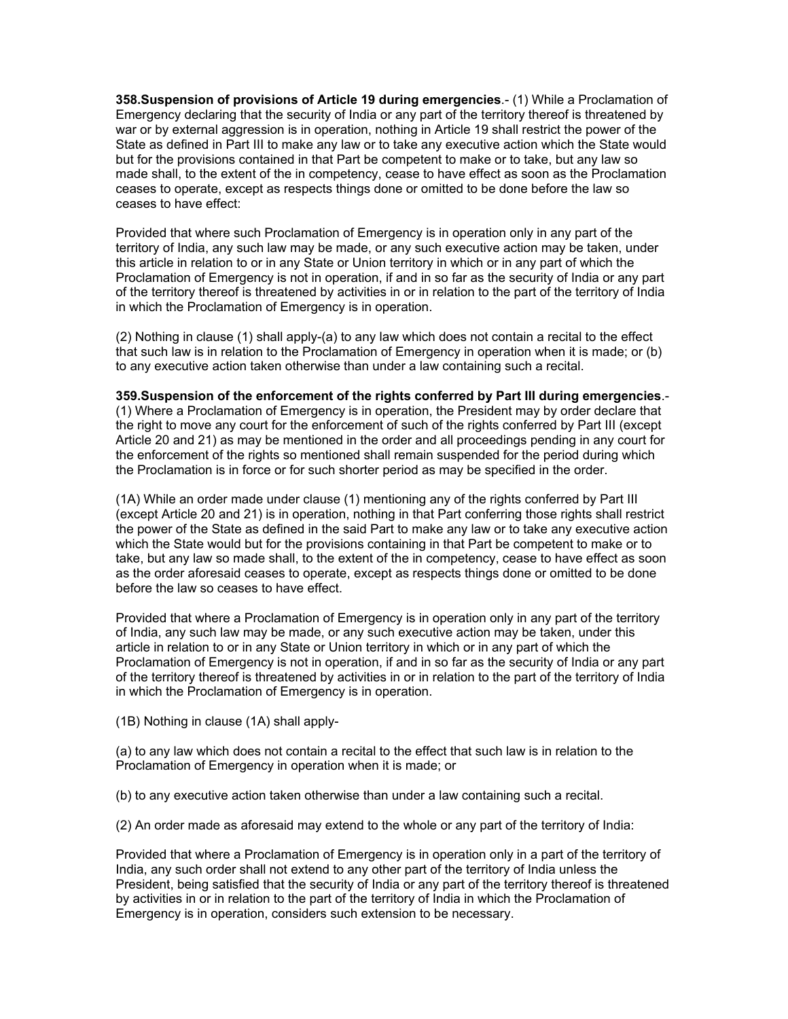**358.Suspension of provisions of Article 19 during emergencies**.- (1) While a Proclamation of Emergency declaring that the security of India or any part of the territory thereof is threatened by war or by external aggression is in operation, nothing in Article 19 shall restrict the power of the State as defined in Part III to make any law or to take any executive action which the State would but for the provisions contained in that Part be competent to make or to take, but any law so made shall, to the extent of the in competency, cease to have effect as soon as the Proclamation ceases to operate, except as respects things done or omitted to be done before the law so ceases to have effect:

Provided that where such Proclamation of Emergency is in operation only in any part of the territory of India, any such law may be made, or any such executive action may be taken, under this article in relation to or in any State or Union territory in which or in any part of which the Proclamation of Emergency is not in operation, if and in so far as the security of India or any part of the territory thereof is threatened by activities in or in relation to the part of the territory of India in which the Proclamation of Emergency is in operation.

(2) Nothing in clause (1) shall apply-(a) to any law which does not contain a recital to the effect that such law is in relation to the Proclamation of Emergency in operation when it is made; or (b) to any executive action taken otherwise than under a law containing such a recital.

**359.Suspension of the enforcement of the rights conferred by Part III during emergencies**.- (1) Where a Proclamation of Emergency is in operation, the President may by order declare that the right to move any court for the enforcement of such of the rights conferred by Part III (except Article 20 and 21) as may be mentioned in the order and all proceedings pending in any court for the enforcement of the rights so mentioned shall remain suspended for the period during which the Proclamation is in force or for such shorter period as may be specified in the order.

(1A) While an order made under clause (1) mentioning any of the rights conferred by Part III (except Article 20 and 21) is in operation, nothing in that Part conferring those rights shall restrict the power of the State as defined in the said Part to make any law or to take any executive action which the State would but for the provisions containing in that Part be competent to make or to take, but any law so made shall, to the extent of the in competency, cease to have effect as soon as the order aforesaid ceases to operate, except as respects things done or omitted to be done before the law so ceases to have effect.

Provided that where a Proclamation of Emergency is in operation only in any part of the territory of India, any such law may be made, or any such executive action may be taken, under this article in relation to or in any State or Union territory in which or in any part of which the Proclamation of Emergency is not in operation, if and in so far as the security of India or any part of the territory thereof is threatened by activities in or in relation to the part of the territory of India in which the Proclamation of Emergency is in operation.

(1B) Nothing in clause (1A) shall apply-

(a) to any law which does not contain a recital to the effect that such law is in relation to the Proclamation of Emergency in operation when it is made; or

(b) to any executive action taken otherwise than under a law containing such a recital.

(2) An order made as aforesaid may extend to the whole or any part of the territory of India:

Provided that where a Proclamation of Emergency is in operation only in a part of the territory of India, any such order shall not extend to any other part of the territory of India unless the President, being satisfied that the security of India or any part of the territory thereof is threatened by activities in or in relation to the part of the territory of India in which the Proclamation of Emergency is in operation, considers such extension to be necessary.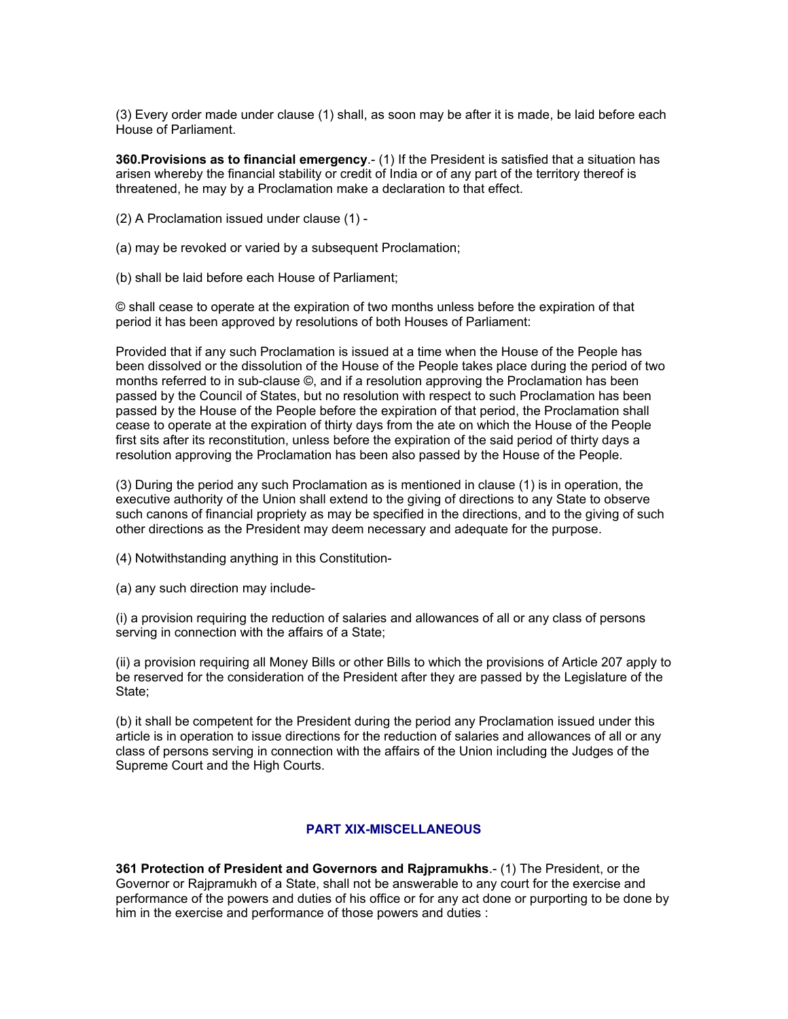(3) Every order made under clause (1) shall, as soon may be after it is made, be laid before each House of Parliament.

**360.Provisions as to financial emergency**.- (1) If the President is satisfied that a situation has arisen whereby the financial stability or credit of India or of any part of the territory thereof is threatened, he may by a Proclamation make a declaration to that effect.

(2) A Proclamation issued under clause (1) -

(a) may be revoked or varied by a subsequent Proclamation;

(b) shall be laid before each House of Parliament;

© shall cease to operate at the expiration of two months unless before the expiration of that period it has been approved by resolutions of both Houses of Parliament:

Provided that if any such Proclamation is issued at a time when the House of the People has been dissolved or the dissolution of the House of the People takes place during the period of two months referred to in sub-clause ©, and if a resolution approving the Proclamation has been passed by the Council of States, but no resolution with respect to such Proclamation has been passed by the House of the People before the expiration of that period, the Proclamation shall cease to operate at the expiration of thirty days from the ate on which the House of the People first sits after its reconstitution, unless before the expiration of the said period of thirty days a resolution approving the Proclamation has been also passed by the House of the People.

(3) During the period any such Proclamation as is mentioned in clause (1) is in operation, the executive authority of the Union shall extend to the giving of directions to any State to observe such canons of financial propriety as may be specified in the directions, and to the giving of such other directions as the President may deem necessary and adequate for the purpose.

(4) Notwithstanding anything in this Constitution-

(a) any such direction may include-

(i) a provision requiring the reduction of salaries and allowances of all or any class of persons serving in connection with the affairs of a State;

(ii) a provision requiring all Money Bills or other Bills to which the provisions of Article 207 apply to be reserved for the consideration of the President after they are passed by the Legislature of the State;

(b) it shall be competent for the President during the period any Proclamation issued under this article is in operation to issue directions for the reduction of salaries and allowances of all or any class of persons serving in connection with the affairs of the Union including the Judges of the Supreme Court and the High Courts.

## **PART XIX-MISCELLANEOUS**

**361 Protection of President and Governors and Rajpramukhs**.- (1) The President, or the Governor or Rajpramukh of a State, shall not be answerable to any court for the exercise and performance of the powers and duties of his office or for any act done or purporting to be done by him in the exercise and performance of those powers and duties :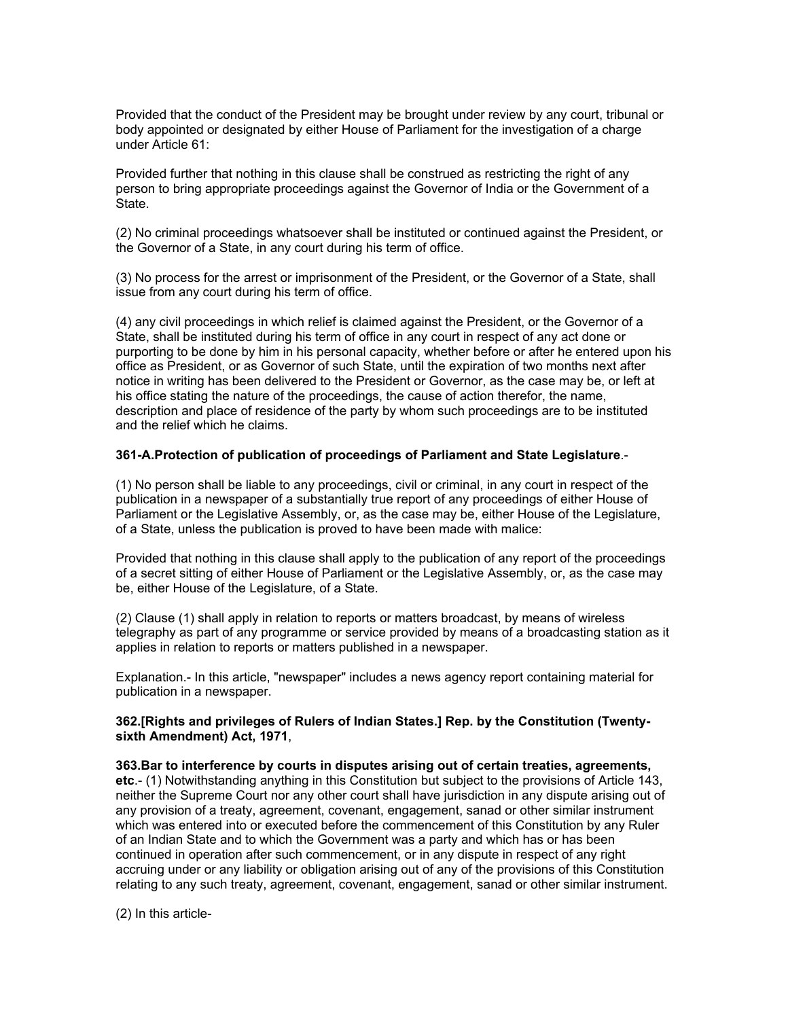Provided that the conduct of the President may be brought under review by any court, tribunal or body appointed or designated by either House of Parliament for the investigation of a charge under Article 61:

Provided further that nothing in this clause shall be construed as restricting the right of any person to bring appropriate proceedings against the Governor of India or the Government of a State.

(2) No criminal proceedings whatsoever shall be instituted or continued against the President, or the Governor of a State, in any court during his term of office.

(3) No process for the arrest or imprisonment of the President, or the Governor of a State, shall issue from any court during his term of office.

(4) any civil proceedings in which relief is claimed against the President, or the Governor of a State, shall be instituted during his term of office in any court in respect of any act done or purporting to be done by him in his personal capacity, whether before or after he entered upon his office as President, or as Governor of such State, until the expiration of two months next after notice in writing has been delivered to the President or Governor, as the case may be, or left at his office stating the nature of the proceedings, the cause of action therefor, the name, description and place of residence of the party by whom such proceedings are to be instituted and the relief which he claims.

## **361-A.Protection of publication of proceedings of Parliament and State Legislature**.-

(1) No person shall be liable to any proceedings, civil or criminal, in any court in respect of the publication in a newspaper of a substantially true report of any proceedings of either House of Parliament or the Legislative Assembly, or, as the case may be, either House of the Legislature, of a State, unless the publication is proved to have been made with malice:

Provided that nothing in this clause shall apply to the publication of any report of the proceedings of a secret sitting of either House of Parliament or the Legislative Assembly, or, as the case may be, either House of the Legislature, of a State.

(2) Clause (1) shall apply in relation to reports or matters broadcast, by means of wireless telegraphy as part of any programme or service provided by means of a broadcasting station as it applies in relation to reports or matters published in a newspaper.

Explanation.- In this article, "newspaper" includes a news agency report containing material for publication in a newspaper.

# **362.[Rights and privileges of Rulers of Indian States.] Rep. by the Constitution (Twentysixth Amendment) Act, 1971**,

**363.Bar to interference by courts in disputes arising out of certain treaties, agreements, etc**.- (1) Notwithstanding anything in this Constitution but subject to the provisions of Article 143, neither the Supreme Court nor any other court shall have jurisdiction in any dispute arising out of any provision of a treaty, agreement, covenant, engagement, sanad or other similar instrument which was entered into or executed before the commencement of this Constitution by any Ruler of an Indian State and to which the Government was a party and which has or has been continued in operation after such commencement, or in any dispute in respect of any right accruing under or any liability or obligation arising out of any of the provisions of this Constitution relating to any such treaty, agreement, covenant, engagement, sanad or other similar instrument.

(2) In this article-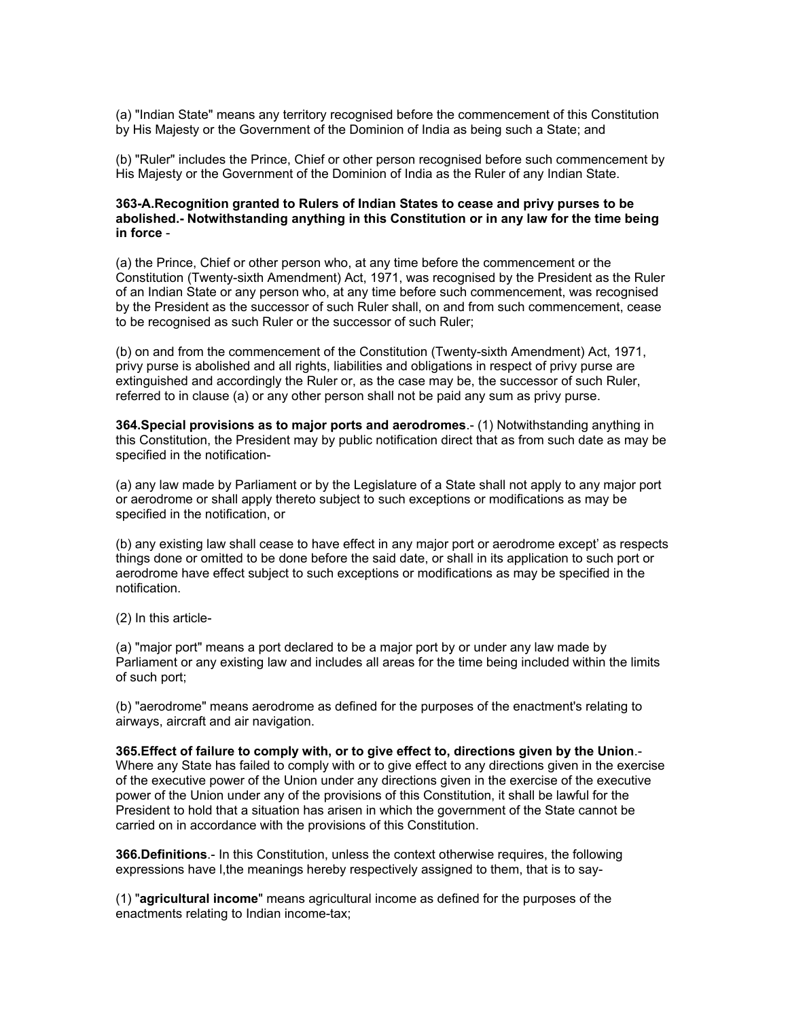(a) "Indian State" means any territory recognised before the commencement of this Constitution by His Majesty or the Government of the Dominion of India as being such a State; and

(b) "Ruler" includes the Prince, Chief or other person recognised before such commencement by His Majesty or the Government of the Dominion of India as the Ruler of any Indian State.

## **363-A.Recognition granted to Rulers of Indian States to cease and privy purses to be abolished.- Notwithstanding anything in this Constitution or in any law for the time being in force** -

(a) the Prince, Chief or other person who, at any time before the commencement or the Constitution (Twenty-sixth Amendment) Act, 1971, was recognised by the President as the Ruler of an Indian State or any person who, at any time before such commencement, was recognised by the President as the successor of such Ruler shall, on and from such commencement, cease to be recognised as such Ruler or the successor of such Ruler;

(b) on and from the commencement of the Constitution (Twenty-sixth Amendment) Act, 1971, privy purse is abolished and all rights, liabilities and obligations in respect of privy purse are extinguished and accordingly the Ruler or, as the case may be, the successor of such Ruler, referred to in clause (a) or any other person shall not be paid any sum as privy purse.

**364.Special provisions as to major ports and aerodromes**.- (1) Notwithstanding anything in this Constitution, the President may by public notification direct that as from such date as may be specified in the notification-

(a) any law made by Parliament or by the Legislature of a State shall not apply to any major port or aerodrome or shall apply thereto subject to such exceptions or modifications as may be specified in the notification, or

(b) any existing law shall cease to have effect in any major port or aerodrome except' as respects things done or omitted to be done before the said date, or shall in its application to such port or aerodrome have effect subject to such exceptions or modifications as may be specified in the notification.

(2) In this article-

(a) "major port" means a port declared to be a major port by or under any law made by Parliament or any existing law and includes all areas for the time being included within the limits of such port;

(b) "aerodrome" means aerodrome as defined for the purposes of the enactment's relating to airways, aircraft and air navigation.

**365.Effect of failure to comply with, or to give effect to, directions given by the Union**.- Where any State has failed to comply with or to give effect to any directions given in the exercise of the executive power of the Union under any directions given in the exercise of the executive power of the Union under any of the provisions of this Constitution, it shall be lawful for the President to hold that a situation has arisen in which the government of the State cannot be carried on in accordance with the provisions of this Constitution.

**366.Definitions**.- In this Constitution, unless the context otherwise requires, the following expressions have l,the meanings hereby respectively assigned to them, that is to say-

(1) "**agricultural income**" means agricultural income as defined for the purposes of the enactments relating to Indian income-tax;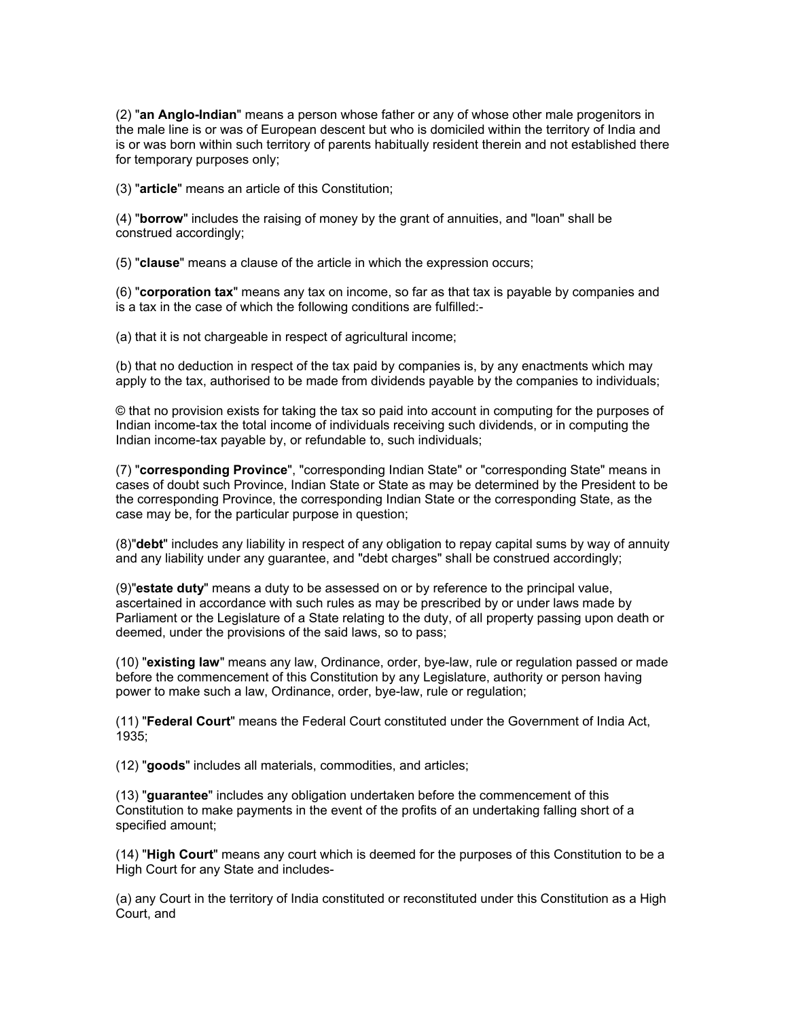(2) "**an Anglo-Indian**" means a person whose father or any of whose other male progenitors in the male line is or was of European descent but who is domiciled within the territory of India and is or was born within such territory of parents habitually resident therein and not established there for temporary purposes only;

(3) "**article**" means an article of this Constitution;

(4) "**borrow**" includes the raising of money by the grant of annuities, and "loan" shall be construed accordingly;

(5) "**clause**" means a clause of the article in which the expression occurs;

(6) "**corporation tax**" means any tax on income, so far as that tax is payable by companies and is a tax in the case of which the following conditions are fulfilled:-

(a) that it is not chargeable in respect of agricultural income;

(b) that no deduction in respect of the tax paid by companies is, by any enactments which may apply to the tax, authorised to be made from dividends payable by the companies to individuals;

© that no provision exists for taking the tax so paid into account in computing for the purposes of Indian income-tax the total income of individuals receiving such dividends, or in computing the Indian income-tax payable by, or refundable to, such individuals;

(7) "**corresponding Province**", "corresponding Indian State" or "corresponding State" means in cases of doubt such Province, Indian State or State as may be determined by the President to be the corresponding Province, the corresponding Indian State or the corresponding State, as the case may be, for the particular purpose in question;

(8)"**debt**" includes any liability in respect of any obligation to repay capital sums by way of annuity and any liability under any guarantee, and "debt charges" shall be construed accordingly;

(9)"**estate duty**" means a duty to be assessed on or by reference to the principal value, ascertained in accordance with such rules as may be prescribed by or under laws made by Parliament or the Legislature of a State relating to the duty, of all property passing upon death or deemed, under the provisions of the said laws, so to pass;

(10) "**existing law**" means any law, Ordinance, order, bye-law, rule or regulation passed or made before the commencement of this Constitution by any Legislature, authority or person having power to make such a law, Ordinance, order, bye-law, rule or regulation;

(11) "**Federal Court**" means the Federal Court constituted under the Government of India Act, 1935;

(12) "**goods**" includes all materials, commodities, and articles;

(13) "**guarantee**" includes any obligation undertaken before the commencement of this Constitution to make payments in the event of the profits of an undertaking falling short of a specified amount;

(14) "**High Court**" means any court which is deemed for the purposes of this Constitution to be a High Court for any State and includes-

(a) any Court in the territory of India constituted or reconstituted under this Constitution as a High Court, and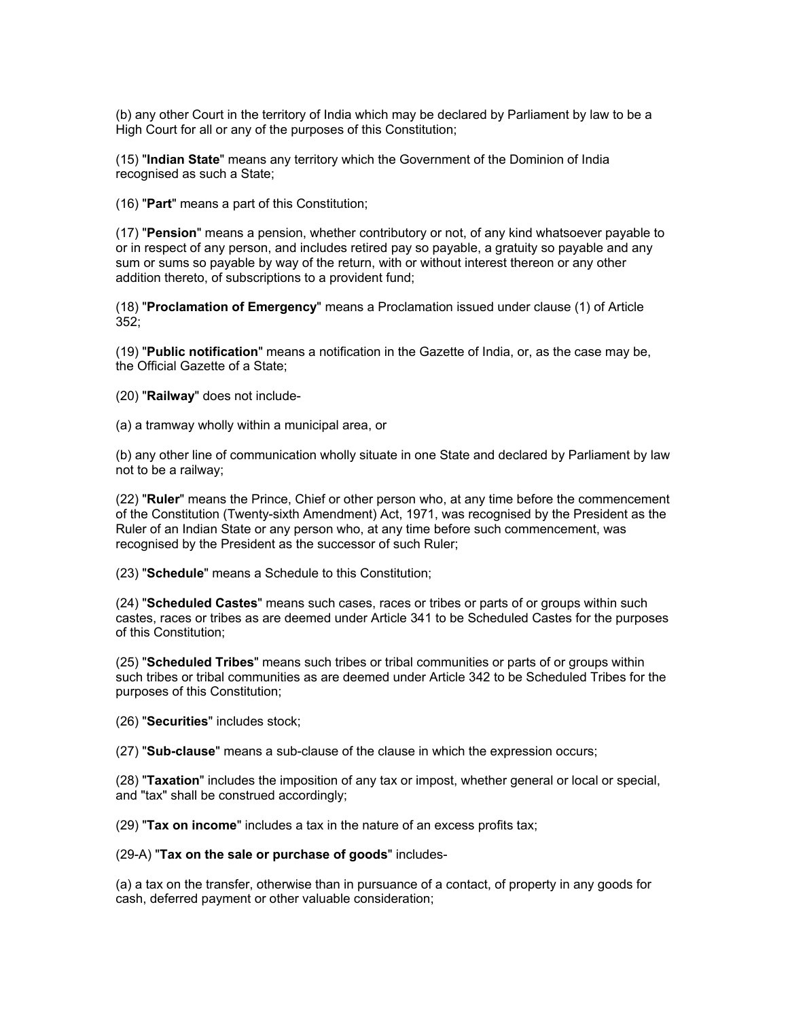(b) any other Court in the territory of India which may be declared by Parliament by law to be a High Court for all or any of the purposes of this Constitution;

(15) "**Indian State**" means any territory which the Government of the Dominion of India recognised as such a State;

(16) "**Part**" means a part of this Constitution;

(17) "**Pension**" means a pension, whether contributory or not, of any kind whatsoever payable to or in respect of any person, and includes retired pay so payable, a gratuity so payable and any sum or sums so payable by way of the return, with or without interest thereon or any other addition thereto, of subscriptions to a provident fund;

(18) "**Proclamation of Emergency**" means a Proclamation issued under clause (1) of Article 352;

(19) "**Public notification**" means a notification in the Gazette of India, or, as the case may be, the Official Gazette of a State;

(20) "**Railway**" does not include-

(a) a tramway wholly within a municipal area, or

(b) any other line of communication wholly situate in one State and declared by Parliament by law not to be a railway;

(22) "**Ruler**" means the Prince, Chief or other person who, at any time before the commencement of the Constitution (Twenty-sixth Amendment) Act, 1971, was recognised by the President as the Ruler of an Indian State or any person who, at any time before such commencement, was recognised by the President as the successor of such Ruler;

(23) "**Schedule**" means a Schedule to this Constitution;

(24) "**Scheduled Castes**" means such cases, races or tribes or parts of or groups within such castes, races or tribes as are deemed under Article 341 to be Scheduled Castes for the purposes of this Constitution;

(25) "**Scheduled Tribes**" means such tribes or tribal communities or parts of or groups within such tribes or tribal communities as are deemed under Article 342 to be Scheduled Tribes for the purposes of this Constitution;

(26) "**Securities**" includes stock;

(27) "**Sub-clause**" means a sub-clause of the clause in which the expression occurs;

(28) "**Taxation**" includes the imposition of any tax or impost, whether general or local or special, and "tax" shall be construed accordingly;

(29) "**Tax on income**" includes a tax in the nature of an excess profits tax;

# (29-A) "**Tax on the sale or purchase of goods**" includes-

(a) a tax on the transfer, otherwise than in pursuance of a contact, of property in any goods for cash, deferred payment or other valuable consideration;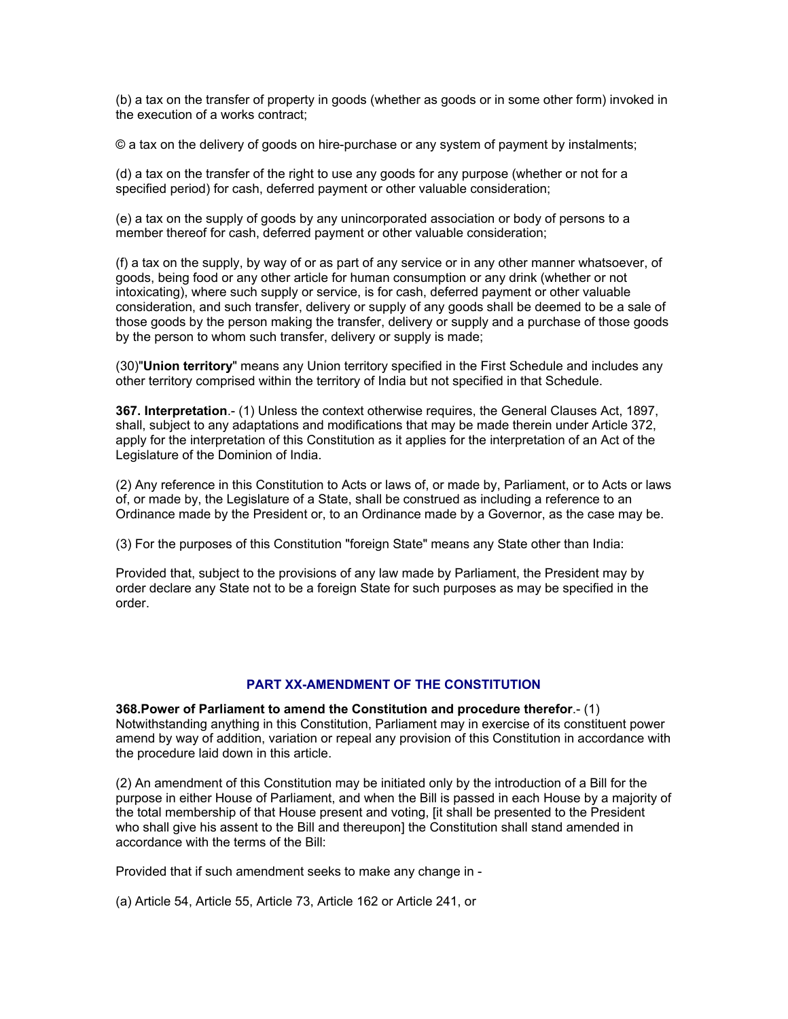(b) a tax on the transfer of property in goods (whether as goods or in some other form) invoked in the execution of a works contract;

© a tax on the delivery of goods on hire-purchase or any system of payment by instalments;

(d) a tax on the transfer of the right to use any goods for any purpose (whether or not for a specified period) for cash, deferred payment or other valuable consideration;

(e) a tax on the supply of goods by any unincorporated association or body of persons to a member thereof for cash, deferred payment or other valuable consideration;

(f) a tax on the supply, by way of or as part of any service or in any other manner whatsoever, of goods, being food or any other article for human consumption or any drink (whether or not intoxicating), where such supply or service, is for cash, deferred payment or other valuable consideration, and such transfer, delivery or supply of any goods shall be deemed to be a sale of those goods by the person making the transfer, delivery or supply and a purchase of those goods by the person to whom such transfer, delivery or supply is made;

(30)"**Union territory**" means any Union territory specified in the First Schedule and includes any other territory comprised within the territory of India but not specified in that Schedule.

**367. Interpretation**.- (1) Unless the context otherwise requires, the General Clauses Act, 1897, shall, subject to any adaptations and modifications that may be made therein under Article 372, apply for the interpretation of this Constitution as it applies for the interpretation of an Act of the Legislature of the Dominion of India.

(2) Any reference in this Constitution to Acts or laws of, or made by, Parliament, or to Acts or laws of, or made by, the Legislature of a State, shall be construed as including a reference to an Ordinance made by the President or, to an Ordinance made by a Governor, as the case may be.

(3) For the purposes of this Constitution "foreign State" means any State other than India:

Provided that, subject to the provisions of any law made by Parliament, the President may by order declare any State not to be a foreign State for such purposes as may be specified in the order.

#### **PART XX-AMENDMENT OF THE CONSTITUTION**

**368.Power of Parliament to amend the Constitution and procedure therefor**.- (1) Notwithstanding anything in this Constitution, Parliament may in exercise of its constituent power amend by way of addition, variation or repeal any provision of this Constitution in accordance with the procedure laid down in this article.

(2) An amendment of this Constitution may be initiated only by the introduction of a Bill for the purpose in either House of Parliament, and when the Bill is passed in each House by a majority of the total membership of that House present and voting, [it shall be presented to the President who shall give his assent to the Bill and thereupon] the Constitution shall stand amended in accordance with the terms of the Bill:

Provided that if such amendment seeks to make any change in -

(a) Article 54, Article 55, Article 73, Article 162 or Article 241, or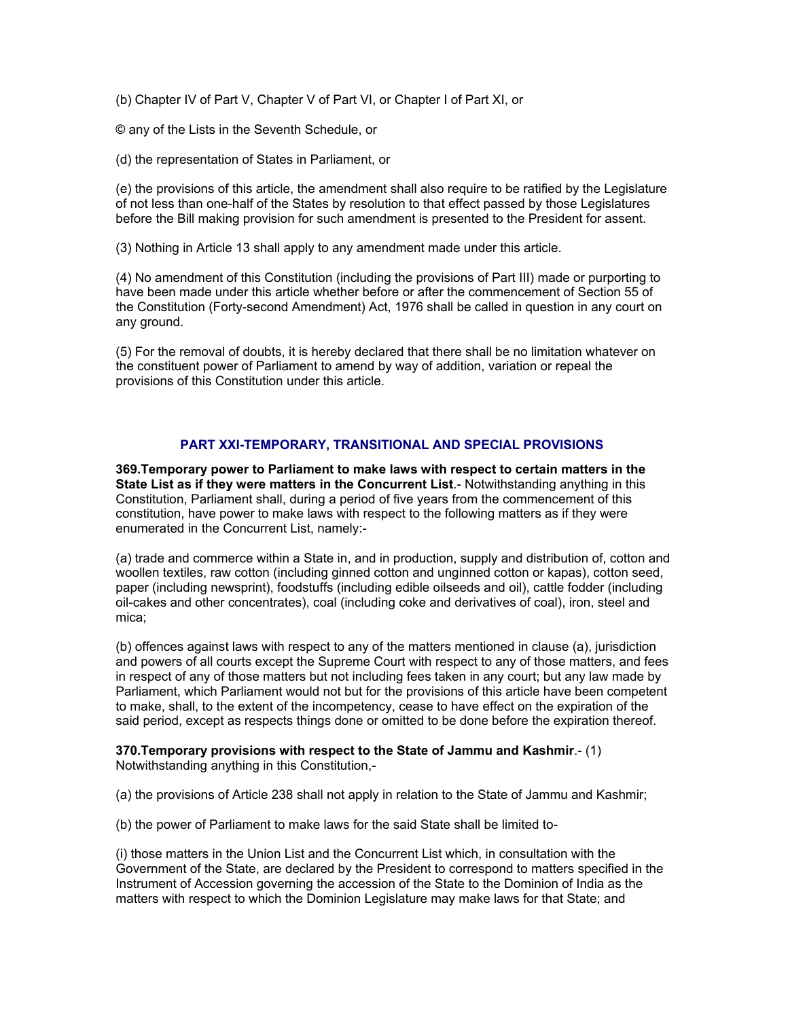(b) Chapter IV of Part V, Chapter V of Part VI, or Chapter I of Part XI, or

© any of the Lists in the Seventh Schedule, or

(d) the representation of States in Parliament, or

(e) the provisions of this article, the amendment shall also require to be ratified by the Legislature of not less than one-half of the States by resolution to that effect passed by those Legislatures before the Bill making provision for such amendment is presented to the President for assent.

(3) Nothing in Article 13 shall apply to any amendment made under this article.

(4) No amendment of this Constitution (including the provisions of Part III) made or purporting to have been made under this article whether before or after the commencement of Section 55 of the Constitution (Forty-second Amendment) Act, 1976 shall be called in question in any court on any ground.

(5) For the removal of doubts, it is hereby declared that there shall be no limitation whatever on the constituent power of Parliament to amend by way of addition, variation or repeal the provisions of this Constitution under this article.

# **PART XXI-TEMPORARY, TRANSITIONAL AND SPECIAL PROVISIONS**

**369.Temporary power to Parliament to make laws with respect to certain matters in the State List as if they were matters in the Concurrent List**.- Notwithstanding anything in this Constitution, Parliament shall, during a period of five years from the commencement of this constitution, have power to make laws with respect to the following matters as if they were enumerated in the Concurrent List, namely:-

(a) trade and commerce within a State in, and in production, supply and distribution of, cotton and woollen textiles, raw cotton (including ginned cotton and unginned cotton or kapas), cotton seed, paper (including newsprint), foodstuffs (including edible oilseeds and oil), cattle fodder (including oil-cakes and other concentrates), coal (including coke and derivatives of coal), iron, steel and mica;

(b) offences against laws with respect to any of the matters mentioned in clause (a), jurisdiction and powers of all courts except the Supreme Court with respect to any of those matters, and fees in respect of any of those matters but not including fees taken in any court; but any law made by Parliament, which Parliament would not but for the provisions of this article have been competent to make, shall, to the extent of the incompetency, cease to have effect on the expiration of the said period, except as respects things done or omitted to be done before the expiration thereof.

**370.Temporary provisions with respect to the State of Jammu and Kashmir**.- (1) Notwithstanding anything in this Constitution,-

(a) the provisions of Article 238 shall not apply in relation to the State of Jammu and Kashmir;

(b) the power of Parliament to make laws for the said State shall be limited to-

(i) those matters in the Union List and the Concurrent List which, in consultation with the Government of the State, are declared by the President to correspond to matters specified in the Instrument of Accession governing the accession of the State to the Dominion of India as the matters with respect to which the Dominion Legislature may make laws for that State; and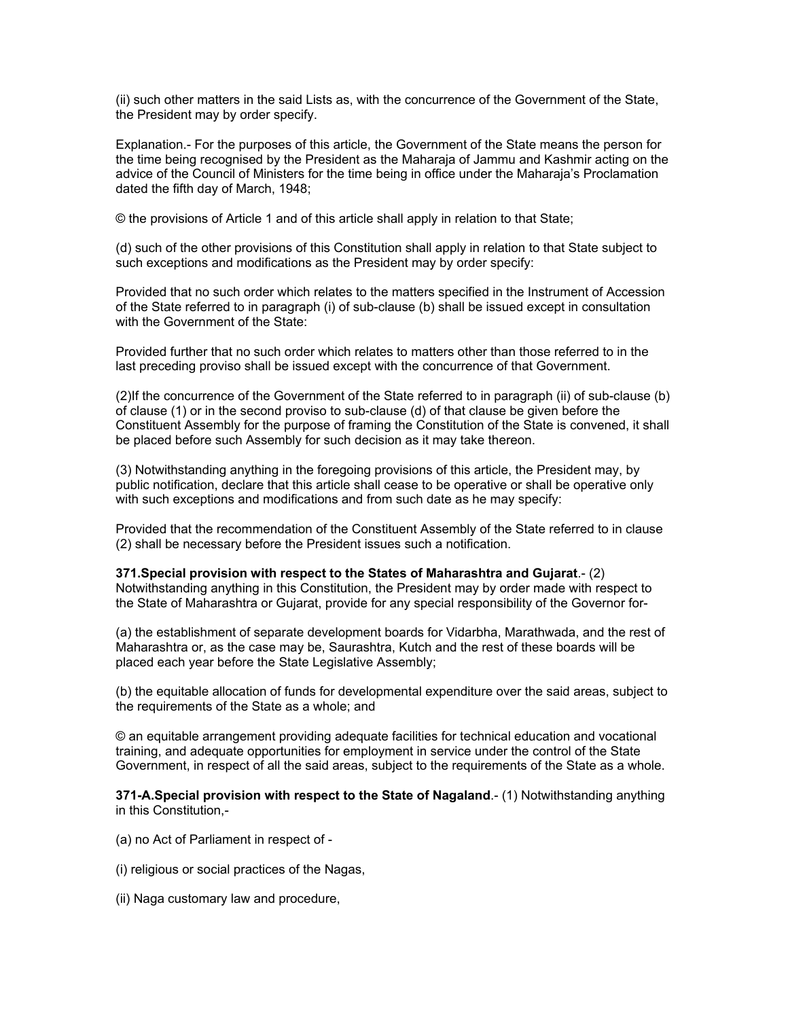(ii) such other matters in the said Lists as, with the concurrence of the Government of the State, the President may by order specify.

Explanation.- For the purposes of this article, the Government of the State means the person for the time being recognised by the President as the Maharaja of Jammu and Kashmir acting on the advice of the Council of Ministers for the time being in office under the Maharaja's Proclamation dated the fifth day of March, 1948;

© the provisions of Article 1 and of this article shall apply in relation to that State;

(d) such of the other provisions of this Constitution shall apply in relation to that State subject to such exceptions and modifications as the President may by order specify:

Provided that no such order which relates to the matters specified in the Instrument of Accession of the State referred to in paragraph (i) of sub-clause (b) shall be issued except in consultation with the Government of the State:

Provided further that no such order which relates to matters other than those referred to in the last preceding proviso shall be issued except with the concurrence of that Government.

(2)If the concurrence of the Government of the State referred to in paragraph (ii) of sub-clause (b) of clause (1) or in the second proviso to sub-clause (d) of that clause be given before the Constituent Assembly for the purpose of framing the Constitution of the State is convened, it shall be placed before such Assembly for such decision as it may take thereon.

(3) Notwithstanding anything in the foregoing provisions of this article, the President may, by public notification, declare that this article shall cease to be operative or shall be operative only with such exceptions and modifications and from such date as he may specify:

Provided that the recommendation of the Constituent Assembly of the State referred to in clause (2) shall be necessary before the President issues such a notification.

**371.Special provision with respect to the States of Maharashtra and Gujarat**.- (2) Notwithstanding anything in this Constitution, the President may by order made with respect to the State of Maharashtra or Gujarat, provide for any special responsibility of the Governor for-

(a) the establishment of separate development boards for Vidarbha, Marathwada, and the rest of Maharashtra or, as the case may be, Saurashtra, Kutch and the rest of these boards will be placed each year before the State Legislative Assembly;

(b) the equitable allocation of funds for developmental expenditure over the said areas, subject to the requirements of the State as a whole; and

© an equitable arrangement providing adequate facilities for technical education and vocational training, and adequate opportunities for employment in service under the control of the State Government, in respect of all the said areas, subject to the requirements of the State as a whole.

**371-A.Special provision with respect to the State of Nagaland**.- (1) Notwithstanding anything in this Constitution,-

- (a) no Act of Parliament in respect of -
- (i) religious or social practices of the Nagas,
- (ii) Naga customary law and procedure,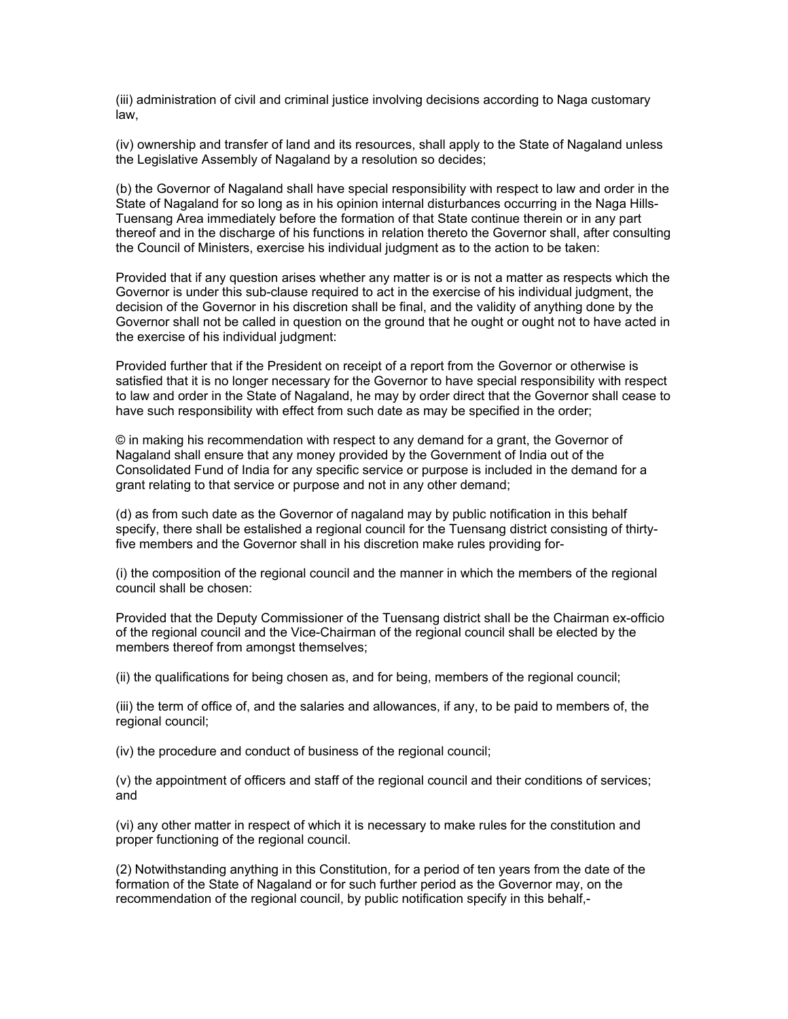(iii) administration of civil and criminal justice involving decisions according to Naga customary law,

(iv) ownership and transfer of land and its resources, shall apply to the State of Nagaland unless the Legislative Assembly of Nagaland by a resolution so decides;

(b) the Governor of Nagaland shall have special responsibility with respect to law and order in the State of Nagaland for so long as in his opinion internal disturbances occurring in the Naga Hills-Tuensang Area immediately before the formation of that State continue therein or in any part thereof and in the discharge of his functions in relation thereto the Governor shall, after consulting the Council of Ministers, exercise his individual judgment as to the action to be taken:

Provided that if any question arises whether any matter is or is not a matter as respects which the Governor is under this sub-clause required to act in the exercise of his individual judgment, the decision of the Governor in his discretion shall be final, and the validity of anything done by the Governor shall not be called in question on the ground that he ought or ought not to have acted in the exercise of his individual judgment:

Provided further that if the President on receipt of a report from the Governor or otherwise is satisfied that it is no longer necessary for the Governor to have special responsibility with respect to law and order in the State of Nagaland, he may by order direct that the Governor shall cease to have such responsibility with effect from such date as may be specified in the order;

© in making his recommendation with respect to any demand for a grant, the Governor of Nagaland shall ensure that any money provided by the Government of India out of the Consolidated Fund of India for any specific service or purpose is included in the demand for a grant relating to that service or purpose and not in any other demand;

(d) as from such date as the Governor of nagaland may by public notification in this behalf specify, there shall be estalished a regional council for the Tuensang district consisting of thirtyfive members and the Governor shall in his discretion make rules providing for-

(i) the composition of the regional council and the manner in which the members of the regional council shall be chosen:

Provided that the Deputy Commissioner of the Tuensang district shall be the Chairman ex-officio of the regional council and the Vice-Chairman of the regional council shall be elected by the members thereof from amongst themselves;

(ii) the qualifications for being chosen as, and for being, members of the regional council;

(iii) the term of office of, and the salaries and allowances, if any, to be paid to members of, the regional council;

(iv) the procedure and conduct of business of the regional council;

(v) the appointment of officers and staff of the regional council and their conditions of services; and

(vi) any other matter in respect of which it is necessary to make rules for the constitution and proper functioning of the regional council.

(2) Notwithstanding anything in this Constitution, for a period of ten years from the date of the formation of the State of Nagaland or for such further period as the Governor may, on the recommendation of the regional council, by public notification specify in this behalf,-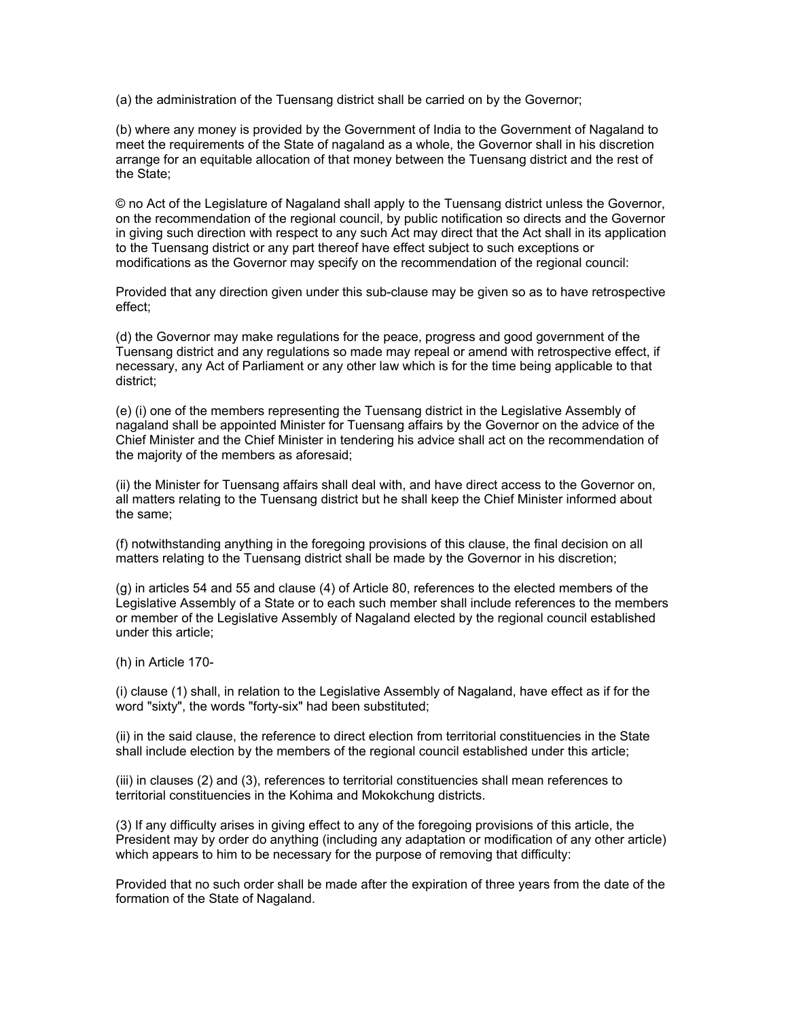(a) the administration of the Tuensang district shall be carried on by the Governor;

(b) where any money is provided by the Government of India to the Government of Nagaland to meet the requirements of the State of nagaland as a whole, the Governor shall in his discretion arrange for an equitable allocation of that money between the Tuensang district and the rest of the State;

© no Act of the Legislature of Nagaland shall apply to the Tuensang district unless the Governor, on the recommendation of the regional council, by public notification so directs and the Governor in giving such direction with respect to any such Act may direct that the Act shall in its application to the Tuensang district or any part thereof have effect subject to such exceptions or modifications as the Governor may specify on the recommendation of the regional council:

Provided that any direction given under this sub-clause may be given so as to have retrospective effect;

(d) the Governor may make regulations for the peace, progress and good government of the Tuensang district and any regulations so made may repeal or amend with retrospective effect, if necessary, any Act of Parliament or any other law which is for the time being applicable to that district;

(e) (i) one of the members representing the Tuensang district in the Legislative Assembly of nagaland shall be appointed Minister for Tuensang affairs by the Governor on the advice of the Chief Minister and the Chief Minister in tendering his advice shall act on the recommendation of the majority of the members as aforesaid;

(ii) the Minister for Tuensang affairs shall deal with, and have direct access to the Governor on, all matters relating to the Tuensang district but he shall keep the Chief Minister informed about the same;

(f) notwithstanding anything in the foregoing provisions of this clause, the final decision on all matters relating to the Tuensang district shall be made by the Governor in his discretion;

(g) in articles 54 and 55 and clause (4) of Article 80, references to the elected members of the Legislative Assembly of a State or to each such member shall include references to the members or member of the Legislative Assembly of Nagaland elected by the regional council established under this article;

(h) in Article 170-

(i) clause (1) shall, in relation to the Legislative Assembly of Nagaland, have effect as if for the word "sixty", the words "forty-six" had been substituted;

(ii) in the said clause, the reference to direct election from territorial constituencies in the State shall include election by the members of the regional council established under this article;

(iii) in clauses (2) and (3), references to territorial constituencies shall mean references to territorial constituencies in the Kohima and Mokokchung districts.

(3) If any difficulty arises in giving effect to any of the foregoing provisions of this article, the President may by order do anything (including any adaptation or modification of any other article) which appears to him to be necessary for the purpose of removing that difficulty:

Provided that no such order shall be made after the expiration of three years from the date of the formation of the State of Nagaland.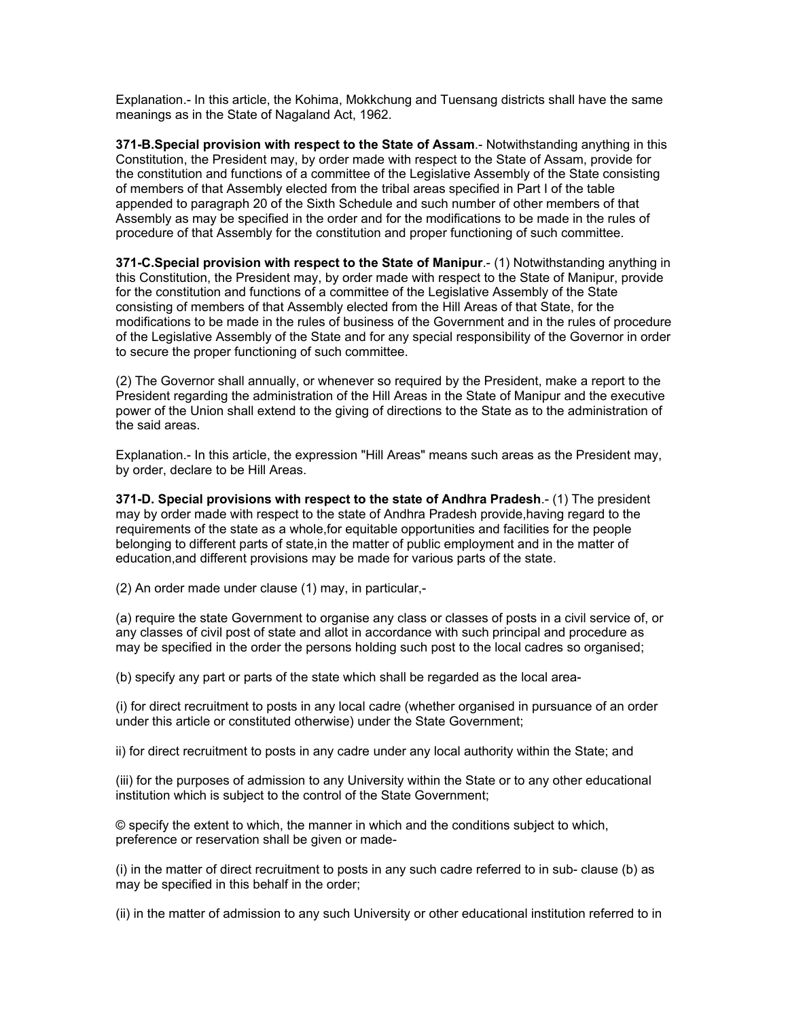Explanation.- In this article, the Kohima, Mokkchung and Tuensang districts shall have the same meanings as in the State of Nagaland Act, 1962.

**371-B.Special provision with respect to the State of Assam**.- Notwithstanding anything in this Constitution, the President may, by order made with respect to the State of Assam, provide for the constitution and functions of a committee of the Legislative Assembly of the State consisting of members of that Assembly elected from the tribal areas specified in Part I of the table appended to paragraph 20 of the Sixth Schedule and such number of other members of that Assembly as may be specified in the order and for the modifications to be made in the rules of procedure of that Assembly for the constitution and proper functioning of such committee.

**371-C.Special provision with respect to the State of Manipur**.- (1) Notwithstanding anything in this Constitution, the President may, by order made with respect to the State of Manipur, provide for the constitution and functions of a committee of the Legislative Assembly of the State consisting of members of that Assembly elected from the Hill Areas of that State, for the modifications to be made in the rules of business of the Government and in the rules of procedure of the Legislative Assembly of the State and for any special responsibility of the Governor in order to secure the proper functioning of such committee.

(2) The Governor shall annually, or whenever so required by the President, make a report to the President regarding the administration of the Hill Areas in the State of Manipur and the executive power of the Union shall extend to the giving of directions to the State as to the administration of the said areas.

Explanation.- In this article, the expression "Hill Areas" means such areas as the President may, by order, declare to be Hill Areas.

**371-D. Special provisions with respect to the state of Andhra Pradesh**.- (1) The president may by order made with respect to the state of Andhra Pradesh provide,having regard to the requirements of the state as a whole,for equitable opportunities and facilities for the people belonging to different parts of state,in the matter of public employment and in the matter of education,and different provisions may be made for various parts of the state.

(2) An order made under clause (1) may, in particular,-

(a) require the state Government to organise any class or classes of posts in a civil service of, or any classes of civil post of state and allot in accordance with such principal and procedure as may be specified in the order the persons holding such post to the local cadres so organised;

(b) specify any part or parts of the state which shall be regarded as the local area-

(i) for direct recruitment to posts in any local cadre (whether organised in pursuance of an order under this article or constituted otherwise) under the State Government;

ii) for direct recruitment to posts in any cadre under any local authority within the State; and

(iii) for the purposes of admission to any University within the State or to any other educational institution which is subject to the control of the State Government;

© specify the extent to which, the manner in which and the conditions subject to which, preference or reservation shall be given or made-

(i) in the matter of direct recruitment to posts in any such cadre referred to in sub- clause (b) as may be specified in this behalf in the order;

(ii) in the matter of admission to any such University or other educational institution referred to in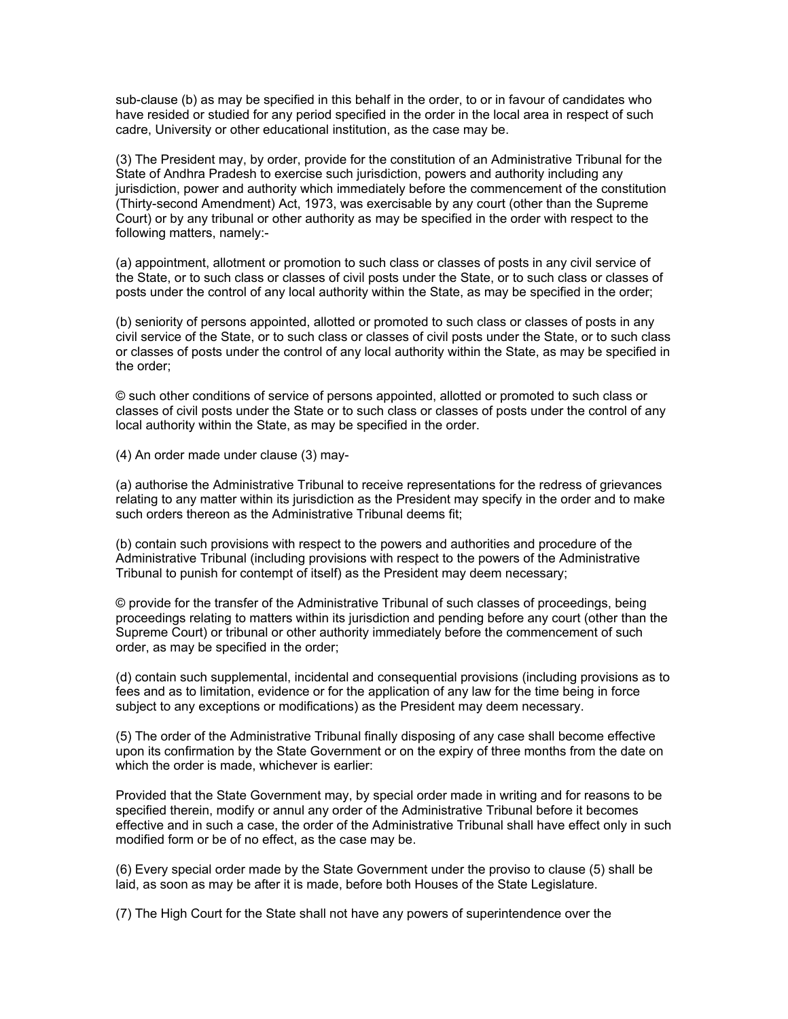sub-clause (b) as may be specified in this behalf in the order, to or in favour of candidates who have resided or studied for any period specified in the order in the local area in respect of such cadre, University or other educational institution, as the case may be.

(3) The President may, by order, provide for the constitution of an Administrative Tribunal for the State of Andhra Pradesh to exercise such jurisdiction, powers and authority including any jurisdiction, power and authority which immediately before the commencement of the constitution (Thirty-second Amendment) Act, 1973, was exercisable by any court (other than the Supreme Court) or by any tribunal or other authority as may be specified in the order with respect to the following matters, namely:-

(a) appointment, allotment or promotion to such class or classes of posts in any civil service of the State, or to such class or classes of civil posts under the State, or to such class or classes of posts under the control of any local authority within the State, as may be specified in the order;

(b) seniority of persons appointed, allotted or promoted to such class or classes of posts in any civil service of the State, or to such class or classes of civil posts under the State, or to such class or classes of posts under the control of any local authority within the State, as may be specified in the order;

© such other conditions of service of persons appointed, allotted or promoted to such class or classes of civil posts under the State or to such class or classes of posts under the control of any local authority within the State, as may be specified in the order.

(4) An order made under clause (3) may-

(a) authorise the Administrative Tribunal to receive representations for the redress of grievances relating to any matter within its jurisdiction as the President may specify in the order and to make such orders thereon as the Administrative Tribunal deems fit;

(b) contain such provisions with respect to the powers and authorities and procedure of the Administrative Tribunal (including provisions with respect to the powers of the Administrative Tribunal to punish for contempt of itself) as the President may deem necessary;

© provide for the transfer of the Administrative Tribunal of such classes of proceedings, being proceedings relating to matters within its jurisdiction and pending before any court (other than the Supreme Court) or tribunal or other authority immediately before the commencement of such order, as may be specified in the order;

(d) contain such supplemental, incidental and consequential provisions (including provisions as to fees and as to limitation, evidence or for the application of any law for the time being in force subject to any exceptions or modifications) as the President may deem necessary.

(5) The order of the Administrative Tribunal finally disposing of any case shall become effective upon its confirmation by the State Government or on the expiry of three months from the date on which the order is made, whichever is earlier:

Provided that the State Government may, by special order made in writing and for reasons to be specified therein, modify or annul any order of the Administrative Tribunal before it becomes effective and in such a case, the order of the Administrative Tribunal shall have effect only in such modified form or be of no effect, as the case may be.

(6) Every special order made by the State Government under the proviso to clause (5) shall be laid, as soon as may be after it is made, before both Houses of the State Legislature.

(7) The High Court for the State shall not have any powers of superintendence over the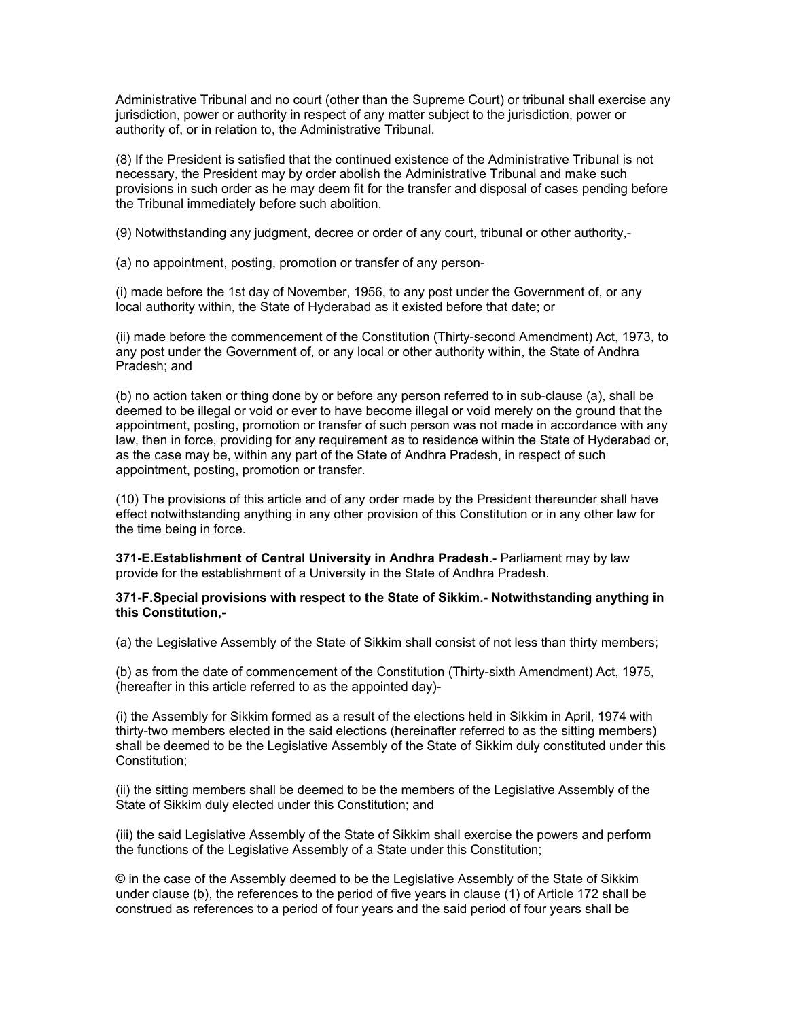Administrative Tribunal and no court (other than the Supreme Court) or tribunal shall exercise any jurisdiction, power or authority in respect of any matter subject to the jurisdiction, power or authority of, or in relation to, the Administrative Tribunal.

(8) If the President is satisfied that the continued existence of the Administrative Tribunal is not necessary, the President may by order abolish the Administrative Tribunal and make such provisions in such order as he may deem fit for the transfer and disposal of cases pending before the Tribunal immediately before such abolition.

(9) Notwithstanding any judgment, decree or order of any court, tribunal or other authority,-

(a) no appointment, posting, promotion or transfer of any person-

(i) made before the 1st day of November, 1956, to any post under the Government of, or any local authority within, the State of Hyderabad as it existed before that date; or

(ii) made before the commencement of the Constitution (Thirty-second Amendment) Act, 1973, to any post under the Government of, or any local or other authority within, the State of Andhra Pradesh; and

(b) no action taken or thing done by or before any person referred to in sub-clause (a), shall be deemed to be illegal or void or ever to have become illegal or void merely on the ground that the appointment, posting, promotion or transfer of such person was not made in accordance with any law, then in force, providing for any requirement as to residence within the State of Hyderabad or, as the case may be, within any part of the State of Andhra Pradesh, in respect of such appointment, posting, promotion or transfer.

(10) The provisions of this article and of any order made by the President thereunder shall have effect notwithstanding anything in any other provision of this Constitution or in any other law for the time being in force.

**371-E.Establishment of Central University in Andhra Pradesh**.- Parliament may by law provide for the establishment of a University in the State of Andhra Pradesh.

**371-F.Special provisions with respect to the State of Sikkim.- Notwithstanding anything in this Constitution,-** 

(a) the Legislative Assembly of the State of Sikkim shall consist of not less than thirty members;

(b) as from the date of commencement of the Constitution (Thirty-sixth Amendment) Act, 1975, (hereafter in this article referred to as the appointed day)-

(i) the Assembly for Sikkim formed as a result of the elections held in Sikkim in April, 1974 with thirty-two members elected in the said elections (hereinafter referred to as the sitting members) shall be deemed to be the Legislative Assembly of the State of Sikkim duly constituted under this Constitution;

(ii) the sitting members shall be deemed to be the members of the Legislative Assembly of the State of Sikkim duly elected under this Constitution; and

(iii) the said Legislative Assembly of the State of Sikkim shall exercise the powers and perform the functions of the Legislative Assembly of a State under this Constitution;

© in the case of the Assembly deemed to be the Legislative Assembly of the State of Sikkim under clause (b), the references to the period of five years in clause (1) of Article 172 shall be construed as references to a period of four years and the said period of four years shall be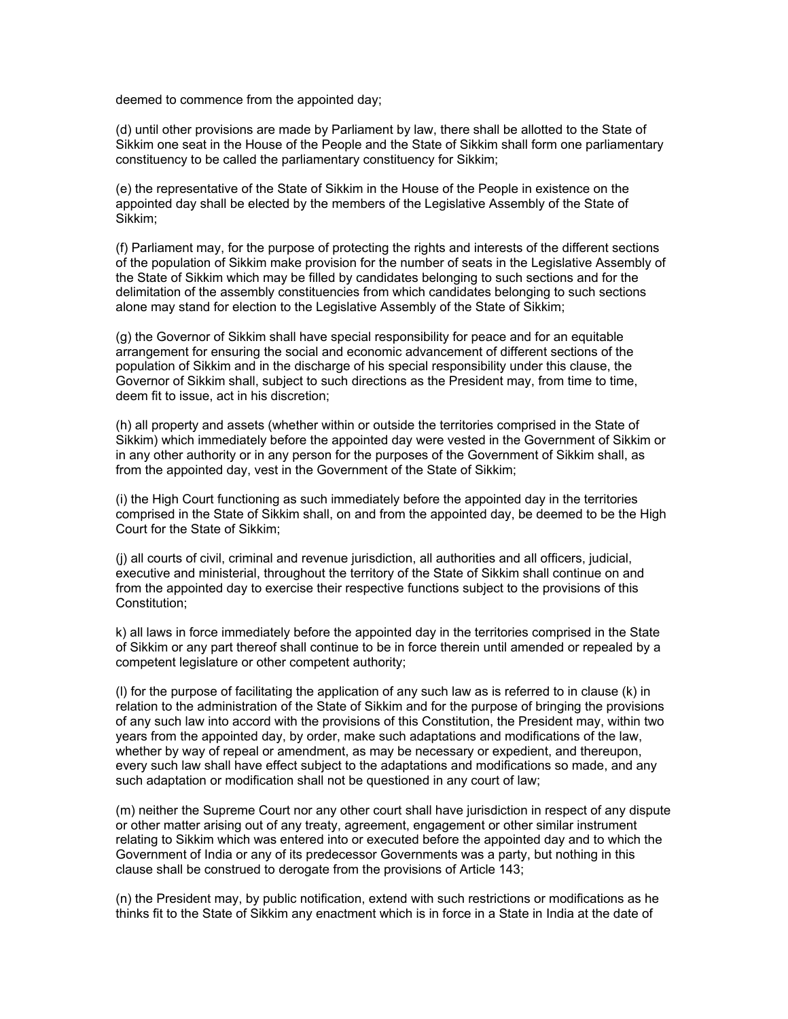deemed to commence from the appointed day;

(d) until other provisions are made by Parliament by law, there shall be allotted to the State of Sikkim one seat in the House of the People and the State of Sikkim shall form one parliamentary constituency to be called the parliamentary constituency for Sikkim;

(e) the representative of the State of Sikkim in the House of the People in existence on the appointed day shall be elected by the members of the Legislative Assembly of the State of Sikkim;

(f) Parliament may, for the purpose of protecting the rights and interests of the different sections of the population of Sikkim make provision for the number of seats in the Legislative Assembly of the State of Sikkim which may be filled by candidates belonging to such sections and for the delimitation of the assembly constituencies from which candidates belonging to such sections alone may stand for election to the Legislative Assembly of the State of Sikkim;

(g) the Governor of Sikkim shall have special responsibility for peace and for an equitable arrangement for ensuring the social and economic advancement of different sections of the population of Sikkim and in the discharge of his special responsibility under this clause, the Governor of Sikkim shall, subject to such directions as the President may, from time to time, deem fit to issue, act in his discretion;

(h) all property and assets (whether within or outside the territories comprised in the State of Sikkim) which immediately before the appointed day were vested in the Government of Sikkim or in any other authority or in any person for the purposes of the Government of Sikkim shall, as from the appointed day, vest in the Government of the State of Sikkim;

(i) the High Court functioning as such immediately before the appointed day in the territories comprised in the State of Sikkim shall, on and from the appointed day, be deemed to be the High Court for the State of Sikkim;

(j) all courts of civil, criminal and revenue jurisdiction, all authorities and all officers, judicial, executive and ministerial, throughout the territory of the State of Sikkim shall continue on and from the appointed day to exercise their respective functions subject to the provisions of this Constitution;

k) all laws in force immediately before the appointed day in the territories comprised in the State of Sikkim or any part thereof shall continue to be in force therein until amended or repealed by a competent legislature or other competent authority;

(l) for the purpose of facilitating the application of any such law as is referred to in clause (k) in relation to the administration of the State of Sikkim and for the purpose of bringing the provisions of any such law into accord with the provisions of this Constitution, the President may, within two years from the appointed day, by order, make such adaptations and modifications of the law, whether by way of repeal or amendment, as may be necessary or expedient, and thereupon, every such law shall have effect subject to the adaptations and modifications so made, and any such adaptation or modification shall not be questioned in any court of law;

(m) neither the Supreme Court nor any other court shall have jurisdiction in respect of any dispute or other matter arising out of any treaty, agreement, engagement or other similar instrument relating to Sikkim which was entered into or executed before the appointed day and to which the Government of India or any of its predecessor Governments was a party, but nothing in this clause shall be construed to derogate from the provisions of Article 143;

(n) the President may, by public notification, extend with such restrictions or modifications as he thinks fit to the State of Sikkim any enactment which is in force in a State in India at the date of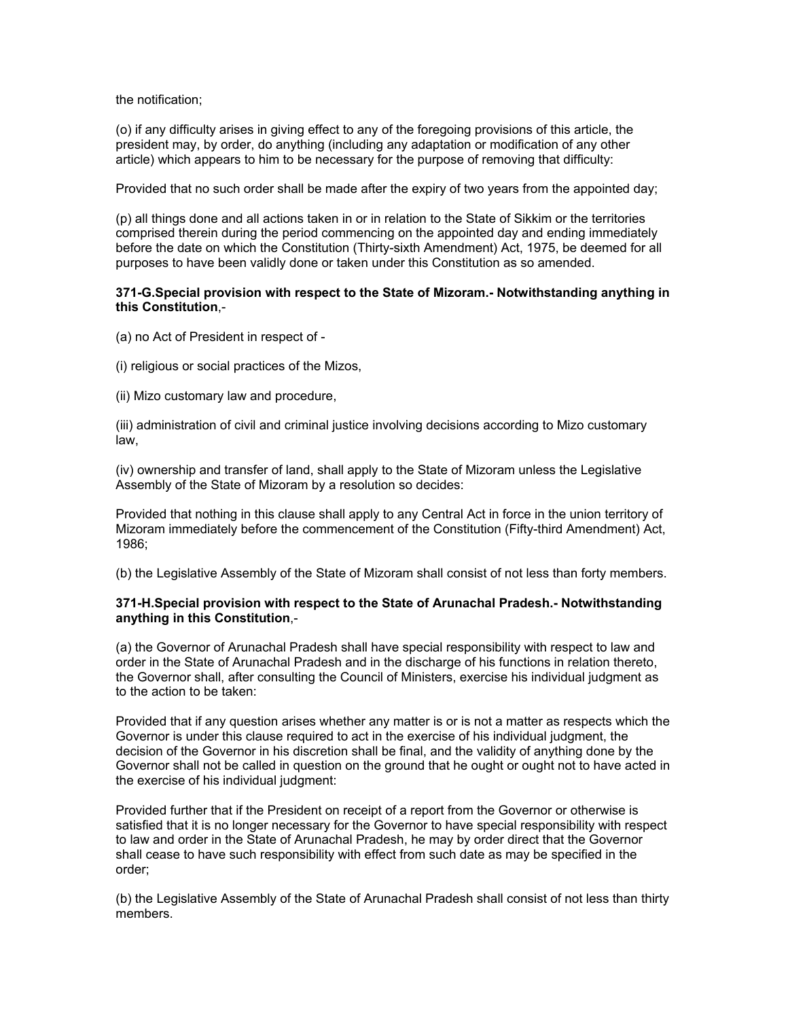the notification;

(o) if any difficulty arises in giving effect to any of the foregoing provisions of this article, the president may, by order, do anything (including any adaptation or modification of any other article) which appears to him to be necessary for the purpose of removing that difficulty:

Provided that no such order shall be made after the expiry of two years from the appointed day;

(p) all things done and all actions taken in or in relation to the State of Sikkim or the territories comprised therein during the period commencing on the appointed day and ending immediately before the date on which the Constitution (Thirty-sixth Amendment) Act, 1975, be deemed for all purposes to have been validly done or taken under this Constitution as so amended.

## **371-G.Special provision with respect to the State of Mizoram.- Notwithstanding anything in this Constitution**,-

(a) no Act of President in respect of -

- (i) religious or social practices of the Mizos,
- (ii) Mizo customary law and procedure,

(iii) administration of civil and criminal justice involving decisions according to Mizo customary law,

(iv) ownership and transfer of land, shall apply to the State of Mizoram unless the Legislative Assembly of the State of Mizoram by a resolution so decides:

Provided that nothing in this clause shall apply to any Central Act in force in the union territory of Mizoram immediately before the commencement of the Constitution (Fifty-third Amendment) Act, 1986;

(b) the Legislative Assembly of the State of Mizoram shall consist of not less than forty members.

## **371-H.Special provision with respect to the State of Arunachal Pradesh.- Notwithstanding anything in this Constitution**,-

(a) the Governor of Arunachal Pradesh shall have special responsibility with respect to law and order in the State of Arunachal Pradesh and in the discharge of his functions in relation thereto, the Governor shall, after consulting the Council of Ministers, exercise his individual judgment as to the action to be taken:

Provided that if any question arises whether any matter is or is not a matter as respects which the Governor is under this clause required to act in the exercise of his individual judgment, the decision of the Governor in his discretion shall be final, and the validity of anything done by the Governor shall not be called in question on the ground that he ought or ought not to have acted in the exercise of his individual judgment:

Provided further that if the President on receipt of a report from the Governor or otherwise is satisfied that it is no longer necessary for the Governor to have special responsibility with respect to law and order in the State of Arunachal Pradesh, he may by order direct that the Governor shall cease to have such responsibility with effect from such date as may be specified in the order;

(b) the Legislative Assembly of the State of Arunachal Pradesh shall consist of not less than thirty members.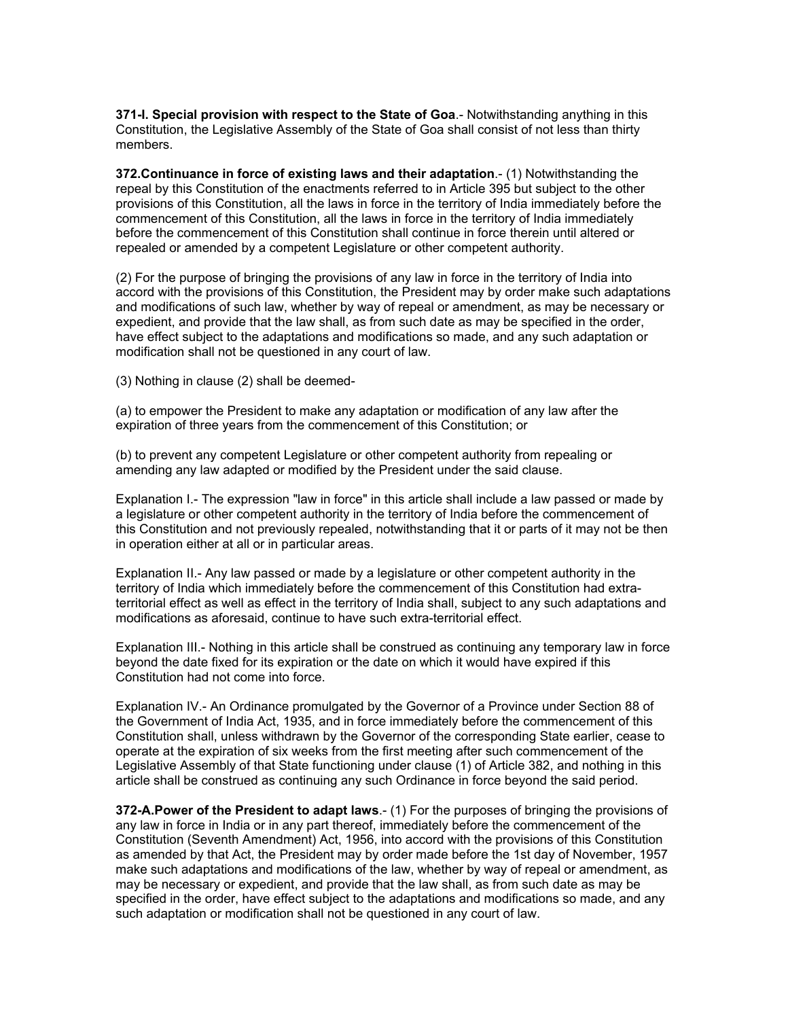**371-I. Special provision with respect to the State of Goa**.- Notwithstanding anything in this Constitution, the Legislative Assembly of the State of Goa shall consist of not less than thirty members.

**372.Continuance in force of existing laws and their adaptation**.- (1) Notwithstanding the repeal by this Constitution of the enactments referred to in Article 395 but subject to the other provisions of this Constitution, all the laws in force in the territory of India immediately before the commencement of this Constitution, all the laws in force in the territory of India immediately before the commencement of this Constitution shall continue in force therein until altered or repealed or amended by a competent Legislature or other competent authority.

(2) For the purpose of bringing the provisions of any law in force in the territory of India into accord with the provisions of this Constitution, the President may by order make such adaptations and modifications of such law, whether by way of repeal or amendment, as may be necessary or expedient, and provide that the law shall, as from such date as may be specified in the order, have effect subject to the adaptations and modifications so made, and any such adaptation or modification shall not be questioned in any court of law.

(3) Nothing in clause (2) shall be deemed-

(a) to empower the President to make any adaptation or modification of any law after the expiration of three years from the commencement of this Constitution; or

(b) to prevent any competent Legislature or other competent authority from repealing or amending any law adapted or modified by the President under the said clause.

Explanation I.- The expression "law in force" in this article shall include a law passed or made by a legislature or other competent authority in the territory of India before the commencement of this Constitution and not previously repealed, notwithstanding that it or parts of it may not be then in operation either at all or in particular areas.

Explanation II.- Any law passed or made by a legislature or other competent authority in the territory of India which immediately before the commencement of this Constitution had extraterritorial effect as well as effect in the territory of India shall, subject to any such adaptations and modifications as aforesaid, continue to have such extra-territorial effect.

Explanation III.- Nothing in this article shall be construed as continuing any temporary law in force beyond the date fixed for its expiration or the date on which it would have expired if this Constitution had not come into force.

Explanation IV.- An Ordinance promulgated by the Governor of a Province under Section 88 of the Government of India Act, 1935, and in force immediately before the commencement of this Constitution shall, unless withdrawn by the Governor of the corresponding State earlier, cease to operate at the expiration of six weeks from the first meeting after such commencement of the Legislative Assembly of that State functioning under clause (1) of Article 382, and nothing in this article shall be construed as continuing any such Ordinance in force beyond the said period.

**372-A.Power of the President to adapt laws**.- (1) For the purposes of bringing the provisions of any law in force in India or in any part thereof, immediately before the commencement of the Constitution (Seventh Amendment) Act, 1956, into accord with the provisions of this Constitution as amended by that Act, the President may by order made before the 1st day of November, 1957 make such adaptations and modifications of the law, whether by way of repeal or amendment, as may be necessary or expedient, and provide that the law shall, as from such date as may be specified in the order, have effect subject to the adaptations and modifications so made, and any such adaptation or modification shall not be questioned in any court of law.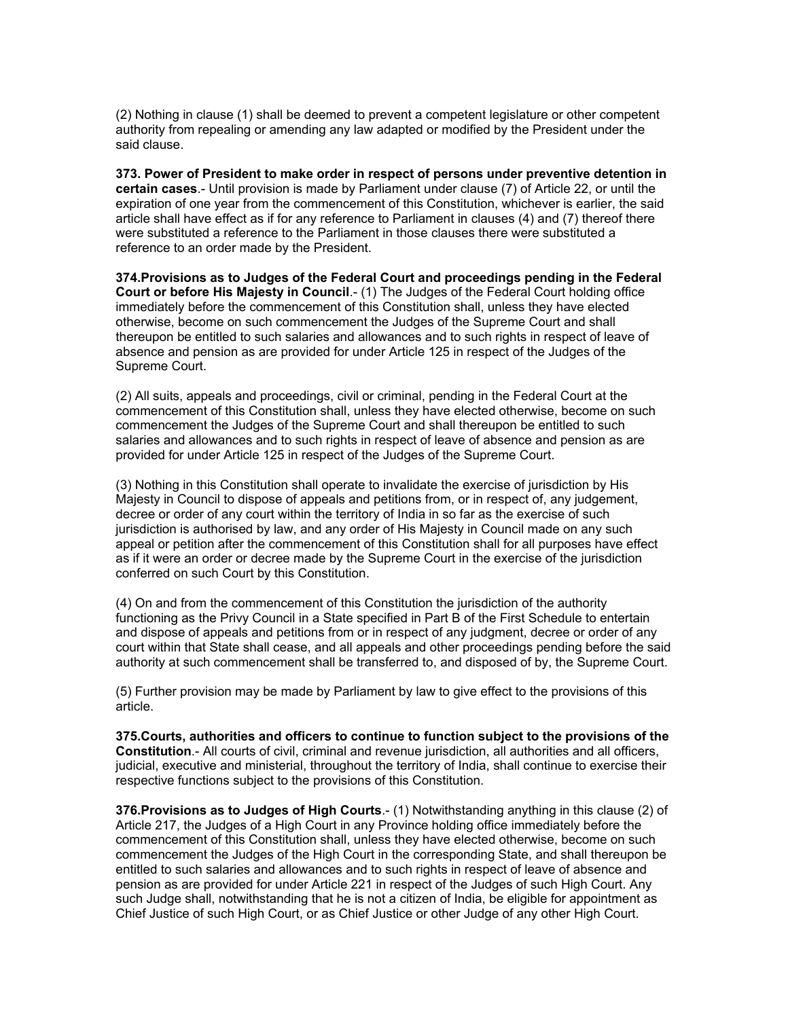(2) Nothing in clause (1) shall be deemed to prevent a competent legislature or other competent authority from repealing or amending any law adapted or modified by the President under the said clause.

**373. Power of President to make order in respect of persons under preventive detention in certain cases**.- Until provision is made by Parliament under clause (7) of Article 22, or until the expiration of one year from the commencement of this Constitution, whichever is earlier, the said article shall have effect as if for any reference to Parliament in clauses (4) and (7) thereof there were substituted a reference to the Parliament in those clauses there were substituted a reference to an order made by the President.

**374.Provisions as to Judges of the Federal Court and proceedings pending in the Federal Court or before His Majesty in Council**.- (1) The Judges of the Federal Court holding office immediately before the commencement of this Constitution shall, unless they have elected otherwise, become on such commencement the Judges of the Supreme Court and shall thereupon be entitled to such salaries and allowances and to such rights in respect of leave of absence and pension as are provided for under Article 125 in respect of the Judges of the Supreme Court.

(2) All suits, appeals and proceedings, civil or criminal, pending in the Federal Court at the commencement of this Constitution shall, unless they have elected otherwise, become on such commencement the Judges of the Supreme Court and shall thereupon be entitled to such salaries and allowances and to such rights in respect of leave of absence and pension as are provided for under Article 125 in respect of the Judges of the Supreme Court.

(3) Nothing in this Constitution shall operate to invalidate the exercise of jurisdiction by His Majesty in Council to dispose of appeals and petitions from, or in respect of, any judgement, decree or order of any court within the territory of India in so far as the exercise of such jurisdiction is authorised by law, and any order of His Majesty in Council made on any such appeal or petition after the commencement of this Constitution shall for all purposes have effect as if it were an order or decree made by the Supreme Court in the exercise of the jurisdiction conferred on such Court by this Constitution.

(4) On and from the commencement of this Constitution the jurisdiction of the authority functioning as the Privy Council in a State specified in Part B of the First Schedule to entertain and dispose of appeals and petitions from or in respect of any judgment, decree or order of any court within that State shall cease, and all appeals and other proceedings pending before the said authority at such commencement shall be transferred to, and disposed of by, the Supreme Court.

(5) Further provision may be made by Parliament by law to give effect to the provisions of this article.

**375.Courts, authorities and officers to continue to function subject to the provisions of the Constitution**.- All courts of civil, criminal and revenue jurisdiction, all authorities and all officers, judicial, executive and ministerial, throughout the territory of India, shall continue to exercise their respective functions subject to the provisions of this Constitution.

**376.Provisions as to Judges of High Courts**.- (1) Notwithstanding anything in this clause (2) of Article 217, the Judges of a High Court in any Province holding office immediately before the commencement of this Constitution shall, unless they have elected otherwise, become on such commencement the Judges of the High Court in the corresponding State, and shall thereupon be entitled to such salaries and allowances and to such rights in respect of leave of absence and pension as are provided for under Article 221 in respect of the Judges of such High Court. Any such Judge shall, notwithstanding that he is not a citizen of India, be eligible for appointment as Chief Justice of such High Court, or as Chief Justice or other Judge of any other High Court.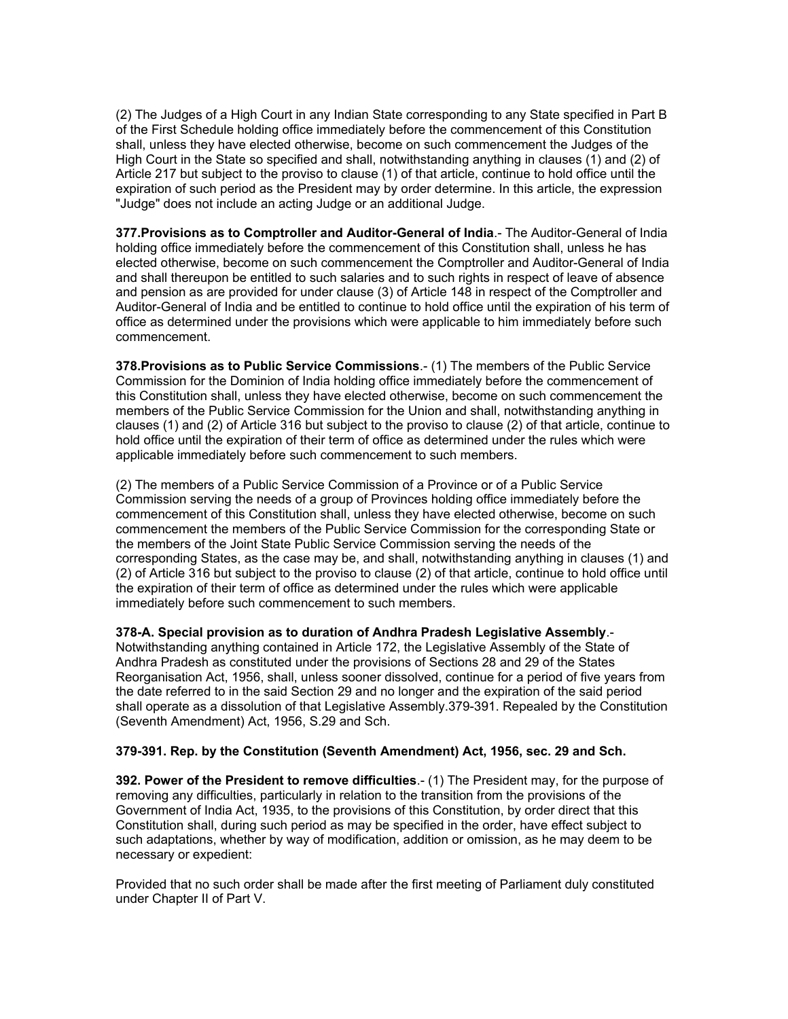(2) The Judges of a High Court in any Indian State corresponding to any State specified in Part B of the First Schedule holding office immediately before the commencement of this Constitution shall, unless they have elected otherwise, become on such commencement the Judges of the High Court in the State so specified and shall, notwithstanding anything in clauses (1) and (2) of Article 217 but subject to the proviso to clause (1) of that article, continue to hold office until the expiration of such period as the President may by order determine. In this article, the expression "Judge" does not include an acting Judge or an additional Judge.

**377.Provisions as to Comptroller and Auditor-General of India**.- The Auditor-General of India holding office immediately before the commencement of this Constitution shall, unless he has elected otherwise, become on such commencement the Comptroller and Auditor-General of India and shall thereupon be entitled to such salaries and to such rights in respect of leave of absence and pension as are provided for under clause (3) of Article 148 in respect of the Comptroller and Auditor-General of India and be entitled to continue to hold office until the expiration of his term of office as determined under the provisions which were applicable to him immediately before such commencement.

**378.Provisions as to Public Service Commissions**.- (1) The members of the Public Service Commission for the Dominion of India holding office immediately before the commencement of this Constitution shall, unless they have elected otherwise, become on such commencement the members of the Public Service Commission for the Union and shall, notwithstanding anything in clauses (1) and (2) of Article 316 but subject to the proviso to clause (2) of that article, continue to hold office until the expiration of their term of office as determined under the rules which were applicable immediately before such commencement to such members.

(2) The members of a Public Service Commission of a Province or of a Public Service Commission serving the needs of a group of Provinces holding office immediately before the commencement of this Constitution shall, unless they have elected otherwise, become on such commencement the members of the Public Service Commission for the corresponding State or the members of the Joint State Public Service Commission serving the needs of the corresponding States, as the case may be, and shall, notwithstanding anything in clauses (1) and (2) of Article 316 but subject to the proviso to clause (2) of that article, continue to hold office until the expiration of their term of office as determined under the rules which were applicable immediately before such commencement to such members.

# **378-A. Special provision as to duration of Andhra Pradesh Legislative Assembly**.-

Notwithstanding anything contained in Article 172, the Legislative Assembly of the State of Andhra Pradesh as constituted under the provisions of Sections 28 and 29 of the States Reorganisation Act, 1956, shall, unless sooner dissolved, continue for a period of five years from the date referred to in the said Section 29 and no longer and the expiration of the said period shall operate as a dissolution of that Legislative Assembly.379-391. Repealed by the Constitution (Seventh Amendment) Act, 1956, S.29 and Sch.

## **379-391. Rep. by the Constitution (Seventh Amendment) Act, 1956, sec. 29 and Sch.**

**392. Power of the President to remove difficulties**.- (1) The President may, for the purpose of removing any difficulties, particularly in relation to the transition from the provisions of the Government of India Act, 1935, to the provisions of this Constitution, by order direct that this Constitution shall, during such period as may be specified in the order, have effect subject to such adaptations, whether by way of modification, addition or omission, as he may deem to be necessary or expedient:

Provided that no such order shall be made after the first meeting of Parliament duly constituted under Chapter II of Part V.